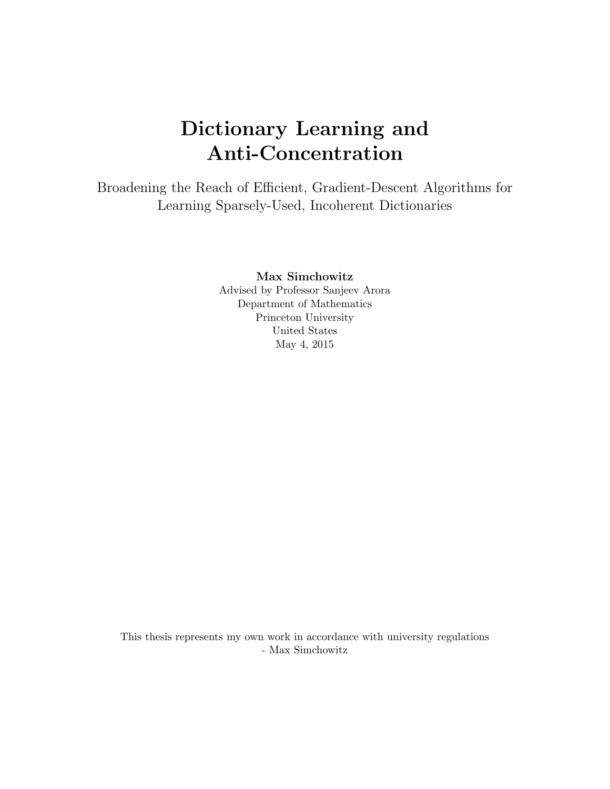# Dictionary Learning and Anti-Concentration

Broadening the Reach of Efficient, Gradient-Descent Algorithms for Learning Sparsely-Used, Incoherent Dictionaries

Max Simchowitz

Advised by Professor Sanjeev Arora Department of Mathematics Princeton University United States May 4, 2015

This thesis represents my own work in accordance with university regulations - Max Simchowitz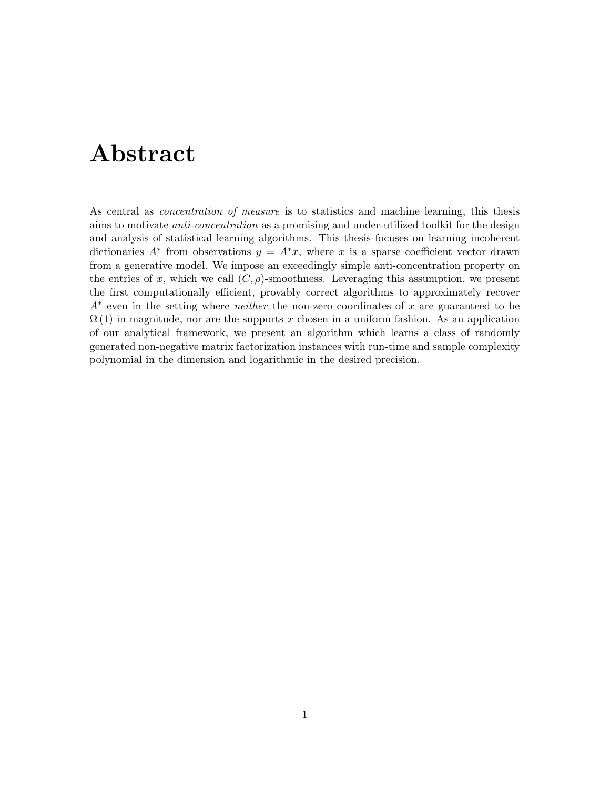# Abstract

As central as concentration of measure is to statistics and machine learning, this thesis aims to motivate *anti-concentration* as a promising and under-utilized toolkit for the design and analysis of statistical learning algorithms. This thesis focuses on learning incoherent dictionaries  $A^*$  from observations  $y = A^*x$ , where x is a sparse coefficient vector drawn from a generative model. We impose an exceedingly simple anti-concentration property on the entries of x, which we call  $(C, \rho)$ -smoothness. Leveraging this assumption, we present the first computationally efficient, provably correct algorithms to approximately recover  $A^*$  even in the setting where *neither* the non-zero coordinates of x are guaranteed to be  $\Omega(1)$  in magnitude, nor are the supports x chosen in a uniform fashion. As an application of our analytical framework, we present an algorithm which learns a class of randomly generated non-negative matrix factorization instances with run-time and sample complexity polynomial in the dimension and logarithmic in the desired precision.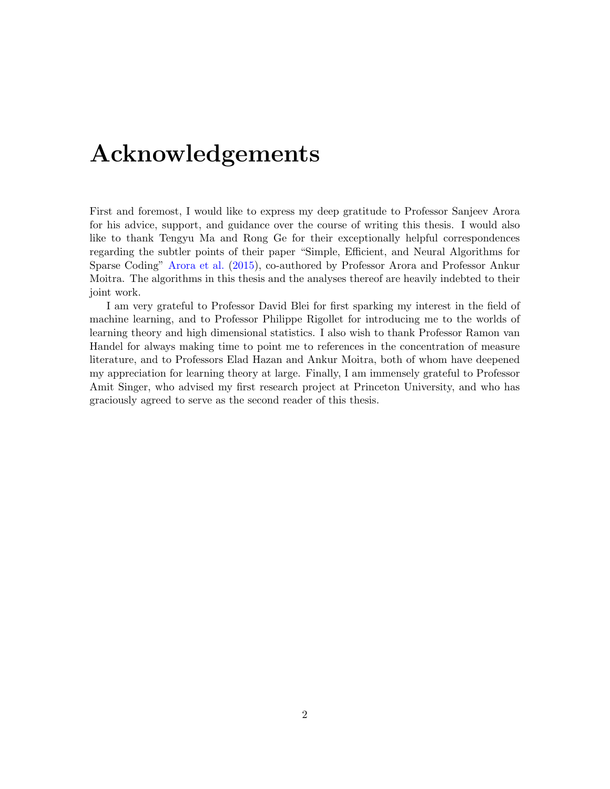# Acknowledgements

First and foremost, I would like to express my deep gratitude to Professor Sanjeev Arora for his advice, support, and guidance over the course of writing this thesis. I would also like to thank Tengyu Ma and Rong Ge for their exceptionally helpful correspondences regarding the subtler points of their paper "Simple, Efficient, and Neural Algorithms for Sparse Coding" [Arora et al.](#page-63-0) [\(2015\)](#page-63-0), co-authored by Professor Arora and Professor Ankur Moitra. The algorithms in this thesis and the analyses thereof are heavily indebted to their joint work.

I am very grateful to Professor David Blei for first sparking my interest in the field of machine learning, and to Professor Philippe Rigollet for introducing me to the worlds of learning theory and high dimensional statistics. I also wish to thank Professor Ramon van Handel for always making time to point me to references in the concentration of measure literature, and to Professors Elad Hazan and Ankur Moitra, both of whom have deepened my appreciation for learning theory at large. Finally, I am immensely grateful to Professor Amit Singer, who advised my first research project at Princeton University, and who has graciously agreed to serve as the second reader of this thesis.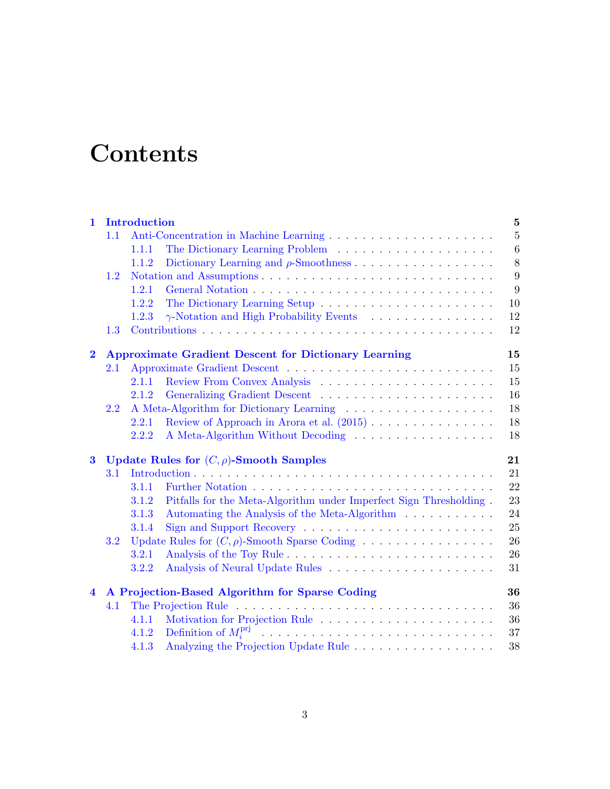# **Contents**

| $\mathbf{1}$   |     | <b>Introduction</b> |                                                                    | $\bf{5}$       |
|----------------|-----|---------------------|--------------------------------------------------------------------|----------------|
|                | 1.1 |                     |                                                                    | $\overline{5}$ |
|                |     | 1.1.1               |                                                                    | $\,6\,$        |
|                |     | 1.1.2               |                                                                    | 8              |
|                | 1.2 |                     |                                                                    | 9              |
|                |     | 1.2.1               |                                                                    | 9              |
|                |     | 1.2.2               |                                                                    | 10             |
|                |     | 1.2.3               |                                                                    | $12\,$         |
|                | 1.3 |                     |                                                                    | 12             |
| $\mathbf{2}$   |     |                     | <b>Approximate Gradient Descent for Dictionary Learning</b>        | 15             |
|                | 2.1 |                     |                                                                    | 15             |
|                |     | 2.1.1               |                                                                    | 15             |
|                |     | 2.1.2               |                                                                    | 16             |
|                | 2.2 |                     |                                                                    | 18             |
|                |     | 2.2.1               | Review of Approach in Arora et al. $(2015)$                        | 18             |
|                |     | 2.2.2               | A Meta-Algorithm Without Decoding                                  | 18             |
| $\bf{3}$       |     |                     | Update Rules for $(C, \rho)$ -Smooth Samples                       | 21             |
|                | 3.1 |                     |                                                                    | 21             |
|                |     | 3.1.1               |                                                                    | 22             |
|                |     | 3.1.2               | Pitfalls for the Meta-Algorithm under Imperfect Sign Thresholding. | 23             |
|                |     | 3.1.3               | Automating the Analysis of the Meta-Algorithm                      | 24             |
|                |     | 3.1.4               |                                                                    | 25             |
|                | 3.2 |                     |                                                                    | 26             |
|                |     | 3.2.1               |                                                                    | 26             |
|                |     | 3.2.2               |                                                                    | 31             |
| $\overline{4}$ |     |                     | A Projection-Based Algorithm for Sparse Coding                     | 36             |
|                | 4.1 |                     |                                                                    | 36             |
|                |     | 4.1.1               |                                                                    | 36             |
|                |     | 4.1.2               |                                                                    | 37             |
|                |     | 4.1.3               | Analyzing the Projection Update Rule                               | 38             |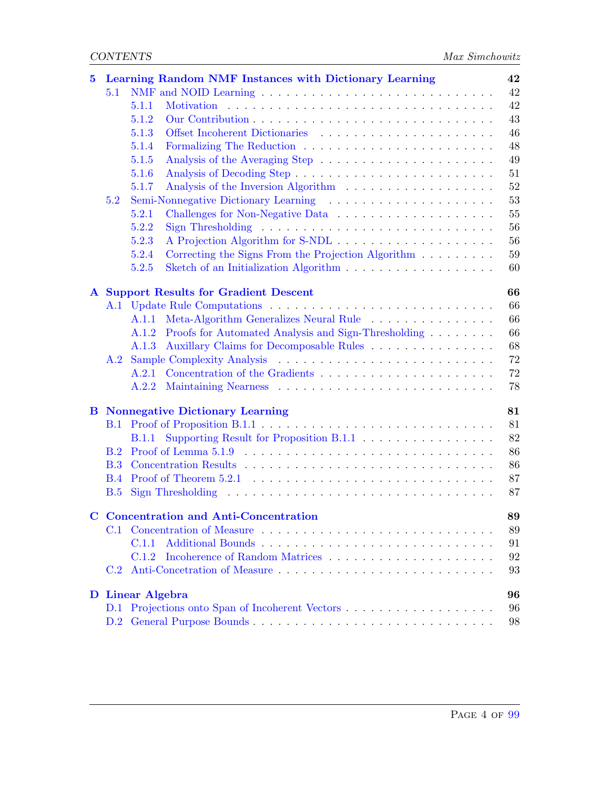| 5         |            | Learning Random NMF Instances with Dictionary Learning                                           | 42     |
|-----------|------------|--------------------------------------------------------------------------------------------------|--------|
|           | 5.1        | NMF and NOID Learning $\dots \dots \dots \dots \dots \dots \dots \dots \dots \dots \dots$        | 42     |
|           |            | 5.1.1                                                                                            | 42     |
|           |            | 5.1.2                                                                                            | 43     |
|           |            | 5.1.3                                                                                            | 46     |
|           |            | 5.1.4                                                                                            | 48     |
|           |            | 5.1.5                                                                                            | 49     |
|           |            | 5.1.6                                                                                            | 51     |
|           |            | 5.1.7                                                                                            | $52\,$ |
|           | 5.2        |                                                                                                  | 53     |
|           |            | 5.2.1                                                                                            | 55     |
|           |            | 5.2.2                                                                                            | 56     |
|           |            | 5.2.3                                                                                            | 56     |
|           |            | 5.2.4                                                                                            | 59     |
|           |            | 5.2.5                                                                                            | 60     |
| ${\bf A}$ |            | <b>Support Results for Gradient Descent</b>                                                      | 66     |
|           |            |                                                                                                  | 66     |
|           |            | A.1.1 Meta-Algorithm Generalizes Neural Rule                                                     | 66     |
|           |            | A.1.2 Proofs for Automated Analysis and Sign-Thresholding                                        | 66     |
|           |            | Auxillary Claims for Decomposable Rules<br>A.1.3                                                 | 68     |
|           |            |                                                                                                  | 72     |
|           |            | A.2.1                                                                                            | 72     |
|           |            |                                                                                                  | 78     |
| В         |            | <b>Nonnegative Dictionary Learning</b>                                                           | 81     |
|           | B.1        |                                                                                                  | 81     |
|           |            | <b>B.1.1</b>                                                                                     | 82     |
|           | B.2        |                                                                                                  | 86     |
|           | <b>B.3</b> |                                                                                                  | 86     |
|           | <b>B.4</b> |                                                                                                  | 87     |
|           | B.5        | Sign Thresholding $\ldots \ldots \ldots \ldots \ldots \ldots \ldots \ldots \ldots \ldots \ldots$ | 87     |
|           |            | <b>Concentration and Anti-Concentration</b>                                                      | 89     |
|           |            | C.1 Concentration of Measure                                                                     | 89     |
|           |            | C.1.1                                                                                            | 91     |
|           |            | C.1.2                                                                                            | 92     |
|           | C.2        |                                                                                                  | 93     |
|           |            | D Linear Algebra                                                                                 | 96     |
|           | D.1        |                                                                                                  | 96     |
|           | D.2        |                                                                                                  | 98     |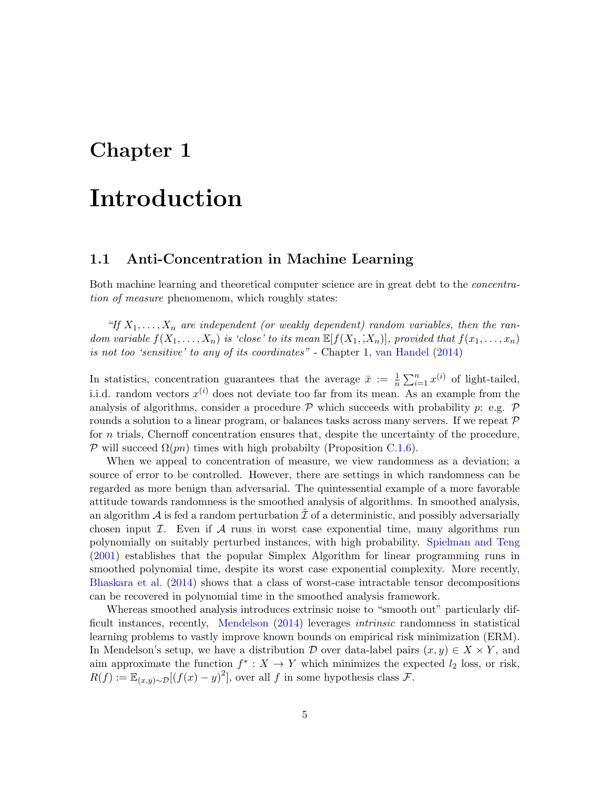# <span id="page-5-0"></span>Chapter 1

# Introduction

### <span id="page-5-1"></span>1.1 Anti-Concentration in Machine Learning

Both machine learning and theoretical computer science are in great debt to the concentration of measure phenomenom, which roughly states:

"If  $X_1, \ldots, X_n$  are independent (or weakly dependent) random variables, then the random variable  $f(X_1, \ldots, X_n)$  is 'close' to its mean  $\mathbb{E}[f(X_1, X_n)],$  provided that  $f(x_1, \ldots, x_n)$ is not too 'sensitive' to any of its coordinates" - Chapter 1, [van Handel](#page-65-0) [\(2014\)](#page-65-0)

In statistics, concentration guarantees that the average  $\bar{x} := \frac{1}{n} \sum_{i=1}^{n} x^{(i)}$  of light-tailed, i.i.d. random vectors  $x^{(i)}$  does not deviate too far from its mean. As an example from the analysis of algorithms, consider a procedure  $\mathcal P$  which succeeds with probability p: e.g.  $\mathcal P$ rounds a solution to a linear program, or balances tasks across many servers. If we repeat  $\mathcal P$ for n trials, Chernoff concentration ensures that, despite the uncertainty of the procedure, P will succeed  $\Omega(pn)$  times with high probabilty (Proposition [C.1.6\)](#page-91-1).

When we appeal to concentration of measure, we view randomness as a deviation; a source of error to be controlled. However, there are settings in which randomness can be regarded as more benign than adversarial. The quintessential example of a more favorable attitude towards randomness is the smoothed analysis of algorithms. In smoothed analysis, an algorithm  $\mathcal A$  is fed a random perturbation  $\mathcal I$  of a deterministic, and possibly adversarially chosen input  $\mathcal I$ . Even if  $\mathcal A$  runs in worst case exponential time, many algorithms run polynomially on suitably perturbed instances, with high probability. [Spielman and Teng](#page-65-1) [\(2001\)](#page-65-1) establishes that the popular Simplex Algorithm for linear programming runs in smoothed polynomial time, despite its worst case exponential complexity. More recently, [Bhaskara et al.](#page-63-1) [\(2014\)](#page-63-1) shows that a class of worst-case intractable tensor decompositions can be recovered in polynomial time in the smoothed analysis framework.

Whereas smoothed analysis introduces extrinsic noise to "smooth out" particularly difficult instances, recently, [Mendelson](#page-65-2) [\(2014\)](#page-65-2) leverages intrinsic randomness in statistical learning problems to vastly improve known bounds on empirical risk minimization (ERM). In Mendelson's setup, we have a distribution D over data-label pairs  $(x, y) \in X \times Y$ , and aim approximate the function  $f^* : X \to Y$  which minimizes the expected  $l_2$  loss, or risk,  $R(f) := \mathbb{E}_{(x,y)\sim \mathcal{D}}[(f(x)-y)^2]$ , over all f in some hypothesis class F.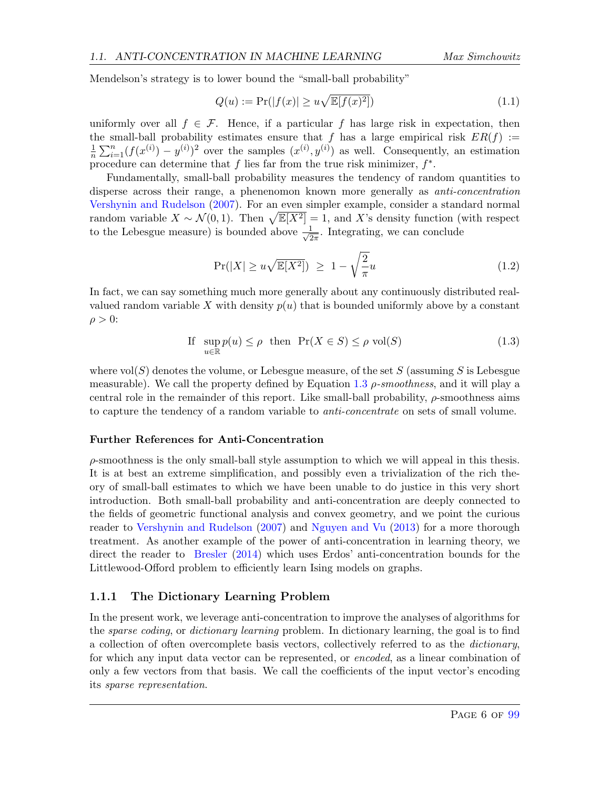Mendelson's strategy is to lower bound the "small-ball probability"

$$
Q(u) := \Pr(|f(x)| \ge u\sqrt{\mathbb{E}[f(x)^2]})\tag{1.1}
$$

uniformly over all  $f \in \mathcal{F}$ . Hence, if a particular f has large risk in expectation, then the small-ball probability estimates ensure that f has a large empirical risk  $ER(f) :=$ 1  $\frac{1}{n}\sum_{i=1}^n(f(x^{(i)})-y^{(i)})^2$  over the samples  $(x^{(i)},y^{(i)})$  as well. Consequently, an estimation procedure can determine that f lies far from the true risk minimizer,  $f^*$ .

Fundamentally, small-ball probability measures the tendency of random quantities to disperse across their range, a phenenomon known more generally as anti-concentration [Vershynin and Rudelson](#page-65-3) [\(2007\)](#page-65-3). For an even simpler example, consider a standard normal random variable  $X \sim \mathcal{N}(0, 1)$ . Then  $\sqrt{\mathbb{E}[X]^2]} = 1$ , and X's density function (with respect to the Lebesgue measure) is bounded above  $\frac{1}{\sqrt{2}}$  $\frac{1}{2\pi}$ . Integrating, we can conclude

$$
\Pr(|X| \ge u\sqrt{\mathbb{E}[X^2]}) \ge 1 - \sqrt{\frac{2}{\pi}}u\tag{1.2}
$$

In fact, we can say something much more generally about any continuously distributed realvalued random variable X with density  $p(u)$  that is bounded uniformly above by a constant  $\rho > 0$ :

<span id="page-6-1"></span>If 
$$
\sup_{u \in \mathbb{R}} p(u) \le \rho
$$
 then  $\Pr(X \in S) \le \rho \text{ vol}(S)$  (1.3)

where  $vol(S)$  denotes the volume, or Lebesgue measure, of the set S (assuming S is Lebesgue measurable). We call the property defined by Equation [1.3](#page-6-1)  $\rho$ -smoothness, and it will play a central role in the remainder of this report. Like small-ball probability,  $\rho$ -smoothness aims to capture the tendency of a random variable to anti-concentrate on sets of small volume.

#### Further References for Anti-Concentration

 $\rho$ -smoothness is the only small-ball style assumption to which we will appeal in this thesis. It is at best an extreme simplification, and possibly even a trivialization of the rich theory of small-ball estimates to which we have been unable to do justice in this very short introduction. Both small-ball probability and anti-concentration are deeply connected to the fields of geometric functional analysis and convex geometry, and we point the curious reader to [Vershynin and Rudelson](#page-65-3) [\(2007\)](#page-65-3) and [Nguyen and Vu](#page-65-4) [\(2013\)](#page-65-4) for a more thorough treatment. As another example of the power of anti-concentration in learning theory, we direct the reader to [Bresler](#page-64-0) [\(2014\)](#page-64-0) which uses Erdos' anti-concentration bounds for the Littlewood-Offord problem to efficiently learn Ising models on graphs.

#### <span id="page-6-0"></span>1.1.1 The Dictionary Learning Problem

In the present work, we leverage anti-concentration to improve the analyses of algorithms for the sparse coding, or dictionary learning problem. In dictionary learning, the goal is to find a collection of often overcomplete basis vectors, collectively referred to as the dictionary, for which any input data vector can be represented, or encoded, as a linear combination of only a few vectors from that basis. We call the coefficients of the input vector's encoding its sparse representation.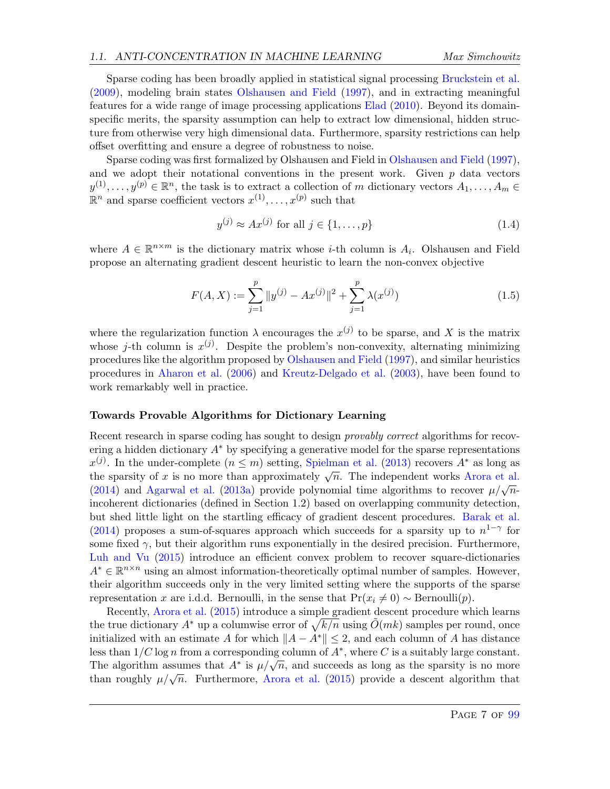Sparse coding has been broadly applied in statistical signal processing [Bruckstein et al.](#page-64-1) [\(2009\)](#page-64-1), modeling brain states [Olshausen and Field](#page-65-5) [\(1997\)](#page-65-5), and in extracting meaningful features for a wide range of image processing applications [Elad](#page-64-2) [\(2010\)](#page-64-2). Beyond its domainspecific merits, the sparsity assumption can help to extract low dimensional, hidden structure from otherwise very high dimensional data. Furthermore, sparsity restrictions can help offset overfitting and ensure a degree of robustness to noise.

Sparse coding was first formalized by Olshausen and Field in [Olshausen and Field](#page-65-5) [\(1997\)](#page-65-5), and we adopt their notational conventions in the present work. Given  $p$  data vectors  $y^{(1)}, \ldots, y^{(p)} \in \mathbb{R}^n$ , the task is to extract a collection of m dictionary vectors  $A_1, \ldots, A_m \in$  $\mathbb{R}^n$  and sparse coefficient vectors  $x^{(1)}, \ldots, x^{(p)}$  such that

$$
y^{(j)} \approx Ax^{(j)} \text{ for all } j \in \{1, \dots, p\}
$$
\n
$$
(1.4)
$$

where  $A \in \mathbb{R}^{n \times m}$  is the dictionary matrix whose *i*-th column is  $A_i$ . Olshausen and Field propose an alternating gradient descent heuristic to learn the non-convex objective

<span id="page-7-0"></span>
$$
F(A, X) := \sum_{j=1}^{p} \|y^{(j)} - Ax^{(j)}\|^2 + \sum_{j=1}^{p} \lambda(x^{(j)})
$$
\n(1.5)

where the regularization function  $\lambda$  encourages the  $x^{(j)}$  to be sparse, and X is the matrix whose *j*-th column is  $x^{(j)}$ . Despite the problem's non-convexity, alternating minimizing procedures like the algorithm proposed by [Olshausen and Field](#page-65-5) [\(1997\)](#page-65-5), and similar heuristics procedures in [Aharon et al.](#page-63-2) [\(2006\)](#page-63-2) and [Kreutz-Delgado et al.](#page-64-3) [\(2003\)](#page-64-3), have been found to work remarkably well in practice.

#### Towards Provable Algorithms for Dictionary Learning

Recent research in sparse coding has sought to design *provably correct* algorithms for recovering a hidden dictionary  $A^*$  by specifying a generative model for the sparse representations  $x^{(j)}$ . In the under-complete  $(n \leq m)$  setting, [Spielman et al.](#page-65-6) [\(2013\)](#page-65-6) recovers  $A^*$  as long as  $x^{\infty}$ . In the under-complete  $(n \leq m)$  setting, spienhan et al. (2013) recovers A as long as the sparsity of x is no more than approximately  $\sqrt{n}$ . The independent works [Arora et al.](#page-63-3) the sparsity of x is no more than approximately  $\sqrt{n}$ . The independent works Alora et al. [\(2014\)](#page-63-3) and [Agarwal et al.](#page-63-4) [\(2013a\)](#page-63-4) provide polynomial time algorithms to recover  $\mu/\sqrt{n}$ . incoherent dictionaries (defined in Section 1.2) based on overlapping community detection, but shed little light on the startling efficacy of gradient descent procedures. [Barak et al.](#page-63-5) [\(2014\)](#page-63-5) proposes a sum-of-squares approach which succeeds for a sparsity up to  $n^{1-\gamma}$  for some fixed  $\gamma$ , but their algorithm runs exponentially in the desired precision. Furthermore, [Luh and Vu](#page-65-7) [\(2015\)](#page-65-7) introduce an efficient convex problem to recover square-dictionaries  $A^* \in \mathbb{R}^{n \times n}$  using an almost information-theoretically optimal number of samples. However, their algorithm succeeds only in the very limited setting where the supports of the sparse representation x are i.d.d. Bernoulli, in the sense that  $Pr(x_i \neq 0) \sim$  Bernoulli $(p)$ .

Recently, [Arora et al.](#page-63-0) [\(2015\)](#page-63-0) introduce a simple gradient descent procedure which learns the true dictionary  $A^*$  up a columwise error of  $\sqrt{k/n}$  using  $\tilde{O}(mk)$  samples per round, once initialized with an estimate A for which  $||A - A^*|| \leq 2$ , and each column of A has distance less than  $1/C \log n$  from a corresponding column of  $A^*$ , where C is a suitably large constant. The algorithm assumes that  $A^*$  is  $\mu/\sqrt{n}$ , and succeeds as long as the sparsity is no more The algorithm assumes that A is  $\mu/\sqrt{n}$ , and succeeds as long as the sparsity is no more<br>than roughly  $\mu/\sqrt{n}$ . Furthermore, [Arora et al.](#page-63-0) [\(2015\)](#page-63-0) provide a descent algorithm that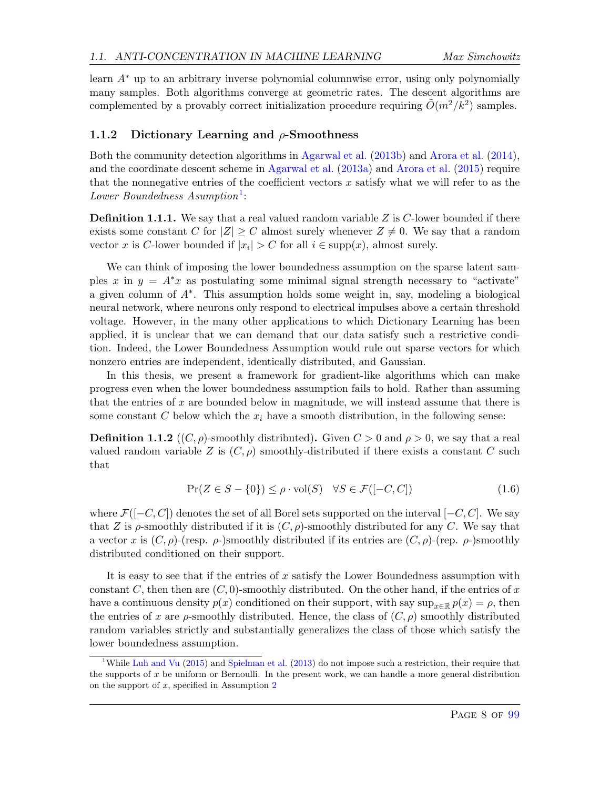learn A<sup>∗</sup> up to an arbitrary inverse polynomial columnwise error, using only polynomially many samples. Both algorithms converge at geometric rates. The descent algorithms are complemented by a provably correct initialization procedure requiring  $\tilde{O}(m^2/k^2)$  samples.

#### <span id="page-8-0"></span>1.1.2 Dictionary Learning and  $\rho$ -Smoothness

Both the community detection algorithms in [Agarwal et al.](#page-63-6) [\(2013b\)](#page-63-6) and [Arora et al.](#page-63-3) [\(2014\)](#page-63-3), and the coordinate descent scheme in [Agarwal et al.](#page-63-4) [\(2013a\)](#page-63-4) and [Arora et al.](#page-63-0) [\(2015\)](#page-63-0) require that the nonnegative entries of the coefficient vectors  $x$  satisfy what we will refer to as the  $Lower Boundedness\ Aumption<sup>1</sup>:$  $Lower Boundedness\ Aumption<sup>1</sup>:$  $Lower Boundedness\ Aumption<sup>1</sup>:$ 

**Definition 1.1.1.** We say that a real valued random variable  $Z$  is  $C$ -lower bounded if there exists some constant C for  $|Z| \geq C$  almost surely whenever  $Z \neq 0$ . We say that a random vector x is C-lower bounded if  $|x_i| > C$  for all  $i \in \text{supp}(x)$ , almost surely.

We can think of imposing the lower boundedness assumption on the sparse latent samples x in  $y = A^*x$  as postulating some minimal signal strength necessary to "activate" a given column of A<sup>∗</sup> . This assumption holds some weight in, say, modeling a biological neural network, where neurons only respond to electrical impulses above a certain threshold voltage. However, in the many other applications to which Dictionary Learning has been applied, it is unclear that we can demand that our data satisfy such a restrictive condition. Indeed, the Lower Boundedness Assumption would rule out sparse vectors for which nonzero entries are independent, identically distributed, and Gaussian.

In this thesis, we present a framework for gradient-like algorithms which can make progress even when the lower boundedness assumption fails to hold. Rather than assuming that the entries of x are bounded below in magnitude, we will instead assume that there is some constant C below which the  $x_i$  have a smooth distribution, in the following sense:

**Definition 1.1.2** ((C,  $\rho$ )-smoothly distributed). Given  $C > 0$  and  $\rho > 0$ , we say that a real valued random variable Z is  $(C, \rho)$  smoothly-distributed if there exists a constant C such that

$$
\Pr(Z \in S - \{0\}) \le \rho \cdot \text{vol}(S) \quad \forall S \in \mathcal{F}([-C, C]) \tag{1.6}
$$

where  $\mathcal{F}([-C, C])$  denotes the set of all Borel sets supported on the interval  $[-C, C]$ . We say that Z is  $\rho$ -smoothly distributed if it is  $(C, \rho)$ -smoothly distributed for any C. We say that a vector x is  $(C, \rho)$ -(resp.  $\rho$ -)smoothly distributed if its entries are  $(C, \rho)$ -(rep.  $\rho$ -)smoothly distributed conditioned on their support.

It is easy to see that if the entries of  $x$  satisfy the Lower Boundedness assumption with constant C, then then are  $(C, 0)$ -smoothly distributed. On the other hand, if the entries of x have a continuous density  $p(x)$  conditioned on their support, with say  $\sup_{x\in\mathbb{R}} p(x) = \rho$ , then the entries of x are  $\rho$ -smoothly distributed. Hence, the class of  $(C, \rho)$  smoothly distributed random variables strictly and substantially generalizes the class of those which satisfy the lower boundedness assumption.

<span id="page-8-1"></span><sup>&</sup>lt;sup>1</sup>While [Luh and Vu](#page-65-7) [\(2015\)](#page-65-7) and [Spielman et al.](#page-65-6) [\(2013\)](#page-65-6) do not impose such a restriction, their require that the supports of  $x$  be uniform or Bernoulli. In the present work, we can handle a more general distribution on the support of  $x$ , specified in Assumption  $2$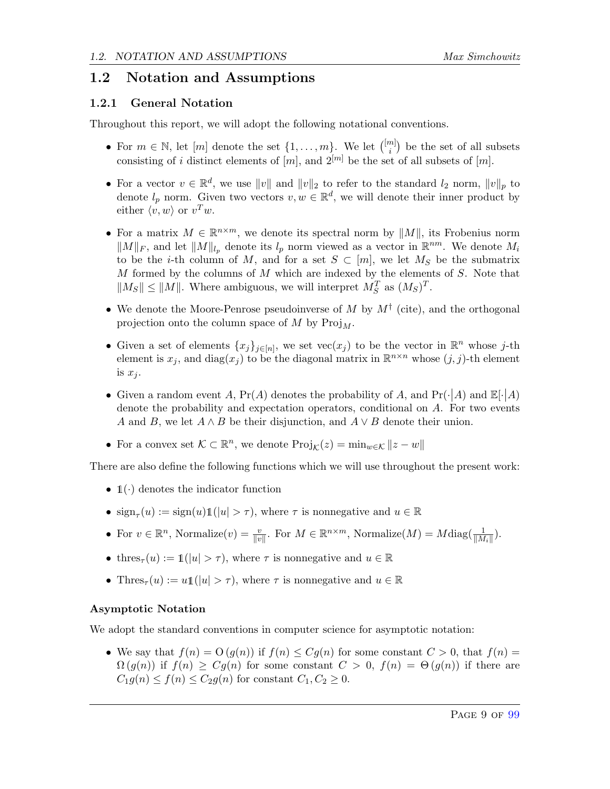### <span id="page-9-0"></span>1.2 Notation and Assumptions

### <span id="page-9-1"></span>1.2.1 General Notation

Throughout this report, we will adopt the following notational conventions.

- For  $m \in \mathbb{N}$ , let  $[m]$  denote the set  $\{1, \ldots, m\}$ . We let  $\binom{[m]}{i}$  $\binom{n}{i}$  be the set of all subsets consisting of i distinct elements of  $[m]$ , and  $2^{[m]}$  be the set of all subsets of  $[m]$ .
- For a vector  $v \in \mathbb{R}^d$ , we use  $||v||$  and  $||v||_2$  to refer to the standard  $l_2$  norm,  $||v||_p$  to denote  $l_p$  norm. Given two vectors  $v, w \in \mathbb{R}^d$ , we will denote their inner product by either  $\langle v, w \rangle$  or  $v^T w$ .
- For a matrix  $M \in \mathbb{R}^{n \times m}$ , we denote its spectral norm by  $||M||$ , its Frobenius norm  $||M||_F$ , and let  $||M||_{l_p}$  denote its  $l_p$  norm viewed as a vector in  $\mathbb{R}^{nm}$ . We denote  $M_i$ to be the *i*-th column of M, and for a set  $S \subset [m]$ , we let  $M_S$  be the submatrix  $M$  formed by the columns of  $M$  which are indexed by the elements of  $S$ . Note that  $||M_S|| \le ||M||$ . Where ambiguous, we will interpret  $M_S^T$  as  $(M_S)^T$ .
- We denote the Moore-Penrose pseudoinverse of M by  $M^{\dagger}$  (cite), and the orthogonal projection onto the column space of M by  $\text{Proj}_{M}$ .
- Given a set of elements  $\{x_j\}_{j\in[n]}$ , we set vec $(x_j)$  to be the vector in  $\mathbb{R}^n$  whose j-th element is  $x_j$ , and  $diag(x_j)$  to be the diagonal matrix in  $\mathbb{R}^{n \times n}$  whose  $(j, j)$ -th element is  $x_j$ .
- Given a random event A,  $Pr(A)$  denotes the probability of A, and  $Pr(\cdot | A)$  and  $E[\cdot | A)$ denote the probability and expectation operators, conditional on A. For two events A and B, we let  $A \wedge B$  be their disjunction, and  $A \vee B$  denote their union.
- For a convex set  $K \subset \mathbb{R}^n$ , we denote  $\text{Proj}_{\mathcal{K}}(z) = \min_{w \in \mathcal{K}} ||z w||$

There are also define the following functions which we will use throughout the present work:

- $\mathbb{1}(\cdot)$  denotes the indicator function
- $sign_\tau(u) := sign(u)1(|u| > \tau)$ , where  $\tau$  is nonnegative and  $u \in \mathbb{R}$
- For  $v \in \mathbb{R}^n$ , Normalize $(v) = \frac{v}{\|v\|}$ . For  $M \in \mathbb{R}^{n \times m}$ , Normalize $(M) = M \text{diag}(\frac{1}{\|M_i\|}).$
- thres<sub> $\tau(u) := \mathbb{1}(|u| > \tau)$ , where  $\tau$  is nonnegative and  $u \in \mathbb{R}$ </sub>
- Thres<sub> $\tau(u) := u \mathbb{1}(|u| > \tau)$ , where  $\tau$  is nonnegative and  $u \in \mathbb{R}$ </sub>

### Asymptotic Notation

We adopt the standard conventions in computer science for asymptotic notation:

• We say that  $f(n) = O(g(n))$  if  $f(n) \leq Cg(n)$  for some constant  $C > 0$ , that  $f(n) =$  $\Omega(g(n))$  if  $f(n) \geq Cg(n)$  for some constant  $C > 0$ ,  $f(n) = \Theta(g(n))$  if there are  $C_1g(n) \le f(n) \le C_2g(n)$  for constant  $C_1, C_2 \ge 0$ .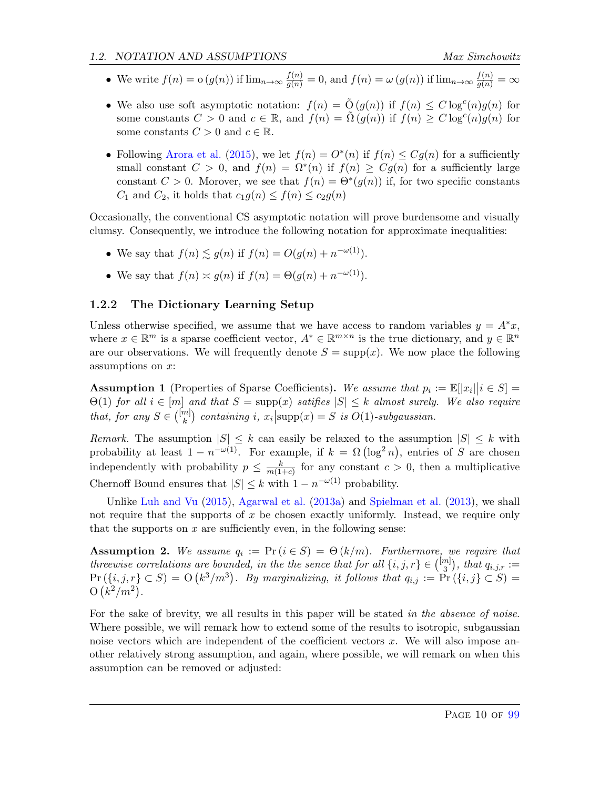- We write  $f(n) = o(g(n))$  if  $\lim_{n \to \infty} \frac{f(n)}{g(n)} = 0$ , and  $f(n) = \omega(g(n))$  if  $\lim_{n \to \infty} \frac{f(n)}{g(n)} = \infty$
- We also use soft asymptotic notation:  $f(n) = \tilde{O}(g(n))$  if  $f(n) \leq C \log^c(n) g(n)$  for some constants  $C > 0$  and  $c \in \mathbb{R}$ , and  $f(n) = \tilde{\Omega}(g(n))$  if  $f(n) \geq C \log^c(n) g(n)$  for some constants  $C > 0$  and  $c \in \mathbb{R}$ .
- Following [Arora et al.](#page-63-0) [\(2015\)](#page-63-0), we let  $f(n) = O^*(n)$  if  $f(n) \leq Cg(n)$  for a sufficiently small constant  $C > 0$ , and  $f(n) = \Omega^*(n)$  if  $f(n) \geq Cg(n)$  for a sufficiently large constant  $C > 0$ . Morover, we see that  $f(n) = \Theta^*(g(n))$  if, for two specific constants  $C_1$  and  $C_2$ , it holds that  $c_1g(n) \leq f(n) \leq c_2g(n)$

Occasionally, the conventional CS asymptotic notation will prove burdensome and visually clumsy. Consequently, we introduce the following notation for approximate inequalities:

- We say that  $f(n) \lesssim g(n)$  if  $f(n) = O(g(n) + n^{-\omega(1)})$ .
- We say that  $f(n) \approx g(n)$  if  $f(n) = \Theta(g(n) + n^{-\omega(1)})$ .

### <span id="page-10-0"></span>1.2.2 The Dictionary Learning Setup

Unless otherwise specified, we assume that we have access to random variables  $y = A^*x$ , where  $x \in \mathbb{R}^m$  is a sparse coefficient vector,  $A^* \in \mathbb{R}^{m \times n}$  is the true dictionary, and  $y \in \mathbb{R}^n$ are our observations. We will frequently denote  $S = \text{supp}(x)$ . We now place the following assumptions on x:

<span id="page-10-2"></span>Assumption 1 (Properties of Sparse Coefficients). We assume that  $p_i := \mathbb{E}[|x_i||i \in S] =$  $\Theta(1)$  for all  $i \in [m]$  and that  $S = \text{supp}(x)$  satifies  $|S| \leq k$  almost surely. We also require that, for any  $S \in \binom{[m]}{k}$  ${k \choose k}$  containing i,  $x_i$  supp $(x) = S$  is  $O(1)$ -subgaussian.

Remark. The assumption  $|S| \leq k$  can easily be relaxed to the assumption  $|S| \leq k$  with probability at least  $1 - n^{-\omega(1)}$ . For example, if  $k = \Omega(\log^2 n)$ , entries of S are chosen independently with probability  $p \leq \frac{k}{m(1-k)}$  $\frac{k}{m(1+c)}$  for any constant  $c > 0$ , then a multiplicative Chernoff Bound ensures that  $|S| \leq k$  with  $1 - n^{-\omega(1)}$  probability.

Unlike [Luh and Vu](#page-65-7) [\(2015\)](#page-65-7), [Agarwal et al.](#page-63-4) [\(2013a\)](#page-63-4) and [Spielman et al.](#page-65-6) [\(2013\)](#page-65-6), we shall not require that the supports of  $x$  be chosen exactly uniformly. Instead, we require only that the supports on  $x$  are sufficiently even, in the following sense:

<span id="page-10-1"></span>**Assumption 2.** We assume  $q_i := Pr(i \in S) = \Theta(k/m)$ . Furthermore, we require that threewise correlations are bounded, in the the sence that for all  $\{i, j, r\} \in \binom{[m]}{3}$  $\binom{m}{3}$ , that  $q_{i,j,r} :=$  $Pr(\lbrace i,j,r \rbrace \subset S) = O(k^3/m^3)$ . By marginalizing, it follows that  $q_{i,j} := Pr(\lbrace i,j \rbrace \subset S) =$  $O(k^2/m^2)$ .

For the sake of brevity, we all results in this paper will be stated in the absence of noise. Where possible, we will remark how to extend some of the results to isotropic, subgaussian noise vectors which are independent of the coefficient vectors  $x$ . We will also impose another relatively strong assumption, and again, where possible, we will remark on when this assumption can be removed or adjusted: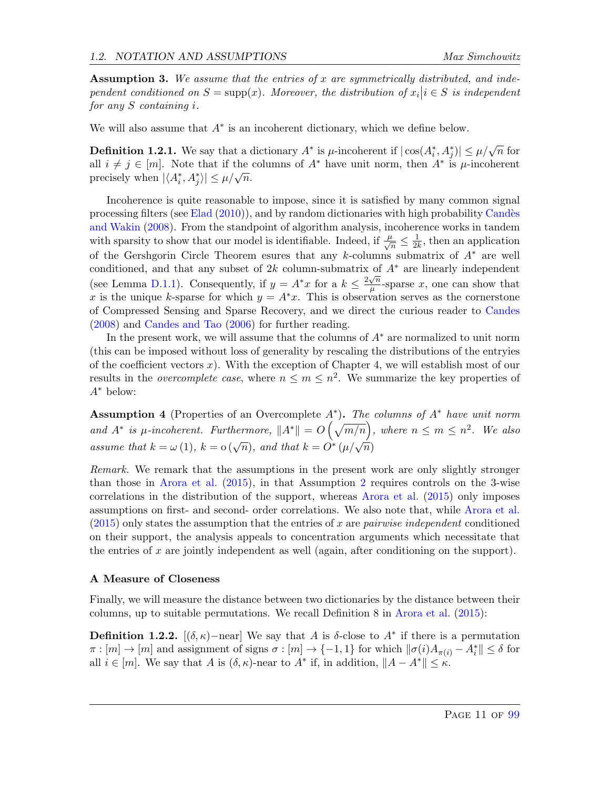<span id="page-11-0"></span>Assumption 3. We assume that the entries of x are symmetrically distributed, and independent conditioned on  $S = \text{supp}(x)$ . Moreover, the distribution of  $x_i | i \in S$  is independent for any S containing i.

We will also assume that  $A^*$  is an incoherent dictionary, which we define below.

**Definition 1.2.1.** We say that a dictionary  $A^*$  is  $\mu$ -incoherent if  $|\cos(A_i^*, A_j^*)| \leq \mu/\sqrt{n}$  for all  $i \neq j \in [m]$ . Note that if the columns of  $A^*$  have unit norm, then  $A^*$  is  $\mu$ -incoherent an  $i \neq j \in [m]$ . Note that if the precisely when  $|\langle A_i^*, A_j^* \rangle| \leq \mu/\sqrt{n}$ .

Incoherence is quite reasonable to impose, since it is satisfied by many common signal processing filters (see [Elad](#page-64-2) [\(2010\)](#page-64-2)), and by random dictionaries with high probability Candès [and Wakin](#page-64-4) [\(2008\)](#page-64-4). From the standpoint of algorithm analysis, incoherence works in tandem with sparsity to show that our model is identifiable. Indeed, if  $\frac{\mu}{\sqrt{n}} \leq \frac{1}{2l}$  $\frac{1}{2k}$ , then an application of the Gershgorin Circle Theorem esures that any k-columns submatrix of A<sup>∗</sup> are well conditioned, and that any subset of 2k column-submatrix of  $A^*$  are linearly independent (see Lemma [D.1.1\)](#page-96-2). Consequently, if  $y = A^*x$  for a  $k \leq \frac{2\sqrt{n}}{n}$  $\frac{\sqrt{n}}{\mu}$ -sparse x, one can show that x is the unique k-sparse for which  $y = A^*x$ . This is observation serves as the cornerstone of Compressed Sensing and Sparse Recovery, and we direct the curious reader to [Candes](#page-64-5) [\(2008\)](#page-64-5) and [Candes and Tao](#page-64-6) [\(2006\)](#page-64-6) for further reading.

In the present work, we will assume that the columns of  $A^*$  are normalized to unit norm (this can be imposed without loss of generality by rescaling the distributions of the entryies of the coefficient vectors  $x$ ). With the exception of Chapter 4, we will establish most of our results in the *overcomplete case*, where  $n \leq m \leq n^2$ . We summarize the key properties of A<sup>∗</sup> below:

<span id="page-11-1"></span>**Assumption 4** (Properties of an Overcomplete  $A^*$ ). The columns of  $A^*$  have unit norm and  $A^*$  is  $\mu$ -incoherent. Furthermore,  $||A^*|| = O\left(\sqrt{m/n}\right)$ , where  $n \leq m \leq n^2$ . We also assume that  $k = \omega(1)$ ,  $k = o(\sqrt{n})$ , and that  $k = O^*(\mu/\sqrt{n})$ 

Remark. We remark that the assumptions in the present work are only slightly stronger than those in [Arora et al.](#page-63-0) [\(2015\)](#page-63-0), in that Assumption [2](#page-10-1) requires controls on the 3-wise correlations in the distribution of the support, whereas [Arora et al.](#page-63-0) [\(2015\)](#page-63-0) only imposes assumptions on first- and second- order correlations. We also note that, while [Arora et al.](#page-63-0)  $(2015)$  only states the assumption that the entries of x are *pairwise independent* conditioned on their support, the analysis appeals to concentration arguments which necessitate that the entries of x are jointly independent as well (again, after conditioning on the support).

#### A Measure of Closeness

Finally, we will measure the distance between two dictionaries by the distance between their columns, up to suitable permutations. We recall Definition 8 in [Arora et al.](#page-63-0) [\(2015\)](#page-63-0):

Definition 1.2.2.  $[(\delta, \kappa)$ -near] We say that A is δ-close to  $A^*$  if there is a permutation  $\pi : [m] \to [m]$  and assignment of signs  $\sigma : [m] \to \{-1, 1\}$  for which  $\|\sigma(i)A_{\pi(i)} - A_i^*\| \le \delta$  for all  $i \in [m]$ . We say that A is  $(\delta, \kappa)$ -near to  $A^*$  if, in addition,  $||A - A^*|| \leq \kappa$ .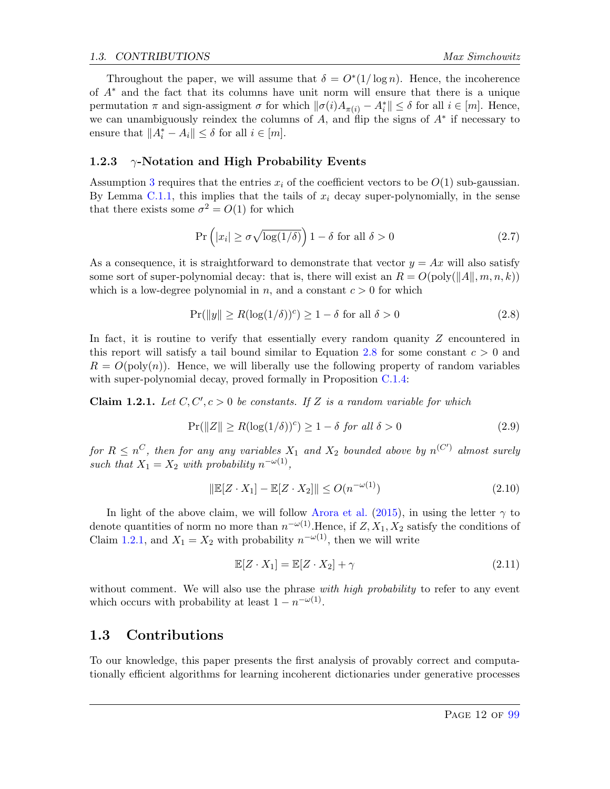Throughout the paper, we will assume that  $\delta = O^*(1/\log n)$ . Hence, the incoherence of A<sup>∗</sup> and the fact that its columns have unit norm will ensure that there is a unique permutation  $\pi$  and sign-assigment  $\sigma$  for which  $\|\sigma(i)A_{\pi(i)} - A_i^*\| \leq \delta$  for all  $i \in [m]$ . Hence, we can unambiguously reindex the columns of A, and flip the signs of  $A^*$  if necessary to ensure that  $||A_i^* - A_i|| \leq \delta$  for all  $i \in [m]$ .

#### <span id="page-12-0"></span>1.2.3  $\gamma$ -Notation and High Probability Events

Assumption [3](#page-11-0) requires that the entries  $x_i$  of the coefficient vectors to be  $O(1)$  sub-gaussian. By Lemma [C.1.1,](#page-89-2) this implies that the tails of  $x_i$  decay super-polynomially, in the sense that there exists some  $\sigma^2 = O(1)$  for which

$$
\Pr\left(|x_i| \ge \sigma \sqrt{\log(1/\delta)}\right) 1 - \delta \text{ for all } \delta > 0 \tag{2.7}
$$

As a consequence, it is straightforward to demonstrate that vector  $y = Ax$  will also satisfy some sort of super-polynomial decay: that is, there will exist an  $R = O(poly(||A||, m, n, k))$ which is a low-degree polynomial in n, and a constant  $c > 0$  for which

<span id="page-12-2"></span>
$$
\Pr(||y|| \ge R(\log(1/\delta))^c) \ge 1 - \delta \text{ for all } \delta > 0 \tag{2.8}
$$

In fact, it is routine to verify that essentially every random quanity  $Z$  encountered in this report will satisfy a tail bound similar to Equation [2.8](#page-12-2) for some constant  $c > 0$  and  $R = O(\text{poly}(n))$ . Hence, we will liberally use the following property of random variables with super-polynomial decay, proved formally in Proposition [C.1.4:](#page-90-0)

<span id="page-12-3"></span>**Claim 1.2.1.** Let  $C, C', c > 0$  be constants. If Z is a random variable for which

$$
\Pr(||Z|| \ge R(\log(1/\delta))^c) \ge 1 - \delta \text{ for all } \delta > 0 \tag{2.9}
$$

for  $R \leq n^C$ , then for any any variables  $X_1$  and  $X_2$  bounded above by  $n^{(C')}$  almost surely such that  $X_1 = X_2$  with probability  $n^{-\omega(1)}$ ,

$$
\|\mathbb{E}[Z \cdot X_1] - \mathbb{E}[Z \cdot X_2] \| \le O(n^{-\omega(1)}) \tag{2.10}
$$

In light of the above claim, we will follow [Arora et al.](#page-63-0) [\(2015\)](#page-63-0), in using the letter  $\gamma$  to denote quantities of norm no more than  $n^{-\omega(1)}$ . Hence, if  $Z, X_1, X_2$  satisfy the conditions of Claim [1.2.1,](#page-12-3) and  $X_1 = X_2$  with probability  $n^{-\omega(1)}$ , then we will write

$$
\mathbb{E}[Z \cdot X_1] = \mathbb{E}[Z \cdot X_2] + \gamma \tag{2.11}
$$

without comment. We will also use the phrase *with high probability* to refer to any event which occurs with probability at least  $1 - n^{-\omega(1)}$ .

#### <span id="page-12-1"></span>1.3 Contributions

To our knowledge, this paper presents the first analysis of provably correct and computationally efficient algorithms for learning incoherent dictionaries under generative processes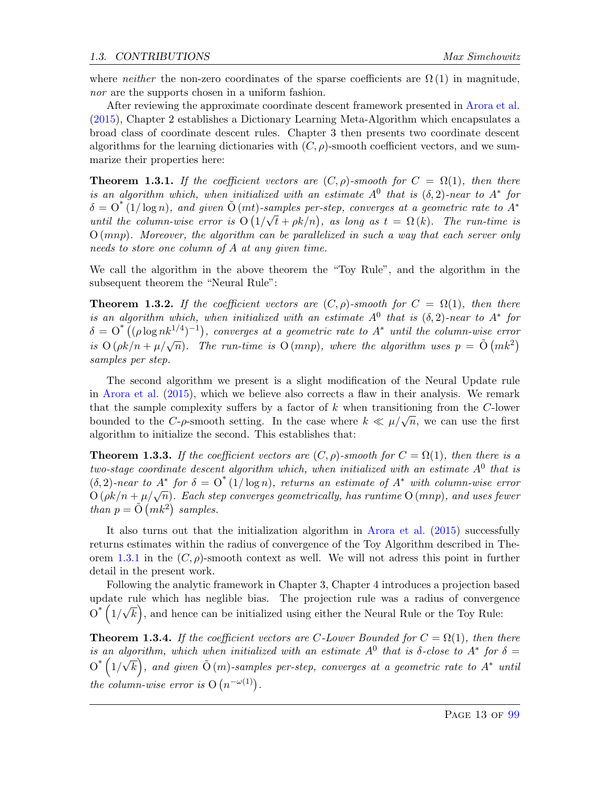where *neither* the non-zero coordinates of the sparse coefficients are  $\Omega(1)$  in magnitude, nor are the supports chosen in a uniform fashion.

After reviewing the approximate coordinate descent framework presented in [Arora et al.](#page-63-0) [\(2015\)](#page-63-0), Chapter 2 establishes a Dictionary Learning Meta-Algorithm which encapsulates a broad class of coordinate descent rules. Chapter 3 then presents two coordinate descent algorithms for the learning dictionaries with  $(C, \rho)$ -smooth coefficient vectors, and we summarize their properties here:

<span id="page-13-0"></span>**Theorem 1.3.1.** If the coefficient vectors are  $(C, \rho)$ -smooth for  $C = \Omega(1)$ , then there is an algorithm which, when initialized with an estimate  $A^0$  that is  $(\delta, 2)$ -near to  $A^*$  for  $\delta = O^*(1/\log n)$ , and given  $\tilde{O}(mt)$ -samples per-step, converges at a geometric rate to  $A^*$ until the column-wise error is  $O(1/\sqrt{t} + \rho k/n)$ , as long as  $t = \Omega(k)$ . The run-time is  $O(mnp)$ . Moreover, the algorithm can be parallelized in such a way that each server only needs to store one column of A at any given time.

We call the algorithm in the above theorem the "Toy Rule", and the algorithm in the subsequent theorem the "Neural Rule":

**Theorem 1.3.2.** If the coefficient vectors are  $(C, \rho)$ -smooth for  $C = \Omega(1)$ , then there is an algorithm which, when initialized with an estimate  $A^0$  that is  $(\delta, 2)$ -near to  $A^*$  for  $\delta = O^{*}((\rho \log nk^{1/4})^{-1})$ , converges at a geometric rate to  $A^{*}$  until the column-wise error  $\tilde{u} = \tilde{c} \left( \frac{\mu}{\rho} \log m + \frac{\mu}{\sqrt{n}} \right)$ , the run-time is  $O(mnp)$ , where the algorithm uses  $p = \tilde{O}(mk^2)$ samples per step.

The second algorithm we present is a slight modification of the Neural Update rule in [Arora et al.](#page-63-0) [\(2015\)](#page-63-0), which we believe also corrects a flaw in their analysis. We remark that the sample complexity suffers by a factor of  $k$  when transitioning from the C-lower bounded to the C- $\rho$ -smooth setting. In the case where  $k \ll \mu/\sqrt{n}$ , we can use the first algorithm to initialize the second. This establishes that:

**Theorem 1.3.3.** If the coefficient vectors are  $(C, \rho)$ -smooth for  $C = \Omega(1)$ , then there is a two-stage coordinate descent algorithm which, when initialized with an estimate  $A^0$  that is  $(\delta, 2)$ -near to  $A^*$  for  $\delta = O^*(1/\log n)$ , returns an estimate of  $A^*$  with column-wise error  $O(\rho k/n + \mu/\sqrt{n})$ . Each step converges geometrically, has runtime  $O(mnp)$ , and uses fewer than  $p = \tilde{O}(mk^2)$  samples.

It also turns out that the initialization algorithm in [Arora et al.](#page-63-0) [\(2015\)](#page-63-0) successfully returns estimates within the radius of convergence of the Toy Algorithm described in The-orem [1.3.1](#page-13-0) in the  $(C, \rho)$ -smooth context as well. We will not adress this point in further detail in the present work.

Following the analytic framework in Chapter 3, Chapter 4 introduces a projection based update rule which has neglible bias. The projection rule was a radius of convergence  $0^*$   $(1/$ √  $\overline{k}$ , and hence can be initialized using either the Neural Rule or the Toy Rule:

**Theorem 1.3.4.** If the coefficient vectors are C-Lower Bounded for  $C = \Omega(1)$ , then there is an algorithm, which when initialized with an estimate  $A^0$  that is  $\delta$ -close to  $A^*$  for  $\delta =$  $0^*$   $(1/$ √  $\overline{k}),$  and given  $\tilde{{\rm O}}\left(m\right)$ -samples per-step, converges at a geometric rate to  $A^*$  until the column-wise error is  $O(n^{-\omega(1)})$ .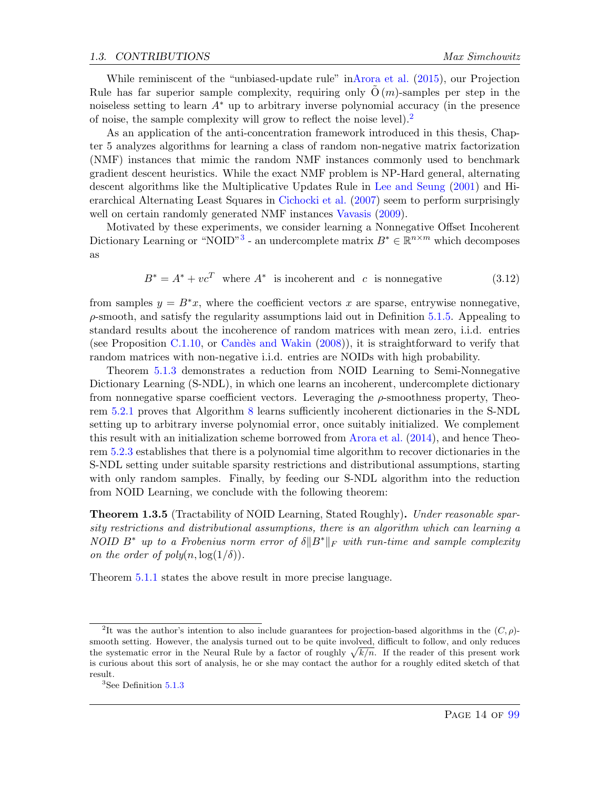While reminiscent of the "unbiased-update rule" i[nArora et al.](#page-63-0) [\(2015\)](#page-63-0), our Projection Rule has far superior sample complexity, requiring only  $O(m)$ -samples per step in the noiseless setting to learn  $A^*$  up to arbitrary inverse polynomial accuracy (in the presence of noise, the sample complexity will grow to reflect the noise level).<sup>[2](#page-14-0)</sup>

As an application of the anti-concentration framework introduced in this thesis, Chapter 5 analyzes algorithms for learning a class of random non-negative matrix factorization (NMF) instances that mimic the random NMF instances commonly used to benchmark gradient descent heuristics. While the exact NMF problem is NP-Hard general, alternating descent algorithms like the Multiplicative Updates Rule in [Lee and Seung](#page-64-7) [\(2001\)](#page-64-7) and Hierarchical Alternating Least Squares in [Cichocki et al.](#page-64-8) [\(2007\)](#page-64-8) seem to perform surprisingly well on certain randomly generated NMF instances [Vavasis](#page-65-8)  $(2009)$ .

Motivated by these experiments, we consider learning a Nonnegative Offset Incoherent Dictionary Learning or "NOID"<sup>[3](#page-14-1)</sup> - an undercomplete matrix  $B^* \in \mathbb{R}^{n \times m}$  which decomposes as

$$
B^* = A^* + vc^T
$$
 where  $A^*$  is incoherent and c is nonnegative (3.12)

from samples  $y = B^*x$ , where the coefficient vectors x are sparse, entrywise nonnegative,  $\rho$ -smooth, and satisfy the regularity assumptions laid out in Definition [5.1.5.](#page-48-1) Appealing to standard results about the incoherence of random matrices with mean zero, i.i.d. entries (see Proposition [C.1.10,](#page-92-1) or Candès and Wakin  $(2008)$ ), it is straightforward to verify that random matrices with non-negative i.i.d. entries are NOIDs with high probability.

Theorem [5.1.3](#page-48-2) demonstrates a reduction from NOID Learning to Semi-Nonnegative Dictionary Learning (S-NDL), in which one learns an incoherent, undercomplete dictionary from nonnegative sparse coefficient vectors. Leveraging the  $\rho$ -smoothness property, Theorem [5.2.1](#page-53-1) proves that Algorithm [8](#page-54-0) learns sufficiently incoherent dictionaries in the S-NDL setting up to arbitrary inverse polynomial error, once suitably initialized. We complement this result with an initialization scheme borrowed from [Arora et al.](#page-63-3) [\(2014\)](#page-63-3), and hence Theorem [5.2.3](#page-55-1) establishes that there is a polynomial time algorithm to recover dictionaries in the S-NDL setting under suitable sparsity restrictions and distributional assumptions, starting with only random samples. Finally, by feeding our S-NDL algorithm into the reduction from NOID Learning, we conclude with the following theorem:

**Theorem 1.3.5** (Tractability of NOID Learning, Stated Roughly). Under reasonable sparsity restrictions and distributional assumptions, there is an algorithm which can learning a NOID B<sup>\*</sup> up to a Frobenius norm error of  $\delta ||B^*||_F$  with run-time and sample complexity on the order of  $poly(n, \log(1/\delta))$ .

Theorem [5.1.1](#page-45-0) states the above result in more precise language.

<span id="page-14-0"></span><sup>&</sup>lt;sup>2</sup>It was the author's intention to also include guarantees for projection-based algorithms in the  $(C, \rho)$ smooth setting. However, the analysis turned out to be quite involved, difficult to follow, and only reduces the systematic error in the Neural Rule by a factor of roughly  $\sqrt{k/n}$ . If the reader of this present work is curious about this sort of analysis, he or she may contact the author for a roughly edited sketch of that result.

<span id="page-14-1"></span><sup>3</sup>See Definition [5.1.3](#page-46-1)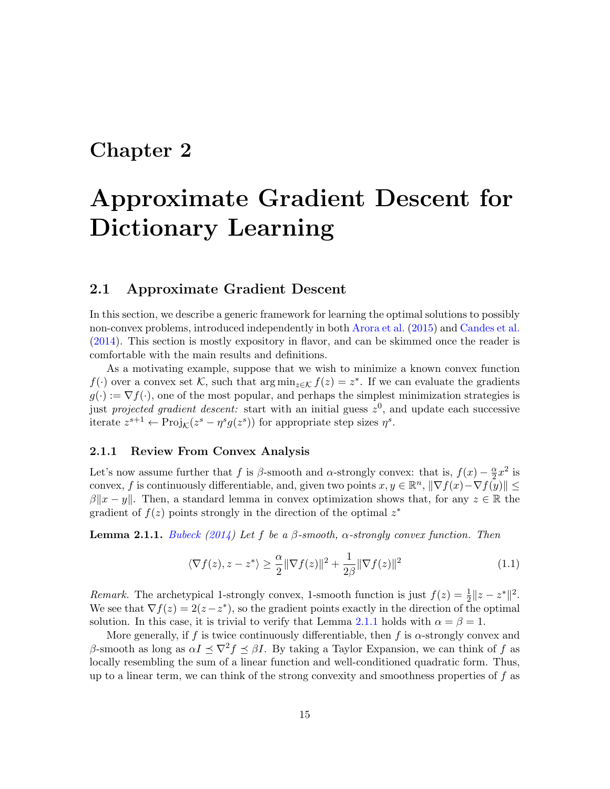## <span id="page-15-0"></span>Chapter 2

# Approximate Gradient Descent for Dictionary Learning

#### <span id="page-15-1"></span>2.1 Approximate Gradient Descent

In this section, we describe a generic framework for learning the optimal solutions to possibly non-convex problems, introduced independently in both [Arora et al.](#page-63-0) [\(2015\)](#page-63-0) and [Candes et al.](#page-64-9) [\(2014\)](#page-64-9). This section is mostly expository in flavor, and can be skimmed once the reader is comfortable with the main results and definitions.

As a motivating example, suppose that we wish to minimize a known convex function  $f(\cdot)$  over a convex set K, such that  $\arg \min_{z \in \mathcal{K}} f(z) = z^*$ . If we can evaluate the gradients  $g(\cdot) := \nabla f(\cdot)$ , one of the most popular, and perhaps the simplest minimization strategies is just *projected gradient descent*: start with an initial guess  $z^0$ , and update each successive iterate  $z^{s+1} \leftarrow \text{Proj}_{\mathcal{K}}(z^s - \eta^s g(z^s))$  for appropriate step sizes  $\eta^s$ .

#### <span id="page-15-2"></span>2.1.1 Review From Convex Analysis

Let's now assume further that f is  $\beta$ -smooth and  $\alpha$ -strongly convex: that is,  $f(x) - \frac{\alpha}{2}$  $\frac{\alpha}{2}x^2$  is convex, f is continuously differentiable, and, given two points  $x, y \in \mathbb{R}^n$ ,  $\|\nabla f(x) - \nabla f(y)\| \le$  $\beta ||x - y||$ . Then, a standard lemma in convex optimization shows that, for any  $z \in \mathbb{R}$  the gradient of  $f(z)$  points strongly in the direction of the optimal  $z^*$ 

<span id="page-15-3"></span>**Lemma 2.1.1.** [Bubeck](#page-64-10) [\(2014\)](#page-64-10) Let f be a  $\beta$ -smooth,  $\alpha$ -strongly convex function. Then

<span id="page-15-4"></span>
$$
\langle \nabla f(z), z - z^* \rangle \ge \frac{\alpha}{2} \|\nabla f(z)\|^2 + \frac{1}{2\beta} \|\nabla f(z)\|^2 \tag{1.1}
$$

Remark. The archetypical 1-strongly convex, 1-smooth function is just  $f(z) = \frac{1}{2} ||z - z^*||^2$ . We see that  $\nabla f(z) = 2(z-z^*)$ , so the gradient points exactly in the direction of the optimal solution. In this case, it is trivial to verify that Lemma [2.1.1](#page-15-3) holds with  $\alpha = \beta = 1$ .

More generally, if f is twice continuously differentiable, then f is  $\alpha$ -strongly convex and β-smooth as long as  $\alpha I \preceq \nabla^2 f \preceq \beta I$ . By taking a Taylor Expansion, we can think of f as locally resembling the sum of a linear function and well-conditioned quadratic form. Thus, up to a linear term, we can think of the strong convexity and smoothness properties of  $f$  as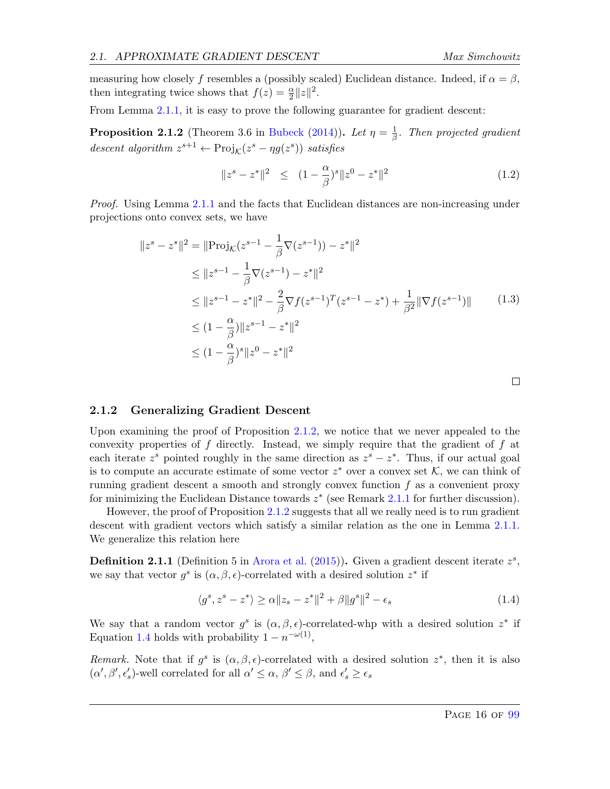measuring how closely f resembles a (possibly scaled) Euclidean distance. Indeed, if  $\alpha = \beta$ , then integrating twice shows that  $f(z) = \frac{\alpha}{2} ||z||^2$ .

From Lemma [2.1.1,](#page-15-3) it is easy to prove the following guarantee for gradient descent:

<span id="page-16-1"></span>**Proposition 2.1.2** (Theorem 3.6 in [Bubeck](#page-64-10) [\(2014\)](#page-64-10)). Let  $\eta = \frac{1}{\beta}$  $\frac{1}{\beta}$ . Then projected gradient descent algorithm  $z^{s+1} \leftarrow \text{Proj}_{\mathcal{K}}(z^s - \eta g(z^s))$  satisfies

$$
||z^{s} - z^{*}||^{2} \le (1 - \frac{\alpha}{\beta})^{s} ||z^{0} - z^{*}||^{2}
$$
 (1.2)

Proof. Using Lemma [2.1.1](#page-15-3) and the facts that Euclidean distances are non-increasing under projections onto convex sets, we have

$$
||z^{s} - z^{*}||^{2} = ||\text{Proj}_{\mathcal{K}}(z^{s-1} - \frac{1}{\beta}\nabla(z^{s-1})) - z^{*}||^{2}
$$
  
\n
$$
\leq ||z^{s-1} - \frac{1}{\beta}\nabla(z^{s-1}) - z^{*}||^{2}
$$
  
\n
$$
\leq ||z^{s-1} - z^{*}||^{2} - \frac{2}{\beta}\nabla f(z^{s-1})^{T}(z^{s-1} - z^{*}) + \frac{1}{\beta^{2}}||\nabla f(z^{s-1})|| \qquad (1.3)
$$
  
\n
$$
\leq (1 - \frac{\alpha}{\beta})||z^{s-1} - z^{*}||^{2}
$$
  
\n
$$
\leq (1 - \frac{\alpha}{\beta})^{s}||z^{0} - z^{*}||^{2}
$$

#### <span id="page-16-0"></span>2.1.2 Generalizing Gradient Descent

Upon examining the proof of Proposition [2.1.2,](#page-16-1) we notice that we never appealed to the convexity properties of  $f$  directly. Instead, we simply require that the gradient of  $f$  at each iterate  $z^s$  pointed roughly in the same direction as  $z^s - z^*$ . Thus, if our actual goal is to compute an accurate estimate of some vector  $z^*$  over a convex set  $\mathcal{K}$ , we can think of running gradient descent a smooth and strongly convex function  $f$  as a convenient proxy for minimizing the Euclidean Distance towards  $z^*$  (see Remark [2.1.1](#page-15-4) for further discussion).

However, the proof of Proposition [2.1.2](#page-16-1) suggests that all we really need is to run gradient descent with gradient vectors which satisfy a similar relation as the one in Lemma [2.1.1.](#page-15-3) We generalize this relation here

**Definition 2.1.1** (Definition 5 in [Arora et al.](#page-63-0) [\(2015\)](#page-63-0)). Given a gradient descent iterate  $z^s$ , we say that vector  $g^s$  is  $(\alpha, \beta, \epsilon)$ -correlated with a desired solution  $z^*$  if

<span id="page-16-2"></span>
$$
\langle g^s, z^s - z^* \rangle \ge \alpha \|z_s - z^*\|^2 + \beta \|g^s\|^2 - \epsilon_s \tag{1.4}
$$

We say that a random vector  $g^s$  is  $(\alpha, \beta, \epsilon)$ -correlated-whp with a desired solution  $z^*$  if Equation [1.4](#page-16-2) holds with probability  $1 - n^{-\omega(1)}$ ,

Remark. Note that if  $g^s$  is  $(\alpha, \beta, \epsilon)$ -correlated with a desired solution  $z^*$ , then it is also  $(\alpha', \beta', \epsilon'_s)$ -well correlated for all  $\alpha' \leq \alpha, \beta' \leq \beta$ , and  $\epsilon'_s \geq \epsilon_s$ 

 $\Box$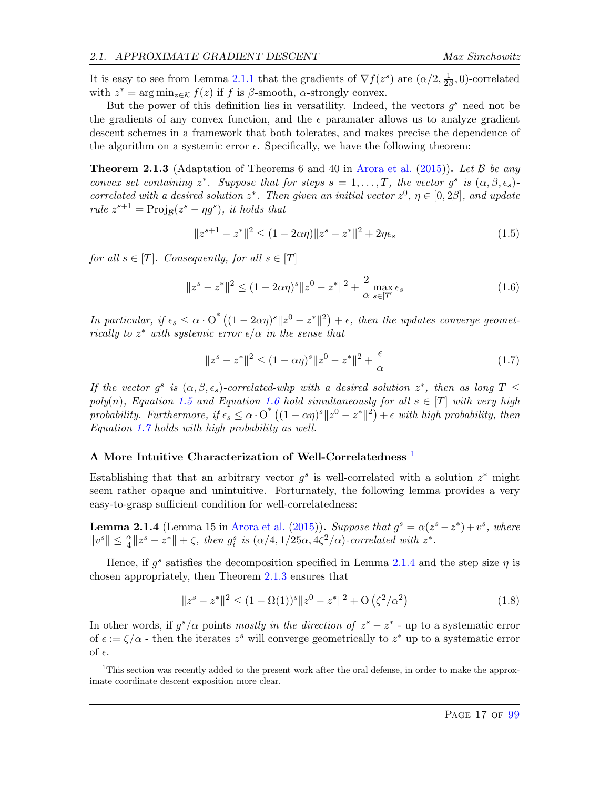It is easy to see from Lemma [2.1.1](#page-15-3) that the gradients of  $\nabla f(z^s)$  are  $(\alpha/2, \frac{1}{2\beta})$  $\frac{1}{2\beta}$ , 0)-correlated with  $z^* = \arg \min_{z \in \mathcal{K}} f(z)$  if f is  $\beta$ -smooth,  $\alpha$ -strongly convex.

But the power of this definition lies in versatility. Indeed, the vectors  $g^s$  need not be the gradients of any convex function, and the  $\epsilon$  paramater allows us to analyze gradient descent schemes in a framework that both tolerates, and makes precise the dependence of the algorithm on a systemic error  $\epsilon$ . Specifically, we have the following theorem:

<span id="page-17-5"></span>**Theorem 2.1.3** (Adaptation of Theorems 6 and 40 in [Arora et al.](#page-63-0) [\(2015\)](#page-63-0)). Let B be any convex set containing  $z^*$ . Suppose that for steps  $s = 1, ..., T$ , the vector  $g^s$  is  $(\alpha, \beta, \epsilon_s)$ . correlated with a desired solution  $z^*$ . Then given an initial vector  $z^0$ ,  $\eta \in [0, 2\beta]$ , and update rule  $z^{s+1} = \text{Proj}_{\mathcal{B}}(z^s - \eta g^s)$ , it holds that

<span id="page-17-0"></span>
$$
||z^{s+1} - z^*||^2 \le (1 - 2\alpha \eta) ||z^s - z^*||^2 + 2\eta \epsilon_s
$$
\n(1.5)

for all  $s \in [T]$ . Consequently, for all  $s \in [T]$ 

<span id="page-17-1"></span>
$$
||z^{s} - z^{*}||^{2} \le (1 - 2\alpha\eta)^{s} ||z^{0} - z^{*}||^{2} + \frac{2}{\alpha} \max_{s \in [T]} \epsilon_{s}
$$
\n(1.6)

In particular, if  $\epsilon_s \leq \alpha \cdot O^*((1-2\alpha\eta)^s||z^0-z^*||^2) + \epsilon$ , then the updates converge geometrically to  $z^*$  with systemic error  $\epsilon/\alpha$  in the sense that

<span id="page-17-2"></span>
$$
||z^{s} - z^{*}||^{2} \le (1 - \alpha \eta)^{s} ||z^{0} - z^{*}||^{2} + \frac{\epsilon}{\alpha}
$$
 (1.7)

If the vector  $g^s$  is  $(\alpha, \beta, \epsilon_s)$ -correlated-whp with a desired solution  $z^*$ , then as long  $T \leq$ poly(n), Equation [1.5](#page-17-0) and Equation [1.6](#page-17-1) hold simultaneously for all  $s \in [T]$  with very high probability. Furthermore, if  $\epsilon_s \leq \alpha \cdot O^*((1-\alpha\eta)^s\|z^0-z^*\|^2)+\epsilon$  with high probability, then Equation [1.7](#page-17-2) holds with high probability as well.

#### A More Intuitive Characterization of Well-Correlatedness<sup>[1](#page-17-3)</sup>

Establishing that that an arbitrary vector  $g^s$  is well-correlated with a solution  $z^*$  might seem rather opaque and unintuitive. Forturnately, the following lemma provides a very easy-to-grasp sufficient condition for well-correlatedness:

<span id="page-17-4"></span>**Lemma 2.1.4** (Lemma 15 in [Arora et al.](#page-63-0) [\(2015\)](#page-63-0)). Suppose that  $g^s = \alpha(z^s - z^*) + v^s$ , where  $||v^s|| \leq \frac{\alpha}{4} ||z^s - z^*|| + \zeta$ , then  $g_i^s$  is  $(\alpha/4, 1/25\alpha, 4\zeta^2/\alpha)$ -correlated with  $z^*$ .

Hence, if  $g^s$  satisfies the decomposition specified in Lemma [2.1.4](#page-17-4) and the step size  $\eta$  is chosen appropriately, then Theorem [2.1.3](#page-17-5) ensures that

$$
||z^{s} - z^{*}||^{2} \le (1 - \Omega(1))^{s} ||z^{0} - z^{*}||^{2} + O\left(\zeta^{2}/\alpha^{2}\right)
$$
\n(1.8)

In other words, if  $g^s/\alpha$  points mostly in the direction of  $z^s - z^*$  - up to a systematic error of  $\epsilon := \zeta/\alpha$  - then the iterates  $z^s$  will converge geometrically to  $z^*$  up to a systematic error of  $\epsilon$ .

<span id="page-17-3"></span><sup>&</sup>lt;sup>1</sup>This section was recently added to the present work after the oral defense, in order to make the approximate coordinate descent exposition more clear.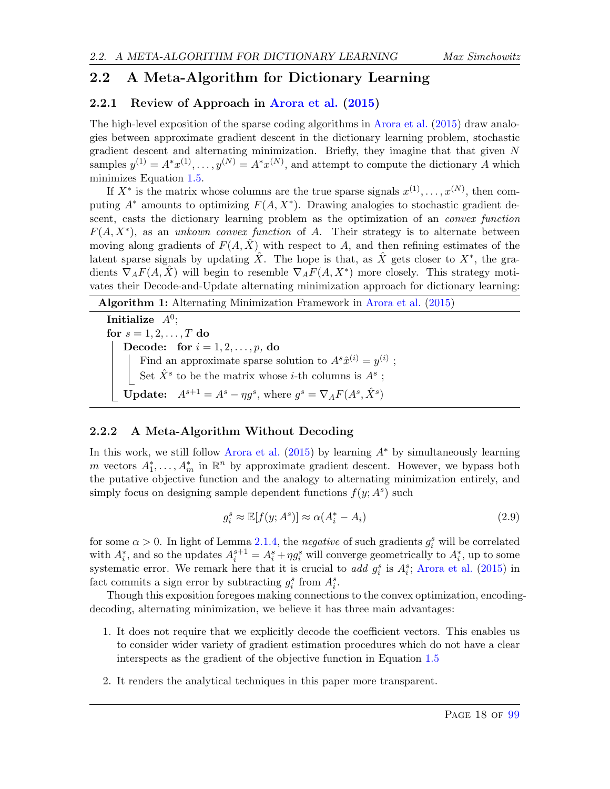### <span id="page-18-0"></span>2.2 A Meta-Algorithm for Dictionary Learning

#### <span id="page-18-1"></span>2.2.1 Review of Approach in [Arora et al.](#page-63-0) [\(2015\)](#page-63-0)

The high-level exposition of the sparse coding algorithms in [Arora et al.](#page-63-0) [\(2015\)](#page-63-0) draw analogies between approximate gradient descent in the dictionary learning problem, stochastic gradient descent and alternating minimization. Briefly, they imagine that that given  $N$ samples  $y^{(1)} = A^*x^{(1)}, \ldots, y^{(N)} = A^*x^{(N)}$ , and attempt to compute the dictionary A which minimizes Equation [1.5.](#page-7-0)

If  $X^*$  is the matrix whose columns are the true sparse signals  $x^{(1)}, \ldots, x^{(N)}$ , then computing  $A^*$  amounts to optimizing  $F(A, X^*)$ . Drawing analogies to stochastic gradient descent, casts the dictionary learning problem as the optimization of an *convex function*  $F(A, X^*)$ , as an unkown convex function of A. Their strategy is to alternate between moving along gradients of  $F(A, \hat{X})$  with respect to A, and then refining estimates of the latent sparse signals by updating  $\hat{X}$ . The hope is that, as  $\hat{X}$  gets closer to  $X^*$ , the gradients  $\nabla_A F(A, \hat{X})$  will begin to resemble  $\nabla_A F(A, X^*)$  more closely. This strategy motivates their Decode-and-Update alternating minimization approach for dictionary learning:

| Algorithm 1: Alternating Minimization Framework in Arora et al. (2015)               |
|--------------------------------------------------------------------------------------|
| Initialize $A^0$ ;                                                                   |
| for $s = 1, 2, , T$ do                                                               |
| <b>Decode:</b> for $i = 1, 2, , p$ , do                                              |
| Find an approximate sparse solution to $A^s \hat{x}^{(i)} = y^{(i)}$ ;               |
| Set $\hat{X}^s$ to be the matrix whose <i>i</i> -th columns is $A^s$ ;               |
| <b>Update:</b> $A^{s+1} = A^s - \eta g^s$ , where $g^s = \nabla_A F(A^s, \hat{X}^s)$ |

#### <span id="page-18-2"></span>2.2.2 A Meta-Algorithm Without Decoding

In this work, we still follow [Arora et al.](#page-63-0)  $(2015)$  by learning  $A^*$  by simultaneously learning m vectors  $A_1^*, \ldots, A_m^*$  in  $\mathbb{R}^n$  by approximate gradient descent. However, we bypass both the putative objective function and the analogy to alternating minimization entirely, and simply focus on designing sample dependent functions  $f(y; A<sup>s</sup>)$  such

$$
g_i^s \approx \mathbb{E}[f(y; A^s)] \approx \alpha(A_i^* - A_i)
$$
\n(2.9)

for some  $\alpha > 0$ . In light of Lemma [2.1.4,](#page-17-4) the *negative* of such gradients  $g_i^s$  will be correlated with  $A_i^*$ , and so the updates  $A_i^{s+1} = A_i^s + \eta g_i^s$  will converge geometrically to  $A_i^*$ , up to some systematic error. We remark here that it is crucial to add  $g_i^s$  is  $A_i^s$ ; [Arora et al.](#page-63-0) [\(2015\)](#page-63-0) in fact commits a sign error by subtracting  $g_i^s$  from  $A_i^s$ .

Though this exposition foregoes making connections to the convex optimization, encodingdecoding, alternating minimization, we believe it has three main advantages:

- 1. It does not require that we explicitly decode the coefficient vectors. This enables us to consider wider variety of gradient estimation procedures which do not have a clear interspects as the gradient of the objective function in Equation [1.5](#page-7-0)
- 2. It renders the analytical techniques in this paper more transparent.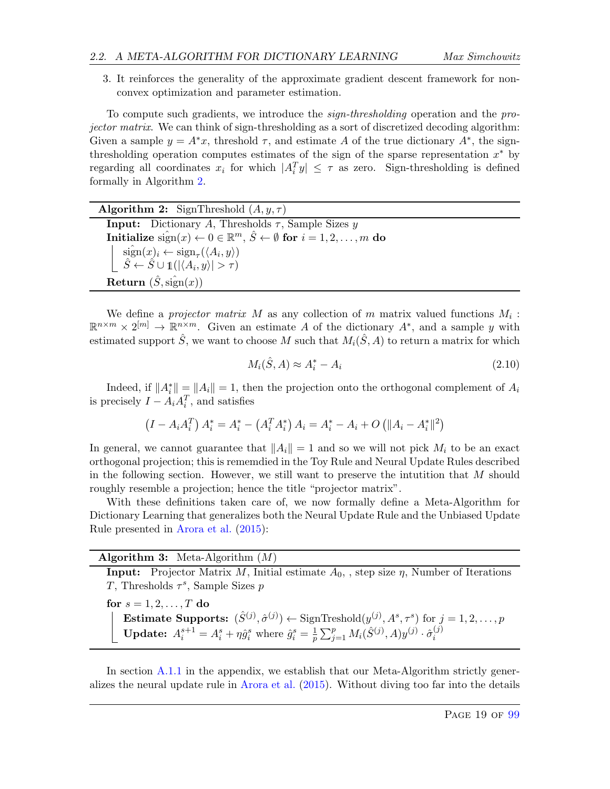3. It reinforces the generality of the approximate gradient descent framework for nonconvex optimization and parameter estimation.

To compute such gradients, we introduce the sign-thresholding operation and the projector matrix. We can think of sign-thresholding as a sort of discretized decoding algorithm: Given a sample  $y = A^*x$ , threshold  $\tau$ , and estimate A of the true dictionary  $A^*$ , the signthresholding operation computes estimates of the sign of the sparse representation  $x^*$  by regarding all coordinates  $x_i$  for which  $|A_i^T y| \leq \tau$  as zero. Sign-thresholding is defined formally in Algorithm [2.](#page-19-0)

| <b>Algorithm 2:</b> SignThreshold $(A, y, \tau)$                                                                                                                                                         |
|----------------------------------------------------------------------------------------------------------------------------------------------------------------------------------------------------------|
| <b>Input:</b> Dictionary A, Thresholds $\tau$ , Sample Sizes y                                                                                                                                           |
| Initialize $\hat{\text{sign}}(x) \leftarrow 0 \in \mathbb{R}^m$ , $\hat{S} \leftarrow \emptyset$ for $i = 1, 2, , m$ do                                                                                  |
| $\begin{array}{c}\n\widehat{\text{sign}}(x)_i \leftarrow \text{sign}_{\tau}(\langle A_i, y \rangle) \\ \widehat{S} \leftarrow \widehat{S} \cup \mathbb{1}( \langle A_i, y \rangle  > \tau)\n\end{array}$ |
|                                                                                                                                                                                                          |
| Return $(\hat{S}, \hat{\text{sign}}(x))$                                                                                                                                                                 |

We define a *projector matrix* M as any collection of m matrix valued functions  $M_i$ :  $\mathbb{R}^{n \times m} \times 2^{[m]} \to \mathbb{R}^{n \times m}$ . Given an estimate A of the dictionary  $A^*$ , and a sample y with estimated support  $\hat{S}$ , we want to choose M such that  $M_i(\hat{S}, A)$  to return a matrix for which

<span id="page-19-0"></span>
$$
M_i(\hat{S}, A) \approx A_i^* - A_i \tag{2.10}
$$

Indeed, if  $||A_i^*|| = ||A_i|| = 1$ , then the projection onto the orthogonal complement of  $A_i$ is precisely  $I - A_i A_i^T$ , and satisfies

$$
(I - A_i A_i^T) A_i^* = A_i^* - (A_i^T A_i^*) A_i = A_i^* - A_i + O (||A_i - A_i^*||^2)
$$

In general, we cannot guarantee that  $||A_i|| = 1$  and so we will not pick  $M_i$  to be an exact orthogonal projection; this is rememdied in the Toy Rule and Neural Update Rules described in the following section. However, we still want to preserve the intutition that M should roughly resemble a projection; hence the title "projector matrix".

With these definitions taken care of, we now formally define a Meta-Algorithm for Dictionary Learning that generalizes both the Neural Update Rule and the Unbiased Update Rule presented in [Arora et al.](#page-63-0) [\(2015\)](#page-63-0):

**Algorithm 3:** Meta-Algorithm  $(M)$ 

**Input:** Projector Matrix M, Initial estimate  $A_0$ , , step size  $\eta$ , Number of Iterations T, Thresholds  $\tau^s$ , Sample Sizes p

for  $s = 1, 2, \ldots, T$  do **Estimate Supports:**  $(\hat{S}^{(j)}, \hat{\sigma}^{(j)}) \leftarrow$  SignTreshold $(y^{(j)}, A^s, \tau^s)$  for  $j = 1, 2, ..., p$ **Update:**  $A_i^{s+1} = A_i^s + \eta \hat{g}_i^s$  where  $\hat{g}_i^s = \frac{1}{p}$  $\frac{1}{p}\sum_{j=1}^p M_i(\hat{S}^{(j)},A)y^{(j)}\cdot\hat{\sigma}^{(j)}_i$ i

<span id="page-19-1"></span>In section [A.1.1](#page-66-2) in the appendix, we establish that our Meta-Algorithm strictly generalizes the neural update rule in [Arora et al.](#page-63-0) [\(2015\)](#page-63-0). Without diving too far into the details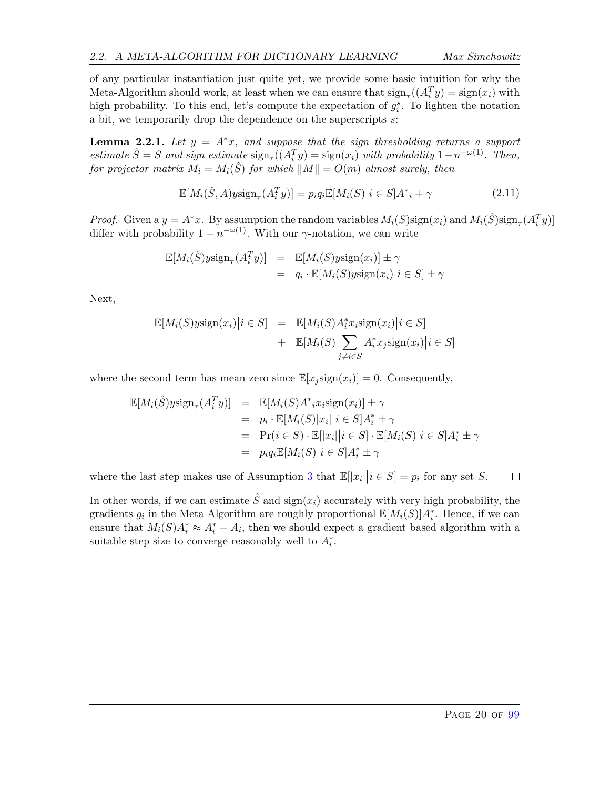of any particular instantiation just quite yet, we provide some basic intuition for why the Meta-Algorithm should work, at least when we can ensure that  $\text{sign}_{\tau}((A_i^T y) = \text{sign}(x_i))$  with high probability. To this end, let's compute the expectation of  $g_i^s$ . To lighten the notation a bit, we temporarily drop the dependence on the superscripts s:

<span id="page-20-0"></span>**Lemma 2.2.1.** Let  $y = A^*x$ , and suppose that the sign thresholding returns a support estimate  $\hat{S} = S$  and sign estimate  $\text{sign}_{\tau}((A_i^T y) = \text{sign}(x_i))$  with probability  $1 - n^{-\omega(1)}$ . Then, for projector matrix  $M_i = M_i(\hat{S})$  for which  $||M|| = O(m)$  almost surely, then

$$
\mathbb{E}[M_i(\hat{S}, A) y \text{sign}_{\tau}(A_i^T y)] = p_i q_i \mathbb{E}[M_i(S) | i \in S] A^*_{\tau} + \gamma \tag{2.11}
$$

*Proof.* Given a  $y = A^*x$ . By assumption the random variables  $M_i(S)$ sign $(x_i)$  and  $M_i(\hat{S})$ sign<sub> $\tau$ </sub> $(A_i^Ty)$ ] differ with probability  $1 - n^{-\omega(1)}$ . With our  $\gamma$ -notation, we can write

$$
\mathbb{E}[M_i(\hat{S})y\text{sign}_{\tau}(A_i^T y)] = \mathbb{E}[M_i(S)y\text{sign}(x_i)] \pm \gamma
$$
  
=  $q_i \cdot \mathbb{E}[M_i(S)y\text{sign}(x_i)|i \in S] \pm \gamma$ 

Next,

$$
\mathbb{E}[M_i(S)y\text{sign}(x_i)|i \in S] = \mathbb{E}[M_i(S)A_i^*x_i\text{sign}(x_i)|i \in S] + \mathbb{E}[M_i(S)\sum_{j\neq i \in S} A_i^*x_j\text{sign}(x_i)|i \in S]
$$

where the second term has mean zero since  $\mathbb{E}[x_i \text{sign}(x_i)] = 0$ . Consequently,

$$
\mathbb{E}[M_i(\hat{S})y\text{sign}_{\tau}(A_i^T y)] = \mathbb{E}[M_i(S)A^* x_i \text{sign}(x_i)] \pm \gamma
$$
  
\n
$$
= p_i \cdot \mathbb{E}[M_i(S)|x_i||i \in S]A_i^* \pm \gamma
$$
  
\n
$$
= \Pr(i \in S) \cdot \mathbb{E}[|x_i||i \in S] \cdot \mathbb{E}[M_i(S)|i \in S]A_i^* \pm \gamma
$$
  
\n
$$
= p_i q_i \mathbb{E}[M_i(S)|i \in S]A_i^* \pm \gamma
$$

where the last step makes use of Assumption [3](#page-11-0) that  $\mathbb{E}[|x_i| | i \in S] = p_i$  for any set S.  $\Box$ 

In other words, if we can estimate  $\hat{S}$  and  $sign(x_i)$  accurately with very high probability, the gradients  $g_i$  in the Meta Algorithm are roughly proportional  $\mathbb{E}[M_i(S)]A_i^*$ . Hence, if we can ensure that  $M_i(S)A_i^* \approx A_i^* - A_i$ , then we should expect a gradient based algorithm with a suitable step size to converge reasonably well to  $A_i^*$ .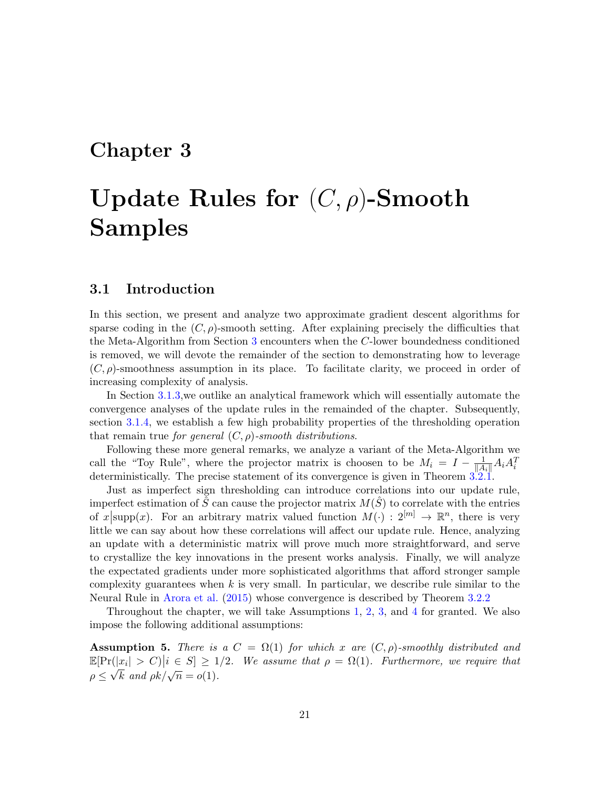## <span id="page-21-0"></span>Chapter 3

# Update Rules for  $(C, \rho)$ -Smooth Samples

#### <span id="page-21-1"></span>3.1 Introduction

In this section, we present and analyze two approximate gradient descent algorithms for sparse coding in the  $(C, \rho)$ -smooth setting. After explaining precisely the difficulties that the Meta-Algorithm from Section [3](#page-19-1) encounters when the C-lower boundedness conditioned is removed, we will devote the remainder of the section to demonstrating how to leverage  $(C, \rho)$ -smoothness assumption in its place. To facilitate clarity, we proceed in order of increasing complexity of analysis.

In Section [3.1.3,](#page-24-0)we outlike an analytical framework which will essentially automate the convergence analyses of the update rules in the remainded of the chapter. Subsequently, section [3.1.4,](#page-25-0) we establish a few high probability properties of the thresholding operation that remain true for general  $(C, \rho)$ -smooth distributions.

Following these more general remarks, we analyze a variant of the Meta-Algorithm we call the "Toy Rule", where the projector matrix is choosen to be  $M_i = I - \frac{1}{\|A_i\|} A_i A_i^T$ deterministically. The precise statement of its convergence is given in Theorem [3.2.1.](#page-26-2)

Just as imperfect sign thresholding can introduce correlations into our update rule, imperfect estimation of  $\hat{S}$  can cause the projector matrix  $M(\hat{S})$  to correlate with the entries of  $x$  supp(x). For an arbitrary matrix valued function  $M(\cdot) : 2^{[m]} \to \mathbb{R}^n$ , there is very little we can say about how these correlations will affect our update rule. Hence, analyzing an update with a deterministic matrix will prove much more straightforward, and serve to crystallize the key innovations in the present works analysis. Finally, we will analyze the expectated gradients under more sophisticated algorithms that afford stronger sample complexity guarantees when  $k$  is very small. In particular, we describe rule similar to the Neural Rule in [Arora et al.](#page-63-0) [\(2015\)](#page-63-0) whose convergence is described by Theorem [3.2.2](#page-26-3)

Throughout the chapter, we will take Assumptions [1,](#page-10-2) [2,](#page-10-1) [3,](#page-11-0) and [4](#page-11-1) for granted. We also impose the following additional assumptions:

<span id="page-21-2"></span>**Assumption 5.** There is a  $C = \Omega(1)$  for which x are  $(C, \rho)$ -smoothly distributed and  $\mathbb{E}[\Pr(|x_i| > C)|i \in S] \geq 1/2$ . We assume that  $\rho = \Omega(1)$ . Furthermore, we require that  $\rho \leq \sqrt{k}$  and  $\rho k/\sqrt{n} = o(1)$ .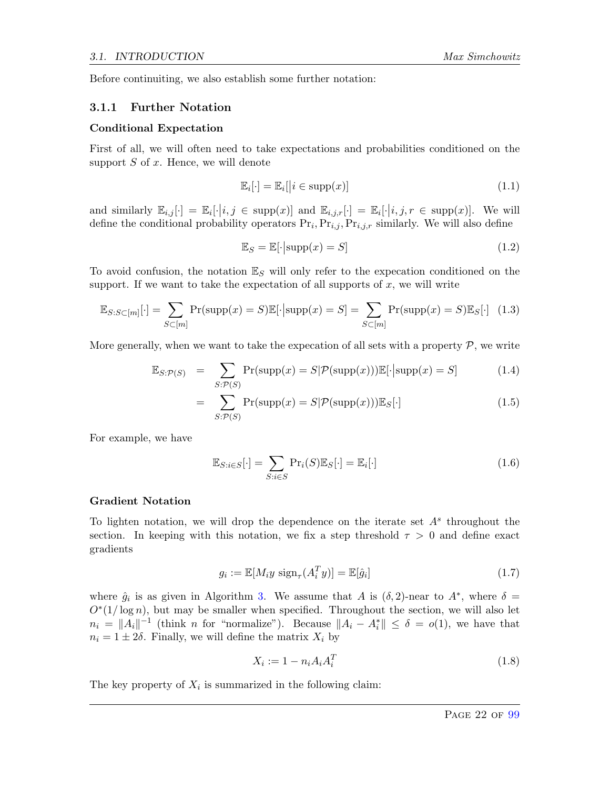Before continuiting, we also establish some further notation:

#### <span id="page-22-0"></span>3.1.1 Further Notation

#### Conditional Expectation

First of all, we will often need to take expectations and probabilities conditioned on the support  $S$  of  $x$ . Hence, we will denote

$$
\mathbb{E}_i[\cdot] = \mathbb{E}_i[|i \in \text{supp}(x)] \tag{1.1}
$$

and similarly  $\mathbb{E}_{i,j}[\cdot] = \mathbb{E}_i[\cdot | i, j \in \text{supp}(x)]$  and  $\mathbb{E}_{i,j,r}[\cdot] = \mathbb{E}_i[\cdot | i, j, r \in \text{supp}(x)]$ . We will define the conditional probability operators  $Pr_i, Pr_{i,j}, Pr_{i,j,r}$  similarly. We will also define

$$
\mathbb{E}_S = \mathbb{E}[\cdot|\text{supp}(x) = S] \tag{1.2}
$$

To avoid confusion, the notation  $\mathbb{E}_S$  will only refer to the expecation conditioned on the support. If we want to take the expectation of all supports of  $x$ , we will write

$$
\mathbb{E}_{S:S\subset[m]}[\cdot] = \sum_{S\subset[m]} \Pr(\text{supp}(x) = S)\mathbb{E}[\cdot|\text{supp}(x) = S] = \sum_{S\subset[m]} \Pr(\text{supp}(x) = S)\mathbb{E}_S[\cdot] \tag{1.3}
$$

More generally, when we want to take the expecation of all sets with a property  $P$ , we write

$$
\mathbb{E}_{S:\mathcal{P}(S)} = \sum_{S:\mathcal{P}(S)} \Pr(\text{supp}(x) = S | \mathcal{P}(\text{supp}(x))) \mathbb{E}[\cdot | \text{supp}(x) = S] \tag{1.4}
$$

$$
= \sum_{S:\mathcal{P}(S)} \Pr(\text{supp}(x) = S | \mathcal{P}(\text{supp}(x))) \mathbb{E}_{S}[\cdot]
$$
\n(1.5)

For example, we have

$$
\mathbb{E}_{S:i\in S}[\cdot] = \sum_{S:i\in S} \Pr_i(S)\mathbb{E}_S[\cdot] = \mathbb{E}_i[\cdot]
$$
\n(1.6)

#### Gradient Notation

To lighten notation, we will drop the dependence on the iterate set  $A<sup>s</sup>$  throughout the section. In keeping with this notation, we fix a step threshold  $\tau > 0$  and define exact gradients

$$
g_i := \mathbb{E}[M_i y \text{ sign}_{\tau}(A_i^T y)] = \mathbb{E}[\hat{g}_i]
$$
\n(1.7)

where  $\hat{g}_i$  is as given in Algorithm [3.](#page-19-1) We assume that A is  $(\delta, 2)$ -near to  $A^*$ , where  $\delta =$  $O<sup>*</sup>(1/\log n)$ , but may be smaller when specified. Throughout the section, we will also let  $n_i = ||A_i||^{-1}$  (think *n* for "normalize"). Because  $||A_i - A_i^*|| \le \delta = o(1)$ , we have that  $n_i = 1 \pm 2\delta$ . Finally, we will define the matrix  $X_i$  by

$$
X_i := 1 - n_i A_i A_i^T \tag{1.8}
$$

The key property of  $X_i$  is summarized in the following claim: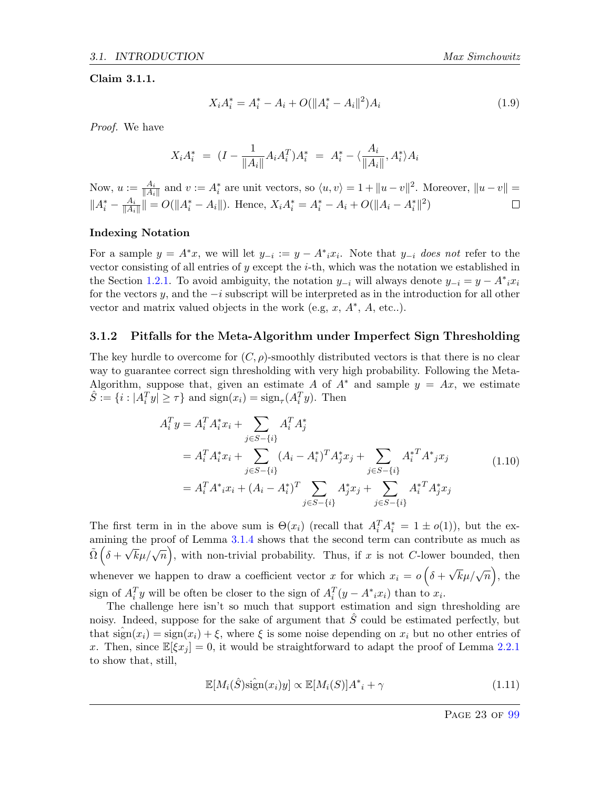#### <span id="page-23-1"></span>Claim 3.1.1.

$$
X_i A_i^* = A_i^* - A_i + O(||A_i^* - A_i||^2)A_i
$$
\n(1.9)

Proof. We have

$$
X_i A_i^* = (I - \frac{1}{\|A_i\|} A_i A_i^T) A_i^* = A_i^* - \langle \frac{A_i}{\|A_i\|}, A_i^* \rangle A_i
$$

Now,  $u := \frac{A_i}{\|A_i\|}$  and  $v := A_i^*$  are unit vectors, so  $\langle u, v \rangle = 1 + \|u - v\|^2$ . Moreover,  $\|u - v\| =$  $||A_i^* - \frac{A_i}{||A_i}$  $\frac{A_i}{\|A_i\|}\| = O(\|A_i^* - A_i\|).$  Hence,  $X_i A_i^* = A_i^* - A_i + O(\|A_i - A_i^*\|^2)$  $\Box$ 

#### Indexing Notation

For a sample  $y = A^*x$ , we will let  $y_{-i} := y - A^*x_i$ . Note that  $y_{-i}$  does not refer to the vector consisting of all entries of y except the  $i$ -th, which was the notation we established in the Section [1.2.1.](#page-9-1) To avoid ambiguity, the notation  $y_{-i}$  will always denote  $y_{-i} = y - A^*_{i} x_{i}$ for the vectors y, and the  $-i$  subscript will be interpreted as in the introduction for all other vector and matrix valued objects in the work (e.g,  $x$ ,  $A^*$ ,  $A$ , etc..).

#### <span id="page-23-0"></span>3.1.2 Pitfalls for the Meta-Algorithm under Imperfect Sign Thresholding

The key hurdle to overcome for  $(C, \rho)$ -smoothly distributed vectors is that there is no clear way to guarantee correct sign thresholding with very high probability. Following the Meta-Algorithm, suppose that, given an estimate A of  $A^*$  and sample  $y = Ax$ , we estimate  $\hat{S} := \{i : |A_i^T y| \geq \tau\}$  and  $\text{sign}(x_i) = \text{sign}_{\tau}(A_i^T y)$ . Then

$$
A_i^T y = A_i^T A_i^* x_i + \sum_{j \in S - \{i\}} A_i^T A_j^*
$$
  
=  $A_i^T A_i^* x_i + \sum_{j \in S - \{i\}} (A_i - A_i^*)^T A_j^* x_j + \sum_{j \in S - \{i\}} A_i^{*T} A^* j x_j$   
=  $A_i^T A^* i x_i + (A_i - A_i^*)^T \sum_{j \in S - \{i\}} A_j^* x_j + \sum_{j \in S - \{i\}} A_i^{*T} A_j^* x_j$  (1.10)

The first term in in the above sum is  $\Theta(x_i)$  (recall that  $A_i^T A_i^* = 1 \pm o(1)$ ), but the ex-amining the proof of Lemma [3.1.4](#page-25-1) shows that the second term can contribute as much as  $\tilde{\Omega}$  ( $\delta + \sqrt{k}\mu/\sqrt{n}$ ), with non-trivial probability. Thus, if x is not C-lower bounded, then whenever we happen to draw a coefficient vector x for which  $x_i = o\left(\delta + \frac{1}{n_i}\right)$  $\sqrt{k}\mu/\sqrt{n}$ , the sign of  $A_i^T y$  will be often be closer to the sign of  $A_i^T (y - A^* i x_i)$  than to  $x_i$ .

The challenge here isn't so much that support estimation and sign thresholding are noisy. Indeed, suppose for the sake of argument that  $\hat{S}$  could be estimated perfectly, but that  $sign(x_i) = sign(x_i) + \xi$ , where  $\xi$  is some noise depending on  $x_i$  but no other entries of x. Then, since  $\mathbb{E}[\xi x_j] = 0$ , it would be straightforward to adapt the proof of Lemma [2.2.1](#page-20-0) to show that, still,

$$
\mathbb{E}[M_i(\hat{S})\hat{\text{sign}}(x_i)y] \propto \mathbb{E}[M_i(S)]A^*_{\ i} + \gamma \tag{1.11}
$$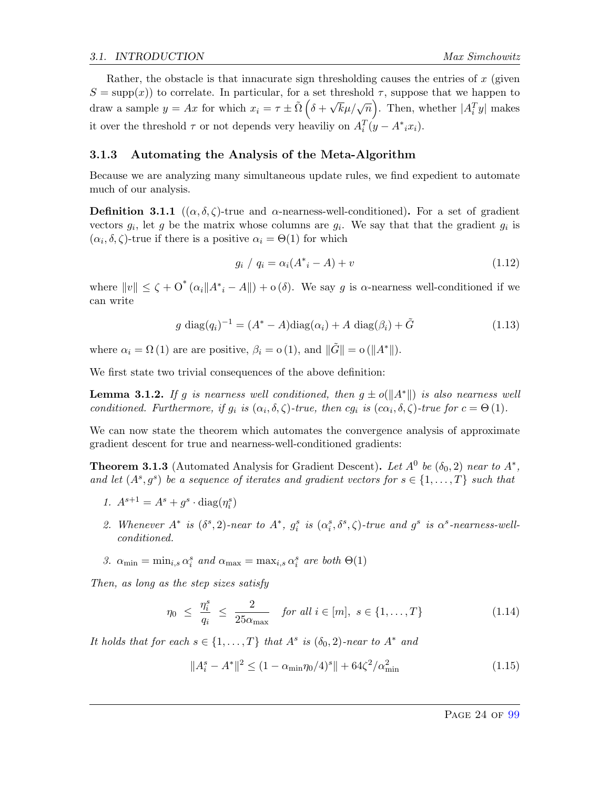Rather, the obstacle is that innacurate sign thresholding causes the entries of  $x$  (given  $S = \text{supp}(x)$  to correlate. In particular, for a set threshold  $\tau$ , suppose that we happen to draw a sample  $y = Ax$  for which  $x_i = \tau \pm \tilde{\Omega} \left( \delta + \right)$  $\sqrt{k}\mu/\sqrt{n}$ . Then, whether  $|A_i^T y|$  makes it over the threshold  $\tau$  or not depends very heaviliy on  $A_i^T(y - A^*_{i}x_i)$ .

#### <span id="page-24-0"></span>3.1.3 Automating the Analysis of the Meta-Algorithm

Because we are analyzing many simultaneous update rules, we find expedient to automate much of our analysis.

**Definition 3.1.1**  $((\alpha, \delta, \zeta)$ -true and  $\alpha$ -nearness-well-conditioned). For a set of gradient vectors  $g_i$ , let g be the matrix whose columns are  $g_i$ . We say that that the gradient  $g_i$  is  $(\alpha_i, \delta, \zeta)$ -true if there is a positive  $\alpha_i = \Theta(1)$  for which

<span id="page-24-3"></span>
$$
g_i / q_i = \alpha_i (A^* - A) + v \tag{1.12}
$$

where  $||v|| \le \zeta + O^*(\alpha_i ||A^*_{i} - A||) + o(\delta)$ . We say g is  $\alpha$ -nearness well-conditioned if we can write

<span id="page-24-4"></span>
$$
g \operatorname{diag}(q_i)^{-1} = (A^* - A)\operatorname{diag}(\alpha_i) + A \operatorname{diag}(\beta_i) + \tilde{G}
$$
\n(1.13)

where  $\alpha_i = \Omega(1)$  are are positive,  $\beta_i = o(1)$ , and  $\|\tilde{G}\| = o(\|A^*\|).$ 

We first state two trivial consequences of the above definition:

**Lemma 3.1.2.** If g is nearness well conditioned, then  $g \pm o(||A^*||)$  is also nearness well conditioned. Furthermore, if  $g_i$  is  $(\alpha_i, \delta, \zeta)$ -true, then  $cg_i$  is  $(c\alpha_i, \delta, \zeta)$ -true for  $c = \Theta(1)$ .

We can now state the theorem which automates the convergence analysis of approximate gradient descent for true and nearness-well-conditioned gradients:

<span id="page-24-5"></span>**Theorem 3.1.3** (Automated Analysis for Gradient Descent). Let  $A^0$  be  $(\delta_0, 2)$  near to  $A^*$ , and let  $(A^s, g^s)$  be a sequence of iterates and gradient vectors for  $s \in \{1, \ldots, T\}$  such that

- 1.  $A^{s+1} = A^s + g^s \cdot \text{diag}(\eta_i^s)$
- 2. Whenever  $A^*$  is  $(\delta^s, 2)$ -near to  $A^*, g_i^s$  is  $(\alpha_i^s, \delta^s, \zeta)$ -true and  $g^s$  is  $\alpha^s$ -nearness-wellconditioned.
- 3.  $\alpha_{\min} = \min_{i,s} \alpha_i^s$  and  $\alpha_{\max} = \max_{i,s} \alpha_i^s$  are both  $\Theta(1)$

Then, as long as the step sizes satisfy

<span id="page-24-1"></span>
$$
\eta_0 \leq \frac{\eta_i^s}{q_i} \leq \frac{2}{25\alpha_{\max}} \quad \text{for all } i \in [m], \ s \in \{1, \dots, T\} \tag{1.14}
$$

It holds that for each  $s \in \{1, ..., T\}$  that  $A^s$  is  $(\delta_0, 2)$ -near to  $A^*$  and

<span id="page-24-2"></span>
$$
||A_i^s - A^*||^2 \le (1 - \alpha_{\min} \eta_0 / 4)^s || + 64\zeta^2 / \alpha_{\min}^2
$$
\n(1.15)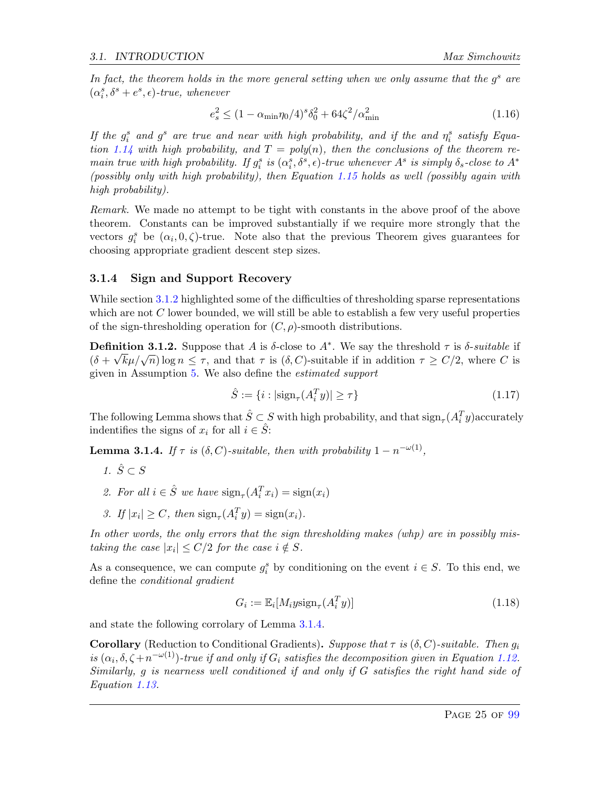In fact, the theorem holds in the more general setting when we only assume that the  $g<sup>s</sup>$  are  $(\alpha_i^s, \delta^s + e^s, \epsilon)$ -true, whenever

$$
e_s^2 \le (1 - \alpha_{\min} \eta_0 / 4)^s \delta_0^2 + 64 \zeta^2 / \alpha_{\min}^2 \tag{1.16}
$$

If the  $g_i^s$  and  $g_s^s$  are true and near with high probability, and if the and  $\eta_i^s$  satisfy Equa-tion [1.14](#page-24-1) with high probability, and  $T = poly(n)$ , then the conclusions of the theorem remain true with high probability. If  $g_i^s$  is  $(\alpha_i^s, \delta^s, \epsilon)$ -true whenever  $A^s$  is simply  $\delta_s$ -close to  $A^*$ (possibly only with high probability), then Equation [1.15](#page-24-2) holds as well (possibly again with high probability).

Remark. We made no attempt to be tight with constants in the above proof of the above theorem. Constants can be improved substantially if we require more strongly that the vectors  $g_i^s$  be  $(\alpha_i, 0, \zeta)$ -true. Note also that the previous Theorem gives guarantees for choosing appropriate gradient descent step sizes.

#### <span id="page-25-0"></span>3.1.4 Sign and Support Recovery

While section [3.1.2](#page-23-0) highlighted some of the difficulties of thresholding sparse representations which are not  $C$  lower bounded, we will still be able to establish a few very useful properties of the sign-thresholding operation for  $(C, \rho)$ -smooth distributions.

**Definition 3.1.2.** Suppose that A is  $\delta$ -close to  $A^*$ . We say the threshold  $\tau$  is  $\delta$ -suitable if **Definition 3.1.2.** Suppose that A is 0-close to A : we say the threshold t is 0-suitable if  $(\delta + \sqrt{k}\mu/\sqrt{n}) \log n \le \tau$ , and that  $\tau$  is  $(\delta, C)$ -suitable if in addition  $\tau \ge C/2$ , where C is given in Assumption [5.](#page-21-2) We also define the estimated support

$$
\hat{S} := \{ i : |\text{sign}_{\tau}(A_i^T y)| \ge \tau \}
$$
\n
$$
(1.17)
$$

The following Lemma shows that  $\hat{S} \subset S$  with high probability, and that  $\text{sign}_{\tau}(A_i^T y)$  accurately indentifies the signs of  $x_i$  for all  $i \in \hat{S}$ :

<span id="page-25-1"></span>**Lemma 3.1.4.** If  $\tau$  is  $(\delta, C)$ -suitable, then with probability  $1 - n^{-\omega(1)}$ ,

- 1.  $\hat{S} \subset S$
- 2. For all  $i \in \hat{S}$  we have  $\text{sign}_{\tau}(A_i^T x_i) = \text{sign}(x_i)$
- 3. If  $|x_i| \ge C$ , then  $\text{sign}_{\tau}(A_i^T y) = \text{sign}(x_i)$ .

In other words, the only errors that the sign thresholding makes (whp) are in possibly mistaking the case  $|x_i| \leq C/2$  for the case  $i \notin S$ .

As a consequence, we can compute  $g_i^s$  by conditioning on the event  $i \in S$ . To this end, we define the conditional gradient

<span id="page-25-2"></span>
$$
G_i := \mathbb{E}_i[M_i y \text{sign}_\tau(A_i^T y)] \tag{1.18}
$$

and state the following corrolary of Lemma [3.1.4.](#page-25-1)

**Corollary** (Reduction to Conditional Gradients). Suppose that  $\tau$  is  $(\delta, C)$ -suitable. Then  $g_i$ is  $(\alpha_i, \delta, \zeta + n^{-\omega(1)})$ -true if and only if  $G_i$  satisfies the decomposition given in Equation [1.12.](#page-24-3) Similarly, g is nearness well conditioned if and only if G satisfies the right hand side of Equation [1.13.](#page-24-4)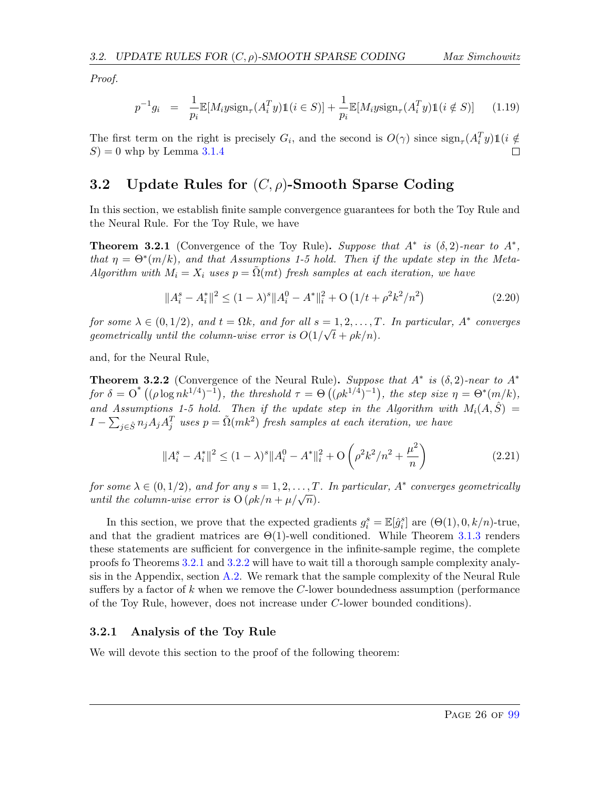Proof.

$$
p^{-1}g_i = \frac{1}{p_i} \mathbb{E}[M_i y \text{sign}_\tau(A_i^T y) \mathbb{1}(i \in S)] + \frac{1}{p_i} \mathbb{E}[M_i y \text{sign}_\tau(A_i^T y) \mathbb{1}(i \notin S)] \tag{1.19}
$$

The first term on the right is precisely  $G_i$ , and the second is  $O(\gamma)$  since  $\text{sign}_{\tau}(A_i^T y) \mathbb{1}(i \notin$  $S$ ) = 0 whp by Lemma [3.1.4](#page-25-1)

### <span id="page-26-0"></span>3.2 Update Rules for  $(C, \rho)$ -Smooth Sparse Coding

In this section, we establish finite sample convergence guarantees for both the Toy Rule and the Neural Rule. For the Toy Rule, we have

<span id="page-26-2"></span>**Theorem 3.2.1** (Convergence of the Toy Rule). Suppose that  $A^*$  is  $(\delta, 2)$ -near to  $A^*$ , that  $\eta = \Theta^*(m/k)$ , and that Assumptions 1-5 hold. Then if the update step in the Meta-Algorithm with  $M_i = X_i$  uses  $p = \Omega(mt)$  fresh samples at each iteration, we have

$$
||A_i^s - A_i^*||^2 \le (1 - \lambda)^s ||A_i^0 - A^*||_i^2 + O\left(1/t + \rho^2 k^2/n^2\right)
$$
\n(2.20)

for some  $\lambda \in (0, 1/2)$ , and  $t = \Omega k$ , and for all  $s = 1, 2, ..., T$ . In particular,  $A^*$  converges geometrically until the column-wise error is  $O(1/\sqrt{t} + \rho k/n)$ .

and, for the Neural Rule,

<span id="page-26-3"></span>**Theorem 3.2.2** (Convergence of the Neural Rule). Suppose that  $A^*$  is  $(\delta, 2)$ -near to  $A^*$ for  $\delta = O^*((\rho \log nk^{1/4})^{-1})$ , the threshold  $\tau = \Theta((\rho k^{1/4})^{-1})$ , the step size  $\eta = \Theta^*(m/k)$ , and Assumptions 1-5 hold. Then if the update step in the Algorithm with  $M_i(A, \hat{S}) =$  $I-\sum_{j\in \hat{S}}n_jA_jA_j^T$  uses  $p=\tilde{\Omega}(mk^2)$  fresh samples at each iteration, we have

$$
||A_i^s - A_i^*||^2 \le (1 - \lambda)^s ||A_i^0 - A^*||_i^2 + O\left(\rho^2 k^2 / n^2 + \frac{\mu^2}{n}\right)
$$
 (2.21)

for some  $\lambda \in (0,1/2)$ , and for any  $s = 1, 2, ..., T$ . In particular,  $A^*$  converges geometrically por some  $\lambda \in (0, 1/2)$ , and for any  $s = 1, 2, ..., 1$ <br>until the column-wise error is  $O(\rho k/n + \mu/\sqrt{n})$ .

In this section, we prove that the expected gradients  $g_i^s = \mathbb{E}[\hat{g}_i^s]$  are  $(\Theta(1), 0, k/n)$ -true, and that the gradient matrices are  $\Theta(1)$ -well conditioned. While Theorem [3.1.3](#page-24-5) renders these statements are sufficient for convergence in the infinite-sample regime, the complete proofs fo Theorems [3.2.1](#page-26-2) and [3.2.2](#page-26-3) will have to wait till a thorough sample complexity analysis in the Appendix, section  $A.2$ . We remark that the sample complexity of the Neural Rule suffers by a factor of k when we remove the  $C$ -lower boundedness assumption (performance of the Toy Rule, however, does not increase under C-lower bounded conditions).

#### <span id="page-26-1"></span>3.2.1 Analysis of the Toy Rule

We will devote this section to the proof of the following theorem: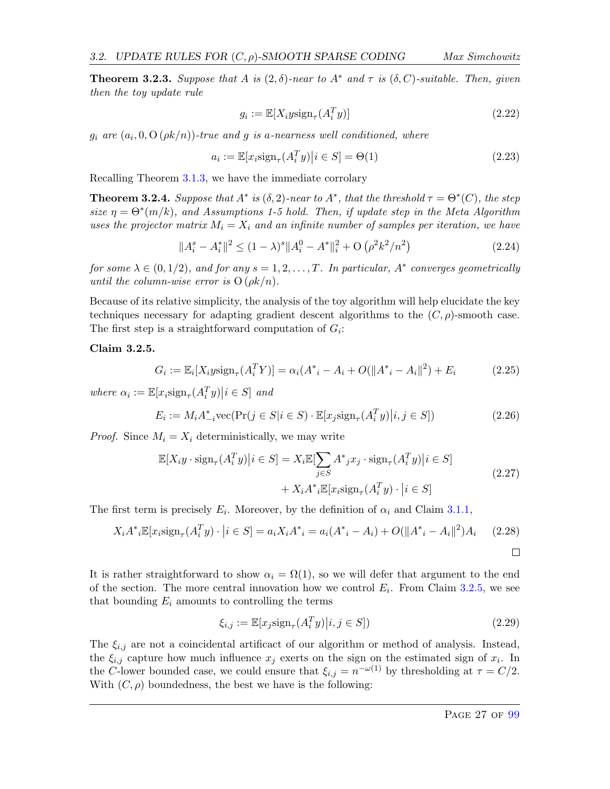<span id="page-27-1"></span>**Theorem 3.2.3.** Suppose that A is  $(2, \delta)$ -near to A<sup>\*</sup> and  $\tau$  is  $(\delta, C)$ -suitable. Then, given then the toy update rule

$$
g_i := \mathbb{E}[X_i y \text{sign}_\tau(A_i^T y)] \tag{2.22}
$$

 $g_i$  are  $(a_i, 0, \mathrm{O}\left(\rho k / n)\right)$ -true and  $g$  is a-nearness well conditioned, where

$$
a_i := \mathbb{E}[x_i \text{sign}_{\tau}(A_i^T y) | i \in S] = \Theta(1)
$$
\n(2.23)

Recalling Theorem [3.1.3,](#page-24-5) we have the immediate corrolary

**Theorem 3.2.4.** Suppose that  $A^*$  is  $(\delta, 2)$ -near to  $A^*$ , that the threshold  $\tau = \Theta^*(C)$ , the step size  $\eta = \Theta^*(m/k)$ , and Assumptions 1-5 hold. Then, if update step in the Meta Algorithm uses the projector matrix  $M_i = X_i$  and an infinite number of samples per iteration, we have

$$
||A_i^s - A_i^*||^2 \le (1 - \lambda)^s ||A_i^0 - A^*||_i^2 + O\left(\rho^2 k^2 / n^2\right)
$$
\n(2.24)

for some  $\lambda \in (0,1/2)$ , and for any  $s = 1, 2, ..., T$ . In particular,  $A^*$  converges geometrically until the column-wise error is  $O(\rho k/n)$ .

Because of its relative simplicity, the analysis of the toy algorithm will help elucidate the key techniques necessary for adapting gradient descent algorithms to the  $(C, \rho)$ -smooth case. The first step is a straightforward computation of  $G_i$ :

#### <span id="page-27-0"></span>Claim 3.2.5.

$$
G_i := \mathbb{E}_i[X_i y \text{sign}_{\tau}(A_i^T Y)] = \alpha_i(A_{\ i}^* - A_i + O(||A_{\ i}^* - A_i||^2) + E_i \tag{2.25}
$$

where  $\alpha_i := \mathbb{E}[x_i \text{sign}_{\tau}(A_i^T y) | i \in S]$  and

$$
E_i := M_i A_{-i}^* \text{vec}(\Pr(j \in S | i \in S) \cdot \mathbb{E}[x_j \text{sign}_\tau(A_i^T y) | i, j \in S])
$$
\n(2.26)

*Proof.* Since  $M_i = X_i$  deterministically, we may write

$$
\mathbb{E}[X_i y \cdot \text{sign}_{\tau}(A_i^T y) | i \in S] = X_i \mathbb{E}[\sum_{j \in S} A^* j x_j \cdot \text{sign}_{\tau}(A_i^T y) | i \in S] + X_i A^* i \mathbb{E}[x_i \text{sign}_{\tau}(A_i^T y) \cdot | i \in S]
$$
\n(2.27)

The first term is precisely  $E_i$ . Moreover, by the definition of  $\alpha_i$  and Claim [3.1.1,](#page-23-1)

$$
X_i A^* i \mathbb{E}[x_i \text{sign}_{\tau}(A_i^T y) \cdot | i \in S] = a_i X_i A^* i = a_i (A^* i - A_i) + O(||A^* i - A_i||^2) A_i \quad (2.28)
$$

It is rather straightforward to show  $\alpha_i = \Omega(1)$ , so we will defer that argument to the end of the section. The more central innovation how we control  $E_i$ . From Claim [3.2.5,](#page-27-0) we see that bounding  $E_i$  amounts to controlling the terms

$$
\xi_{i,j} := \mathbb{E}[x_j \text{sign}_\tau(A_i^T y) | i, j \in S]) \tag{2.29}
$$

The  $\xi_{i,j}$  are not a coincidental artificact of our algorithm or method of analysis. Instead, the  $\xi_{i,j}$  capture how much influence  $x_j$  exerts on the sign on the estimated sign of  $x_i$ . In the C-lower bounded case, we could ensure that  $\xi_{i,j} = n^{-\omega(1)}$  by thresholding at  $\tau = C/2$ . With  $(C, \rho)$  boundedness, the best we have is the following: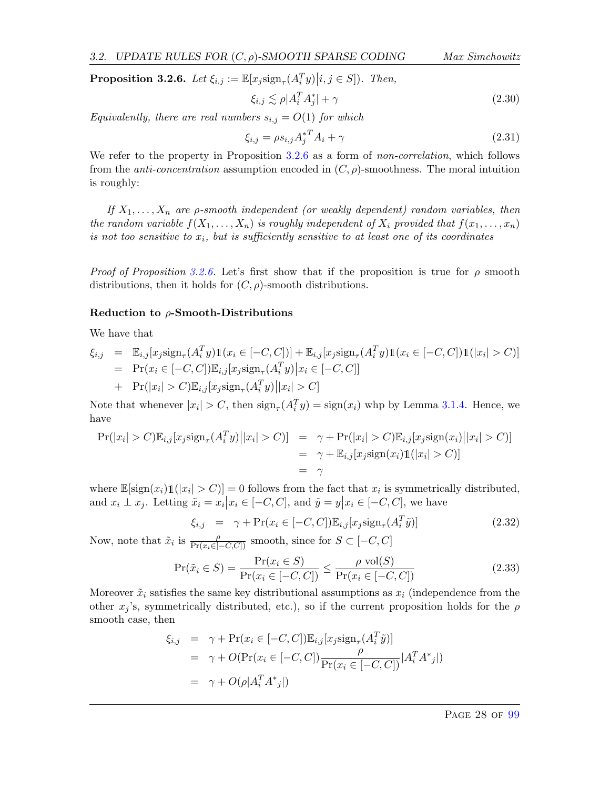<span id="page-28-0"></span>**Proposition 3.2.6.** Let  $\xi_{i,j} := \mathbb{E}[x_j \text{sign}_{\tau}(A_i^T y) | i, j \in S]$ ). Then,

$$
\xi_{i,j} \lesssim \rho |A_i^T A_j^*| + \gamma \tag{2.30}
$$

Equivalently, there are real numbers  $s_{i,j} = O(1)$  for which

$$
\xi_{i,j} = \rho s_{i,j} A_j^* A_i + \gamma \tag{2.31}
$$

We refer to the property in Proposition [3.2.6](#page-28-0) as a form of *non-correlation*, which follows from the *anti-concentration* assumption encoded in  $(C, \rho)$ -smoothness. The moral intuition is roughly:

If  $X_1, \ldots, X_n$  are p-smooth independent (or weakly dependent) random variables, then the random variable  $f(X_1, \ldots, X_n)$  is roughly independent of  $X_i$  provided that  $f(x_1, \ldots, x_n)$ is not too sensitive to  $x_i$ , but is sufficiently sensitive to at least one of its coordinates

*Proof of Proposition [3.2.6.](#page-28-0)* Let's first show that if the proposition is true for  $\rho$  smooth distributions, then it holds for  $(C, \rho)$ -smooth distributions.

#### Reduction to  $\rho$ -Smooth-Distributions

We have that

$$
\xi_{i,j} = \mathbb{E}_{i,j}[x_j \text{sign}_{\tau}(A_i^T y) \mathbb{1}(x_i \in [-C, C])] + \mathbb{E}_{i,j}[x_j \text{sign}_{\tau}(A_i^T y) \mathbb{1}(x_i \in [-C, C]) \mathbb{1}(|x_i| > C)]
$$
  
\n
$$
= \Pr(x_i \in [-C, C]) \mathbb{E}_{i,j}[x_j \text{sign}_{\tau}(A_i^T y) | x_i \in [-C, C]]
$$
  
\n
$$
+ \Pr(|x_i| > C) \mathbb{E}_{i,j}[x_j \text{sign}_{\tau}(A_i^T y) | |x_i| > C]
$$

Note that whenever  $|x_i| > C$ , then  $\text{sign}_{\tau}(A_i^T y) = \text{sign}(x_i)$  whp by Lemma [3.1.4.](#page-25-1) Hence, we have

$$
Pr(|x_i| > C) \mathbb{E}_{i,j}[x_j sign_\tau(A_i^T y) || x_i| > C)] = \gamma + Pr(|x_i| > C) \mathbb{E}_{i,j}[x_j sign(x_i) || x_i| > C)]
$$
  
=  $\gamma + \mathbb{E}_{i,j}[x_j sign(x_i) \mathbb{1}(|x_i| > C)]$   
=  $\gamma$ 

where  $\mathbb{E}[\text{sign}(x_i) \mathbb{1}(|x_i| > C)] = 0$  follows from the fact that  $x_i$  is symmetrically distributed, and  $x_i \perp x_j$ . Letting  $\tilde{x}_i = x_i | x_i \in [-C, C]$ , and  $\tilde{y} = y | x_i \in [-C, C]$ , we have

$$
\xi_{i,j} = \gamma + \Pr(x_i \in [-C, C]) \mathbb{E}_{i,j}[x_j \text{sign}_{\tau}(A_i^T \tilde{y})]
$$
\n(2.32)

Now, note that  $\tilde{x}_i$  is  $\frac{\rho}{\Pr(x_i \in [-C, C])}$  smooth, since for  $S \subset [-C, C]$ 

$$
\Pr(\tilde{x}_i \in S) = \frac{\Pr(x_i \in S)}{\Pr(x_i \in [-C, C])} \le \frac{\rho \text{ vol}(S)}{\Pr(x_i \in [-C, C])}
$$
\n(2.33)

Moreover  $\tilde{x}_i$  satisfies the same key distributional assumptions as  $x_i$  (independence from the other  $x_j$ 's, symmetrically distributed, etc.), so if the current proposition holds for the  $\rho$ smooth case, then

$$
\xi_{i,j} = \gamma + \Pr(x_i \in [-C, C]) \mathbb{E}_{i,j}[x_j \text{sign}_{\tau}(A_i^T \tilde{y})]
$$
  
=  $\gamma + O(\Pr(x_i \in [-C, C]) \frac{\rho}{\Pr(x_i \in [-C, C])} |A_i^T A^*_{j}|)$   
=  $\gamma + O(\rho |A_i^T A^*_{j}|)$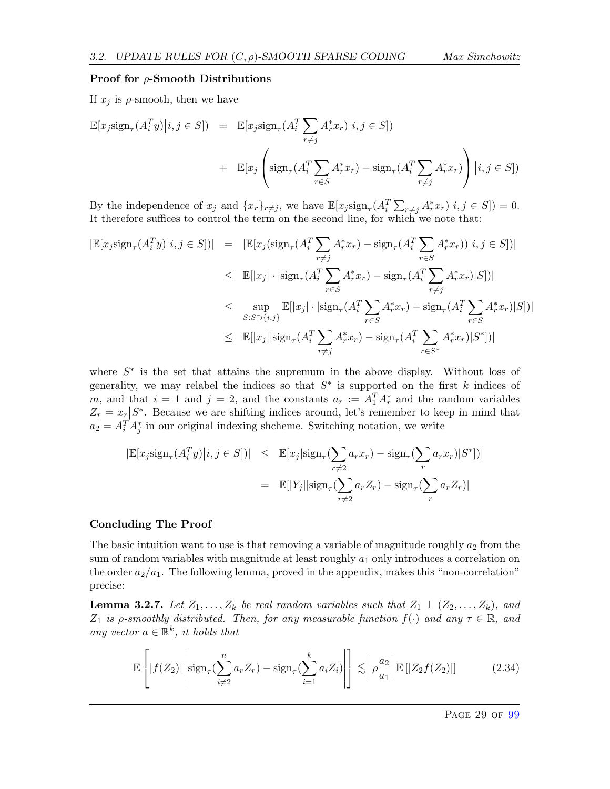#### Proof for  $\rho$ -Smooth Distributions

If  $x_j$  is  $\rho$ -smooth, then we have

$$
\mathbb{E}[x_j \text{sign}_{\tau}(A_i^T y) | i, j \in S] = \mathbb{E}[x_j \text{sign}_{\tau}(A_i^T \sum_{r \neq j} A_r^* x_r) | i, j \in S]
$$
  
+ 
$$
\mathbb{E}[x_j \left( \text{sign}_{\tau}(A_i^T \sum_{r \in S} A_r^* x_r) - \text{sign}_{\tau}(A_i^T \sum_{r \neq j} A_r^* x_r) \right) | i, j \in S]
$$

By the independence of  $x_j$  and  $\{x_r\}_{r\neq j}$ , we have  $\mathbb{E}[x_j \text{sign}_{\tau}(A_i^T \sum_{r\neq j} A_r^* x_r)|i, j \in S] = 0$ . It therefore suffices to control the term on the second line, for which we note that:

$$
|\mathbb{E}[x_j \text{sign}_{\tau}(A_i^T y)|i, j \in S])| = |\mathbb{E}[x_j(\text{sign}_{\tau}(A_i^T \sum_{r \neq j} A_r^* x_r) - \text{sign}_{\tau}(A_i^T \sum_{r \in S} A_r^* x_r))|i, j \in S])|
$$
  
\n
$$
\leq \mathbb{E}[|x_j| \cdot |\text{sign}_{\tau}(A_i^T \sum_{r \in S} A_r^* x_r) - \text{sign}_{\tau}(A_i^T \sum_{r \neq j} A_r^* x_r)|S|]
$$
  
\n
$$
\leq \sup_{S:S \supset \{i,j\}} \mathbb{E}[|x_j| \cdot |\text{sign}_{\tau}(A_i^T \sum_{r \in S} A_r^* x_r) - \text{sign}_{\tau}(A_i^T \sum_{r \in S} A_r^* x_r)|S|]
$$
  
\n
$$
\leq \mathbb{E}[|x_j| |\text{sign}_{\tau}(A_i^T \sum_{r \neq j} A_r^* x_r) - \text{sign}_{\tau}(A_i^T \sum_{r \in S^*} A_r^* x_r)|S^*])|
$$

where  $S^*$  is the set that attains the supremum in the above display. Without loss of generality, we may relabel the indices so that  $S^*$  is supported on the first k indices of m, and that  $i = 1$  and  $j = 2$ , and the constants  $a_r := A_1^T A_r^*$  and the random variables  $Z_r = x_r \left| S^* \right|$ . Because we are shifting indices around, let's remember to keep in mind that  $a_2 = A_i^T A_j^*$  in our original indexing shcheme. Switching notation, we write

$$
|\mathbb{E}[x_j \text{sign}_{\tau}(A_i^T y) | i, j \in S])| \leq \mathbb{E}[x_j |\text{sign}_{\tau}(\sum_{r \neq 2} a_r x_r) - \text{sign}_{\tau}(\sum_r a_r x_r) | S^*])|
$$
  

$$
= \mathbb{E}[|Y_j| |\text{sign}_{\tau}(\sum_{r \neq 2} a_r Z_r) - \text{sign}_{\tau}(\sum_r a_r Z_r)|
$$

#### Concluding The Proof

The basic intuition want to use is that removing a variable of magnitude roughly  $a_2$  from the sum of random variables with magnitude at least roughly  $a_1$  only introduces a correlation on the order  $a_2/a_1$ . The following lemma, proved in the appendix, makes this "non-correlation" precise:

**Lemma 3.2.7.** Let  $Z_1, \ldots, Z_k$  be real random variables such that  $Z_1 \perp (Z_2, \ldots, Z_k)$ , and  $Z_1$  is  $\rho$ -smoothly distributed. Then, for any measurable function  $f(\cdot)$  and any  $\tau \in \mathbb{R}$ , and any vector  $a \in \mathbb{R}^k$ , it holds that

$$
\mathbb{E}\left[|f(Z_2)|\left|\operatorname{sign}_{\tau}\left(\sum_{i\neq 2}^n a_r Z_r\right)-\operatorname{sign}_{\tau}\left(\sum_{i=1}^k a_i Z_i\right)\right|\right] \lesssim \left|\rho \frac{a_2}{a_1}\right| \mathbb{E}\left[|Z_2 f(Z_2)|\right] \tag{2.34}
$$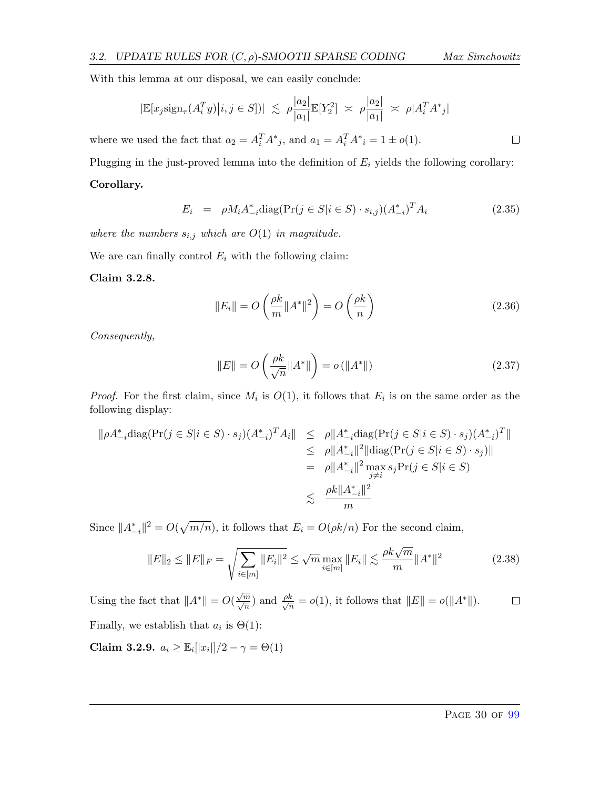$\Box$ 

With this lemma at our disposal, we can easily conclude:

$$
|\mathbb{E}[x_j \text{sign}_{\tau}(A_i^T y) | i, j \in S])| \leq \rho \frac{|a_2|}{|a_1|} \mathbb{E}[Y_2^2] \approx \rho \frac{|a_2|}{|a_1|} \approx \rho |A_i^T A^*_{j}|
$$

where we used the fact that  $a_2 = A_i^T A^*_{j}$ , and  $a_1 = A_i^T A^*_{i} = 1 \pm o(1)$ .

Plugging in the just-proved lemma into the definition of  $E_i$  yields the following corollary: Corollary.

$$
E_i = \rho M_i A_{-i}^* \text{diag}(\Pr(j \in S | i \in S) \cdot s_{i,j})(A_{-i}^*)^T A_i \tag{2.35}
$$

where the numbers  $s_{i,j}$  which are  $O(1)$  in magnitude.

We are can finally control  $E_i$  with the following claim:

#### <span id="page-30-1"></span>Claim 3.2.8.

$$
||E_i|| = O\left(\frac{\rho k}{m} ||A^*||^2\right) = O\left(\frac{\rho k}{n}\right)
$$
\n(2.36)

Consequently,

$$
||E|| = O\left(\frac{\rho k}{\sqrt{n}} ||A^*||\right) = o\left(||A^*||\right) \tag{2.37}
$$

*Proof.* For the first claim, since  $M_i$  is  $O(1)$ , it follows that  $E_i$  is on the same order as the following display:

$$
\| \rho A_{-i}^* \text{diag}(\Pr(j \in S | i \in S) \cdot s_j)(A_{-i}^*)^T A_i \| \leq \rho \| A_{-i}^* \text{diag}(\Pr(j \in S | i \in S) \cdot s_j)(A_{-i}^*)^T \|
$$
  
\n
$$
\leq \rho \| A_{-i}^* \|^2 \|\text{diag}(\Pr(j \in S | i \in S) \cdot s_j) \|
$$
  
\n
$$
= \rho \| A_{-i}^* \|^2 \max_{j \neq i} s_j \Pr(j \in S | i \in S)
$$
  
\n
$$
\leq \frac{\rho k \| A_{-i}^* \|^2}{m}
$$

Since  $||A_{-i}^*||^2 = O(\sqrt{m/n})$ , it follows that  $E_i = O(\rho k/n)$  For the second claim,

$$
||E||_2 \le ||E||_F = \sqrt{\sum_{i \in [m]} ||E_i||^2} \le \sqrt{m} \max_{i \in [m]} ||E_i|| \lesssim \frac{\rho k \sqrt{m}}{m} ||A^*||^2
$$
(2.38)

Using the fact that  $||A^*|| = O(\frac{\sqrt{m}}{\sqrt{n}})$  and  $\frac{\rho k}{\sqrt{n}} = o(1)$ , it follows that  $||E|| = o(||A^*||)$ .  $\Box$ Finally, we establish that  $a_i$  is  $\Theta(1)$ :

<span id="page-30-0"></span>Claim 3.2.9.  $a_i \geq \mathbb{E}_i[|x_i|]/2 - \gamma = \Theta(1)$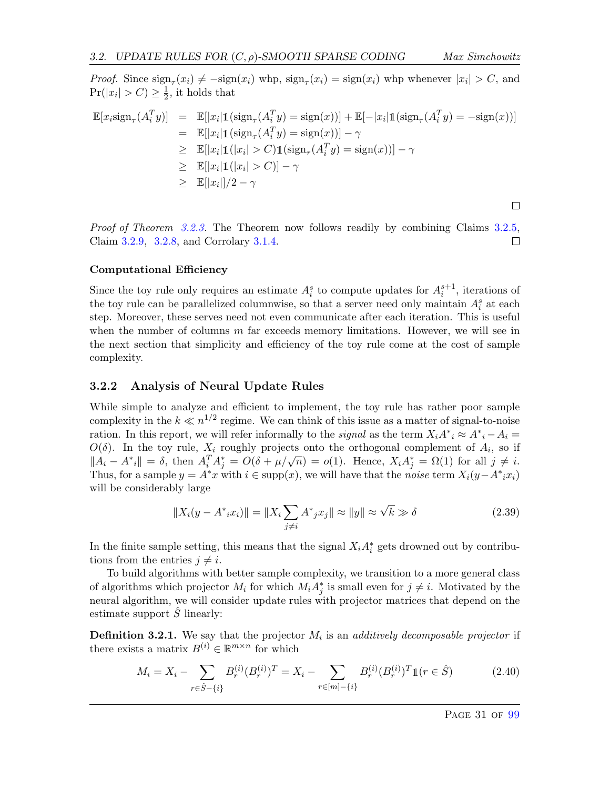$\Box$ 

*Proof.* Since  $\text{sign}_{\tau}(x_i) \neq -\text{sign}(x_i)$  whp,  $\text{sign}_{\tau}(x_i) = \text{sign}(x_i)$  whp whenever  $|x_i| > C$ , and  $Pr(|x_i| > C) \geq \frac{1}{2}$  $\frac{1}{2}$ , it holds that

$$
\mathbb{E}[x_i \text{sign}_{\tau}(A_i^T y)] = \mathbb{E}[|x_i| \mathbb{1}(\text{sign}_{\tau}(A_i^T y) = \text{sign}(x))] + \mathbb{E}[-|x_i| \mathbb{1}(\text{sign}_{\tau}(A_i^T y) = -\text{sign}(x))]
$$
  
\n
$$
= \mathbb{E}[|x_i| \mathbb{1}(\text{sign}_{\tau}(A_i^T y) = \text{sign}(x))] - \gamma
$$
  
\n
$$
\geq \mathbb{E}[|x_i| \mathbb{1}(|x_i| > C) \mathbb{1}(\text{sign}_{\tau}(A_i^T y) = \text{sign}(x))] - \gamma
$$
  
\n
$$
\geq \mathbb{E}[|x_i| \mathbb{1}(|x_i| > C)] - \gamma
$$
  
\n
$$
\geq \mathbb{E}[|x_i|]/2 - \gamma
$$

Proof of Theorem [3.2.3.](#page-27-1) The Theorem now follows readily by combining Claims [3.2.5,](#page-27-0) Claim [3.2.9,](#page-30-0) [3.2.8,](#page-30-1) and Corrolary [3.1.4.](#page-25-2)  $\Box$ 

#### Computational Efficiency

Since the toy rule only requires an estimate  $A_i^s$  to compute updates for  $A_i^{s+1}$ , iterations of the toy rule can be parallelized columnwise, so that a server need only maintain  $A_i^s$  at each step. Moreover, these serves need not even communicate after each iteration. This is useful when the number of columns  $m$  far exceeds memory limitations. However, we will see in the next section that simplicity and efficiency of the toy rule come at the cost of sample complexity.

#### <span id="page-31-0"></span>3.2.2 Analysis of Neural Update Rules

While simple to analyze and efficient to implement, the toy rule has rather poor sample complexity in the  $k \ll n^{1/2}$  regime. We can think of this issue as a matter of signal-to-noise ration. In this report, we will refer informally to the *signal* as the term  $X_i A^*_{i} \approx A^*_{i} - A_i =$  $O(\delta)$ . In the toy rule,  $X_i$  roughly projects onto the orthogonal complement of  $A_i$ , so if  $\mathcal{L}(\sigma)$ . In the toy rule,  $\Lambda_i$  roughly projects onto the orthogonal complement or  $A_i$ , so if  $||A_i - A^*i|| = \delta$ , then  $A_i^T A_j^* = O(\delta + \mu/\sqrt{n}) = o(1)$ . Hence,  $X_i A_j^* = \Omega(1)$  for all  $j \neq i$ . Thus, for a sample  $y = A^*x$  with  $i \in \text{supp}(x)$ , we will have that the *noise* term  $X_i(y - A^*x_i)$ will be considerably large

$$
||X_i(y - A^*ix_i)|| = ||X_i \sum_{j \neq i} A^*jx_j|| \approx ||y|| \approx \sqrt{k} \gg \delta
$$
 (2.39)

In the finite sample setting, this means that the signal  $X_i A_i^*$  gets drowned out by contributions from the entries  $i \neq i$ .

To build algorithms with better sample complexity, we transition to a more general class of algorithms which projector  $M_i$  for which  $M_i A_j^*$  is small even for  $j \neq i$ . Motivated by the neural algorithm, we will consider update rules with projector matrices that depend on the estimate support  $\hat{S}$  linearly:

**Definition 3.2.1.** We say that the projector  $M_i$  is an additively decomposable projector if there exists a matrix  $B^{(i)} \in \mathbb{R}^{m \times n}$  for which

$$
M_i = X_i - \sum_{r \in \hat{S} - \{i\}} B_r^{(i)} (B_r^{(i)})^T = X_i - \sum_{r \in [m] - \{i\}} B_r^{(i)} (B_r^{(i)})^T \mathbb{1}(r \in \hat{S})
$$
(2.40)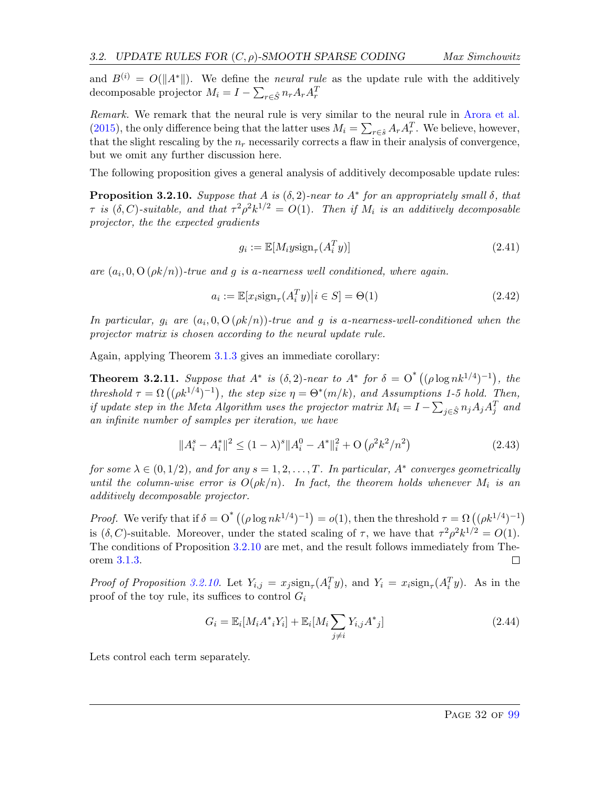and  $B^{(i)} = O(||A^*||)$ . We define the *neural rule* as the update rule with the additively decomposable projector  $M_i = I - \sum_{r \in \hat{S}} n_r A_r A_r^T$ 

Remark. We remark that the neural rule is very similar to the neural rule in [Arora et al.](#page-63-0) [\(2015\)](#page-63-0), the only difference being that the latter uses  $M_i = \sum_{r \in \hat{s}} A_r A_r^T$ . We believe, however, that the slight rescaling by the  $n_r$  necessarily corrects a flaw in their analysis of convergence, but we omit any further discussion here.

The following proposition gives a general analysis of additively decomposable update rules:

<span id="page-32-0"></span>**Proposition 3.2.10.** Suppose that A is  $(\delta, 2)$ -near to  $A^*$  for an appropriately small  $\delta$ , that  $\tau$  is  $(\delta, C)$ -suitable, and that  $\tau^2 \rho^2 k^{1/2} = O(1)$ . Then if  $M_i$  is an additively decomposable projector, the the expected gradients

$$
g_i := \mathbb{E}[M_i y \text{sign}_{\tau}(A_i^T y)] \tag{2.41}
$$

are  $(a_i, 0, O(\rho k/n))$ -true and g is a-nearness well conditioned, where again.

$$
a_i := \mathbb{E}[x_i \text{sign}_{\tau}(A_i^T y) | i \in S] = \Theta(1)
$$
\n(2.42)

In particular,  $g_i$  are  $(a_i, 0, O(\rho k/n))$ -true and g is a-nearness-well-conditioned when the projector matrix is chosen according to the neural update rule.

Again, applying Theorem [3.1.3](#page-24-5) gives an immediate corollary:

**Theorem 3.2.11.** Suppose that  $A^*$  is  $(\delta, 2)$ -near to  $A^*$  for  $\delta = O^*((\rho \log nk^{1/4})^{-1})$ , the threshold  $\tau = \Omega((\rho k^{1/4})^{-1})$ , the step size  $\eta = \Theta^*(m/k)$ , and Assumptions 1-5 hold. Then, if update step in the Meta Algorithm uses the projector matrix  $M_i = I - \sum_{j \in \hat{S}} n_j A_j A_j^T$  and an infinite number of samples per iteration, we have

$$
||A_i^s - A_i^*||^2 \le (1 - \lambda)^s ||A_i^0 - A^*||_i^2 + O\left(\rho^2 k^2 / n^2\right)
$$
\n(2.43)

for some  $\lambda \in (0,1/2)$ , and for any  $s = 1, 2, ..., T$ . In particular,  $A^*$  converges geometrically until the column-wise error is  $O(\rho k/n)$ . In fact, the theorem holds whenever  $M_i$  is an additively decomposable projector.

*Proof.* We verify that if  $\delta = O^{*}((\rho \log nk^{1/4})^{-1}) = o(1)$ , then the threshold  $\tau = \Omega((\rho k^{1/4})^{-1})$ is  $(\delta, C)$ -suitable. Moreover, under the stated scaling of  $\tau$ , we have that  $\tau^2 \rho^2 k^{1/2} = O(1)$ . The conditions of Proposition [3.2.10](#page-32-0) are met, and the result follows immediately from Theorem [3.1.3.](#page-24-5)

Proof of Proposition [3.2.10.](#page-32-0) Let  $Y_{i,j} = x_j \text{sign}_{\tau}(A_i^T y)$ , and  $Y_i = x_i \text{sign}_{\tau}(A_i^T y)$ . As in the proof of the toy rule, its suffices to control  $G_i$ 

$$
G_i = \mathbb{E}_i[M_i A^*_{i} Y_i] + \mathbb{E}_i[M_i \sum_{j \neq i} Y_{i,j} A^*_{j}]
$$
\n(2.44)

Lets control each term separately.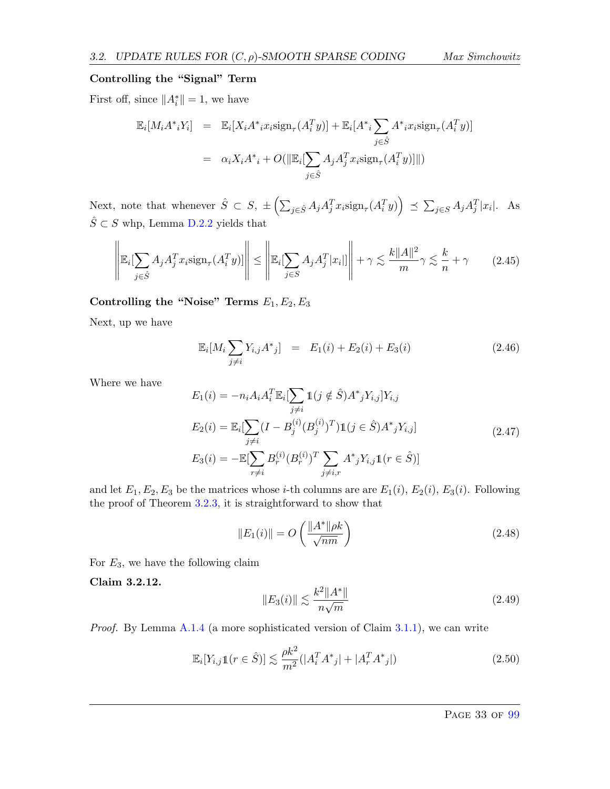#### Controlling the "Signal" Term

First off, since  $||A_i^*|| = 1$ , we have

$$
\mathbb{E}_{i}[M_{i}A^{*}Y_{i}] = \mathbb{E}_{i}[X_{i}A^{*}X_{i} \text{sign}_{\tau}(A_{i}^{T}y)] + \mathbb{E}_{i}[A^{*} \sum_{j \in \hat{S}} A^{*}X_{i} \text{sign}_{\tau}(A_{i}^{T}y)]
$$

$$
= \alpha_{i}X_{i}A^{*} + O(||\mathbb{E}_{i}[\sum_{j \in \hat{S}} A_{j}A_{j}^{T}X_{i} \text{sign}_{\tau}(A_{i}^{T}y)||))
$$

Next, note that whenever  $\hat{S} \subset S$ ,  $\pm \left( \sum_{j \in \hat{S}} A_j A_j^T x_i \text{sign}_{\tau}(A_i^T y) \right) \preceq \sum_{j \in S} A_j A_j^T |x_i|$ . As  $\hat{S} \subset S$  whp, Lemma [D.2.2](#page-98-1) yields that

$$
\left\| \mathbb{E}_i[\sum_{j \in \hat{S}} A_j A_j^T x_i \text{sign}_{\tau}(A_i^T y)] \right\| \le \left\| \mathbb{E}_i[\sum_{j \in S} A_j A_j^T |x_i|] \right\| + \gamma \lesssim \frac{k \|A\|^2}{m} \gamma \lesssim \frac{k}{n} + \gamma \tag{2.45}
$$

Controlling the "Noise" Terms  $E_1, E_2, E_3$ 

Next, up we have

$$
\mathbb{E}_i[M_i \sum_{j \neq i} Y_{i,j} A^*_{j}] = E_1(i) + E_2(i) + E_3(i)
$$
\n(2.46)

Where we have

$$
E_1(i) = -n_i A_i A_i^T \mathbb{E}_i \left[ \sum_{j \neq i} \mathbb{1}(j \notin \hat{S}) A^*_{j} Y_{i,j} \right] Y_{i,j}
$$
  
\n
$$
E_2(i) = \mathbb{E}_i \left[ \sum_{j \neq i} (I - B_j^{(i)} (B_j^{(i)})^T) \mathbb{1}(j \in \hat{S}) A^*_{j} Y_{i,j} \right]
$$
  
\n
$$
E_3(i) = -\mathbb{E} \left[ \sum_{r \neq i} B_r^{(i)} (B_r^{(i)})^T \sum_{j \neq i,r} A^*_{j} Y_{i,j} \mathbb{1}(r \in \hat{S}) \right]
$$
\n(2.47)

and let  $E_1, E_2, E_3$  be the matrices whose *i*-th columns are are  $E_1(i)$ ,  $E_2(i)$ ,  $E_3(i)$ . Following the proof of Theorem [3.2.3,](#page-27-1) it is straightforward to show that

$$
||E_1(i)|| = O\left(\frac{||A^*||\rho k}{\sqrt{nm}}\right)
$$
\n(2.48)

For  $E_3$ , we have the following claim

Claim 3.2.12.

$$
||E_3(i)|| \lesssim \frac{k^2 ||A^*||}{n\sqrt{m}}\tag{2.49}
$$

*Proof.* By Lemma [A.1.4](#page-69-0) (a more sophisticated version of Claim [3.1.1\)](#page-23-1), we can write

$$
\mathbb{E}_{i}[Y_{i,j}\mathbb{1}(r \in \hat{S})] \lesssim \frac{\rho k^2}{m^2} (|A_i^T A^*_{j}| + |A_r^T A^*_{j}|) \tag{2.50}
$$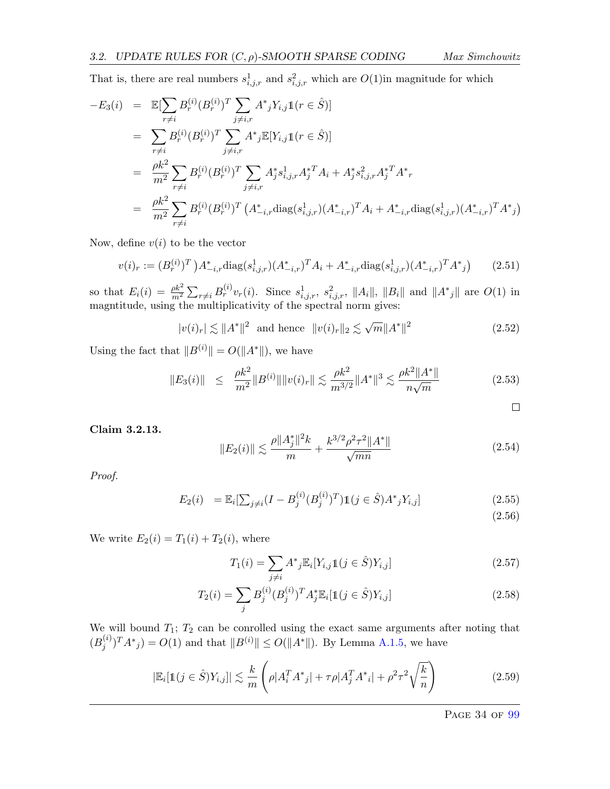That is, there are real numbers  $s^1_{i,j,r}$  and  $s^2_{i,j,r}$  which are  $O(1)$  in magnitude for which

$$
-E_3(i) = \mathbb{E}[\sum_{r \neq i} B_r^{(i)} (B_r^{(i)})^T \sum_{j \neq i,r} A^*_{j} Y_{i,j} \mathbb{1}(r \in \hat{S})]
$$
  
\n
$$
= \sum_{r \neq i} B_r^{(i)} (B_r^{(i)})^T \sum_{j \neq i,r} A^*_{j} \mathbb{E}[Y_{i,j} \mathbb{1}(r \in \hat{S})]
$$
  
\n
$$
= \frac{\rho k^2}{m^2} \sum_{r \neq i} B_r^{(i)} (B_r^{(i)})^T \sum_{j \neq i,r} A_j^* s_{i,j,r}^1 A_j^{*T} A_i + A_j^* s_{i,j,r}^2 A_j^{*T} A^*_{r}
$$
  
\n
$$
= \frac{\rho k^2}{m^2} \sum_{r \neq i} B_r^{(i)} (B_r^{(i)})^T (A_{-i,r}^* \text{diag}(s_{i,j,r}^1) (A_{-i,r}^*)^T A_i + A_{-i,r}^* \text{diag}(s_{i,j,r}^1) (A_{-i,r}^*)^T A^*_{j})
$$

Now, define  $v(i)$  to be the vector

$$
v(i)_r := (B_r^{(i)})^T \, A_{-i,r}^* \text{diag}(s_{i,j,r}^1)(A_{-i,r}^*)^T A_i + A_{-i,r}^* \text{diag}(s_{i,j,r}^1)(A_{-i,r}^*)^T A^*) \tag{2.51}
$$

so that  $E_i(i) = \frac{\rho k^2}{m^2} \sum_{r \neq i} B_r^{(i)} v_r(i)$ . Since  $s_{i,j,r}^1$ ,  $s_{i,j,r}^2$ ,  $||A_i||$ ,  $||B_i||$  and  $||A^*_{j}||$  are  $O(1)$  in magntitude, using the multiplicativity of the spectral norm gives:

$$
|v(i)_r| \lesssim ||A^*||^2
$$
 and hence  $||v(i)_r||_2 \lesssim \sqrt{m}||A^*||^2$  (2.52)

Using the fact that  $||B^{(i)}|| = O(||A^*||)$ , we have

$$
||E_3(i)|| \le \frac{\rho k^2}{m^2} ||B^{(i)}|| ||v(i)_r|| \lesssim \frac{\rho k^2}{m^{3/2}} ||A^*||^3 \lesssim \frac{\rho k^2 ||A^*||}{n\sqrt{m}}
$$
(2.53)

 $\Box$ 

Claim 3.2.13.

$$
||E_2(i)|| \lesssim \frac{\rho ||A_j^*||^2 k}{m} + \frac{k^{3/2} \rho^2 \tau^2 ||A^*||}{\sqrt{mn}} \tag{2.54}
$$

Proof.

$$
E_2(i) = \mathbb{E}_i[\sum_{j \neq i} (I - B_j^{(i)} (B_j^{(i)})^T) \mathbb{1}(j \in \hat{S}) A^*_{j} Y_{i,j}]
$$
\n(2.55)

(2.56)

We write  $E_2(i) = T_1(i) + T_2(i)$ , where

$$
T_1(i) = \sum_{j \neq i} A^*_{j} \mathbb{E}_i[Y_{i,j} \mathbb{1}(j \in \hat{S}) Y_{i,j}]
$$
\n(2.57)

$$
T_2(i) = \sum_j B_j^{(i)} (B_j^{(i)})^T A_j^* \mathbb{E}_i[\mathbb{1}(j \in \hat{S}) Y_{i,j}]
$$
\n(2.58)

We will bound  $T_1$ ;  $T_2$  can be conrolled using the exact same arguments after noting that  $(B_i^{(i)}$  $j^{(i)}$ ) $T A^*_{j}$  =  $O(1)$  and that  $||B^{(i)}|| \leq O(||A^*||)$ . By Lemma [A.1.5,](#page-70-0) we have

$$
|\mathbb{E}_{i}[\mathbb{1}(j \in \hat{S})Y_{i,j}]| \lesssim \frac{k}{m} \left( \rho |A_{i}^{T} A_{j}^{*}| + \tau \rho |A_{j}^{T} A_{i}^{*}| + \rho^{2} \tau^{2} \sqrt{\frac{k}{n}} \right)
$$
(2.59)

PAGE 34 OF [99](#page-99-0)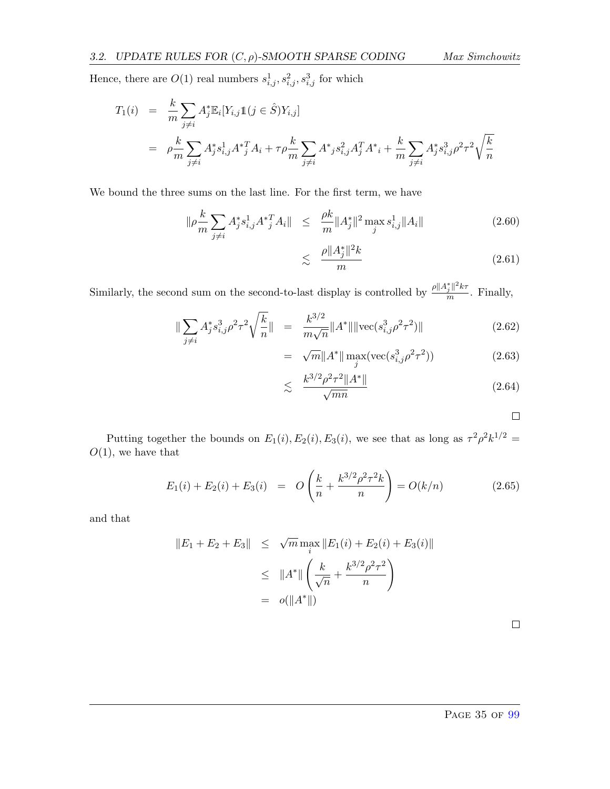Hence, there are  $O(1)$  real numbers  $s_{i,j}^1, s_{i,j}^2, s_{i,j}^3$  for which

$$
T_1(i) = \frac{k}{m} \sum_{j \neq i} A_j^* \mathbb{E}_i[Y_{i,j} \mathbb{1}(j \in \hat{S}) Y_{i,j}]
$$
  
=  $\rho \frac{k}{m} \sum_{j \neq i} A_j^* s_{i,j}^1 A^* \mathbb{1}^T A_i + \tau \rho \frac{k}{m} \sum_{j \neq i} A^* \mathbb{1}^2 s_{i,j}^2 A_j^T A^* \mathbb{1} + \frac{k}{m} \sum_{j \neq i} A_j^* s_{i,j}^3 \rho^2 \tau^2 \sqrt{\frac{k}{n}}$ 

We bound the three sums on the last line. For the first term, we have

$$
\|\rho \frac{k}{m} \sum_{j \neq i} A_j^* s_{i,j}^1 A_j^{*T} A_i\| \leq \frac{\rho k}{m} \|A_j^*\|^2 \max_j s_{i,j}^1 \|A_i\| \tag{2.60}
$$

$$
\lesssim \frac{\rho \|A_j^*\|^2 k}{m} \tag{2.61}
$$

Similarly, the second sum on the second-to-last display is controlled by  $\frac{\rho ||A_j^*||^2 k \tau}{m}$  $\frac{j}{m}$ . Finally,

$$
\|\sum_{j\neq i} A_j^* s_{i,j}^3 \rho^2 \tau^2 \sqrt{\frac{k}{n}} \| = \frac{k^{3/2}}{m\sqrt{n}} \|A^*\| \|\text{vec}(s_{i,j}^3 \rho^2 \tau^2)\|
$$
\n(2.62)

$$
= \sqrt{m} \|A^*\| \max_{j} (\text{vec}(s_{i,j}^3 \rho^2 \tau^2))
$$
 (2.63)

$$
\lesssim \frac{k^{3/2}\rho^2\tau^2\|A^*\|}{\sqrt{mn}}\tag{2.64}
$$

 $\Box$ 

Putting together the bounds on  $E_1(i), E_2(i), E_3(i)$ , we see that as long as  $\tau^2 \rho^2 k^{1/2} =$  $O(1)$ , we have that

$$
E_1(i) + E_2(i) + E_3(i) = O\left(\frac{k}{n} + \frac{k^{3/2}\rho^2 \tau^2 k}{n}\right) = O(k/n)
$$
\n(2.65)

and that

$$
||E_1 + E_2 + E_3|| \leq \sqrt{m} \max_i ||E_1(i) + E_2(i) + E_3(i)||
$$
  
\n
$$
\leq ||A^*|| \left( \frac{k}{\sqrt{n}} + \frac{k^{3/2} \rho^2 \tau^2}{n} \right)
$$
  
\n
$$
= o(||A^*||)
$$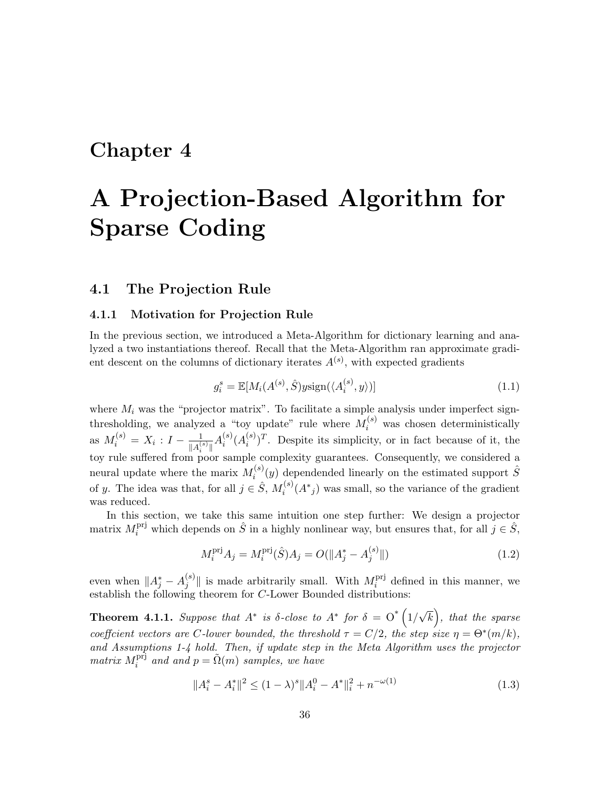# Chapter 4

# A Projection-Based Algorithm for Sparse Coding

# 4.1 The Projection Rule

### 4.1.1 Motivation for Projection Rule

In the previous section, we introduced a Meta-Algorithm for dictionary learning and analyzed a two instantiations thereof. Recall that the Meta-Algorithm ran approximate gradient descent on the columns of dictionary iterates  $A^{(s)}$ , with expected gradients

$$
g_i^s = \mathbb{E}[M_i(A^{(s)}, \hat{S})y \text{sign}(\langle A_i^{(s)}, y \rangle)] \tag{1.1}
$$

where  $M_i$  was the "projector matrix". To facilitate a simple analysis under imperfect signthresholding, we analyzed a "toy update" rule where  $M_i^{(s)}$  was chosen deterministically as  $M_i^{(s)} = X_i : I - \frac{1}{\|A\|^2}$  $\frac{1}{\|A_i^{(s)}\|}A_i^{(s)}$  $\binom{s}{i}(A_i^{(s)})$  $\binom{s}{i}$ . Despite its simplicity, or in fact because of it, the toy rule suffered from poor sample complexity guarantees. Consequently, we considered a neural update where the marix  $M_i^{(s)}$  $i^{(s)}(y)$  dependended linearly on the estimated support  $\hat{S}$ of y. The idea was that, for all  $j \in \hat{S}$ ,  $M_i^{(s)}$  $i^{(s)}(A^*j)$  was small, so the variance of the gradient was reduced.

In this section, we take this same intuition one step further: We design a projector matrix  $M_i^{\text{pri}}$  which depends on  $\hat{S}$  in a highly nonlinear way, but ensures that, for all  $j \in \hat{S}$ ,

$$
M_i^{\text{pri}} A_j = M_i^{\text{pri}} (\hat{S}) A_j = O(||A_j^* - A_j^{(s)}||)
$$
\n(1.2)

even when  $||A_j^* - A_j^{(s)}||$  $\|f_j^{(s)}\|$  is made arbitrarily small. With  $M_i^{\text{pri}}$  $i$ <sup>prj</sup> defined in this manner, we establish the following theorem for C-Lower Bounded distributions:

<span id="page-36-0"></span>**Theorem 4.1.1.** Suppose that  $A^*$  is  $\delta$ -close to  $A^*$  for  $\delta = O^* (1/$ √  $\overline{k}$ , that the sparse coefficient vectors are C-lower bounded, the threshold  $\tau = C/2$ , the step size  $\eta = \Theta^*(m/k)$ , and Assumptions 1-4 hold. Then, if update step in the Meta Algorithm uses the projector  $matrix M_i^{\text{pri}}$  $i_i^{\text{pri}}$  and and  $p = \tilde{\Omega}(m)$  samples, we have

$$
||A_i^s - A_i^*||^2 \le (1 - \lambda)^s ||A_i^0 - A^*||_i^2 + n^{-\omega(1)}
$$
\n(1.3)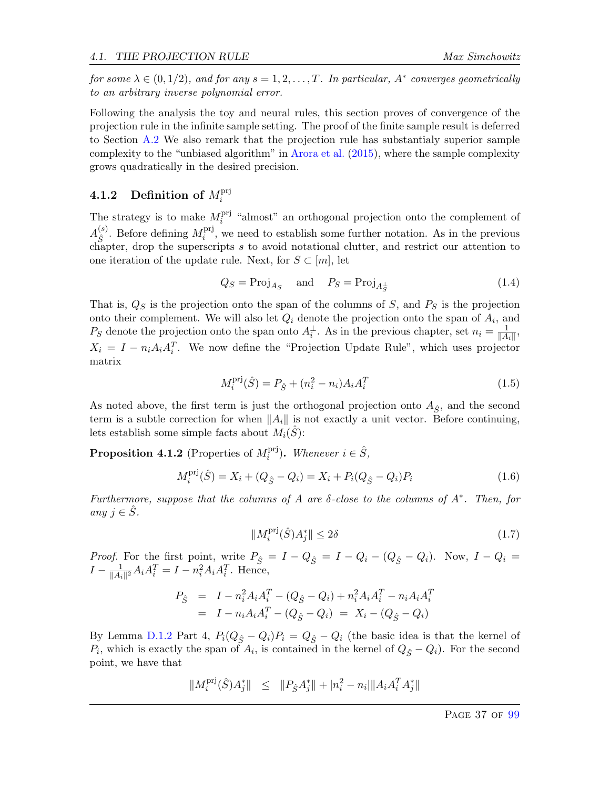for some  $\lambda \in (0,1/2)$ , and for any  $s = 1, 2, ..., T$ . In particular,  $A^*$  converges geometrically to an arbitrary inverse polynomial error.

Following the analysis the toy and neural rules, this section proves of convergence of the projection rule in the infinite sample setting. The proof of the finite sample result is deferred to Section [A.2](#page-72-0) We also remark that the projection rule has substantialy superior sample complexity to the "unbiased algorithm" in [Arora et al.](#page-63-0) [\(2015\)](#page-63-0), where the sample complexity grows quadratically in the desired precision.

#### **4.1.2** Definition of  $M_i^{\text{pri}}$ i

The strategy is to make  $M_i^{\text{pri}}$  $i$ <sup>prj</sup> "almost" an orthogonal projection onto the complement of  $A_{\hat{\alpha}}^{(s)}$ <sup>(s)</sup>. Before defining  $M_i^{\text{prj}}$  $i<sup>prj</sup>$ , we need to establish some further notation. As in the previous chapter, drop the superscripts  $s$  to avoid notational clutter, and restrict our attention to one iteration of the update rule. Next, for  $S \subset [m]$ , let

$$
Q_S = \text{Proj}_{A_S} \quad \text{and} \quad P_S = \text{Proj}_{A_S^{\perp}} \tag{1.4}
$$

That is,  $Q_S$  is the projection onto the span of the columns of  $S$ , and  $P_S$  is the projection onto their complement. We will also let  $Q_i$  denote the projection onto the span of  $A_i$ , and Ps denote the projection onto the span onto  $A_i^{\perp}$ . As in the previous chapter, set  $n_i = \frac{1}{\|A\|}$  $\frac{1}{\|A_i\|},$  $X_i = I - n_i A_i A_i^T$ . We now define the "Projection Update Rule", which uses projector matrix

$$
M_i^{\text{pri}}(\hat{S}) = P_{\hat{S}} + (n_i^2 - n_i)A_i A_i^T
$$
\n(1.5)

As noted above, the first term is just the orthogonal projection onto  $A_{\hat{S}}$ , and the second term is a subtle correction for when  $||A_i||$  is not exactly a unit vector. Before continuing, lets establish some simple facts about  $M_i(S)$ :

<span id="page-37-0"></span>**Proposition 4.1.2** (Properties of  $M_i^{\text{pri}}$  $i^{\text{pri}}$ ). Whenever  $i \in \hat{S}$ ,

$$
M_i^{\text{pri}}(\hat{S}) = X_i + (Q_{\hat{S}} - Q_i) = X_i + P_i(Q_{\hat{S}} - Q_i)P_i
$$
\n(1.6)

Furthermore, suppose that the columns of A are  $\delta$ -close to the columns of  $A^*$ . Then, for any  $i \in \tilde{S}$ .

$$
||M_i^{\text{pri}}(\hat{S})A_j^*|| \le 2\delta \tag{1.7}
$$

*Proof.* For the first point, write  $P_{\hat{S}} = I - Q_{\hat{S}} = I - Q_i - (Q_{\hat{S}} - Q_i)$ . Now,  $I - Q_i =$  $I - \frac{1}{\ln 4}$  $\frac{1}{\|A_i\|^2}A_iA_i^T = I - n_i^2A_iA_i^T$ . Hence,

$$
P_{\hat{S}} = I - n_i^2 A_i A_i^T - (Q_{\hat{S}} - Q_i) + n_i^2 A_i A_i^T - n_i A_i A_i^T
$$
  
=  $I - n_i A_i A_i^T - (Q_{\hat{S}} - Q_i) = X_i - (Q_{\hat{S}} - Q_i)$ 

By Lemma [D.1.2](#page-97-0) Part 4,  $P_i(Q_{\hat{S}} - Q_i)P_i = Q_{\hat{S}} - Q_i$  (the basic idea is that the kernel of  $P_i$ , which is exactly the span of  $A_i$ , is contained in the kernel of  $Q_{\hat{S}} - Q_i$ ). For the second point, we have that

$$
\|M_i^{\text{pri}}(\hat{S})A_j^*\| \quad \leq \quad \|P_{\hat{S}}A_j^*\| + |n_i^2 - n_i| \|A_iA_i^T A_j^*\|
$$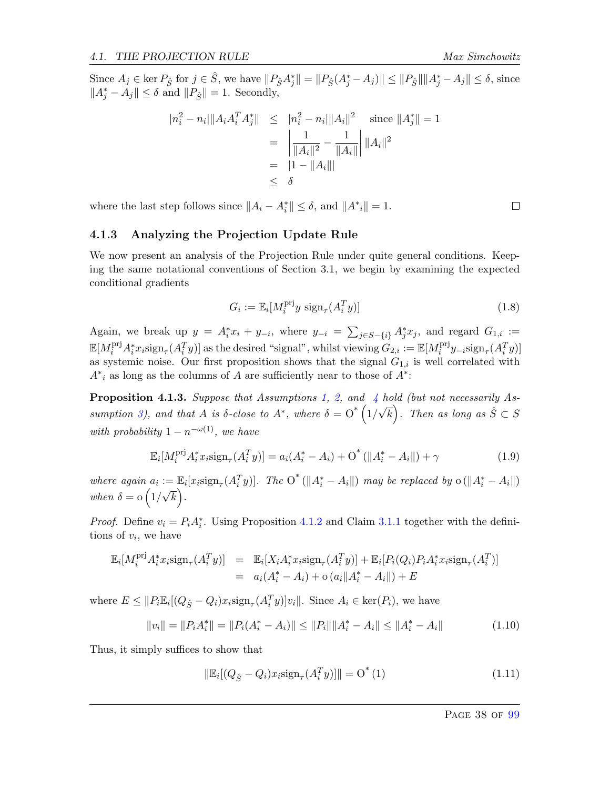Since  $A_j \in \text{ker } P_{\hat{S}}$  for  $j \in \hat{S}$ , we have  $||P_{\hat{S}}A_j^*|| = ||P_{\hat{S}}(A_j^* - A_j)|| \le ||P_{\hat{S}}||||A_j^* - A_j|| \le \delta$ , since  $||A_j^* - A_j|| \le \delta$  and  $||P_{\hat{S}}|| = 1$ . Secondly,

$$
|n_i^2 - n_i| \|A_i A_i^T A_j^* \| \leq |n_i^2 - n_i| \|A_i\|^2 \quad \text{since } \|A_j^*\| = 1
$$
  
= 
$$
\left| \frac{1}{\|A_i\|^2} - \frac{1}{\|A_i\|} \right| \|A_i\|^2
$$
  
= 
$$
|1 - \|A_i\|
$$
  

$$
\leq \delta
$$

where the last step follows since  $||A_i - A_i^*|| \le \delta$ , and  $||A^*i|| = 1$ .

## 4.1.3 Analyzing the Projection Update Rule

We now present an analysis of the Projection Rule under quite general conditions. Keeping the same notational conventions of Section 3.1, we begin by examining the expected conditional gradients

$$
G_i := \mathbb{E}_i[M_i^{\text{pri}}y \text{ sign}_{\tau}(A_i^T y)] \tag{1.8}
$$

Again, we break up  $y = A_i^* x_i + y_{-i}$ , where  $y_{-i} = \sum_{j \in S - \{i\}} A_j^* x_j$ , and regard  $G_{1,i} :=$  $\mathbb{E}[M_i^{\text{pri}}A_i^*x_i\text{sign}_{\tau}(A_i^Ty)]$  as the desired "signal", whilst viewing  $G_{2,i} := \mathbb{E}[M_i^{\text{pri}}]$  $\lim_i^{\text{prj}} y_{-i} \text{sign}_{\tau}(A_i^T y)$ as systemic noise. Our first proposition shows that the signal  $G_{1,i}$  is well correlated with  $A^*$ <sub>i</sub> as long as the columns of A are sufficiently near to those of  $A^*$ :

<span id="page-38-1"></span>**Proposition [4](#page-11-0).1.3.** Suppose that Assumptions [1,](#page-10-0) [2,](#page-10-1) and 4 hold (but not necessarily As-sumption [3\)](#page-11-1), and that A is  $\delta$ -close to  $A^*$ , where  $\delta = \text{O}^*$   $\left(1\right)$ √  $\overline{k}$ ). Then as long as  $\hat{S} \subset S$ with probability  $1 - n^{-\omega(1)}$ , we have

$$
\mathbb{E}_{i}[M_{i}^{\text{pri}}A_{i}^{*}x_{i}\text{sign}_{\tau}(A_{i}^{T}y)] = a_{i}(A_{i}^{*}-A_{i}) + O^{*}(\|A_{i}^{*}-A_{i}\|) + \gamma
$$
\n(1.9)

where again  $a_i := \mathbb{E}_i[x_i \text{sign}_{\tau}(A_i^T y)].$  The  $O^*(\|A_i^* - A_i\|)$  may be replaced by  $o(\|A_i^* - A_i\|)$ when  $\delta = o(1/\sqrt{k})$ .

*Proof.* Define  $v_i = P_i A_i^*$ . Using Proposition [4.1.2](#page-37-0) and Claim [3.1.1](#page-23-0) together with the definitions of  $v_i$ , we have

$$
\mathbb{E}_i[M_i^{\text{pri}}A_i^*x_i\text{sign}_{\tau}(A_i^T y)] = \mathbb{E}_i[X_iA_i^*x_i\text{sign}_{\tau}(A_i^T y)] + \mathbb{E}_i[P_i(Q_i)P_iA_i^*x_i\text{sign}_{\tau}(A_i^T)]
$$
  
=  $a_i(A_i^* - A_i) + o(a_i||A_i^* - A_i||) + E$ 

where  $E \leq ||P_i \mathbb{E}_i[(Q_{\hat{S}} - Q_i)x_i \text{sign}_{\tau}(A_i^T y)]v_i||$ . Since  $A_i \in \text{ker}(P_i)$ , we have

$$
||v_i|| = ||P_i A_i^*|| = ||P_i (A_i^* - A_i)|| \le ||P_i|| ||A_i^* - A_i|| \le ||A_i^* - A_i|| \tag{1.10}
$$

Thus, it simply suffices to show that

<span id="page-38-0"></span>
$$
\|\mathbb{E}_i[(Q_{\hat{S}} - Q_i)x_i \text{sign}_\tau(A_i^T y)]\| = O^*(1)
$$
\n(1.11)

 $\Box$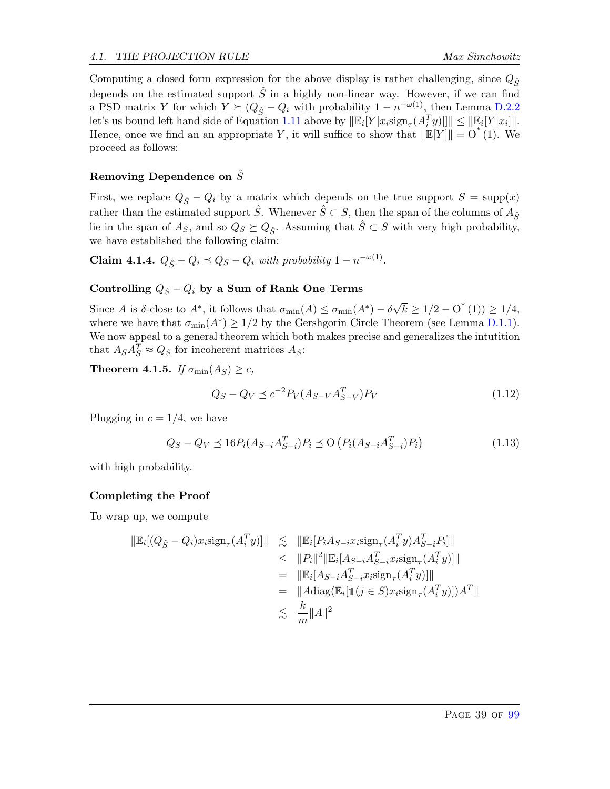Computing a closed form expression for the above display is rather challenging, since  $Q_{\hat{\mathcal{S}}}$ depends on the estimated support  $\hat{S}$  in a highly non-linear way. However, if we can find a PSD matrix Y for which  $Y \succeq (Q_{\hat{S}} - Q_i)$  with probability  $1 - n^{-\omega(1)}$ , then Lemma [D.2.2](#page-98-0) let's us bound left hand side of Equation [1.11](#page-38-0) above by  $\|\mathbb{E}_i[Y|x_i\text{sign}_\tau(A_i^T y)]\| \le \|\mathbb{E}_i[Y|x_i]\|.$ Hence, once we find an an appropriate Y, it will suffice to show that  $\|\mathbb{E}[Y]\| = O^*(1)$ . We proceed as follows:

# Removing Dependence on  $\hat{S}$

First, we replace  $Q_{\hat{S}} - Q_i$  by a matrix which depends on the true support  $S = \text{supp}(x)$ rather than the estimated support  $\hat{S}$ . Whenever  $\hat{S} \subset S$ , then the span of the columns of  $A_{\hat{S}}$ lie in the span of  $A_S$ , and so  $Q_S \succeq Q_{\hat{S}}$ . Assuming that  $\hat{S} \subset S$  with very high probability, we have established the following claim:

**Claim 4.1.4.**  $Q_{\hat{S}} - Q_i \preceq Q_S - Q_i$  with probability  $1 - n^{-\omega(1)}$ .

# Controlling  $Q_S - Q_i$  by a Sum of Rank One Terms

Since A is  $\delta$ -close to  $A^*$ , it follows that  $\sigma_{\min}(A) \leq \sigma_{\min}(A^*) - \delta$ √  $\overline{k} \geq 1/2 - O^{*}(1) \geq 1/4,$ where we have that  $\sigma_{\min}(A^*) \ge 1/2$  by the Gershgorin Circle Theorem (see Lemma [D.1.1\)](#page-96-0). We now appeal to a general theorem which both makes precise and generalizes the intutition that  $A_S A_S^T \approx Q_S$  for incoherent matrices  $A_S$ :

**Theorem 4.1.5.** If  $\sigma_{\min}(A_S) \geq c$ ,

$$
Q_S - Q_V \le c^{-2} P_V (A_{S-V} A_{S-V}^T) P_V \tag{1.12}
$$

Plugging in  $c = 1/4$ , we have

$$
Q_S - Q_V \preceq 16P_i(A_{S-i}A_{S-i}^T)P_i \preceq O\left(P_i(A_{S-i}A_{S-i}^T)P_i\right)
$$
\n(1.13)

with high probability.

# Completing the Proof

To wrap up, we compute

$$
\|\mathbb{E}_{i}[(Q_{\hat{S}} - Q_{i})x_{i}\text{sign}_{\tau}(A_{i}^{T}y)]\| \leq \|\mathbb{E}_{i}[P_{i}A_{S-i}x_{i}\text{sign}_{\tau}(A_{i}^{T}y)A_{S-i}^{T}P_{i}]\|
$$
  
\n
$$
\leq \|P_{i}\|^{2}\|\mathbb{E}_{i}[A_{S-i}A_{S-i}^{T}x_{i}\text{sign}_{\tau}(A_{i}^{T}y)]\|
$$
  
\n
$$
= \|\mathbb{E}_{i}[A_{S-i}A_{S-i}^{T}x_{i}\text{sign}_{\tau}(A_{i}^{T}y)]\|
$$
  
\n
$$
= \|A\text{diag}(\mathbb{E}_{i}[\mathbb{1}(j \in S)x_{i}\text{sign}_{\tau}(A_{i}^{T}y)])A^{T}\|
$$
  
\n
$$
\leq \frac{k}{m}\|A\|^{2}
$$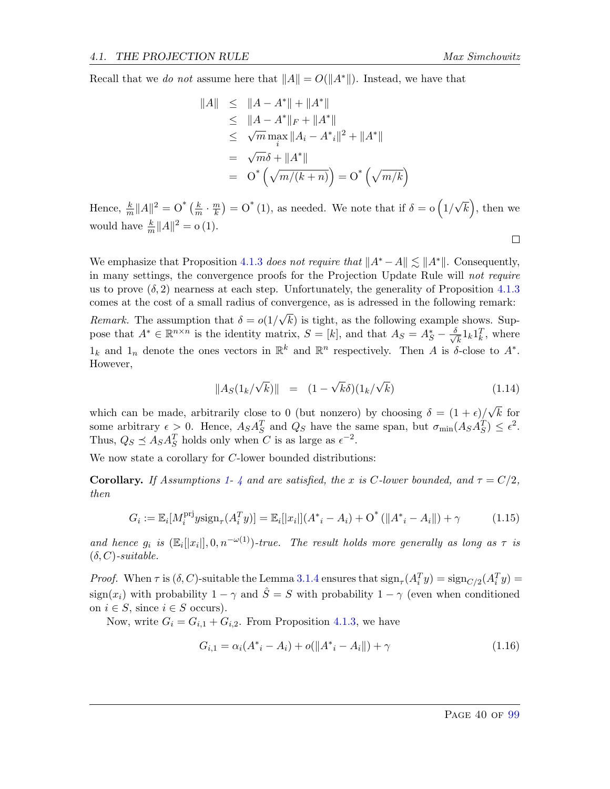$\Box$ 

Recall that we do not assume here that  $||A|| = O(||A^*||)$ . Instead, we have that

$$
||A|| \le ||A - A^*|| + ||A^*||
$$
  
\n
$$
\le ||A - A^*||_F + ||A^*||
$$
  
\n
$$
\le \sqrt{m} \max_{i} ||A_i - A^*i||^2 + ||A^*||
$$
  
\n
$$
= \sqrt{m}\delta + ||A^*||
$$
  
\n
$$
= O^* \left( \sqrt{m/(k+n)} \right) = O^* \left( \sqrt{m/k} \right)
$$

Hence,  $\frac{k}{m} ||A||^2 = O^* \left( \frac{k}{m} \right)$  $\frac{k}{m} \cdot \frac{m}{k}$  $\left(\frac{m}{k}\right) = O^*(1)$ , as needed. We note that if  $\delta = o(1/2)$ √  $\overline{k}$ , then we would have  $\frac{k}{m}||A||^2 = o(1)$ .

We emphasize that Proposition [4.1.3](#page-38-1) does not require that  $||A^* - A|| \le ||A^*||$ . Consequently, in many settings, the convergence proofs for the Projection Update Rule will not require us to prove  $(\delta, 2)$  nearness at each step. Unfortunately, the generality of Proposition [4.1.3](#page-38-1) comes at the cost of a small radius of convergence, as is adressed in the following remark: *Remark*. The assumption that  $\delta = o(1)$ √  $k$ ) is tight, as the following example shows. Suppose that  $A^* \in \mathbb{R}^{n \times n}$  is the identity matrix,  $S = [k]$ , and that  $A_S = A_S^* - \frac{\delta}{\sqrt{n}}$  $\frac{1}{k} 1_k 1_k^T$ , where  $1_k$  and  $1_n$  denote the ones vectors in  $\mathbb{R}^k$  and  $\mathbb{R}^n$  respectively. Then A is  $\delta$ -close to  $A^*$ . However,

$$
||A_S(1_k/\sqrt{k})|| = (1 - \sqrt{k}\delta)(1_k/\sqrt{k})
$$
\n(1.14)

which can be made, arbitrarily close to 0 (but nonzero) by choosing  $\delta = (1 + \epsilon)$ √  $k$  for some arbitrary  $\epsilon > 0$ . Hence,  $A_S A_S^T$  and  $Q_S$  have the same span, but  $\sigma_{\min}(A_S A_S^T) \leq \epsilon^2$ . Thus,  $Q_S \preceq A_S A_S^T$  holds only when C is as large as  $\epsilon^{-2}$ .

We now state a corollary for C-lower bounded distributions:

**Corollary.** If Assumptions [1-](#page-10-0) [4](#page-11-0) and are satisfied, the x is C-lower bounded, and  $\tau = C/2$ , then

$$
G_i := \mathbb{E}_i[M_i^{\text{pri}}y \text{sign}_{\tau}(A_i^T y)] = \mathbb{E}_i[|x_i|](A^*_{\;i} - A_i) + O^* \left( \|A^*_{\;i} - A_i \| \right) + \gamma \tag{1.15}
$$

and hence  $g_i$  is  $(\mathbb{E}_i[[x_i]], 0, n^{-\omega(1)})$ -true. The result holds more generally as long as  $\tau$  is  $(\delta, C)$ -suitable.

Proof. When  $\tau$  is  $(\delta, C)$ -suitable the Lemma [3.1.4](#page-25-0) ensures that  $\text{sign}_{\tau}(A_i^T y) = \text{sign}_{C/2}(A_i^T y)$ sign(x<sub>i</sub>) with probability  $1 - \gamma$  and  $\hat{S} = S$  with probability  $1 - \gamma$  (even when conditioned on  $i \in S$ , since  $i \in S$  occurs).

Now, write  $G_i = G_{i,1} + G_{i,2}$ . From Proposition [4.1.3,](#page-38-1) we have

$$
G_{i,1} = \alpha_i (A^* - A_i) + o(||A^* - A_i||) + \gamma
$$
\n(1.16)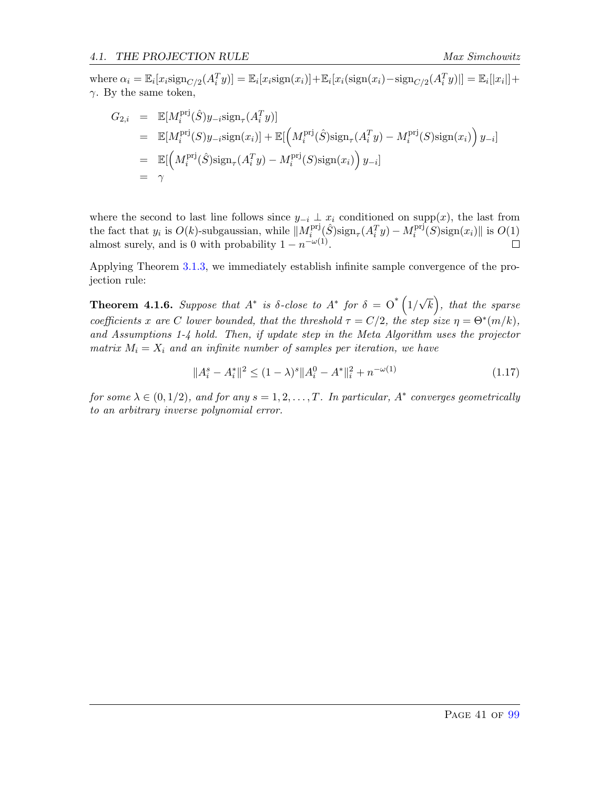where  $\alpha_i = \mathbb{E}_i[x_i \text{sign}_{C/2}(A_i^T y)] = \mathbb{E}_i[x_i \text{sign}(x_i)] + \mathbb{E}_i[x_i(\text{sign}(x_i) - \text{sign}_{C/2}(A_i^T y)]] = \mathbb{E}_i[|x_i|] +$  $\gamma$ . By the same token,

$$
G_{2,i} = \mathbb{E}[M_i^{\text{pri}}(\hat{S})y_{-i}\text{sign}_{\tau}(A_i^T y)]
$$
  
\n
$$
= \mathbb{E}[M_i^{\text{pri}}(S)y_{-i}\text{sign}(x_i)] + \mathbb{E}[\left(M_i^{\text{pri}}(\hat{S})\text{sign}_{\tau}(A_i^T y) - M_i^{\text{pri}}(S)\text{sign}(x_i)\right)y_{-i}]
$$
  
\n
$$
= \mathbb{E}[\left(M_i^{\text{pri}}(\hat{S})\text{sign}_{\tau}(A_i^T y) - M_i^{\text{pri}}(S)\text{sign}(x_i)\right)y_{-i}]
$$
  
\n
$$
= \gamma
$$

where the second to last line follows since  $y_{-i} \perp x_i$  conditioned on supp(x), the last from the fact that  $y_i$  is  $O(k)$ -subgaussian, while  $||M_i^{\text{pri}}||$  $\lim_{i} \left( \hat{S} \right)$ sign<sub> $\tau$ </sub> $(A_i^T y) - M_i^{\text{prj}}$  $\lim_{i} [S]$ sign $(x_i)$ || is  $O(1)$ almost surely, and is 0 with probability  $1 - n^{-\omega(1)}$ .

Applying Theorem [3.1.3,](#page-24-0) we immediately establish infinite sample convergence of the projection rule:

**Theorem 4.1.6.** Suppose that  $A^*$  is  $\delta$ -close to  $A^*$  for  $\delta = O^* (1/$ √  $\overline{k}$ , that the sparse coefficients x are C lower bounded, that the threshold  $\tau = C/2$ , the step size  $\eta = \Theta^*(m/k)$ , and Assumptions 1-4 hold. Then, if update step in the Meta Algorithm uses the projector matrix  $M_i = X_i$  and an infinite number of samples per iteration, we have

$$
||A_i^s - A_i^*||^2 \le (1 - \lambda)^s ||A_i^0 - A^*||_i^2 + n^{-\omega(1)}
$$
\n(1.17)

for some  $\lambda \in (0,1/2)$ , and for any  $s = 1, 2, ..., T$ . In particular,  $A^*$  converges geometrically to an arbitrary inverse polynomial error.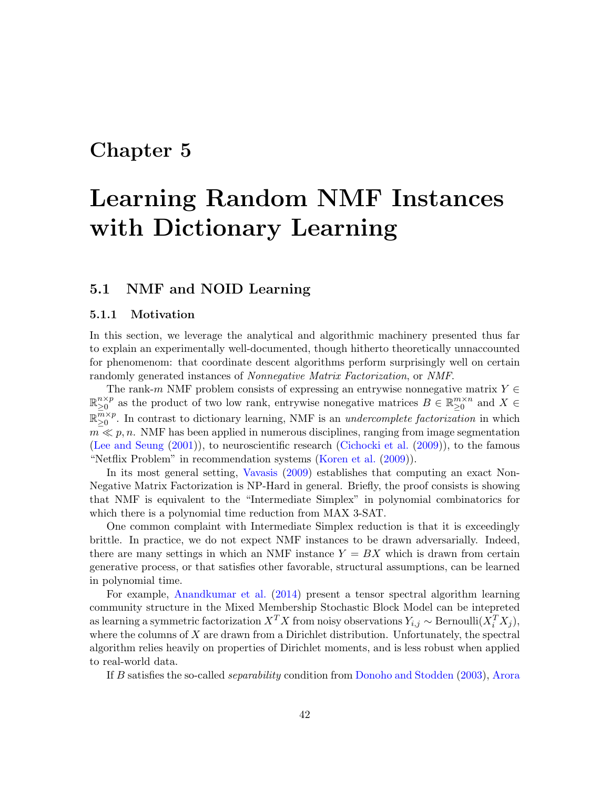# Chapter 5

# Learning Random NMF Instances with Dictionary Learning

# 5.1 NMF and NOID Learning

### 5.1.1 Motivation

In this section, we leverage the analytical and algorithmic machinery presented thus far to explain an experimentally well-documented, though hitherto theoretically unnaccounted for phenomenom: that coordinate descent algorithms perform surprisingly well on certain randomly generated instances of Nonnegative Matrix Factorization, or NMF.

The rank-m NMF problem consists of expressing an entrywise nonnegative matrix  $Y \in$  $\mathbb{R}^{n \times p}_{\geq 0}$  $\sum_{n=0}^{n \times p}$  as the product of two low rank, entrywise nonegative matrices  $B \in \mathbb{R}_{\geq 0}^{m \times n}$  and  $X \in$  $\mathbb{R}^{\overline{m}\times p}$  $_{\geq 0}^{m \times p}$ . In contrast to dictionary learning, NMF is an *undercomplete factorization* in which  $m \ll p, n$ . NMF has been applied in numerous disciplines, ranging from image segmentation [\(Lee and Seung](#page-64-0) [\(2001\)](#page-64-0)), to neuroscientific research [\(Cichocki et al.](#page-64-1) [\(2009\)](#page-64-1)), to the famous "Netflix Problem" in recommendation systems [\(Koren et al.](#page-64-2) [\(2009\)](#page-64-2)).

In its most general setting, [Vavasis](#page-65-0) [\(2009\)](#page-65-0) establishes that computing an exact Non-Negative Matrix Factorization is NP-Hard in general. Briefly, the proof consists is showing that NMF is equivalent to the "Intermediate Simplex" in polynomial combinatorics for which there is a polynomial time reduction from MAX 3-SAT.

One common complaint with Intermediate Simplex reduction is that it is exceedingly brittle. In practice, we do not expect NMF instances to be drawn adversarially. Indeed, there are many settings in which an NMF instance  $Y = BX$  which is drawn from certain generative process, or that satisfies other favorable, structural assumptions, can be learned in polynomial time.

For example, [Anandkumar et al.](#page-63-1) [\(2014\)](#page-63-1) present a tensor spectral algorithm learning community structure in the Mixed Membership Stochastic Block Model can be intepreted as learning a symmetric factorization  $X^T X$  from noisy observations  $Y_{i,j} \sim \text{Bernoulli}(X_i^T X_j)$ , where the columns of  $X$  are drawn from a Dirichlet distribution. Unfortunately, the spectral algorithm relies heavily on properties of Dirichlet moments, and is less robust when applied to real-world data.

If B satisfies the so-called separability condition from [Donoho and Stodden](#page-64-3) [\(2003\)](#page-64-3), [Arora](#page-63-2)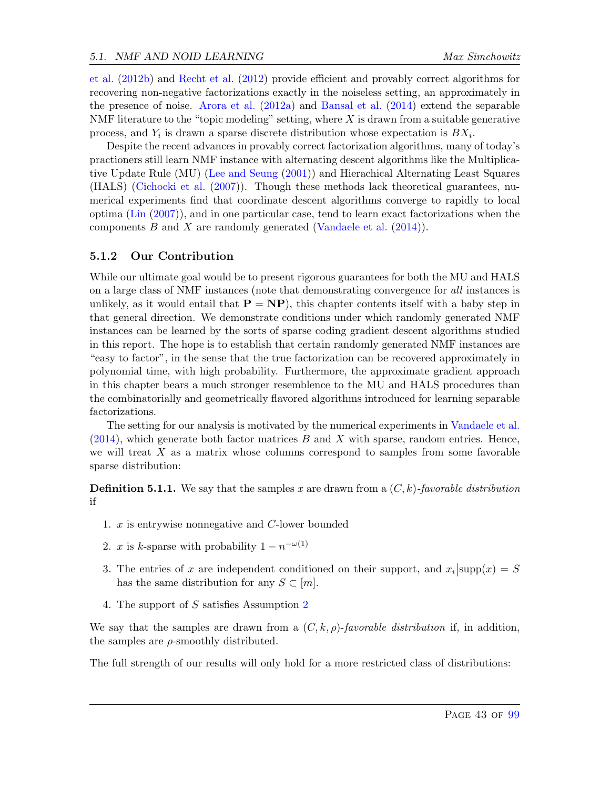[et al.](#page-63-2) [\(2012b\)](#page-63-2) and [Recht et al.](#page-65-1) [\(2012\)](#page-65-1) provide efficient and provably correct algorithms for recovering non-negative factorizations exactly in the noiseless setting, an approximately in the presence of noise. [Arora et al.](#page-63-3) [\(2012a\)](#page-63-3) and [Bansal et al.](#page-63-4) [\(2014\)](#page-63-4) extend the separable NMF literature to the "topic modeling" setting, where  $X$  is drawn from a suitable generative process, and  $Y_i$  is drawn a sparse discrete distribution whose expectation is  $BX_i$ .

Despite the recent advances in provably correct factorization algorithms, many of today's practioners still learn NMF instance with alternating descent algorithms like the Multiplicative Update Rule (MU) [\(Lee and Seung](#page-64-0) [\(2001\)](#page-64-0)) and Hierachical Alternating Least Squares (HALS) [\(Cichocki et al.](#page-64-4) [\(2007\)](#page-64-4)). Though these methods lack theoretical guarantees, numerical experiments find that coordinate descent algorithms converge to rapidly to local optima [\(Lin](#page-65-2) [\(2007\)](#page-65-2)), and in one particular case, tend to learn exact factorizations when the components B and X are randomly generated [\(Vandaele et al.](#page-65-3)  $(2014)$ ).

### 5.1.2 Our Contribution

While our ultimate goal would be to present rigorous guarantees for both the MU and HALS on a large class of NMF instances (note that demonstrating convergence for all instances is unlikely, as it would entail that  $P = NP$ , this chapter contents itself with a baby step in that general direction. We demonstrate conditions under which randomly generated NMF instances can be learned by the sorts of sparse coding gradient descent algorithms studied in this report. The hope is to establish that certain randomly generated NMF instances are "easy to factor", in the sense that the true factorization can be recovered approximately in polynomial time, with high probability. Furthermore, the approximate gradient approach in this chapter bears a much stronger resemblence to the MU and HALS procedures than the combinatorially and geometrically flavored algorithms introduced for learning separable factorizations.

The setting for our analysis is motivated by the numerical experiments in [Vandaele et al.](#page-65-3)  $(2014)$ , which generate both factor matrices B and X with sparse, random entries. Hence, we will treat  $X$  as a matrix whose columns correspond to samples from some favorable sparse distribution:

**Definition 5.1.1.** We say that the samples x are drawn from a  $(C, k)$ -favorable distribution if

- 1. x is entrywise nonnegative and C-lower bounded
- 2. x is k-sparse with probability  $1 n^{-\omega(1)}$
- 3. The entries of x are independent conditioned on their support, and  $x_i$  supp $(x) = S$ has the same distribution for any  $S \subset [m]$ .
- 4. The support of S satisfies Assumption [2](#page-10-1)

We say that the samples are drawn from a  $(C, k, \rho)$ -favorable distribution if, in addition, the samples are  $\rho$ -smoothly distributed.

The full strength of our results will only hold for a more restricted class of distributions: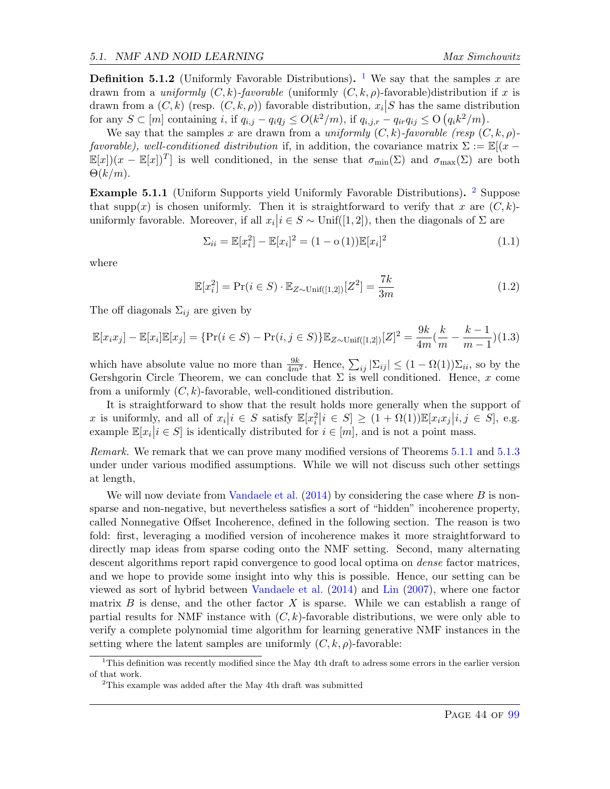**Definition 5.[1](#page-44-0).2** (Uniformly Favorable Distributions). <sup>1</sup> We say that the samples x are drawn from a *uniformly*  $(C, k)$ -favorable (uniformly  $(C, k, \rho)$ -favorable)distribution if x is drawn from a  $(C, k)$  (resp.  $(C, k, \rho)$ ) favorable distribution,  $x_i | S$  has the same distribution for any  $S \subset [m]$  containing i, if  $q_{i,j} - q_i q_j \le O(k^2/m)$ , if  $q_{i,j,r} - q_{ir} q_{ij} \le O(q_i k^2/m)$ .

We say that the samples x are drawn from a uniformly  $(C, k)$ -favorable (resp  $(C, k, \rho)$ )favorable), well-conditioned distribution if, in addition, the covariance matrix  $\Sigma := \mathbb{E}[(x \mathbb{E}[x](x - \mathbb{E}[x])^T$  is well conditioned, in the sense that  $\sigma_{min}(\Sigma)$  and  $\sigma_{max}(\Sigma)$  are both  $\Theta(k/m)$ .

Example 5.1.1 (Uniform Supports yield Uniformly Favorable Distributions). <sup>[2](#page-44-1)</sup> Suppose that supp(x) is chosen uniformly. Then it is straightforward to verify that x are  $(C, k)$ uniformly favorable. Moreover, if all  $x_i | i \in S \sim \text{Unif}([1, 2])$ , then the diagonals of  $\Sigma$  are

$$
\Sigma_{ii} = \mathbb{E}[x_i^2] - \mathbb{E}[x_i]^2 = (1 - o(1))\mathbb{E}[x_i]^2
$$
\n(1.1)

where

$$
\mathbb{E}[x_i^2] = \Pr(i \in S) \cdot \mathbb{E}_{Z \sim \text{Unif}([1,2])}[Z^2] = \frac{7k}{3m} \tag{1.2}
$$

The off diagonals  $\Sigma_{ij}$  are given by

$$
\mathbb{E}[x_i x_j] - \mathbb{E}[x_i] \mathbb{E}[x_j] = \{ \Pr(i \in S) - \Pr(i, j \in S) \} \mathbb{E}_{Z \sim \text{Unif}([1,2])} [Z]^2 = \frac{9k}{4m} (\frac{k}{m} - \frac{k-1}{m-1})(1.3)
$$

which have absolute value no more than  $\frac{9k}{4m^2}$ . Hence,  $\sum_{ij} |\Sigma_{ij}| \leq (1 - \Omega(1))\Sigma_{ii}$ , so by the Gershgorin Circle Theorem, we can conclude that  $\Sigma$  is well conditioned. Hence, x come from a uniformly  $(C, k)$ -favorable, well-conditioned distribution.

It is straightforward to show that the result holds more generally when the support of x is uniformly, and all of  $x_i|i \in S$  satisfy  $\mathbb{E}[x_i^2|i \in S] \geq (1 + \Omega(1))\mathbb{E}[x_ix_j|i, j \in S]$ , e.g. example  $\mathbb{E}[x_i | i \in S]$  is identically distributed for  $i \in [m]$ , and is not a point mass.

Remark. We remark that we can prove many modified versions of Theorems [5.1.1](#page-45-0) and [5.1.3](#page-48-0) under under various modified assumptions. While we will not discuss such other settings at length,

We will now deviate from [Vandaele et al.](#page-65-3)  $(2014)$  by considering the case where B is nonsparse and non-negative, but nevertheless satisfies a sort of "hidden" incoherence property, called Nonnegative Offset Incoherence, defined in the following section. The reason is two fold: first, leveraging a modified version of incoherence makes it more straightforward to directly map ideas from sparse coding onto the NMF setting. Second, many alternating descent algorithms report rapid convergence to good local optima on *dense* factor matrices, and we hope to provide some insight into why this is possible. Hence, our setting can be viewed as sort of hybrid between [Vandaele et al.](#page-65-3) [\(2014\)](#page-65-3) and [Lin](#page-65-2) [\(2007\)](#page-65-2), where one factor matrix  $B$  is dense, and the other factor  $X$  is sparse. While we can establish a range of partial results for NMF instance with  $(C, k)$ -favorable distributions, we were only able to verify a complete polynomial time algorithm for learning generative NMF instances in the setting where the latent samples are uniformly  $(C, k, \rho)$ -favorable:

<span id="page-44-0"></span><sup>&</sup>lt;sup>1</sup>This definition was recently modified since the May 4th draft to adress some errors in the earlier version of that work.

<span id="page-44-1"></span><sup>&</sup>lt;sup>2</sup>This example was added after the May 4th draft was submitted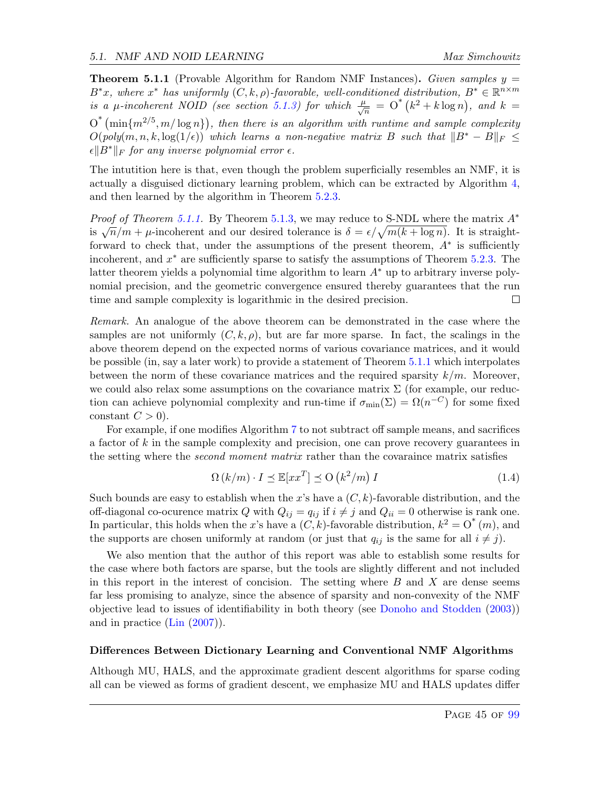<span id="page-45-0"></span>**Theorem 5.1.1** (Provable Algorithm for Random NMF Instances). Given samples  $y =$  $B^*x$ , where  $x^*$  has uniformly  $(C, k, \rho)$ -favorable, well-conditioned distribution,  $B^* \in \mathbb{R}^{n \times m}$ is a  $\mu$ -incoherent NOID (see section [5.1.3\)](#page-46-0) for which  $\frac{\mu}{\sqrt{n}} = O^*(k^2 + k \log n)$ , and  $k =$  $O^*$  (min $\{m^{2/5}, m/\log n\}$ ), then there is an algorithm with runtime and sample complexity  $O(poly(m, n, k, \log(1/\epsilon))$  which learns a non-negative matrix B such that  $||B^* - B||_F \le$  $\epsilon \|B^*\|_F$  for any inverse polynomial error  $\epsilon$ .

The intutition here is that, even though the problem superficially resembles an NMF, it is actually a disguised dictionary learning problem, which can be extracted by Algorithm [4,](#page-48-1) and then learned by the algorithm in Theorem [5.2.3.](#page-55-0)

*Proof of Theorem [5.1.1.](#page-45-0)* By Theorem [5.1.3,](#page-48-0) we may reduce to S-NDL where the matrix  $A^*$ is  $\sqrt{n}/m + \mu$ -incoherent and our desired tolerance is  $\delta = \epsilon/\sqrt{m(k + \log n)}$ . It is straightforward to check that, under the assumptions of the present theorem,  $A^*$  is sufficiently incoherent, and  $x^*$  are sufficiently sparse to satisfy the assumptions of Theorem [5.2.3.](#page-55-0) The latter theorem yields a polynomial time algorithm to learn  $A^*$  up to arbitrary inverse polynomial precision, and the geometric convergence ensured thereby guarantees that the run time and sample complexity is logarithmic in the desired precision.  $\Box$ 

Remark. An analogue of the above theorem can be demonstrated in the case where the samples are not uniformly  $(C, k, \rho)$ , but are far more sparse. In fact, the scalings in the above theorem depend on the expected norms of various covariance matrices, and it would be possible (in, say a later work) to provide a statement of Theorem [5.1.1](#page-45-0) which interpolates between the norm of these covariance matrices and the required sparsity  $k/m$ . Moreover, we could also relax some assumptions on the covariance matrix  $\Sigma$  (for example, our reduction can achieve polynomial complexity and run-time if  $\sigma_{min}(\Sigma) = \Omega(n^{-C})$  for some fixed constant  $C > 0$ ).

For example, if one modifies Algorithm [7](#page-52-0) to not subtract off sample means, and sacrifices a factor of  $k$  in the sample complexity and precision, one can prove recovery guarantees in the setting where the *second moment matrix* rather than the covaraince matrix satisfies

$$
\Omega(k/m) \cdot I \preceq \mathbb{E}[xx^T] \preceq \mathcal{O}(k^2/m) I \tag{1.4}
$$

Such bounds are easy to establish when the x's have a  $(C, k)$ -favorable distribution, and the off-diagonal co-ocurence matrix Q with  $Q_{ij} = q_{ij}$  if  $i \neq j$  and  $Q_{ii} = 0$  otherwise is rank one. In particular, this holds when the x's have a  $(C, k)$ -favorable distribution,  $k^2 = O^*(m)$ , and the supports are chosen uniformly at random (or just that  $q_{ij}$  is the same for all  $i \neq j$ ).

We also mention that the author of this report was able to establish some results for the case where both factors are sparse, but the tools are slightly different and not included in this report in the interest of concision. The setting where  $B$  and  $X$  are dense seems far less promising to analyze, since the absence of sparsity and non-convexity of the NMF objective lead to issues of identifiability in both theory (see [Donoho and Stodden](#page-64-3) [\(2003\)](#page-64-3)) and in practice [\(Lin](#page-65-2) [\(2007\)](#page-65-2)).

#### Differences Between Dictionary Learning and Conventional NMF Algorithms

Although MU, HALS, and the approximate gradient descent algorithms for sparse coding all can be viewed as forms of gradient descent, we emphasize MU and HALS updates differ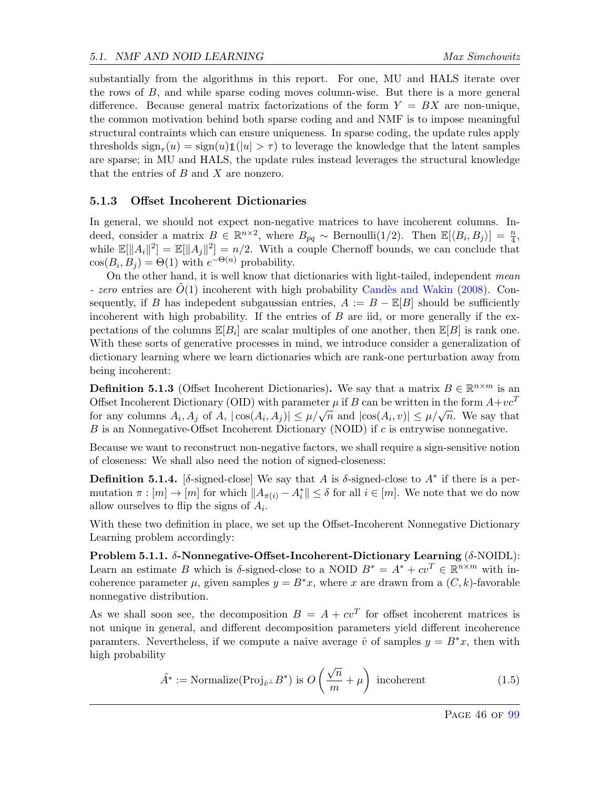substantially from the algorithms in this report. For one, MU and HALS iterate over the rows of B, and while sparse coding moves column-wise. But there is a more general difference. Because general matrix factorizations of the form  $Y = BX$  are non-unique, the common motivation behind both sparse coding and and NMF is to impose meaningful structural contraints which can ensure uniqueness. In sparse coding, the update rules apply thresholds  $\operatorname{sign}_{\tau}(u) = \operatorname{sign}(u) \mathbb{1}(|u| > \tau)$  to leverage the knowledge that the latent samples are sparse; in MU and HALS, the update rules instead leverages the structural knowledge that the entries of  $B$  and  $X$  are nonzero.

#### <span id="page-46-0"></span>5.1.3 Offset Incoherent Dictionaries

In general, we should not expect non-negative matrices to have incoherent columns. Indeed, consider a matrix  $B \in \mathbb{R}^{n \times 2}$ , where  $B_{pq} \sim \text{Bernoulli}(1/2)$ . Then  $\mathbb{E}[\langle B_i, B_j \rangle] = \frac{n}{4}$ , while  $\mathbb{E}[\Vert A_i \Vert^2] = \mathbb{E}[\Vert A_j \Vert^2] = n/2$ . With a couple Chernoff bounds, we can conclude that  $cos(B_i, B_j) = \Theta(1)$  with  $e^{-\Theta(n)}$  probability.

On the other hand, it is well know that dictionaries with light-tailed, independent mean - zero entries are  $O(1)$  incoherent with high probability Candès and Wakin [\(2008\)](#page-64-5). Consequently, if B has indepedent subgaussian entries,  $A := B - \mathbb{E}[B]$  should be sufficiently incoherent with high probability. If the entries of  $B$  are iid, or more generally if the expectations of the columns  $\mathbb{E}[B_i]$  are scalar multiples of one another, then  $\mathbb{E}[B]$  is rank one. With these sorts of generative processes in mind, we introduce consider a generalization of dictionary learning where we learn dictionaries which are rank-one perturbation away from being incoherent:

**Definition 5.1.3** (Offset Incoherent Dictionaries). We say that a matrix  $B \in \mathbb{R}^{n \times m}$  is an Offset Incoherent Dictionary (OID) with parameter  $\mu$  if B can be written in the form  $A+vc^T$ for any columns  $A_i$ ,  $A_j$  of  $A$ ,  $|\cos(A_i, A_j)| \leq \mu/\sqrt{n}$  and  $|\cos(A_i, v)| \leq \mu/\sqrt{n}$ . We say that B is an Nonnegative-Offset Incoherent Dictionary (NOID) if c is entrywise nonnegative.

Because we want to reconstruct non-negative factors, we shall require a sign-sensitive notion of closeness: We shall also need the notion of signed-closeness:

**Definition 5.1.4.** [δ-signed-close] We say that A is δ-signed-close to  $A^*$  if there is a permutation  $\pi : [m] \to [m]$  for which  $||A_{\pi(i)} - A_i^*|| \leq \delta$  for all  $i \in [m]$ . We note that we do now allow ourselves to flip the signs of  $A_i$ .

With these two definition in place, we set up the Offset-Incoherent Nonnegative Dictionary Learning problem accordingly:

Problem 5.1.1.  $\delta$ -Nonnegative-Offset-Incoherent-Dictionary Learning ( $\delta$ -NOIDL): Learn an estimate B which is δ-signed-close to a NOID  $B^* = A^* + cv^T \in \mathbb{R}^{n \times m}$  with incoherence parameter  $\mu$ , given samples  $y = B^*x$ , where x are drawn from a  $(C, k)$ -favorable nonnegative distribution.

As we shall soon see, the decomposition  $B = A + cv^T$  for offset incoherent matrices is not unique in general, and different decomposition parameters yield different incoherence paramters. Nevertheless, if we compute a naive average  $\hat{v}$  of samples  $y = B^*x$ , then with high probability

$$
\tilde{A}^* := \text{Normalize}(\text{Proj}_{\hat{v}^{\perp}} B^*) \text{ is } O\left(\frac{\sqrt{n}}{m} + \mu\right) \text{ incoherent} \tag{1.5}
$$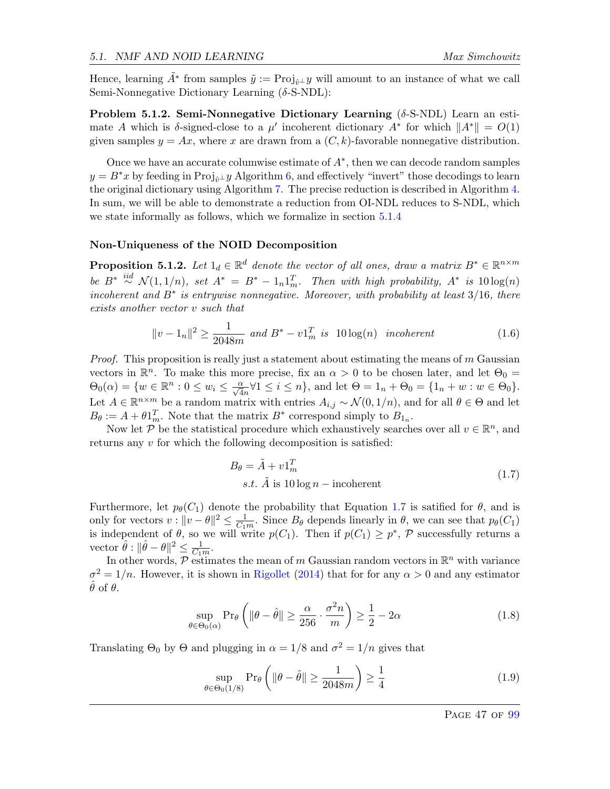Hence, learning  $A^*$  from samples  $\tilde{y} := \text{Proj}_{\hat{v}^\perp} y$  will amount to an instance of what we call Semi-Nonnegative Dictionary Learning (δ-S-NDL):

**Problem 5.1.2. Semi-Nonnegative Dictionary Learning** ( $\delta$ -S-NDL) Learn an estimate A which is  $\delta$ -signed-close to a  $\mu'$  incoherent dictionary  $A^*$  for which  $||A^*|| = O(1)$ given samples  $y = Ax$ , where x are drawn from a  $(C, k)$ -favorable nonnegative distribution.

Once we have an accurate columwise estimate of  $A^*$ , then we can decode random samples  $y = B^*x$  by feeding in Proj<sub>0</sub>⊥y Algorithm [6,](#page-51-0) and effectively "invert" those decodings to learn the original dictionary using Algorithm [7.](#page-52-0) The precise reduction is described in Algorithm [4.](#page-48-1) In sum, we will be able to demonstrate a reduction from OI-NDL reduces to S-NDL, which we state informally as follows, which we formalize in section [5.1.4](#page-48-2)

#### Non-Uniqueness of the NOID Decomposition

**Proposition 5.1.2.** Let  $1_d \in \mathbb{R}^d$  denote the vector of all ones, draw a matrix  $B^* \in \mathbb{R}^{n \times m}$ be  $B^* \stackrel{iid}{\sim} \mathcal{N}(1,1/n)$ , set  $A^* = B^* - 1_n 1_m^T$ . Then with high probability,  $A^*$  is  $10 \log(n)$ incoherent and  $B^*$  is entrywise nonnegative. Moreover, with probability at least  $3/16$ , there exists another vector v such that

$$
||v - 1_n||^2 \ge \frac{1}{2048m} \text{ and } B^* - v1_m^T \text{ is } 10\log(n) \text{ incoherent} \tag{1.6}
$$

*Proof.* This proposition is really just a statement about estimating the means of  $m$  Gaussian vectors in  $\mathbb{R}^n$ . To make this more precise, fix an  $\alpha > 0$  to be chosen later, and let  $\Theta_0 =$  $\Theta_0(\alpha) = \{w \in \mathbb{R}^n : 0 \le w_i \le \frac{\alpha}{\sqrt{4n}} \forall 1 \le i \le n\}$ , and let  $\Theta = 1_n + \Theta_0 = \{1_n + w : w \in \Theta_0\}$ . Let  $A \in \mathbb{R}^{n \times m}$  be a random matrix with entries  $A_{i,j} \sim \mathcal{N}(0,1/n)$ , and for all  $\theta \in \Theta$  and let  $B_{\theta} := A + \theta \mathbb{1}_m^T$ . Note that the matrix  $B^*$  correspond simply to  $B_{1_n}$ .

Now let  $\mathcal{P}$  be the statistical procedure which exhaustively searches over all  $v \in \mathbb{R}^n$ , and returns any v for which the following decomposition is satisfied:

<span id="page-47-0"></span>
$$
B_{\theta} = \tilde{A} + v \mathbf{1}_m^T
$$
  
s.t.  $\tilde{A}$  is 10 log  $n$  – incoherent\n
$$
(1.7)
$$

Furthermore, let  $p_{\theta}(C_1)$  denote the probability that Equation [1.7](#page-47-0) is satified for  $\theta$ , and is only for vectors  $v: ||v - \theta||^2 \leq \frac{1}{Cv}$  $\frac{1}{C_1 m}$ . Since  $B_\theta$  depends linearly in  $\theta$ , we can see that  $p_\theta(C_1)$ is independent of  $\theta$ , so we will write  $p(C_1)$ . Then if  $p(C_1) \geq p^*$ ,  $\mathcal P$  successfully returns a vector  $\hat{\theta}: \|\hat{\theta} - \theta\|^2 \leq \frac{1}{C_1}$  $\frac{1}{C_1m}$ .

In other words,  $P$  estimates the mean of m Gaussian random vectors in  $\mathbb{R}^n$  with variance  $\sigma^2 = 1/n$ . However, it is shown in [Rigollet](#page-65-4) [\(2014\)](#page-65-4) that for for any  $\alpha > 0$  and any estimator  $\ddot{\theta}$  of  $\theta$ .

$$
\sup_{\theta \in \Theta_0(\alpha)} \Pr_{\theta} \left( \|\theta - \hat{\theta}\| \ge \frac{\alpha}{256} \cdot \frac{\sigma^2 n}{m} \right) \ge \frac{1}{2} - 2\alpha \tag{1.8}
$$

Translating  $\Theta_0$  by  $\Theta$  and plugging in  $\alpha = 1/8$  and  $\sigma^2 = 1/n$  gives that

$$
\sup_{\theta \in \Theta_0(1/8)} \Pr_{\theta} \left( \|\theta - \hat{\theta}\| \ge \frac{1}{2048m} \right) \ge \frac{1}{4}
$$
\n(1.9)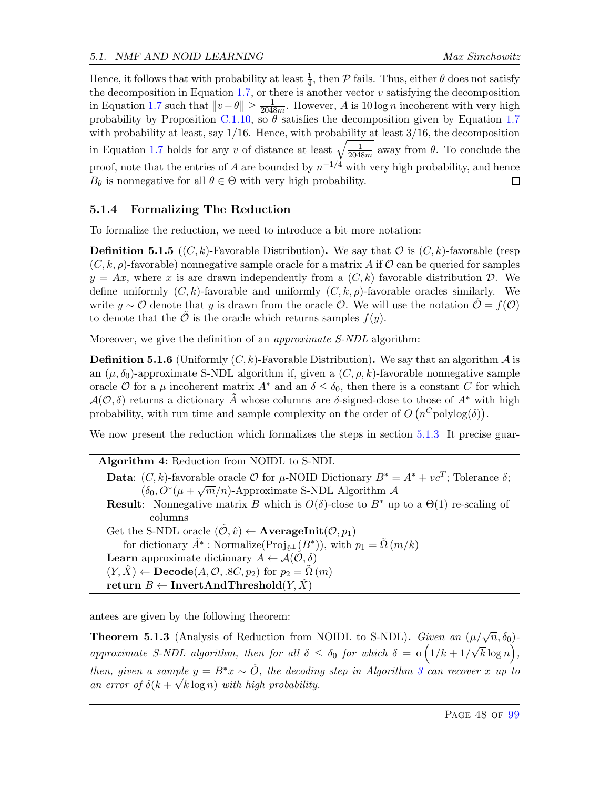Hence, it follows that with probability at least  $\frac{1}{4}$ , then  $P$  fails. Thus, either  $\theta$  does not satisfy the decomposition in Equation [1.7,](#page-47-0) or there is another vector  $v$  satisfying the decomposition in Equation [1.7](#page-47-0) such that  $||v - \theta|| \ge \frac{1}{2048m}$ . However, A is 10 log n incoherent with very high probability by Proposition [C.1.10,](#page-92-0) so  $\theta$  satisfies the decomposition given by Equation [1.7](#page-47-0) with probability at least, say  $1/16$ . Hence, with probability at least  $3/16$ , the decomposition in Equation [1.7](#page-47-0) holds for any v of distance at least  $\sqrt{\frac{1}{2048}}$  $\frac{1}{2048m}$  away from  $\theta$ . To conclude the proof, note that the entries of A are bounded by  $n^{-1/4}$  with very high probability, and hence  $B_{\theta}$  is nonnegative for all  $\theta \in \Theta$  with very high probability. П

# <span id="page-48-2"></span>5.1.4 Formalizing The Reduction

To formalize the reduction, we need to introduce a bit more notation:

**Definition 5.1.5**  $((C, k)$ -Favorable Distribution). We say that  $\mathcal{O}$  is  $(C, k)$ -favorable (resp)  $(C, k, \rho)$ -favorable) nonnegative sample oracle for a matrix A if O can be queried for samples  $y = Ax$ , where x is are drawn independently from a  $(C, k)$  favorable distribution  $D$ . We define uniformly  $(C, k)$ -favorable and uniformly  $(C, k, \rho)$ -favorable oracles similarly. We write y ∼ O denote that y is drawn from the oracle O. We will use the notation  $\mathcal{O} = f(\mathcal{O})$ to denote that the  $\tilde{\mathcal{O}}$  is the oracle which returns samples  $f(y)$ .

Moreover, we give the definition of an *approximate S-NDL* algorithm:

**Definition 5.1.6** (Uniformly  $(C, k)$ -Favorable Distribution). We say that an algorithm A is an  $(\mu, \delta_0)$ -approximate S-NDL algorithm if, given a  $(C, \rho, k)$ -favorable nonnegative sample oracle O for a  $\mu$  incoherent matrix  $A^*$  and an  $\delta \leq \delta_0$ , then there is a constant C for which  $\mathcal{A}(\mathcal{O},\delta)$  returns a dictionary A whose columns are  $\delta$ -signed-close to those of A<sup>∗</sup> with high probability, with run time and sample complexity on the order of  $O(n^C \text{polylog}(\delta)).$ 

We now present the reduction which formalizes the steps in section [5.1.3](#page-46-0) It precise guar-

Algorithm 4: Reduction from NOIDL to S-NDL **Data:**  $(C, k)$ -favorable oracle  $\mathcal O$  for  $\mu$ -NOID Dictionary  $B^* = A^* + vc^T$ ; Tolerance  $\delta$ ;  $(\delta_0, \delta^*(\mu + \sqrt{m}/n)$ -Approximate S-NDL Algorithm A **Result:** Nonnegative matrix B which is  $O(\delta)$ -close to B<sup>\*</sup> up to a  $\Theta(1)$  re-scaling of columns Get the S-NDL oracle  $(\tilde{\mathcal{O}}, \hat{v}) \leftarrow$  **AverageInit** $(\mathcal{O}, p_1)$ for dictionary  $\tilde{A}^*$ : Normalize(Proj<sub>û<sup>⊥</sub>(B<sup>\*</sup>)), with  $p_1 = \tilde{\Omega}(m/k)$ </sub></sup> **Learn** approximate dictionary  $A \leftarrow \mathcal{A}(\mathcal{O}, \delta)$  $(Y, X) \leftarrow \textbf{Decode}(A, \mathcal{O}, .8C, p_2)$  for  $p_2 = \Omega(m)$ return  $B \leftarrow \text{InvertAndThreshold}(Y, \hat{X})$ 

<span id="page-48-1"></span>antees are given by the following theorem:

<span id="page-48-0"></span>**Theorem 5.1.3** (Analysis of Reduction from NOIDL to S-NDL). Given an  $(\mu/\sqrt{n}, \delta_0)$ approximate S-NDL algorithm, then for all  $\delta \leq \delta_0$  for which  $\delta = \delta (1/k + 1/k)$  $\mathsf{r}$ ′  $\overline{k}\log n,$ then, given a sample  $y = B^*x \sim \tilde{O}$ , the decoding step in Algorithm [3](#page-19-0) can recover x up to an error of  $\delta(k + \sqrt{k \log n})$  with high probability.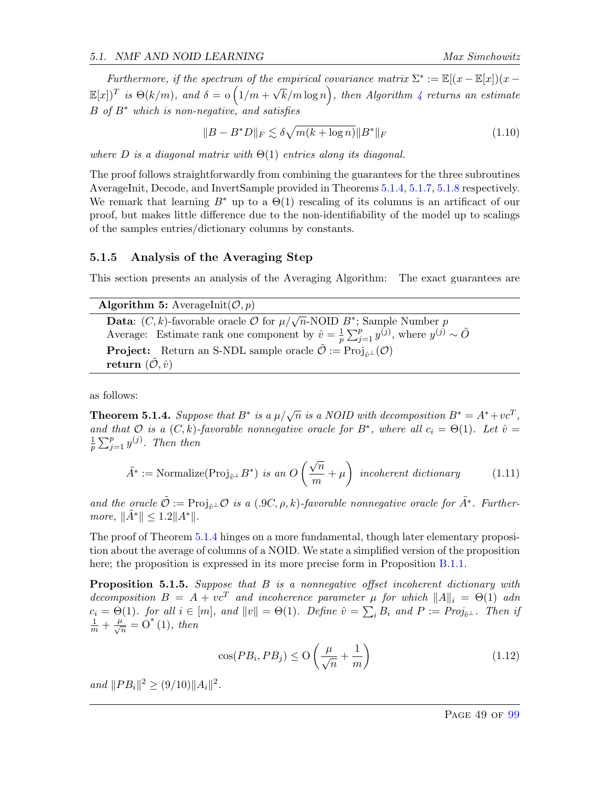Furthermore, if the spectrum of the empirical covariance matrix  $\Sigma^* := \mathbb{E}[(x - \mathbb{E}[x])(x \mathbb{E}[x]$ <sup>T</sup> is  $\Theta(k/m)$ , and  $\delta = \Theta\left(1/m + \frac{m}{2}\right)$ √  $\bar{k}/m\log n\big),$  then Algorithm [4](#page-48-1) returns an estimate  $B$  of  $B^*$  which is non-negative, and satisfies

$$
||B - B^*D||_F \lesssim \delta \sqrt{m(k + \log n)} ||B^*||_F
$$
\n(1.10)

where D is a diagonal matrix with  $\Theta(1)$  entries along its diagonal.

The proof follows straightforwardly from combining the guarantees for the three subroutines AverageInit, Decode, and InvertSample provided in Theorems [5.1.4,](#page-49-0) [5.1.7,](#page-51-1) [5.1.8](#page-52-1) respectively. We remark that learning  $B^*$  up to a  $\Theta(1)$  rescaling of its columns is an artificact of our proof, but makes little difference due to the non-identifiability of the model up to scalings of the samples entries/dictionary columns by constants.

### 5.1.5 Analysis of the Averaging Step

This section presents an analysis of the Averaging Algorithm: The exact guarantees are

Algorithm 5: AverageInit $(\mathcal{O}, p)$ 

<span id="page-49-2"></span>**Data:**  $(C, k)$ -favorable oracle  $\mathcal{O}$  for  $\mu/\sqrt{n}$ -NOID  $B^*$ ; Sample Number  $p$ Average: Estimate rank one component by  $\hat{v} = \frac{1}{n}$  $\frac{1}{p}\sum_{j=1}^p y^{(j)}$ , where  $y^{(j)} \sim \tilde{O}$ **Project:** Return an S-NDL sample oracle  $\tilde{\mathcal{O}} := \text{Proj}_{\hat{v}^{\perp}}(\mathcal{O})$ return  $(\tilde{\mathcal{O}}, \hat{v})$ 

as follows:

<span id="page-49-0"></span>**Theorem 5.1.4.** Suppose that  $B^*$  is a  $\mu/\sqrt{n}$  is a NOID with decomposition  $B^* = A^* + vc^T$ , and that  $\mathcal O$  is a  $(C, k)$ -favorable nonnegative oracle for  $B^*$ , where all  $c_i = \Theta(1)$ . Let  $\hat v =$ 1  $\frac{1}{p}\sum_{j=1}^p y^{(j)}$ . Then then

$$
\tilde{A}^* := \text{Normalize}(\text{Proj}_{\hat{v}^{\perp}} B^*) \text{ is an } O\left(\frac{\sqrt{n}}{m} + \mu\right) \text{ incoherent dictionary} \tag{1.11}
$$

and the oracle  $\tilde{\mathcal{O}} := \text{Proj}_{\hat{\theta}^{\perp}} \mathcal{O}$  is a (.9C,  $\rho, k$ )-favorable nonnegative oracle for  $\tilde{A}^*$ . Furthermore,  $\|\tilde{A}^*\| \leq 1.2 \|A^*\|.$ 

The proof of Theorem [5.1.4](#page-49-0) hinges on a more fundamental, though later elementary proposition about the average of columns of a NOID. We state a simplified version of the proposition here; the proposition is expressed in its more precise form in Proposition [B.1.1.](#page-81-0)

<span id="page-49-1"></span>Proposition 5.1.5. Suppose that B is a nonnegative offset incoherent dictionary with decomposition  $B = A + v c^T$  and incoherence parameter  $\mu$  for which  $||A||_i = \Theta(1)$  adn  $c_i = \Theta(1)$ . for all  $i \in [m]$ , and  $||v|| = \Theta(1)$ . Define  $\hat{v} = \sum_i B_i$  and  $P := Proj_{\hat{v}^\perp}$ . Then if  $\frac{1}{m} + \frac{\mu}{\sqrt{n}} = O^*(1)$ , then

$$
\cos(PB_i, PB_j) \le O\left(\frac{\mu}{\sqrt{n}} + \frac{1}{m}\right) \tag{1.12}
$$

and  $||PB_i||^2 \ge (9/10)||A_i||^2$ .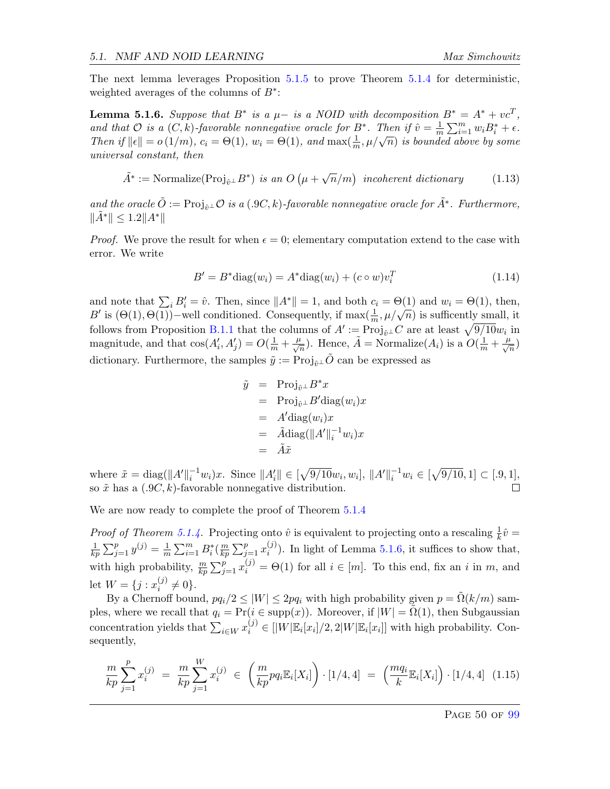The next lemma leverages Proposition [5.1.5](#page-49-1) to prove Theorem [5.1.4](#page-49-0) for deterministic, weighted averages of the columns of  $B^*$ :

<span id="page-50-0"></span>**Lemma 5.1.6.** Suppose that B<sup>\*</sup> is a  $\mu$ - is a NOID with decomposition  $B^* = A^* + \nu c^T$ , and that  $\mathcal O$  is a  $(C, k)$ -favorable nonnegative oracle for  $B^*$ . Then if  $\hat v = \frac{1}{m}$  $\frac{1}{m}\sum_{i=1}^m w_i B_i^* + \epsilon.$ Then if  $\|\epsilon\| = o(1/m)$ ,  $c_i = \Theta(1)$ ,  $w_i = \Theta(1)$ , and  $\max(\frac{1}{m}, \mu/\sqrt{n})$  is bounded above by some universal constant, then

$$
\tilde{A}^* := \text{Normalize}(\text{Proj}_{\hat{v}^{\perp}} B^*) \text{ is an } O\left(\mu + \sqrt{n}/m\right) \text{ incoherent dictionary} \tag{1.13}
$$

and the oracle  $\tilde{O} := \text{Proj}_{\hat{p}\perp} \mathcal{O}$  is a (.9C, k)-favorable nonnegative oracle for  $\tilde{A}^*$ . Furthermore,  $\|\tilde{A}^*\| \leq 1.2 \|A^*\|$ 

*Proof.* We prove the result for when  $\epsilon = 0$ ; elementary computation extend to the case with error. We write

$$
B' = B^* \text{diag}(w_i) = A^* \text{diag}(w_i) + (c \circ w)v_i^T
$$
\n(1.14)

and note that  $\sum_i B_i' = \hat{v}$ . Then, since  $||A^*|| = 1$ , and both  $c_i = \Theta(1)$  and  $w_i = \Theta(1)$ , then, and note that  $\sum_i D_i = v$ . Then, since  $||A|| = 1$ , and both  $C_i = O(1)$  and  $w_i = O(1)$ , then,  $B'$  is  $(\Theta(1), \Theta(1))$ -well conditioned. Consequently, if  $\max(\frac{1}{m}, \mu/\sqrt{n})$  is sufficently small, it follows from Proposition [B.1.1](#page-81-0) that the columns of  $A' := Proj_{\hat{v}^\perp}C$  are at least  $\sqrt{9/10}w_i$  in magnitude, and that  $\cos(A'_i, A'_j) = O(\frac{1}{m} + \frac{\mu}{\sqrt{n}})$ . Hence,  $\tilde{A} = \text{Normalize}(A_i)$  is a  $O(\frac{1}{m} + \frac{\mu}{\sqrt{n}})$ dictionary. Furthermore, the samples  $\tilde{y} := \text{Proj}_{\hat{v}^{\perp}} \tilde{O}$  can be expressed as

$$
\tilde{y} = \text{Proj}_{\hat{v}^{\perp}} B^* x \n= \text{Proj}_{\hat{v}^{\perp}} B' \text{diag}(w_i) x \n= A' \text{diag}(w_i) x \n= \tilde{A} \text{diag}(\|A'\|_{i}^{-1} w_i) x \n= \tilde{A} \tilde{x}
$$

where  $\tilde{x} = \text{diag}(\|A'\|_{i}^{-1}w_{i})x$ . Since  $\|A'_{i}\| \in [\sqrt{9/10}w_{i}, w_{i}], \|A'\|_{i}^{-1}w_{i} \in [\sqrt{9/10}, 1] \subset [.9, 1],$ so  $\tilde{x}$  has a  $(.9C, k)$ -favorable nonnegative distribution.

We are now ready to complete the proof of Theorem  $5.1.4$ 

*Proof of Theorem [5.1.4.](#page-49-0)* Projecting onto  $\hat{v}$  is equivalent to projecting onto a rescaling  $\frac{1}{k}\hat{v} =$ 1  $\frac{1}{kp} \sum_{j=1}^{p} y^{(j)} = \frac{1}{m}$  $\frac{1}{m}\sum_{i=1}^m B_i^*(\frac{m}{kp})$  $\frac{m}{kp}\sum_{j=1}^p x_i^{(j)}$  $i^{(j)}$ ). In light of Lemma [5.1.6,](#page-50-0) it suffices to show that, with high probability,  $\frac{m}{kp} \sum_{j=1}^p x_i^{(j)} = \Theta(1)$  for all  $i \in [m]$ . To this end, fix an i in m, and let  $W = \{j : x_i^{(j)}\}$  $i^{(j)} \neq 0$ .

By a Chernoff bound,  $pq_i/2 \leq |W| \leq 2pq_i$  with high probability given  $p = \tilde{\Omega}(k/m)$  samples, where we recall that  $q_i = Pr(i \in supp(x))$ . Moreover, if  $|W| = \Omega(1)$ , then Subgaussian concentration yields that  $\sum_{i\in W} x_i^{(j)} \in [|W|\mathbb{E}_i[x_i]/2, 2|W|\mathbb{E}_i[x_i]]$  with high probability. Consequently,

$$
\frac{m}{kp} \sum_{j=1}^{p} x_i^{(j)} = \frac{m}{kp} \sum_{j=1}^{W} x_i^{(j)} \in \left(\frac{m}{kp} pq_i \mathbb{E}_i[X_i]\right) \cdot [1/4, 4] = \left(\frac{mq_i}{k} \mathbb{E}_i[X_i]\right) \cdot [1/4, 4] \quad (1.15)
$$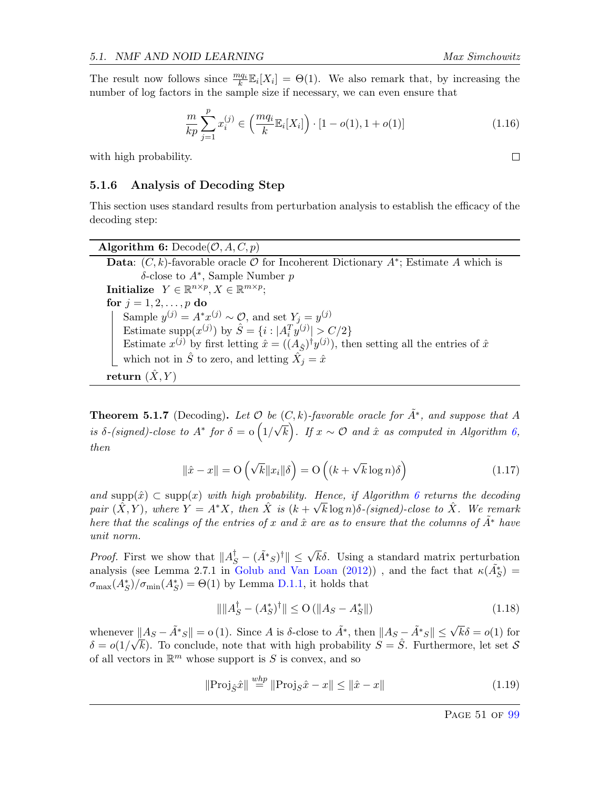The result now follows since  $\frac{mq_i}{k}\mathbb{E}_i[X_i] = \Theta(1)$ . We also remark that, by increasing the number of log factors in the sample size if necessary, we can even ensure that

$$
\frac{m}{kp} \sum_{j=1}^{p} x_i^{(j)} \in \left(\frac{mq_i}{k} \mathbb{E}_i[X_i]\right) \cdot [1 - o(1), 1 + o(1)] \tag{1.16}
$$

with high probability.

## 5.1.6 Analysis of Decoding Step

This section uses standard results from perturbation analysis to establish the efficacy of the decoding step:

Algorithm 6:  $Decode(\mathcal{O}, A, C, p)$ Data:  $(C, k)$ -favorable oracle  $\mathcal O$  for Incoherent Dictionary  $A^*$ ; Estimate A which is δ-close to A<sup>∗</sup> , Sample Number p  $\textbf{Initialize} \ \ Y \in \mathbb{R}^{n \times p}, X \in \mathbb{R}^{m \times p};$ for  $j = 1, 2, \ldots, p$  do Sample  $y^{(j)} = A^*x^{(j)} \sim \mathcal{O}$ , and set  $Y_j = y^{(j)}$ Estimate supp $(x^{(j)})$  by  $\hat{S} = \{i : |A_i^T y^{(j)}| > C/2\}$ Estimate  $x^{(j)}$  by first letting  $\hat{x} = ((A_{\hat{S}})^{\dagger} y^{(j)})$ , then setting all the entries of  $\hat{x}$ which not in  $\hat{S}$  to zero, and letting  $\tilde{X}_j = \hat{x}$ return  $(X, Y)$ 

<span id="page-51-1"></span>**Theorem 5.1.7** (Decoding). Let  $\mathcal O$  be  $(C, k)$ -favorable oracle for  $\tilde{A}^*$ , and suppose that A is  $\delta$ -(signed)-close to  $A^*$  for  $\delta = \mathrm{o} (1/$ √  $\overline{k}$ ). If  $x \sim \mathcal{O}$  and  $\hat{x}$  as computed in Algorithm [6,](#page-51-0) then

<span id="page-51-0"></span>
$$
\|\hat{x} - x\| = \mathcal{O}\left(\sqrt{k} \|x_i\|\delta\right) = \mathcal{O}\left((k + \sqrt{k}\log n)\delta\right)
$$
\n(1.17)

and  $\text{supp}(\hat{x}) \subset \text{supp}(x)$  with high probability. Hence, if Algorithm [6](#page-51-0) returns the decoding pair  $(\hat{X}, Y)$ , where  $Y = A^*X$ , then  $\hat{X}$  is  $(k + \sqrt{k} \log n)\delta$ -(signed)-close to  $\hat{X}$ . We remark here that the scalings of the entries of x and  $\hat{x}$  are as to ensure that the columns of  $\tilde{A}^*$  have unit norm.

*Proof.* First we show that  $||A_S^{\dagger} - (\tilde{A}^*s)^{\dagger}|| \leq \sqrt{k}\delta$ . Using a standard matrix perturbation analysis (see Lemma 2.7.1 in [Golub and Van Loan](#page-64-6) [\(2012\)](#page-64-6)), and the fact that  $\kappa(\tilde{A}_{S}^{*})$  $\sigma_{\max}(A_S^*)/\sigma_{\min}(A_S^*) = \Theta(1)$  by Lemma [D.1.1,](#page-96-0) it holds that

$$
\|\|A_S^{\dagger} - (A_S^*)^{\dagger}\| \le O\left(\|A_S - A_S^*\|\right) \tag{1.18}
$$

whenever  $||A_S - \tilde{A}^*s|| = o(1)$ . Since A is δ-close to  $\tilde{A}^*$ , then  $||A_S - \tilde{A}^*s|| \leq \sqrt{k}\delta = o(1)$  for  $\delta = o(1/\sqrt{k})$ . To conclude, note that with high probability  $S = \hat{S}$ . Furthermore, let set S of all vectors in  $\mathbb{R}^m$  whose support is S is convex, and so

$$
\|\text{Proj}_{\hat{S}}\hat{x}\| \stackrel{whp}{=} \|\text{Proj}_{S}\hat{x} - x\| \le \|\hat{x} - x\| \tag{1.19}
$$

 $\Box$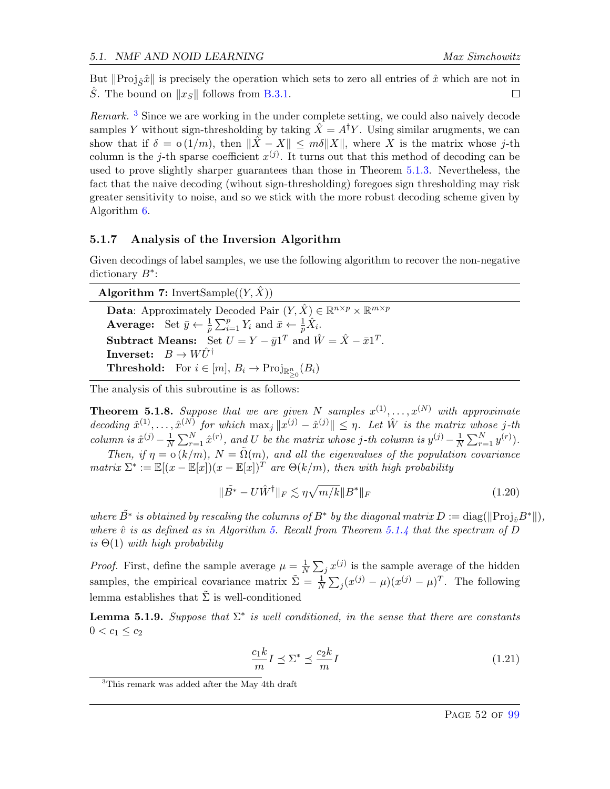But  $\|\text{Proj}_{\hat{\mathcal{S}}}\hat{x}\|$  is precisely the operation which sets to zero all entries of  $\hat{x}$  which are not in S. The bound on  $||x_S||$  follows from [B.3.1.](#page-86-0)  $\Box$ 

Remark.<sup>[3](#page-52-2)</sup> Since we are working in the under complete setting, we could also naively decode samples Y without sign-thresholding by taking  $\hat{X} = A^{\dagger}Y$ . Using similar arugments, we can show that if  $\delta = o(1/m)$ , then  $\|\hat{X} - X\| \leq m\delta \|X\|$ , where X is the matrix whose j-th column is the j-th sparse coefficient  $x^{(j)}$ . It turns out that this method of decoding can be used to prove slightly sharper guarantees than those in Theorem [5.1.3.](#page-48-0) Nevertheless, the fact that the naive decoding (wihout sign-thresholding) foregoes sign thresholding may risk greater sensitivity to noise, and so we stick with the more robust decoding scheme given by Algorithm [6.](#page-51-0)

### 5.1.7 Analysis of the Inversion Algorithm

Given decodings of label samples, we use the following algorithm to recover the non-negative dictionary  $B^*$ :

Algorithm 7: InvertSample $((Y, \hat{X}))$ 

**Data:** Approximately Decoded Pair  $(Y, \hat{X}) \in \mathbb{R}^{n \times p} \times \mathbb{R}^{m \times p}$ **Average:** Set  $\bar{y} \leftarrow \frac{1}{p} \sum_{i=1}^{p} Y_i$  and  $\bar{x} \leftarrow \frac{1}{p} \hat{X}_i$ . Subtract Means: Set  $U = Y - \bar{y}1^T$  and  $\hat{W} = \hat{X} - \bar{x}1^T$ . **Inverset:**  $B \to W\ddot{U}^{\dagger}$ **Threshold:** For  $i \in [m], B_i \to \text{Proj}_{\mathbb{R}^n_{\geq 0}}(B_i)$ 

<span id="page-52-0"></span>The analysis of this subroutine is as follows:

<span id="page-52-1"></span>**Theorem 5.1.8.** Suppose that we are given N samples  $x^{(1)}, \ldots, x^{(N)}$  with approximate decoding  $\hat{x}^{(1)}, \ldots, \hat{x}^{(N)}$  for which  $\max_j ||x^{(j)} - \hat{x}^{(j)}|| \leq \eta$ . Let  $\hat{W}$  is the matrix whose j-th column is  $\hat{x}^{(j)} - \frac{1}{N}$  $\frac{1}{N}\sum_{r=1}^{N}\hat{x}^{(r)},$  and U be the matrix whose j-th column is  $y^{(j)} - \frac{1}{N}$  $\frac{1}{N} \sum_{r=1}^{N} y^{(r)}$ .

Then, if  $\eta = o(k/m)$ ,  $N = \tilde{\Omega}(m)$ , and all the eigenvalues of the population covariance matrix  $\Sigma^* := \mathbb{E}[(x - \mathbb{E}[x])(x - \mathbb{E}[x])^T]$  are  $\Theta(k/m)$ , then with high probability

$$
\|\tilde{B}^* - U\hat{W}^\dagger\|_F \lesssim \eta \sqrt{m/k} \|B^*\|_F \tag{1.20}
$$

where  $\tilde{B}^*$  is obtained by rescaling the columns of  $B^*$  by the diagonal matrix  $D := \text{diag}(\|\text{Proj}_{\hat{v}}B^*\|),$ where  $\hat{v}$  is as defined as in Algorithm [5.](#page-49-2) Recall from Theorem [5.1.4](#page-49-0) that the spectrum of D is  $\Theta(1)$  with high probability

*Proof.* First, define the sample average  $\mu = \frac{1}{N}$  $\frac{1}{N}\sum_j x^{(j)}$  is the sample average of the hidden samples, the empirical covariance matrix  $\tilde{\Sigma} = \frac{1}{N} \sum_j (x^{(j)} - \mu)(x^{(j)} - \mu)^T$ . The following lemma establishes that  $\Sigma$  is well-conditioned

**Lemma 5.1.9.** Suppose that  $\Sigma^*$  is well conditioned, in the sense that there are constants  $0 < c_1 \leq c_2$ 

$$
\frac{c_1 k}{m} I \preceq \Sigma^* \preceq \frac{c_2 k}{m} I \tag{1.21}
$$

<span id="page-52-2"></span><sup>&</sup>lt;sup>3</sup>This remark was added after the May 4th draft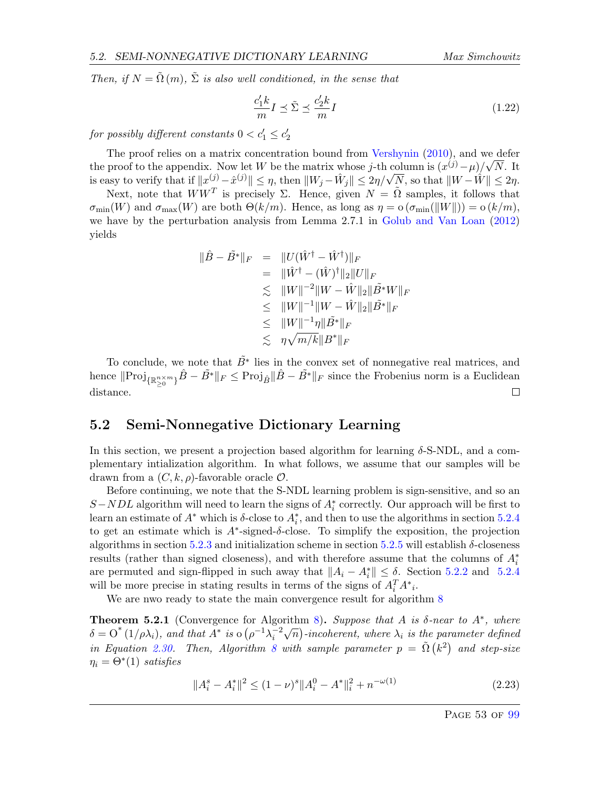Then, if  $N = \tilde{\Omega}(m)$ ,  $\tilde{\Sigma}$  is also well conditioned, in the sense that

$$
\frac{c_1'k}{m}I \preceq \tilde{\Sigma} \preceq \frac{c_2'k}{m}I\tag{1.22}
$$

for possibly different constants  $0 < c_1' \leq c_2'$ 

The proof relies on a matrix concentration bound from [Vershynin](#page-65-5)  $(2010)$ , and we defer the proof to the appendix. Now let W be the matrix whose j-th column is  $(x^{(j)} - \mu)/\sqrt{N}$ . It the proof to the appendix. Now let W be the matrix whose j-th column is  $(x^{\circ} - \mu)/\sqrt{N}$ . It is easy to verify that if  $||x^{(j)} - \hat{x}^{(j)}|| \leq \eta$ , then  $||W_j - \hat{W}_j|| \leq 2\eta/\sqrt{N}$ , so that  $||W - \hat{W}|| \leq 2\eta$ .

Next, note that  $WW^T$  is precisely  $\Sigma$ . Hence, given  $N = \tilde{\Omega}$  samples, it follows that  $\sigma_{\min}(W)$  and  $\sigma_{\max}(W)$  are both  $\Theta(k/m)$ . Hence, as long as  $\eta = o(\sigma_{\min}(\|W\|)) = o(k/m)$ , we have by the perturbation analysis from Lemma 2.7.1 in [Golub and Van Loan](#page-64-6) [\(2012\)](#page-64-6) yields

$$
\|\hat{B} - \tilde{B}^*\|_F = \|U(\hat{W}^\dagger - \hat{W}^\dagger)\|_F
$$
  
\n
$$
= \|\hat{W}^\dagger - (\hat{W})^\dagger\|_2 \|U\|_F
$$
  
\n
$$
\leq \|W\|^{-2} \|W - \hat{W}\|_2 \|\tilde{B}^*W\|_F
$$
  
\n
$$
\leq \|W\|^{-1} \|W - \hat{W}\|_2 \|\tilde{B}^*\|_F
$$
  
\n
$$
\leq \|W\|^{-1} \eta \|\tilde{B}^*\|_F
$$
  
\n
$$
\leq \eta \sqrt{m/k} \|B^*\|_F
$$

To conclude, we note that  $\tilde{B}^*$  lies in the convex set of nonnegative real matrices, and hence  $\|Proj_{\{\mathbb{R}_{\geq 0}^{n\times m}\}}\hat{B}-\tilde{B}^*\|_F\leq Proj_{\hat{B}}\|\hat{B}-\tilde{B}^*\|_F$  since the Frobenius norm is a Euclidean distance.  $\Box$ 

# <span id="page-53-1"></span>5.2 Semi-Nonnegative Dictionary Learning

In this section, we present a projection based algorithm for learning  $\delta$ -S-NDL, and a complementary intialization algorithm. In what follows, we assume that our samples will be drawn from a  $(C, k, \rho)$ -favorable oracle  $\mathcal{O}$ .

Before continuing, we note that the S-NDL learning problem is sign-sensitive, and so an  $S-NDL$  algorithm will need to learn the signs of  $A_i^*$  correctly. Our approach will be first to learn an estimate of  $A^*$  which is  $\delta$ -close to  $A_i^*$ , and then to use the algorithms in section [5.2.4](#page-59-0) to get an estimate which is  $A^*$ -signed- $\delta$ -close. To simplify the exposition, the projection algorithms in section [5.2.3](#page-56-0) and initialization scheme in section [5.2.5](#page-60-0) will establish  $\delta$ -closeness results (rather than signed closeness), and with therefore assume that the columns of  $A_i^*$ are permuted and sign-flipped in such away that  $||A_i - A_i^*|| \leq \delta$ . Section [5.2.2](#page-56-1) and [5.2.4](#page-59-0) will be more precise in stating results in terms of the signs of  $A_i^T A^*_{i}$ .

We are nwo ready to state the main convergence result for algorithm [8](#page-54-0)

<span id="page-53-0"></span>**Theorem 5.2.1** (Convergence for Algorithm [8\)](#page-54-0). Suppose that A is  $\delta$ -near to  $A^*$ , where  $\delta = O^*(1/\rho \lambda_i)$ , and that  $A^*$  is  $O(\rho^{-1} \lambda_i^{-2})$  $\sqrt{n}$ )-incoherent, where  $\lambda_i$  is the parameter defined in Equation [2.30.](#page-57-0) Then, Algorithm [8](#page-54-0) with sample parameter  $p = \tilde{\Omega}(k^2)$  and step-size  $\eta_i = \Theta^*(1)$  satisfies

$$
||A_i^s - A_i^*||^2 \le (1 - \nu)^s ||A_i^0 - A^*||_i^2 + n^{-\omega(1)}
$$
\n(2.23)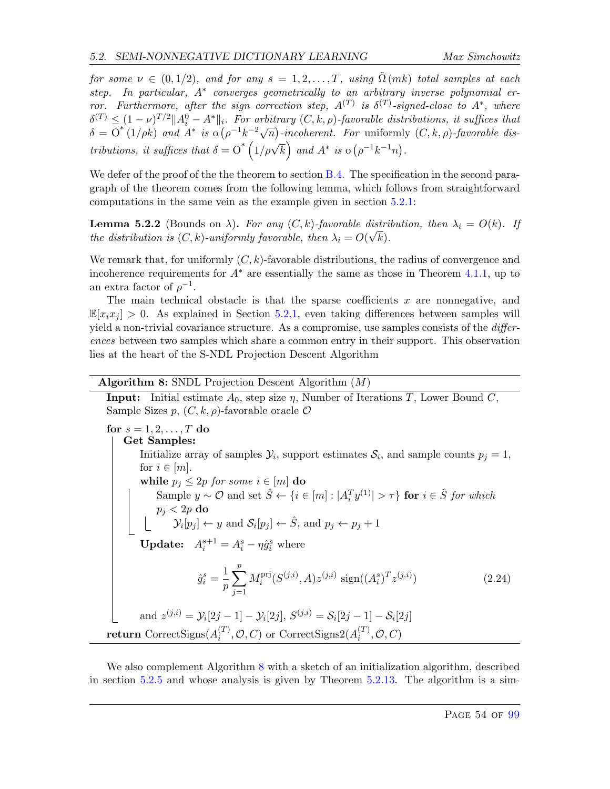for some  $\nu \in (0, 1/2)$ , and for any  $s = 1, 2, ..., T$ , using  $\tilde{\Omega}(mk)$  total samples at each step. In particular, A<sup>\*</sup> converges geometrically to an arbitrary inverse polynomial error. Furthermore, after the sign correction step,  $A^{(T)}$  is  $\delta^{(T)}$ -signed-close to  $A^*$ , where  $\delta^{(T)} \leq (1-\nu)^{T/2} \|A_i^0 - A^*\|_i$ . For arbitrary  $(C, k, \rho)$ -favorable distributions, it suffices that  $\delta = \overline{O}^*(1/\rho k)$  and  $A^*$  is  $\overline{O}(\rho^{-1}k^{-2}\sqrt{n})$ -incoherent. For uniformly  $(C, k, \rho)$ -favorable dis-<br> $\delta = \overline{O}^*(1/\rho k)$  and  $A^*$  is  $\overline{O}(\rho^{-1}k^{-2}\sqrt{n})$ -incoherent. For uniformly  $(C, k, \rho)$ -favorable distributions, it suffices that  $\delta = O^* \left( 1/\rho \sqrt{k} \right)$  and  $A^*$  is  $o(\rho^{-1}k^{-1}n)$ .

We defer of the proof of the the theorem to section  $B.4$ . The specification in the second paragraph of the theorem comes from the following lemma, which follows from straightforward computations in the same vein as the example given in section [5.2.1:](#page-55-1)

**Lemma 5.2.2** (Bounds on  $\lambda$ ). For any  $(C, k)$ -favorable distribution, then  $\lambda_i = O(k)$ . If the distribution is  $(C, k)$ -uniformly favorable, then  $\lambda_i = O(\sqrt{k}).$ 

We remark that, for uniformly  $(C, k)$ -favorable distributions, the radius of convergence and incoherence requirements for  $A^*$  are essentially the same as those in Theorem [4.1.1,](#page-36-0) up to an extra factor of  $\rho^{-1}$ .

The main technical obstacle is that the sparse coefficients  $x$  are nonnegative, and  $\mathbb{E}[x_ix_j] > 0$ . As explained in Section [5.2.1,](#page-55-1) even taking differences between samples will yield a non-trivial covariance structure. As a compromise, use samples consists of the *differ*ences between two samples which share a common entry in their support. This observation lies at the heart of the S-NDL Projection Descent Algorithm

### Algorithm 8: SNDL Projection Descent Algorithm (M)

**Input:** Initial estimate  $A_0$ , step size  $\eta$ , Number of Iterations T, Lower Bound C, Sample Sizes p,  $(C, k, \rho)$ -favorable oracle  $\mathcal O$ 

for  $s = 1, 2, \ldots, T$  do Get Samples: Initialize array of samples  $\mathcal{Y}_i$ , support estimates  $\mathcal{S}_i$ , and sample counts  $p_j = 1$ , for  $i \in [m]$ . while  $p_j \leq 2p$  for some  $i \in [m]$  do Sample  $y \sim \mathcal{O}$  and set  $\hat{S} \leftarrow \{i \in [m] : |A_i^T y^{(1)}| > \tau\}$  for  $i \in \hat{S}$  for which  $p_j < 2p$  do  $\mathcal{Y}_i[p_j] \leftarrow y$  and  $\mathcal{S}_i[p_j] \leftarrow \hat{S}$ , and  $p_j \leftarrow p_j + 1$ **Update:**  $A_i^{s+1} = A_i^s - \eta \hat{g}_i^s$  where  $\hat{g}_i^s = \frac{1}{n}$ p  $\sum$ p  $j=1$  $M_i^{\rm pri}$  $\sup_i^{\text{pri}}(S^{(j,i)},A)z^{(j,i)} \, \operatorname{sign}((A_i^s)^T z^{(j,i)})$  $(2.24)$ and  $z^{(j,i)} = \mathcal{Y}_i[2j-1] - \mathcal{Y}_i[2j], S^{(j,i)} = \mathcal{S}_i[2j-1] - \mathcal{S}_i[2j]$  $\mathbf{return}\ \mathrm{CorrectSigns}(A_i^{(T)})$  $\mathcal{O}^{(T)}_i, \mathcal{O}, C$ ) or CorrectSigns2( $A_i^{(T)}$  $i^{(I)}, \mathcal{O}, C$ 

<span id="page-54-0"></span>We also complement Algorithm [8](#page-54-0) with a sketch of an initialization algorithm, described in section [5.2.5](#page-60-0) and whose analysis is given by Theorem [5.2.13.](#page-60-1) The algorithm is a sim-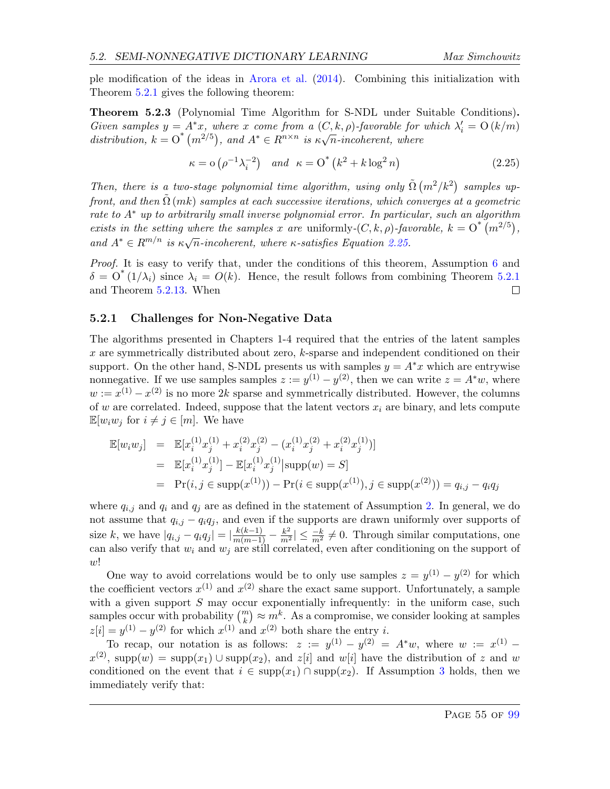ple modification of the ideas in [Arora et al.](#page-63-5) [\(2014\)](#page-63-5). Combining this initialization with Theorem [5.2.1](#page-53-0) gives the following theorem:

<span id="page-55-0"></span>Theorem 5.2.3 (Polynomial Time Algorithm for S-NDL under Suitable Conditions). Given samples  $y = A^*x$ , where x come from a  $(C, k, \rho)$ -favorable for which  $\lambda'_i = O(k/m)$ Given samples  $y = A x$ , where x come from  $a(\cup, \kappa, p)$ -javorable for<br>distribution,  $k = O^*(m^{2/5})$ , and  $A^* \in R^{n \times n}$  is  $\kappa \sqrt{n}$ -incoherent, where

<span id="page-55-2"></span>
$$
\kappa = o\left(\rho^{-1}\lambda_i^{-2}\right) \quad and \quad \kappa = O^*\left(k^2 + k\log^2 n\right) \tag{2.25}
$$

Then, there is a two-stage polynomial time algorithm, using only  $\tilde{\Omega}(m^2/k^2)$  samples upfront, and then  $\tilde{\Omega}(mk)$  samples at each successive iterations, which converges at a geometric rate to A<sup>∗</sup> up to arbitrarily small inverse polynomial error. In particular, such an algorithm exists in the setting where the samples x are uniformly- $(C, k, \rho)$ -favorable,  $k = O^*(m^{2/5})$ , and  $A^* \in \mathbb{R}^{m/n}$  is  $\kappa \sqrt{n}$ -incoherent, where  $\kappa$ -satisfies Equation [2.25.](#page-55-2)

Proof. It is easy to verify that, under the conditions of this theorem, Assumption [6](#page-60-2) and  $\delta = O^*(1/\lambda_i)$  since  $\lambda_i = O(k)$ . Hence, the result follows from combining Theorem [5.2.1](#page-53-0) and Theorem [5.2.13.](#page-60-1) When  $\Box$ 

#### <span id="page-55-1"></span>5.2.1 Challenges for Non-Negative Data

The algorithms presented in Chapters 1-4 required that the entries of the latent samples x are symmetrically distributed about zero, k-sparse and independent conditioned on their support. On the other hand, S-NDL presents us with samples  $y = A^*x$  which are entrywise nonnegative. If we use samples samples  $z := y^{(1)} - y^{(2)}$ , then we can write  $z = A^*w$ , where  $w := x^{(1)} - x^{(2)}$  is no more 2k sparse and symmetrically distributed. However, the columns of w are correlated. Indeed, suppose that the latent vectors  $x_i$  are binary, and lets compute  $\mathbb{E}[w_i w_j \text{ for } i \neq j \in [m]$ . We have

$$
\mathbb{E}[w_i w_j] = \mathbb{E}[x_i^{(1)} x_j^{(1)} + x_i^{(2)} x_j^{(2)} - (x_i^{(1)} x_j^{(2)} + x_i^{(2)} x_j^{(1)})]
$$
  
\n
$$
= \mathbb{E}[x_i^{(1)} x_j^{(1)}] - \mathbb{E}[x_i^{(1)} x_j^{(1)} | \text{supp}(w) = S]
$$
  
\n
$$
= \Pr(i, j \in \text{supp}(x^{(1)})) - \Pr(i \in \text{supp}(x^{(1)}), j \in \text{supp}(x^{(2)})) = q_{i,j} - q_i q_j
$$

where  $q_{i,j}$  and  $q_i$  and  $q_j$  are as defined in the statement of Assumption [2.](#page-10-1) In general, we do not assume that  $q_{i,j} - q_i q_j$ , and even if the supports are drawn uniformly over supports of size k, we have  $|q_{i,j} - q_i q_j| = |\frac{k(k-1)}{m(m-1)} - \frac{k^2}{m^2}| \leq \frac{-k}{m^2} \neq 0$ . Through similar computations, one can also verify that  $w_i$  and  $w_j$  are still correlated, even after conditioning on the support of  $w!$ 

One way to avoid correlations would be to only use samples  $z = y^{(1)} - y^{(2)}$  for which the coefficient vectors  $x^{(1)}$  and  $x^{(2)}$  share the exact same support. Unfortunately, a sample with a given support  $S$  may occur exponentially infrequently: in the uniform case, such samples occur with probability  $\binom{m}{k} \approx m^k$ . As a compromise, we consider looking at samples  $z[i] = y^{(1)} - y^{(2)}$  for which  $x^{(1)}$  and  $x^{(2)}$  both share the entry i.

To recap, our notation is as follows:  $z := y^{(1)} - y^{(2)} = A^*w$ , where  $w := x^{(1)}$  $x^{(2)}$ , supp $(w) = \text{supp}(x_1) \cup \text{supp}(x_2)$ , and  $z[i]$  and  $w[i]$  have the distribution of z and w conditioned on the event that  $i \in \text{supp}(x_1) \cap \text{supp}(x_2)$ . If Assumption [3](#page-11-1) holds, then we immediately verify that: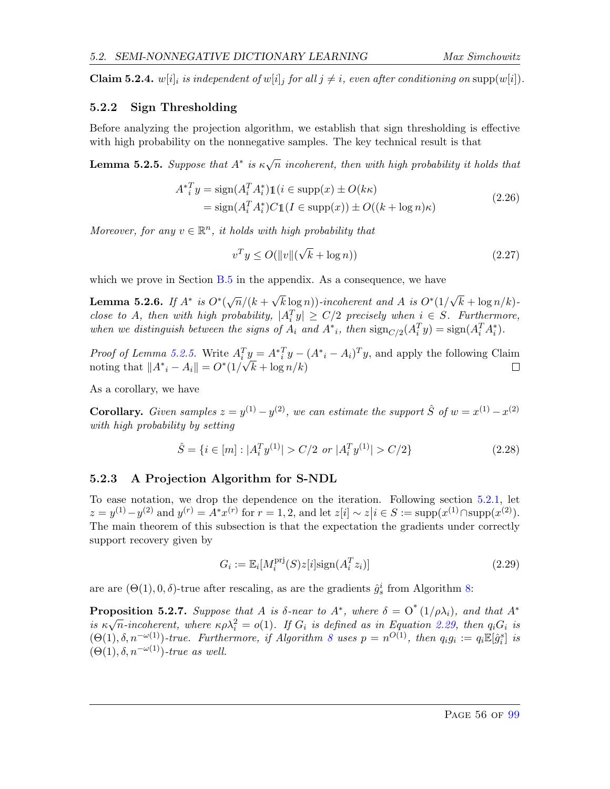**Claim 5.2.4.** w[i]<sub>i</sub> is independent of w[i]<sub>i</sub> for all  $j \neq i$ , even after conditioning on supp(w[i]).

# <span id="page-56-1"></span>5.2.2 Sign Thresholding

Before analyzing the projection algorithm, we establish that sign thresholding is effective with high probability on the nonnegative samples. The key technical result is that

<span id="page-56-2"></span>**Lemma 5.2.5.** Suppose that  $A^*$  is  $\kappa\sqrt{n}$  incoherent, then with high probability it holds that

$$
A^*_{i}^{T}y = \text{sign}(A_i^{T}A_i^*)\mathbb{1}(i \in \text{supp}(x) \pm O(k\kappa)
$$
  
=  $\text{sign}(A_i^{T}A_i^*)C\mathbb{1}(I \in \text{supp}(x)) \pm O((k + \log n)\kappa)$  (2.26)

Moreover, for any  $v \in \mathbb{R}^n$ , it holds with high probability that

$$
v^T y \le O(\|v\|(\sqrt{k} + \log n))\tag{2.27}
$$

which we prove in Section [B.5](#page-87-1) in the appendix. As a consequence, we have

<span id="page-56-5"></span>Lemma 5.2.6. If  $A^*$  is  $O^*(\sqrt{n}/(k+1))$  $\sqrt{k} \log n$ ))-incoherent and A is  $O^*(1)$ √  $k + \log n/k$ close to A, then with high probability,  $|A_i^T y| \ge C/2$  precisely when  $i \in S$ . Furthermore, when we distinguish between the signs of  $A_i$  and  $A^*$ , then  $\text{sign}_{C/2}(A_i^T y) = \text{sign}(A_i^T A_i^*)$ .

*Proof of Lemma [5.2.5.](#page-56-2)* Write  $A_i^T y = A_i^* y - (A_i^* - A_i)^T y$ , and apply the following Claim noting that  $||A^*_{i} - A_i|| = O^*(1/\sqrt{k} + \log n/k)$ П

As a corollary, we have

**Corollary.** Given samples  $z = y^{(1)} - y^{(2)}$ , we can estimate the support  $\hat{S}$  of  $w = x^{(1)} - x^{(2)}$ with high probability by setting

$$
\hat{S} = \{ i \in [m] : |A_i^T y^{(1)}| > C/2 \text{ or } |A_i^T y^{(1)}| > C/2 \}
$$
\n(2.28)

# <span id="page-56-0"></span>5.2.3 A Projection Algorithm for S-NDL

To ease notation, we drop the dependence on the iteration. Following section [5.2.1,](#page-55-1) let  $z = y^{(1)} - y^{(2)}$  and  $y^{(r)} = A^*x^{(r)}$  for  $r = 1, 2$ , and let  $z[i] \sim z[i \in S := \text{supp}(x^{(1)} \cap \text{supp}(x^{(2)})$ . The main theorem of this subsection is that the expectation the gradients under correctly support recovery given by

<span id="page-56-3"></span>
$$
G_i := \mathbb{E}_i[M_i^{\text{pri}}(S)z[i]\text{sign}(A_i^T z_i)]
$$
\n(2.29)

are are  $(\Theta(1), 0, \delta)$ -true after rescaling, as are the gradients  $\hat{g}_s^i$  from Algorithm [8:](#page-54-0)

<span id="page-56-4"></span>**Proposition 5.2.7.** Suppose that A is  $\delta$ -near to  $A^*$ , where  $\delta = O^*(1/\rho \lambda_i)$ , and that  $A^*$ is  $\kappa\sqrt{n}$ -incoherent, where  $\kappa\rho\lambda_i^2 = o(1)$ . If  $G_i$  is defined as in Equation [2.29,](#page-56-3) then  $q_iG_i$  is  $(\Theta(1), \delta, n^{-\omega(1)})$ -true. Furthermore, if Algorithm [8](#page-54-0) uses  $p = n^{O(1)}$ , then  $q_i g_i := q_i \mathbb{E}[\hat{g}_i^s]$  is  $(\Theta(1), \delta, n^{-\omega(1)})$ -true as well.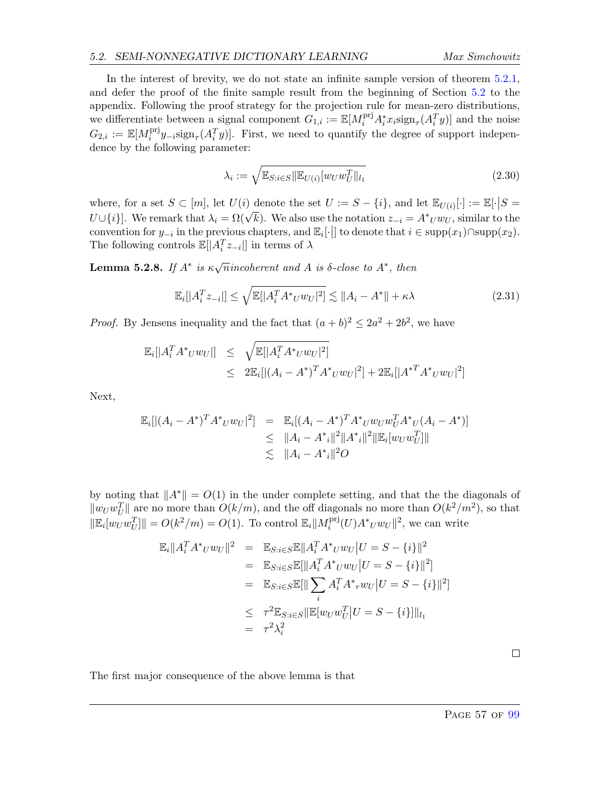#### 5.2. SEMI-NONNEGATIVE DICTIONARY LEARNING Max Simchowitz

In the interest of brevity, we do not state an infinite sample version of theorem [5.2.1,](#page-53-0) and defer the proof of the finite sample result from the beginning of Section [5.2](#page-53-1) to the appendix. Following the proof strategy for the projection rule for mean-zero distributions, we differentiate between a signal component  $G_{1,i} := \mathbb{E}[M_i^{\text{pri}} A_i^* x_i \text{sign}_{\tau}(A_i^T y)]$  and the noise  $G_{2,i} \, := \, \mathbb{E}[M^{\text{pri}}_i$  $i<sup>pri</sup>y<sub>-i</sub>sign<sub>\tau</sub>(A<sub>i</sub><sup>T</sup>y)].$  First, we need to quantify the degree of support independence by the following parameter:

<span id="page-57-0"></span>
$$
\lambda_i := \sqrt{\mathbb{E}_{S:i\in S} \|\mathbb{E}_{U(i)}[w_U w_U^T\|_{l_1})}
$$
\n(2.30)

where, for a set  $S \subset [m]$ , let  $U(i)$  denote the set  $U := S - \{i\}$ , and let  $\mathbb{E}_{U(i)}[\cdot] := \mathbb{E}[\cdot | S =$ where, for a set  $D \subseteq [m]$ , let  $U(t)$  denote the set  $D := D - \{if\}$ , and let  $\mathbb{E}_U(i)[1] := \mathbb{E}[\{D = U \cup \{i\}]\}]$ . We remark that  $\lambda_i = \Omega(\sqrt{k})$ . We also use the notation  $z_{-i} = A^*Uw_U$ , similar to the convention for  $y_{-i}$  in the previous chapters, and  $\mathbb{E}_i[\cdot]$  to denote that  $i \in \text{supp}(x_1) \cap \text{supp}(x_2)$ . The following controls  $\mathbb{E}[|A_i^T z_{-i}|]$  in terms of  $\lambda$ 

<span id="page-57-1"></span>**Lemma 5.2.8.** If  $A^*$  is  $\kappa \sqrt{n}$  incoherent and A is  $\delta$ -close to  $A^*$ , then

$$
\mathbb{E}_{i}[|A_{i}^{T}z_{-i}|] \leq \sqrt{\mathbb{E}[|A_{i}^{T}A^{*}vw_{U}|^{2}]} \lesssim \|A_{i} - A^{*}\| + \kappa\lambda
$$
\n(2.31)

*Proof.* By Jensens inequality and the fact that  $(a + b)^2 \leq 2a^2 + 2b^2$ , we have

$$
\mathbb{E}_{i}[[A_{i}^{T}A^{*}U^{*}UU]] \leq \sqrt{\mathbb{E}[|A_{i}^{T}A^{*}U^{*}UU|^{2}]}
$$
  

$$
\leq 2\mathbb{E}_{i}[(A_{i} - A^{*})^{T}A^{*}UUU|^{2}] + 2\mathbb{E}_{i}[[A^{*T}A^{*}UUU|^{2}]
$$

Next,

$$
\mathbb{E}_{i}[(A_{i} - A^{*})^{T} A^{*} U W_{U}|^{2}] = \mathbb{E}_{i}[(A_{i} - A^{*})^{T} A^{*} U W_{U} W_{U}^{T} A^{*} U (A_{i} - A^{*})] \n\leq ||A_{i} - A^{*}||^{2} ||A^{*}||^{2} ||\mathbb{E}_{i} [W_{U} W_{U}^{T}]|| \n\leq ||A_{i} - A^{*}||^{2} O
$$

by noting that  $||A^*|| = O(1)$  in the under complete setting, and that the the diagonals of  $\|w_U w_U^T\|$  are no more than  $O(k/m)$ , and the off diagonals no more than  $O(k^2/m^2)$ , so that  $\|\mathbb{E}_i[w_U w_U^T]\| = O(k^2/m) = O(1)$ . To control  $\mathbb{E}_i||M_i^{\text{pri}}$  $\lim_{i}^{\text{pri}}(U)A^*_{U}w_{U}\Vert^2$ , we can write

$$
\mathbb{E}_{i}||A_{i}^{T}A^{*}U^{*}UU||^{2} = \mathbb{E}_{S:i\in S}\mathbb{E}||A_{i}^{T}A^{*}U^{*}UU|U = S - \{i\}||^{2}
$$
  
\n
$$
= \mathbb{E}_{S:i\in S}\mathbb{E}[\|A_{i}^{T}A^{*}U^{*}UU|U = S - \{i\}||^{2}]
$$
  
\n
$$
= \mathbb{E}_{S:i\in S}\mathbb{E}[\|\sum_{i} A_{i}^{T}A^{*}U^{*}UU|U = S - \{i\}||^{2}]
$$
  
\n
$$
\leq \tau^{2}\mathbb{E}_{S:i\in S}\|\mathbb{E}[UU^{*}U^{T}]U = S - \{i\}]\|_{l_{1}}
$$
  
\n
$$
= \tau^{2}\lambda_{i}^{2}
$$

The first major consequence of the above lemma is that

 $\Box$ 

PAGE 57 OF [99](#page-99-0)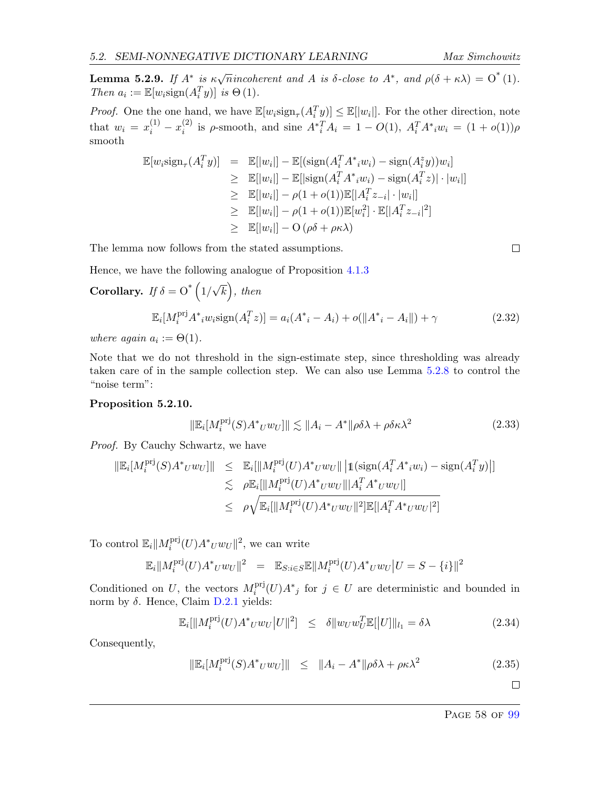<span id="page-58-0"></span>**Lemma 5.2.9.** If  $A^*$  is  $\kappa \sqrt{n}$  incoherent and A is  $\delta$ -close to  $A^*$ , and  $\rho(\delta + \kappa \lambda) = O^*(1)$ . Then  $a_i := \mathbb{E}[w_i \text{sign}(A_i^T y)]$  is  $\Theta(1)$ .

*Proof.* One the one hand, we have  $\mathbb{E}[w_i \text{sign}_{\tau}(A_i^T y)] \leq \mathbb{E}[|w_i|]$ . For the other direction, note that  $w_i = x_i^{(1)} - x_i^{(2)}$ <sup>(2)</sup> is ρ-smooth, and sine  $A^*$ <sup>T</sup><sub>*i*</sub></sub> $A_i = 1 - O(1)$ ,  $A_i^T A^*$ <sub>*i*</sub> $w_i = (1 + o(1))ρ$ smooth

$$
\mathbb{E}[w_i \text{sign}_{\tau}(A_i^T y)] = \mathbb{E}[|w_i|] - \mathbb{E}[(\text{sign}(A_i^T A^* i w_i) - \text{sign}(A_i^z y))w_i]
$$
  
\n
$$
\geq \mathbb{E}[|w_i|] - \mathbb{E}[|\text{sign}(A_i^T A^* i w_i) - \text{sign}(A_i^T z)| \cdot |w_i|]
$$
  
\n
$$
\geq \mathbb{E}[|w_i|] - \rho(1 + o(1))\mathbb{E}[|A_i^T z_{-i}| \cdot |w_i|]
$$
  
\n
$$
\geq \mathbb{E}[|w_i|] - \rho(1 + o(1))\mathbb{E}[w_i^2] \cdot \mathbb{E}[|A_i^T z_{-i}|^2]
$$
  
\n
$$
\geq \mathbb{E}[|w_i|] - O(\rho \delta + \rho \kappa \lambda)
$$

The lemma now follows from the stated assumptions.

$$
\qquad \qquad \Box
$$

Hence, we have the following analogue of Proposition [4.1.3](#page-38-1)

Corollary. If 
$$
\delta = O^* (1/\sqrt{k})
$$
, then  
\n
$$
\mathbb{E}_i[M_i^{\text{prj}} A^*_{i} w_i \text{sign}(A_i^T z)] = a_i(A^*_{i} - A_i) + o(||A^*_{i} - A_i||) + \gamma
$$
\n(2.32)

where again  $a_i := \Theta(1)$ .

Note that we do not threshold in the sign-estimate step, since thresholding was already taken care of in the sample collection step. We can also use Lemma [5.2.8](#page-57-1) to control the "noise term":

#### <span id="page-58-1"></span>Proposition 5.2.10.

$$
\|\mathbb{E}_i[M_i^{\text{pri}}(S)A^*_{U}w_{U}]\| \lesssim \|A_i - A^*\|\rho\delta\lambda + \rho\delta\kappa\lambda^2
$$
\n(2.33)

Proof. By Cauchy Schwartz, we have

$$
\|\mathbb{E}_{i}[M_{i}^{\text{pri}}(S)A^{*}UwU\|] \leq \mathbb{E}_{i}[\|M_{i}^{\text{pri}}(U)A^{*}UwU\| \|\mathbf{1}(\text{sign}(A_{i}^{T}A^{*}_{i}w_{i}) - \text{sign}(A_{i}^{T}y)\|]
$$
  
\n
$$
\leq \rho \mathbb{E}_{i}[\|M_{i}^{\text{pri}}(U)A^{*}UwU\| |A_{i}^{T}A^{*}UwU\|]
$$
  
\n
$$
\leq \rho \sqrt{\mathbb{E}_{i}[\|M_{i}^{\text{pri}}(U)A^{*}UwU\|^{2}]\mathbb{E}[|A_{i}^{T}A^{*}UwU|^{2}]}
$$

To control  $\mathbb{E}_i||M_i^{\text{prj}}$  $\int_i^{\text{pri}}(U) A^* U w_U \|^2$ , we can write

$$
\mathbb{E}_{i}||M_{i}^{\text{pri}}(U)A^{*}UWU||^{2} = \mathbb{E}_{S:i\in S}\mathbb{E}||M_{i}^{\text{pri}}(U)A^{*}UWU||U = S - \{i\}||^{2}
$$

Conditioned on U, the vectors  $M_i^{\text{pri}}$  $i<sup>pri</sup>(U)A<sup>*</sup>$  for  $j \in U$  are deterministic and bounded in norm by δ. Hence, Claim  $D.2.1$  yields:

$$
\mathbb{E}_{i}[\|M_{i}^{\text{pri}}(U)A^{*}UWU}|U\|^{2}] \leq \delta \|W_{U}W_{U}^{T}\mathbb{E}[\|U]\|_{l_{1}} = \delta\lambda
$$
\n(2.34)

Consequently,

$$
\|\mathbb{E}_i[M_i^{\text{pri}}(S)A^*_{U}w_{U}]\| \leq \|A_i - A^*\|\rho\delta\lambda + \rho\kappa\lambda^2
$$
\n(2.35)

$$
\qquad \qquad \Box
$$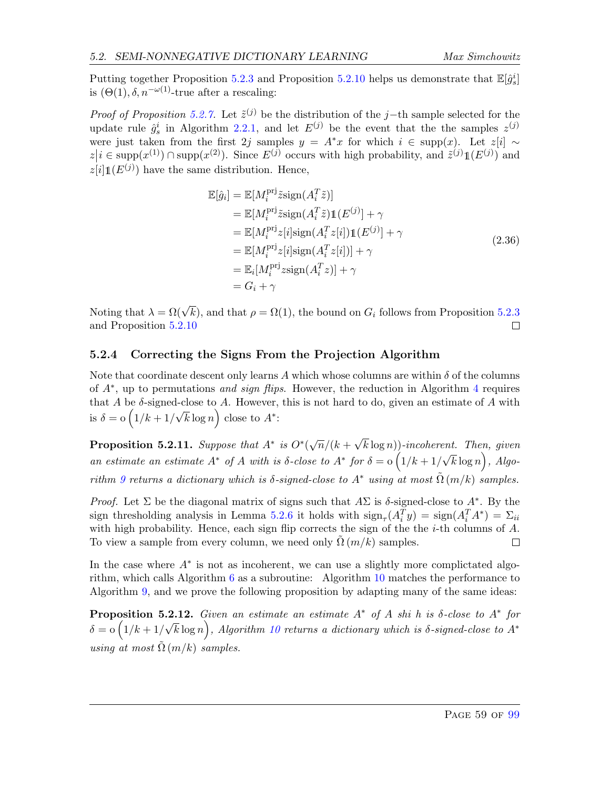Putting together Proposition [5.2.3](#page-58-0) and Proposition [5.2.10](#page-58-1) helps us demonstrate that  $\mathbb{E}[\hat{g}_s^i]$ is  $(\Theta(1), \delta, n^{-\omega(1)}$ -true after a rescaling:

*Proof of Proposition [5.2.7.](#page-56-4)* Let  $\tilde{z}^{(j)}$  be the distribution of the j−th sample selected for the update rule  $\hat{g}_s^i$  in Algorithm [2.2.1,](#page-20-0) and let  $E^{(j)}$  be the event that the the samples  $z^{(j)}$ were just taken from the first 2j samples  $y = A^*x$  for which  $i \in \text{supp}(x)$ . Let  $z[i] \sim$  $z|i \in \text{supp}(x^{(1)}) \cap \text{supp}(x^{(2)})$ . Since  $E^{(j)}$  occurs with high probability, and  $\tilde{z}^{(j)}1(E^{(j)})$  and  $z[i] \mathbb{1}(E^{(j)})$  have the same distribution. Hence,

$$
\mathbb{E}[\hat{g}_i] = \mathbb{E}[M_i^{\text{pri}} \tilde{z} \text{sign}(A_i^T \tilde{z})]
$$
\n
$$
= \mathbb{E}[M_i^{\text{pri}} \tilde{z} \text{sign}(A_i^T \tilde{z}) \mathbb{1}(E^{(j)}) + \gamma
$$
\n
$$
= \mathbb{E}[M_i^{\text{pri}} z[i] \text{sign}(A_i^T z[i]) \mathbb{1}(E^{(j)}) + \gamma
$$
\n
$$
= \mathbb{E}[M_i^{\text{pri}} z[i] \text{sign}(A_i^T z[i])] + \gamma
$$
\n
$$
= \mathbb{E}_i[M_i^{\text{pri}} z \text{sign}(A_i^T z)] + \gamma
$$
\n
$$
= G_i + \gamma
$$
\n(2.36)

Noting that  $\lambda = \Omega(\sqrt{k})$ , and that  $\rho = \Omega(1)$ , the bound on  $G_i$  follows from Proposition [5.2.3](#page-58-0) and Proposition [5.2.10](#page-58-1) □

## <span id="page-59-0"></span>5.2.4 Correcting the Signs From the Projection Algorithm

Note that coordinate descent only learns A which whose columns are within  $\delta$  of the columns of  $A^*$ , up to permutations and sign flips. However, the reduction in Algorithm [4](#page-48-1) requires that A be  $\delta$ -signed-close to A. However, this is not hard to do, given an estimate of A with is  $\delta = o(1/k + 1/k)$ √  $\overline{k}\log n$  close to  $A^*$ :

Proposition 5.2.11. Suppose that  $A^*$  is  $O^*(\sqrt{n}/(k+1))$ √  $k \log n$ ))-incoherent. Then, given an estimate an estimate  $A^*$  of A with is  $\delta$ -close to  $A^*$  for  $\delta = \delta(1/k + 1/k)$ √  $\overline{k}\log n$ ), Algo-rithm [9](#page-60-3) returns a dictionary which is  $\delta$ -signed-close to  $A^*$  using at most  $\tilde{\Omega}(m/k)$  samples.

Proof. Let  $\Sigma$  be the diagonal matrix of signs such that  $A\Sigma$  is  $\delta$ -signed-close to  $A^*$ . By the sign thresholding analysis in Lemma [5.2.6](#page-56-5) it holds with  $\text{sign}_{\tau}(A_i^T y) = \text{sign}(A_i^T A^*) = \sum_{ii}$ with high probability. Hence, each sign flip corrects the sign of the the *i*-th columns of  $A$ . To view a sample from every column, we need only  $\Omega(m/k)$  samples.  $\Box$ 

In the case where  $A^*$  is not as incoherent, we can use a slightly more complictated algorithm, which calls Algorithm  $6$  as a subroutine: Algorithm  $10$  matches the performance to Algorithm [9,](#page-60-3) and we prove the following proposition by adapting many of the same ideas:

**Proposition 5.2.12.** Given an estimate an estimate  $A^*$  of A shi h is  $\delta$ -close to  $A^*$  for  $\delta = \mathrm{o}\left(1/k + 1\right)$ √  $\overline{k}\log n$ ), Algorithm [10](#page-60-4) returns a dictionary which is  $\delta$ -signed-close to  $A^*$ using at most  $\tilde{\Omega}(m/k)$  samples.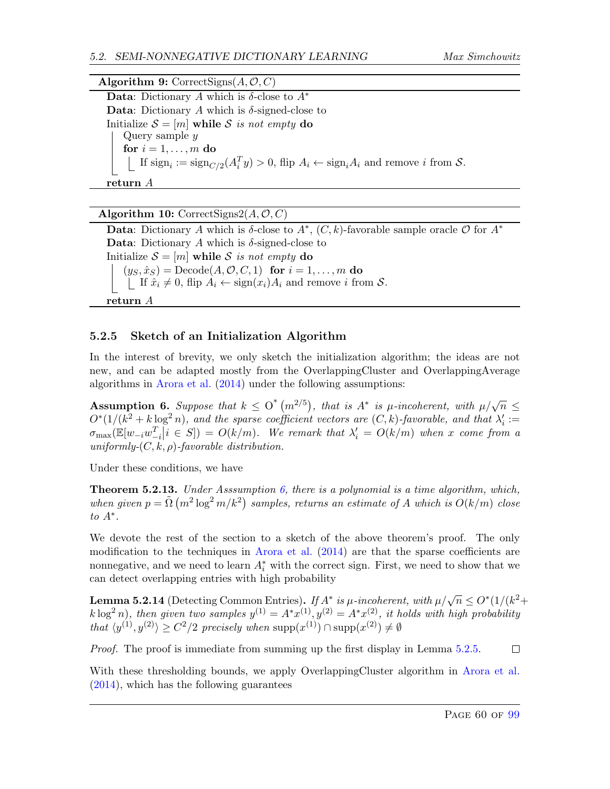**Data:** Dictionary A which is  $\delta$ -close to  $A^*$ Data: Dictionary A which is  $\delta$ -signed-close to Initialize  $S = [m]$  while S is not empty do Query sample y for  $i = 1, \ldots, m$  do If  $\operatorname{sign}_i := \operatorname{sign}_{C/2}(A_i^T y) > 0$ , flip  $A_i \leftarrow \operatorname{sign}_i A_i$  and remove i from S. return A

<span id="page-60-3"></span>Algorithm 10: CorrectSigns2( $A, O, C$ )

Data: Dictionary A which is  $\delta$ -close to  $A^*$ ,  $(C, k)$ -favorable sample oracle  $\mathcal O$  for  $A^*$ Data: Dictionary A which is  $\delta$ -signed-close to Initialize  $S = [m]$  while S is not empty do  $(y_S, \hat{x}_S)$  = Decode $(A, \mathcal{O}, C, 1)$  for  $i = 1, \ldots, m$  do  $\Box$  If  $\hat{x}_i \neq 0$ , flip  $A_i \leftarrow \text{sign}(x_i)A_i$  and remove i from  $S$ . return A

# <span id="page-60-4"></span><span id="page-60-0"></span>5.2.5 Sketch of an Initialization Algorithm

In the interest of brevity, we only sketch the initialization algorithm; the ideas are not new, and can be adapted mostly from the OverlappingCluster and OverlappingAverage algorithms in [Arora et al.](#page-63-5) [\(2014\)](#page-63-5) under the following assumptions:

<span id="page-60-2"></span>**Assumption 6.** Suppose that  $k \leq O^*(m^{2/5})$ , that is  $A^*$  is  $\mu$ -incoherent, with  $\mu/\sqrt{n} \leq$  $O^*(1/(k^2 + k \log^2 n))$ , and the sparse coefficient vectors are  $(C, k)$ -favorable, and that  $\lambda_i' :=$  $\sigma_{\max}(\mathbb{E}[w_{-i}w_{-i}^T | i \in S]) = O(k/m)$ . We remark that  $\lambda'_i = O(k/m)$  when x come from a uniformly- $(C, k, \rho)$ -favorable distribution.

Under these conditions, we have

<span id="page-60-1"></span>**Theorem 5.2.13.** Under Asssumption [6,](#page-60-2) there is a polynomial is a time algorithm, which, when given  $p = \tilde{\Omega}(m^2 \log^2 m/k^2)$  samples, returns an estimate of A which is  $O(k/m)$  close to  $A^*$ .

We devote the rest of the section to a sketch of the above theorem's proof. The only modification to the techniques in [Arora et al.](#page-63-5) [\(2014\)](#page-63-5) are that the sparse coefficients are nonnegative, and we need to learn  $A_i^*$  with the correct sign. First, we need to show that we can detect overlapping entries with high probability

<span id="page-60-5"></span>**Lemma 5.2.14** (Detecting Common Entries). If  $A^*$  is  $\mu$ -incoherent, with  $\mu/\sqrt{n} \leq O^*(1/(k^2+\epsilon^2))$  $k \log^2 n$ , then given two samples  $y^{(1)} = A^* x^{(1)}$ ,  $y^{(2)} = A^* x^{(2)}$ , it holds with high probability that  $\langle y^{(1)}, y^{(2)} \rangle \ge C^2/2$  precisely when  $\text{supp}(x^{(1)}) \cap \text{supp}(x^{(2)}) \ne \emptyset$ 

Proof. The proof is immediate from summing up the first display in Lemma [5.2.5.](#page-56-2)  $\Box$ 

With these thresholding bounds, we apply OverlappingCluster algorithm in [Arora et al.](#page-63-5) [\(2014\)](#page-63-5), which has the following guarantees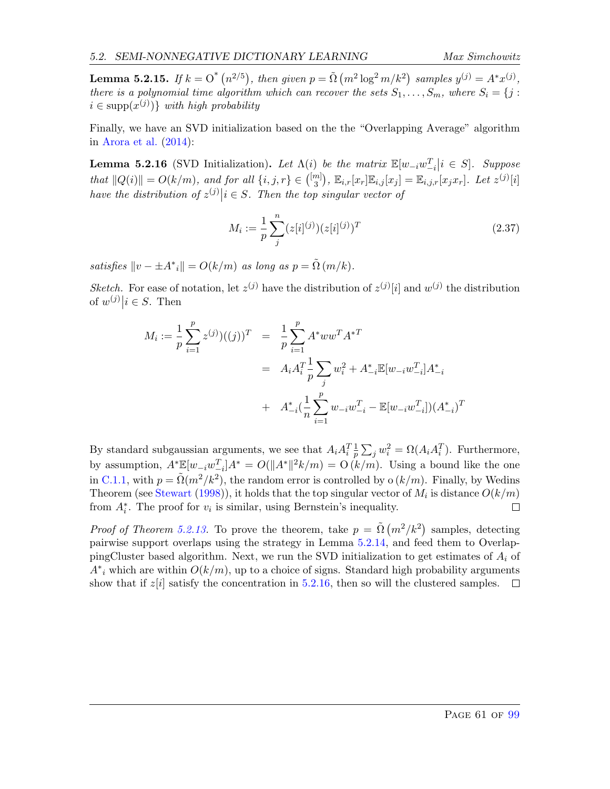**Lemma 5.2.15.** If  $k = O^*(n^{2/5})$ , then given  $p = \tilde{\Omega}(m^2 \log^2 m/k^2)$  samples  $y^{(j)} = A^*x^{(j)}$ , there is a polynomial time algorithm which can recover the sets  $S_1, \ldots, S_m$ , where  $S_i = \{j :$  $i \in \text{supp}(x^{(j)})\}\$  with high probability

Finally, we have an SVD initialization based on the the "Overlapping Average" algorithm in [Arora et al.](#page-63-5) [\(2014\)](#page-63-5):

<span id="page-61-0"></span>**Lemma 5.2.16** (SVD Initialization). Let  $\Lambda(i)$  be the matrix  $\mathbb{E}[w_{-i}w_{-i}^T | i \in S]$ . Suppose that  $||Q(i)|| = O(k/m)$ , and for all  $\{i, j, r\} \in \binom{[m]}{3}$  $\mathbb{E}_{i,r}[x_r | \mathbb{E}_{i,j}[x_j] = \mathbb{E}_{i,j,r}[x_j x_r]$ . Let  $z^{(j)}[i]$ have the distribution of  $z^{(j)}|i \in S$ . Then the top singular vector of

$$
M_i := \frac{1}{p} \sum_{j}^{n} (z[i]^{(j)}) (z[i]^{(j)})^T
$$
\n(2.37)

satisfies  $||v - \pm A^*_{i}|| = O(k/m)$  as long as  $p = \tilde{\Omega}(m/k)$ .

Sketch. For ease of notation, let  $z^{(j)}$  have the distribution of  $z^{(j)}[i]$  and  $w^{(j)}$  the distribution of  $w^{(j)}|i \in S$ . Then

$$
M_i := \frac{1}{p} \sum_{i=1}^p z^{(j)})((j))^T = \frac{1}{p} \sum_{i=1}^p A^* w w^T A^{*T}
$$
  
=  $A_i A_i^T \frac{1}{p} \sum_j w_i^2 + A_{-i}^* \mathbb{E}[w_{-i} w_{-i}^T] A_{-i}^*$   
+  $A_{-i}^* \left(\frac{1}{n} \sum_{i=1}^p w_{-i} w_{-i}^T - \mathbb{E}[w_{-i} w_{-i}^T] \right) (A_{-i}^*)^T$ 

By standard subgaussian arguments, we see that  $A_i A_i^T \frac{1}{p}$  $\frac{1}{p} \sum_j w_i^2 = \Omega(A_i A_i^T)$ . Furthermore, by assumption,  $A^* \mathbb{E}[w_{-i}w_{-i}^T]A^* = O(||A^*||^2k/m) = O(k/m)$ . Using a bound like the one in [C.1.1,](#page-92-1) with  $p = \tilde{\Omega}(m^2/k^2)$ , the random error is controlled by  $o(k/m)$ . Finally, by Wedins Theorem (see [Stewart](#page-65-6) [\(1998\)](#page-65-6)), it holds that the top singular vector of  $M_i$  is distance  $O(k/m)$ from  $A_i^*$ . The proof for  $v_i$  is similar, using Bernstein's inequality.  $\Box$ 

*Proof of Theorem [5.2.13.](#page-60-1)* To prove the theorem, take  $p = \tilde{\Omega}(m^2/k^2)$  samples, detecting pairwise support overlaps using the strategy in Lemma [5.2.14,](#page-60-5) and feed them to OverlappingCluster based algorithm. Next, we run the SVD initialization to get estimates of  $A_i$  of  $A^*$ <sub>i</sub> which are within  $O(k/m)$ , up to a choice of signs. Standard high probability arguments show that if  $z[i]$  satisfy the concentration in [5.2.16,](#page-61-0) then so will the clustered samples.  $\Box$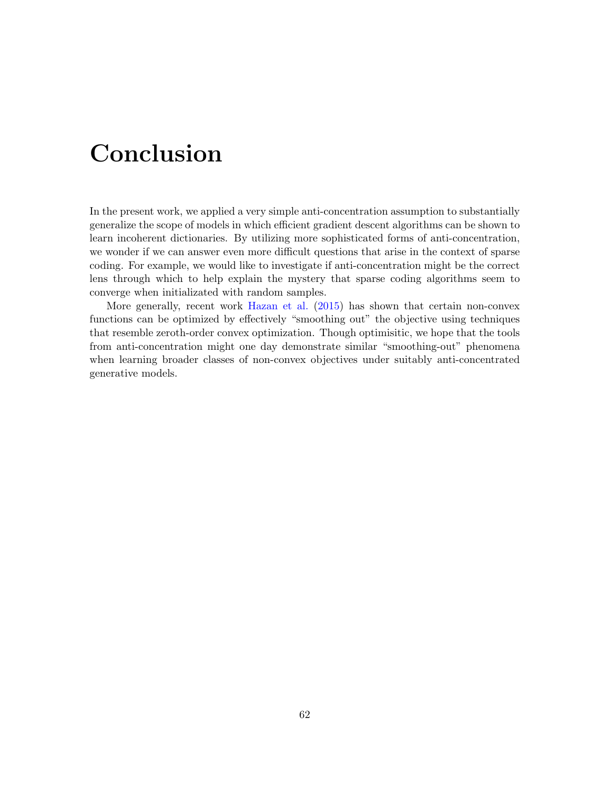# Conclusion

In the present work, we applied a very simple anti-concentration assumption to substantially generalize the scope of models in which efficient gradient descent algorithms can be shown to learn incoherent dictionaries. By utilizing more sophisticated forms of anti-concentration, we wonder if we can answer even more difficult questions that arise in the context of sparse coding. For example, we would like to investigate if anti-concentration might be the correct lens through which to help explain the mystery that sparse coding algorithms seem to converge when initializated with random samples.

More generally, recent work [Hazan et al.](#page-64-7) [\(2015\)](#page-64-7) has shown that certain non-convex functions can be optimized by effectively "smoothing out" the objective using techniques that resemble zeroth-order convex optimization. Though optimisitic, we hope that the tools from anti-concentration might one day demonstrate similar "smoothing-out" phenomena when learning broader classes of non-convex objectives under suitably anti-concentrated generative models.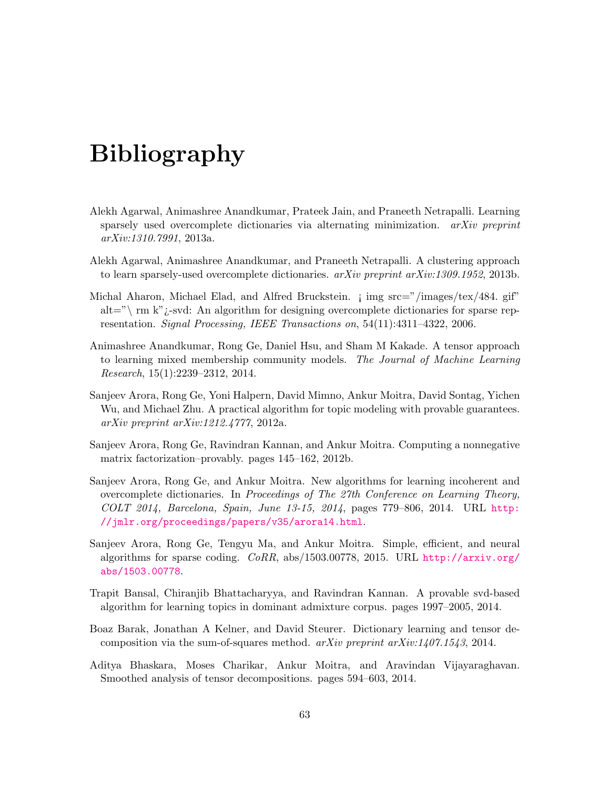# Bibliography

- Alekh Agarwal, Animashree Anandkumar, Prateek Jain, and Praneeth Netrapalli. Learning sparsely used overcomplete dictionaries via alternating minimization. *arXiv preprint* arXiv:1310.7991, 2013a.
- Alekh Agarwal, Animashree Anandkumar, and Praneeth Netrapalli. A clustering approach to learn sparsely-used overcomplete dictionaries. arXiv preprint arXiv:1309.1952, 2013b.
- Michal Aharon, Michael Elad, and Alfred Bruckstein. ¡ img src="/images/tex/484. gif" alt="\ rm k"  $i$ -svd: An algorithm for designing overcomplete dictionaries for sparse representation. Signal Processing, IEEE Transactions on, 54(11):4311–4322, 2006.
- <span id="page-63-1"></span>Animashree Anandkumar, Rong Ge, Daniel Hsu, and Sham M Kakade. A tensor approach to learning mixed membership community models. The Journal of Machine Learning Research, 15(1):2239–2312, 2014.
- <span id="page-63-3"></span>Sanjeev Arora, Rong Ge, Yoni Halpern, David Mimno, Ankur Moitra, David Sontag, Yichen Wu, and Michael Zhu. A practical algorithm for topic modeling with provable guarantees. arXiv preprint arXiv:1212.4777, 2012a.
- <span id="page-63-2"></span>Sanjeev Arora, Rong Ge, Ravindran Kannan, and Ankur Moitra. Computing a nonnegative matrix factorization–provably. pages 145–162, 2012b.
- <span id="page-63-5"></span>Sanjeev Arora, Rong Ge, and Ankur Moitra. New algorithms for learning incoherent and overcomplete dictionaries. In Proceedings of The 27th Conference on Learning Theory, COLT 2014, Barcelona, Spain, June 13-15, 2014, pages 779–806, 2014. URL [http:](http://jmlr.org/proceedings/papers/v35/arora14.html) [//jmlr.org/proceedings/papers/v35/arora14.html](http://jmlr.org/proceedings/papers/v35/arora14.html).
- <span id="page-63-0"></span>Sanjeev Arora, Rong Ge, Tengyu Ma, and Ankur Moitra. Simple, efficient, and neural algorithms for sparse coding. CoRR, abs/1503.00778, 2015. URL [http://arxiv.org/](http://arxiv.org/abs/1503.00778) [abs/1503.00778](http://arxiv.org/abs/1503.00778).
- <span id="page-63-4"></span>Trapit Bansal, Chiranjib Bhattacharyya, and Ravindran Kannan. A provable svd-based algorithm for learning topics in dominant admixture corpus. pages 1997–2005, 2014.
- Boaz Barak, Jonathan A Kelner, and David Steurer. Dictionary learning and tensor decomposition via the sum-of-squares method.  $arXiv$  preprint  $arXiv:1407.1543, 2014$ .
- Aditya Bhaskara, Moses Charikar, Ankur Moitra, and Aravindan Vijayaraghavan. Smoothed analysis of tensor decompositions. pages 594–603, 2014.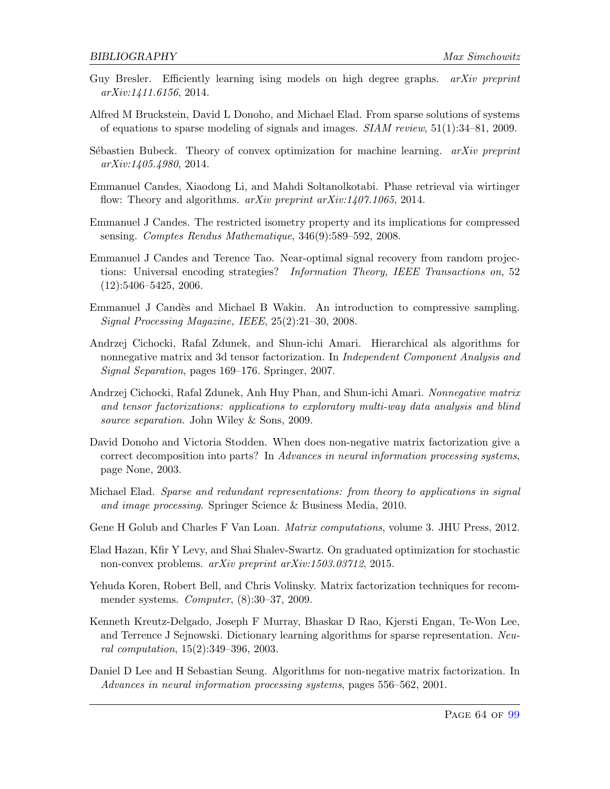- Guy Bresler. Efficiently learning ising models on high degree graphs.  $arXiv$  preprint arXiv:1411.6156, 2014.
- Alfred M Bruckstein, David L Donoho, and Michael Elad. From sparse solutions of systems of equations to sparse modeling of signals and images.  $SIAM$  review,  $51(1):34-81$ , 2009.
- Sébastien Bubeck. Theory of convex optimization for machine learning.  $arXiv$  preprint arXiv:1405.4980, 2014.
- Emmanuel Candes, Xiaodong Li, and Mahdi Soltanolkotabi. Phase retrieval via wirtinger flow: Theory and algorithms.  $arXiv$  preprint  $arXiv: 1407.1065$ , 2014.
- Emmanuel J Candes. The restricted isometry property and its implications for compressed sensing. Comptes Rendus Mathematique, 346(9):589–592, 2008.
- Emmanuel J Candes and Terence Tao. Near-optimal signal recovery from random projections: Universal encoding strategies? Information Theory, IEEE Transactions on, 52 (12):5406–5425, 2006.
- <span id="page-64-5"></span>Emmanuel J Cand`es and Michael B Wakin. An introduction to compressive sampling. Signal Processing Magazine, IEEE, 25(2):21–30, 2008.
- <span id="page-64-4"></span>Andrzej Cichocki, Rafal Zdunek, and Shun-ichi Amari. Hierarchical als algorithms for nonnegative matrix and 3d tensor factorization. In *Independent Component Analysis and* Signal Separation, pages 169–176. Springer, 2007.
- <span id="page-64-1"></span>Andrzej Cichocki, Rafal Zdunek, Anh Huy Phan, and Shun-ichi Amari. Nonnegative matrix and tensor factorizations: applications to exploratory multi-way data analysis and blind source separation. John Wiley & Sons, 2009.
- <span id="page-64-3"></span>David Donoho and Victoria Stodden. When does non-negative matrix factorization give a correct decomposition into parts? In Advances in neural information processing systems, page None, 2003.
- Michael Elad. Sparse and redundant representations: from theory to applications in signal and image processing. Springer Science & Business Media, 2010.
- <span id="page-64-6"></span>Gene H Golub and Charles F Van Loan. *Matrix computations*, volume 3. JHU Press, 2012.
- <span id="page-64-7"></span>Elad Hazan, Kfir Y Levy, and Shai Shalev-Swartz. On graduated optimization for stochastic non-convex problems. arXiv preprint arXiv:1503.03712, 2015.
- <span id="page-64-2"></span>Yehuda Koren, Robert Bell, and Chris Volinsky. Matrix factorization techniques for recommender systems. Computer, (8):30–37, 2009.
- Kenneth Kreutz-Delgado, Joseph F Murray, Bhaskar D Rao, Kjersti Engan, Te-Won Lee, and Terrence J Sejnowski. Dictionary learning algorithms for sparse representation. Neural computation, 15(2):349–396, 2003.
- <span id="page-64-0"></span>Daniel D Lee and H Sebastian Seung. Algorithms for non-negative matrix factorization. In Advances in neural information processing systems, pages 556–562, 2001.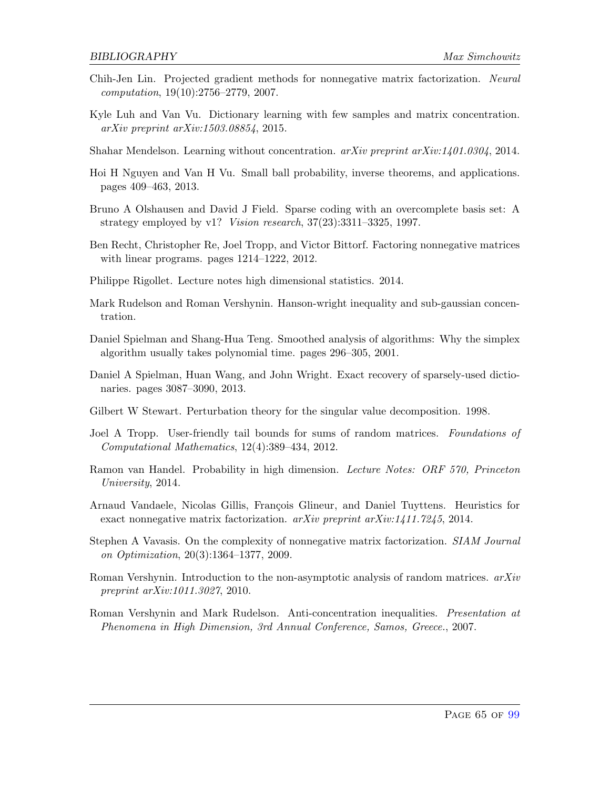- <span id="page-65-2"></span>Chih-Jen Lin. Projected gradient methods for nonnegative matrix factorization. Neural computation, 19(10):2756–2779, 2007.
- Kyle Luh and Van Vu. Dictionary learning with few samples and matrix concentration. arXiv preprint arXiv:1503.08854, 2015.
- Shahar Mendelson. Learning without concentration.  $arXiv$  preprint  $arXiv:1401.0304$ , 2014.
- Hoi H Nguyen and Van H Vu. Small ball probability, inverse theorems, and applications. pages 409–463, 2013.
- Bruno A Olshausen and David J Field. Sparse coding with an overcomplete basis set: A strategy employed by v1? Vision research, 37(23):3311–3325, 1997.
- <span id="page-65-1"></span>Ben Recht, Christopher Re, Joel Tropp, and Victor Bittorf. Factoring nonnegative matrices with linear programs. pages 1214–1222, 2012.
- <span id="page-65-4"></span>Philippe Rigollet. Lecture notes high dimensional statistics. 2014.
- Mark Rudelson and Roman Vershynin. Hanson-wright inequality and sub-gaussian concentration.
- Daniel Spielman and Shang-Hua Teng. Smoothed analysis of algorithms: Why the simplex algorithm usually takes polynomial time. pages 296–305, 2001.
- Daniel A Spielman, Huan Wang, and John Wright. Exact recovery of sparsely-used dictionaries. pages 3087–3090, 2013.
- <span id="page-65-6"></span>Gilbert W Stewart. Perturbation theory for the singular value decomposition. 1998.
- Joel A Tropp. User-friendly tail bounds for sums of random matrices. Foundations of Computational Mathematics, 12(4):389–434, 2012.
- Ramon van Handel. Probability in high dimension. Lecture Notes: ORF 570, Princeton University, 2014.
- <span id="page-65-3"></span>Arnaud Vandaele, Nicolas Gillis, François Glineur, and Daniel Tuyttens. Heuristics for exact nonnegative matrix factorization. arXiv preprint arXiv:1411.7245, 2014.
- <span id="page-65-0"></span>Stephen A Vavasis. On the complexity of nonnegative matrix factorization. SIAM Journal on Optimization, 20(3):1364–1377, 2009.
- <span id="page-65-5"></span>Roman Vershynin. Introduction to the non-asymptotic analysis of random matrices.  $arXiv$ preprint arXiv:1011.3027, 2010.
- Roman Vershynin and Mark Rudelson. Anti-concentration inequalities. Presentation at Phenomena in High Dimension, 3rd Annual Conference, Samos, Greece., 2007.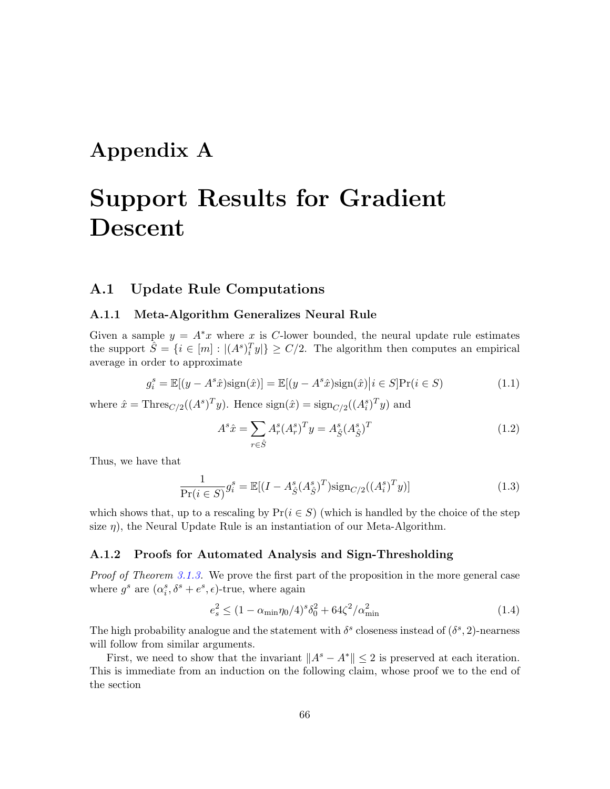# Appendix A

# Support Results for Gradient Descent

# A.1 Update Rule Computations

### A.1.1 Meta-Algorithm Generalizes Neural Rule

Given a sample  $y = A^*x$  where x is C-lower bounded, the neural update rule estimates the support  $\hat{S} = \{i \in [m] : |(A^s)_i^T y|\} \ge C/2$ . The algorithm then computes an empirical average in order to approximate

$$
g_i^s = \mathbb{E}[(y - A^s \hat{x})\text{sign}(\hat{x})] = \mathbb{E}[(y - A^s \hat{x})\text{sign}(\hat{x})|i \in S]Pr(i \in S)
$$
\n(1.1)

where  $\hat{x} = \text{Thres}_{C/2}((A^s)^T y)$ . Hence  $\text{sign}(\hat{x}) = \text{sign}_{C/2}((A_i^s)^T y)$  and

$$
A^{s}\hat{x} = \sum_{r \in \hat{S}} A^{s}_{r} (A^{s}_{r})^{T} y = A^{s}_{\hat{S}} (A^{s}_{\hat{S}})^{T}
$$
(1.2)

Thus, we have that

$$
\frac{1}{\Pr(i \in S)} g_i^s = \mathbb{E}[(I - A_{\hat{S}}^s (A_{\hat{S}}^s)^T) \text{sign}_{C/2}((A_i^s)^T y)] \tag{1.3}
$$

which shows that, up to a rescaling by  $Pr(i \in S)$  (which is handled by the choice of the step size  $\eta$ ), the Neural Update Rule is an instantiation of our Meta-Algorithm.

### A.1.2 Proofs for Automated Analysis and Sign-Thresholding

Proof of Theorem [3.1.3.](#page-24-0) We prove the first part of the proposition in the more general case where  $g^s$  are  $(\alpha_i^s, \delta^s + e^s, \epsilon)$ -true, where again

$$
e_s^2 \le (1 - \alpha_{\min} \eta_0 / 4)^s \delta_0^2 + 64 \zeta^2 / \alpha_{\min}^2 \tag{1.4}
$$

The high probability analogue and the statement with  $\delta^s$  closeness instead of  $(\delta^s, 2)$ -nearness will follow from similar arguments.

First, we need to show that the invariant  $||A^s - A^*|| \leq 2$  is preserved at each iteration. This is immediate from an induction on the following claim, whose proof we to the end of the section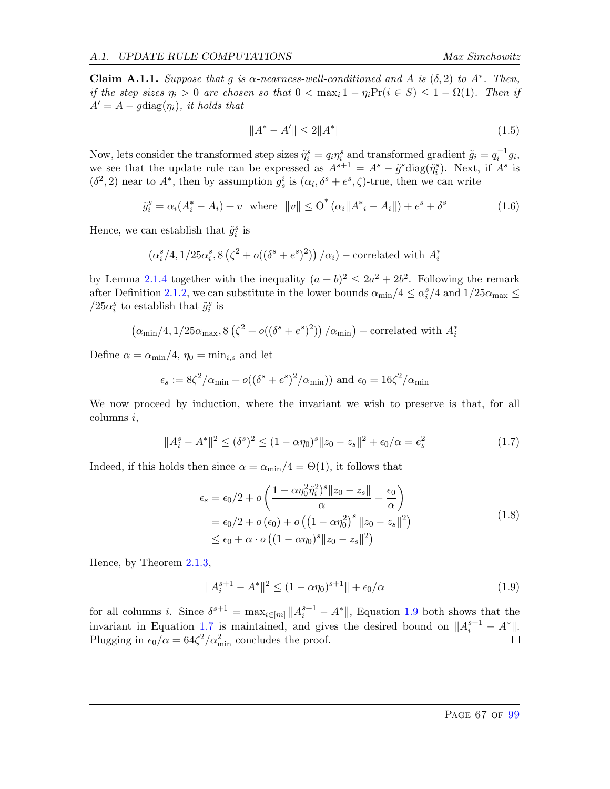<span id="page-67-2"></span>Claim A.1.1. Suppose that g is  $\alpha$ -nearness-well-conditioned and A is  $(\delta, 2)$  to  $A^*$ . Then, if the step sizes  $\eta_i > 0$  are chosen so that  $0 < \max_i 1 - \eta_i \Pr(i \in S) \le 1 - \Omega(1)$ . Then if  $A' = A - q \text{diag}(\eta_i)$ , it holds that

$$
||A^* - A'|| \le 2||A^*|| \tag{1.5}
$$

Now, lets consider the transformed step sizes  $\tilde{\eta}_i^s = q_i \eta_i^s$  and transformed gradient  $\tilde{g}_i = q_i^{-1} g_i$ , we see that the update rule can be expressed as  $A^{s+1} = A^s - \tilde{g}^s \text{diag}(\tilde{\eta}_i^s)$ . Next, if  $A^s$  is  $(\delta^2, 2)$  near to  $A^*$ , then by assumption  $g_s^i$  is  $(\alpha_i, \delta^s + e^s, \zeta)$ -true, then we can write

$$
\tilde{g}_i^s = \alpha_i (A_i^* - A_i) + v \quad \text{where} \quad ||v|| \leq O^* (\alpha_i ||A_i^* - A_i||) + e^s + \delta^s \tag{1.6}
$$

Hence, we can establish that  $\tilde{g}_i^s$  is

$$
\left(\alpha_i^s/4, 1/25\alpha_i^s, 8\left(\zeta^2 + o((\delta^s + \epsilon^s)^2)\right)/\alpha_i\right) - \text{correlated with } A_i^*
$$

by Lemma [2.1.4](#page-17-0) together with the inequality  $(a + b)^2 \leq 2a^2 + 2b^2$ . Following the remark after Definition [2.1.2,](#page-16-0) we can substitute in the lower bounds  $\alpha_{\min}/4 \leq \alpha_i^s/4$  and  $1/25\alpha_{\max} \leq$ /25 $\alpha_i^s$  to establish that  $\tilde{g}_i^s$  is

$$
\left(\alpha_{\min}/4, 1/25\alpha_{\max}, 8\left(\zeta^2 + o((\delta^s + \epsilon^s)^2)\right)/\alpha_{\min}\right) - \text{correlated with } A_i^*
$$

Define  $\alpha = \alpha_{\min}/4$ ,  $\eta_0 = \min_{i,s}$  and let

$$
\epsilon_s := 8\zeta^2/\alpha_{\min} + o((\delta^s + e^s)^2/\alpha_{\min}))
$$
 and  $\epsilon_0 = 16\zeta^2/\alpha_{\min}$ 

We now proceed by induction, where the invariant we wish to preserve is that, for all columns i,

<span id="page-67-1"></span>
$$
||A_i^s - A^*||^2 \le (\delta^s)^2 \le (1 - \alpha \eta_0)^s ||z_0 - z_s||^2 + \epsilon_0/\alpha = e_s^2
$$
 (1.7)

Indeed, if this holds then since  $\alpha = \alpha_{\min}/4 = \Theta(1)$ , it follows that

$$
\epsilon_s = \epsilon_0/2 + o\left(\frac{1 - \alpha\eta_0^2 \tilde{\eta}_i^2)^s \|z_0 - z_s\|}{\alpha} + \frac{\epsilon_0}{\alpha}\right)
$$
  
=  $\epsilon_0/2 + o(\epsilon_0) + o\left(\left(1 - \alpha\eta_0^2\right)^s \|z_0 - z_s\|^2\right)$   
 $\leq \epsilon_0 + \alpha \cdot o\left(\left(1 - \alpha\eta_0\right)^s \|z_0 - z_s\|^2\right)$  (1.8)

Hence, by Theorem [2.1.3,](#page-17-1)

<span id="page-67-0"></span>
$$
||A_i^{s+1} - A^*||^2 \le (1 - \alpha \eta_0)^{s+1}|| + \epsilon_0/\alpha
$$
 (1.9)

for all columns *i*. Since  $\delta^{s+1} = \max_{i \in [m]} ||A_i^{s+1} - A^*||$ , Equation [1.9](#page-67-0) both shows that the invariant in Equation [1.7](#page-67-1) is maintained, and gives the desired bound on  $||A_i^{s+1} - A^*||$ . Plugging in  $\epsilon_0/\alpha = 64\zeta^2/\alpha_{\min}^2$  concludes the proof.  $\Box$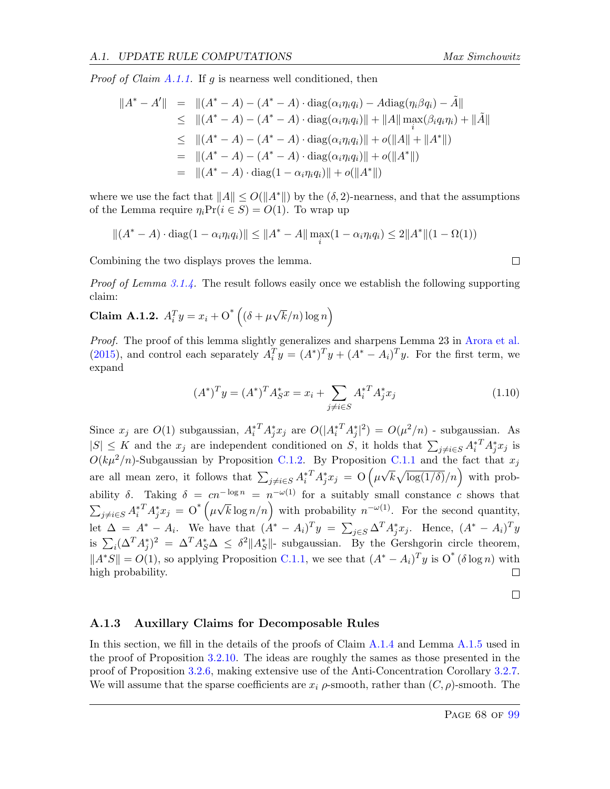*Proof of Claim [A.1.1.](#page-67-2)* If g is nearness well conditioned, then

$$
||A^* - A'|| = ||(A^* - A) - (A^* - A) \cdot diag(\alpha_i \eta_i q_i) - Adiag(\eta_i \beta q_i) - \tilde{A}||
$$
  
\n
$$
\leq ||(A^* - A) - (A^* - A) \cdot diag(\alpha_i \eta_i q_i)|| + ||A|| \max_{i} (\beta_i q_i \eta_i) + ||\tilde{A}||
$$
  
\n
$$
\leq ||(A^* - A) - (A^* - A) \cdot diag(\alpha_i \eta_i q_i)|| + o(||A|| + ||A^*||)
$$
  
\n
$$
= ||(A^* - A) - (A^* - A) \cdot diag(\alpha_i \eta_i q_i)|| + o(||A^*||)
$$
  
\n
$$
= ||(A^* - A) \cdot diag(1 - \alpha_i \eta_i q_i)|| + o(||A^*||)
$$

where we use the fact that  $||A|| \le O(||A^*||)$  by the  $(\delta, 2)$ -nearness, and that the assumptions of the Lemma require  $\eta_i Pr(i \in S) = O(1)$ . To wrap up

$$
||(A^* - A) \cdot diag(1 - \alpha_i \eta_i q_i)|| \le ||A^* - A|| \max_i (1 - \alpha_i \eta_i q_i) \le 2||A^*||(1 - \Omega(1))
$$

Combining the two displays proves the lemma.

Proof of Lemma [3.1.4.](#page-25-0) The result follows easily once we establish the following supporting claim:

**Claim A.1.2.** 
$$
A_i^T y = x_i + O^* \left( (\delta + \mu \sqrt{k/n}) \log n \right)
$$

Proof. The proof of this lemma slightly generalizes and sharpens Lemma 23 in [Arora et al.](#page-63-0) [\(2015\)](#page-63-0), and control each separately  $A_i^T y = (A^*)^T y + (A^* - A_i)^T y$ . For the first term, we expand

$$
(A^*)^T y = (A^*)^T A_S^* x = x_i + \sum_{j \neq i \in S} A_i^{*T} A_j^* x_j \tag{1.10}
$$

Since  $x_j$  are  $O(1)$  subgaussian,  $A_i^*{}^T A_j^* x_j$  are  $O(|A_i^*{}^T A_j^*|^2) = O(\mu^2/n)$  - subgaussian. As  $|S| \leq K$  and the  $x_j$  are independent conditioned on S, it holds that  $\sum_{j\neq i\in S} A_i^{*T} A_j^* x_j$  is  $O(k\mu^2/n)$ -Subgaussian by Proposition [C.1.2.](#page-90-0) By Proposition [C.1.1](#page-89-0) and the fact that  $x_j$ √ are all mean zero, it follows that  $\sum_{j\neq i\in S} A_i^{*T} A_j^* x_j = O\left(\mu\right)$  $\overline{k}\sqrt{\log(1/\delta)}/n$  with probability  $\delta$ . Taking  $\delta = cn^{-\log n} = n^{-\omega(1)}$  for a suitably small constance c shows that  $\sum_{j\neq i\in S} A_i^{*T} A_j^* x_j = O^* \left( \mu \sqrt{k} \log n/n \right)$  with probability  $n^{-\omega(1)}$ . For the second quantity, let  $\Delta = A^* - A_i$ . We have that  $(A^* - A_i)^T y = \sum_{j \in S} \Delta^T A_j^* x_j$ . Hence,  $(A^* - A_i)^T y$ is  $\sum_i (\Delta^T A_j^*)^2 = \Delta^T A_S^* \Delta \leq \delta^2 ||A_S^*||$ - subgaussian. By the Gershgorin circle theorem,  $||A^*S|| = O(1)$ , so applying Proposition [C.1.1,](#page-89-0) we see that  $(A^* - A_i)^T y$  is  $O^* (\delta \log n)$  with high probability. П

 $\Box$ 

 $\Box$ 

#### A.1.3 Auxillary Claims for Decomposable Rules

In this section, we fill in the details of the proofs of Claim [A.1.4](#page-69-0) and Lemma [A.1.5](#page-70-0) used in the proof of Proposition [3.2.10.](#page-32-0) The ideas are roughly the sames as those presented in the proof of Proposition [3.2.6,](#page-28-0) making extensive use of the Anti-Concentration Corollary [3.2.7.](#page-29-0) We will assume that the sparse coefficients are  $x_i$   $\rho$ -smooth, rather than  $(C, \rho)$ -smooth. The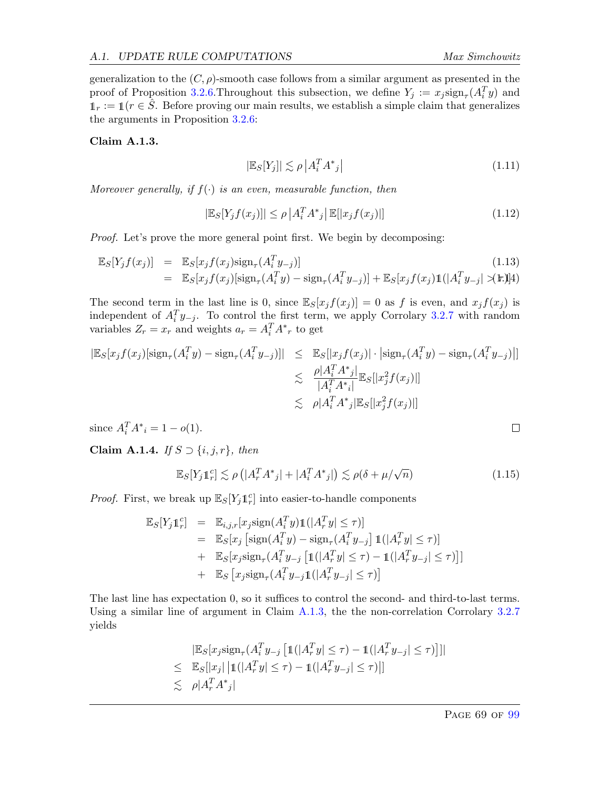generalization to the  $(C, \rho)$ -smooth case follows from a similar argument as presented in the proof of Proposition [3.2.6.](#page-28-0) Throughout this subsection, we define  $Y_j := x_j \text{sign}_{\tau}(A_i^T y)$  and  $1_r := 1$  ( $r \in \tilde{S}$ . Before proving our main results, we establish a simple claim that generalizes the arguments in Proposition [3.2.6:](#page-28-0)

#### <span id="page-69-1"></span>Claim A.1.3.

$$
|\mathbb{E}_S[Y_j]| \lesssim \rho \left| A_i^T A^*_{j} \right| \tag{1.11}
$$

Moreover generally, if  $f(\cdot)$  is an even, measurable function, then

$$
|\mathbb{E}_{S}[Y_{j}f(x_{j})]| \leq \rho \left| A_{i}^{T} A^{*}{}_{j} \right| \mathbb{E}[|x_{j}f(x_{j})|]
$$
\n(1.12)

Proof. Let's prove the more general point first. We begin by decomposing:

$$
\mathbb{E}_{S}[Y_j f(x_j)] = \mathbb{E}_{S}[x_j f(x_j) \text{sign}_{\tau}(A_i^T y_{-j})]
$$
\n
$$
= \mathbb{E}_{S}[x_j f(x_j) [\text{sign}_{\tau}(A_i^T y) - \text{sign}_{\tau}(A_i^T y_{-j})] + \mathbb{E}_{S}[x_j f(x_j) \mathbb{1}(|A_i^T y_{-j}| \times \mathbb{H})]
$$
\n(1.13)

The second term in the last line is 0, since  $\mathbb{E}_{S}[x_j f(x_j)] = 0$  as f is even, and  $x_j f(x_j)$  is independent of  $A_i^T y_{-j}$ . To control the first term, we apply Corrolary [3.2.7](#page-29-0) with random variables  $Z_r = x_r$  and weights  $a_r = A_i^T A^*{}_r$  to get

$$
|\mathbb{E}_{S}[x_{j}f(x_{j})[\text{sign}_{\tau}(A_{i}^{T}y) - \text{sign}_{\tau}(A_{i}^{T}y_{-j})]| \leq \mathbb{E}_{S}[|x_{j}f(x_{j})| \cdot |\text{sign}_{\tau}(A_{i}^{T}y) - \text{sign}_{\tau}(A_{i}^{T}y_{-j})|]
$$
  

$$
\leq \frac{\rho |A_{i}^{T}A^{*}j|}{|A_{i}^{T}A^{*}j|} \mathbb{E}_{S}[|x_{j}^{2}f(x_{j})|]
$$
  

$$
\leq \rho |A_{i}^{T}A^{*}j| \mathbb{E}_{S}[|x_{j}^{2}f(x_{j})|]
$$

since  $A_i^T A^*{}_{i} = 1 - o(1)$ .

<span id="page-69-0"></span>Claim A.1.4. If  $S \supset \{i, j, r\}$ , then

$$
\mathbb{E}_{S}[Y_{j}1_{r}^{c}] \lesssim \rho\left(|A_{r}^{T}A_{j}^{*}| + |A_{i}^{T}A_{j}^{*}| \right) \lesssim \rho(\delta + \mu/\sqrt{n})\tag{1.15}
$$

*Proof.* First, we break up  $\mathbb{E}_{S}[Y_j 1_r^c]$  into easier-to-handle components

$$
\mathbb{E}_{S}[Y_{j}1_{r}^{c}] = \mathbb{E}_{i,j,r}[x_{j}\text{sign}(A_{i}^{T}y)1(|A_{r}^{T}y| \leq \tau)]
$$
  
\n
$$
= \mathbb{E}_{S}[x_{j} [\text{sign}(A_{i}^{T}y) - \text{sign}_{\tau}(A_{i}^{T}y_{-j}]1(|A_{r}^{T}y| \leq \tau)]
$$
  
\n
$$
+ \mathbb{E}_{S}[x_{j}\text{sign}_{\tau}(A_{i}^{T}y_{-j}[1(|A_{r}^{T}y| \leq \tau) - 1(|A_{r}^{T}y_{-j}| \leq \tau)]]
$$
  
\n
$$
+ \mathbb{E}_{S}[x_{j}\text{sign}_{\tau}(A_{i}^{T}y_{-j}[1(|A_{r}^{T}y_{-j}| \leq \tau)]
$$

The last line has expectation 0, so it suffices to control the second- and third-to-last terms. Using a similar line of argument in Claim [A.1.3,](#page-69-1) the the non-correlation Corrolary [3.2.7](#page-29-0) yields

$$
|\mathbb{E}_{S}[x_{j}\text{sign}_{\tau}(A_{i}^{T}y_{-j} [1(|A_{r}^{T}y| \leq \tau) - 1(|A_{r}^{T}y_{-j}| \leq \tau) ]]|
$$
  
\n
$$
\leq \mathbb{E}_{S}[|x_{j}| |1(|A_{r}^{T}y| \leq \tau) - 1(|A_{r}^{T}y_{-j}| \leq \tau) ]]
$$
  
\n
$$
\leq \rho |A_{r}^{T}A_{j}^{*}|
$$

$$
\Box
$$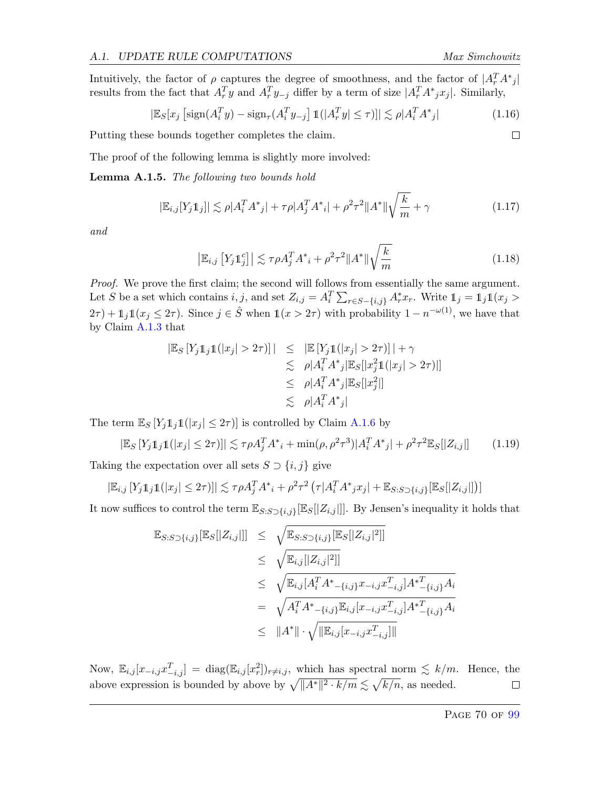$\Box$ 

Intuitively, the factor of  $\rho$  captures the degree of smoothness, and the factor of  $|A_r^T A^*_{j}|$ results from the fact that  $A_r^T y$  and  $A_r^T y_{-j}$  differ by a term of size  $|A_r^T A^* j x_j|$ . Similarly,

$$
|\mathbb{E}_S[x_j\left[\text{sign}(A_i^T y) - \text{sign}_\tau(A_i^T y_{-j}\right]1(|A_i^T y| \le \tau)]| \lesssim \rho |A_i^T A^*_{j}| \tag{1.16}
$$

Putting these bounds together completes the claim.

The proof of the following lemma is slightly more involved:

<span id="page-70-0"></span>Lemma A.1.5. The following two bounds hold

$$
|\mathbb{E}_{i,j}[Y_j \mathbb{1}_j]| \lesssim \rho |A_i^T A^*_{j}| + \tau \rho |A_j^T A^*_{i}| + \rho^2 \tau^2 ||A^*|| \sqrt{\frac{k}{m}} + \gamma
$$
\n(1.17)

and

$$
\left|\mathbb{E}_{i,j}\left[Y_j\mathbb{1}_j^c\right]\right| \lesssim \tau \rho A_j^T A^*_{i} + \rho^2 \tau^2 \|A^*\| \sqrt{\frac{k}{m}} \tag{1.18}
$$

Proof. We prove the first claim; the second will follows from essentially the same argument. Let S be a set which contains  $i, j$ , and set  $Z_{i,j} = A_i^T \sum_{r \in S - \{i,j\}} A_r^* x_r$ . Write  $\mathbb{1}_j = \mathbb{1}_j \mathbb{1}(x_j >$  $2\tau$ ) +  $\mathbb{1}_j \mathbb{1}(x_j \leq 2\tau)$ . Since  $j \in \hat{S}$  when  $\mathbb{1}(x > 2\tau)$  with probability  $1 - n^{-\omega(1)}$ , we have that by Claim [A.1.3](#page-69-1) that

$$
|\mathbb{E}_S[Y_j111(|x_j| > 2\tau)]| \leq |\mathbb{E}[Y_j11(|x_j| > 2\tau)]| + \gamma
$$
  
\n
$$
\leq \rho |A_i^T A^* j|\mathbb{E}_S[|x_j^21(|x_j| > 2\tau)|]
$$
  
\n
$$
\leq \rho |A_i^T A^* j|\mathbb{E}_S[|x_j^2|]
$$
  
\n
$$
\leq \rho |A_i^T A^* j|
$$

The term  $\mathbb{E}_{S}[Y_j1_j1(|x_j| \leq 2\tau)]$  is controlled by Claim [A.1.6](#page-71-0) by

$$
|\mathbb{E}_S[Y_j 1_j 1(|x_j| \le 2\tau)]| \lesssim \tau \rho A_j^T A^*_{\ i} + \min(\rho, \rho^2 \tau^3) |A_i^T A^*_{\ j}| + \rho^2 \tau^2 \mathbb{E}_S[|Z_{i,j}|] \tag{1.19}
$$

Taking the expectation over all sets  $S \supset \{i, j\}$  give

$$
|\mathbb{E}_{i,j}[Y_j 11_j 1(|x_j| \le 2\tau)]| \lesssim \tau \rho A_j^T A^* + \rho^2 \tau^2 \left( \tau | A_i^T A^* j x_j | + \mathbb{E}_{S:S} \right)_{i,j} [\mathbb{E}_S[[Z_{i,j}]] \right)
$$

It now suffices to control the term  $\mathbb{E}_{S:S\supset\{i,j\}}[\mathbb{E}_{S}[[Z_{i,j}]]]$ . By Jensen's inequality it holds that

$$
\mathbb{E}_{S:S \supset \{i,j\}}[\mathbb{E}_{S}[|Z_{i,j}|]] \leq \sqrt{\mathbb{E}_{S:S \supset \{i,j\}}[\mathbb{E}_{S}[|Z_{i,j}|^2]]}
$$
\n
$$
\leq \sqrt{\mathbb{E}_{i,j}[|Z_{i,j}|^2]]}
$$
\n
$$
\leq \sqrt{\mathbb{E}_{i,j}[A_i^T A^*_{-\{i,j\}} x_{-i,j} x_{-i,j}^T] A^*_{-\{i,j\}} A_i}
$$
\n
$$
= \sqrt{A_i^T A^*_{-\{i,j\}} \mathbb{E}_{i,j} [x_{-i,j} x_{-i,j}^T] A^*_{-\{i,j\}} A_i}
$$
\n
$$
\leq \|A^*\| \cdot \sqrt{\|\mathbb{E}_{i,j} [x_{-i,j} x_{-i,j}^T]\|}
$$

Now,  $\mathbb{E}_{i,j}[x_{-i,j}x_{-i,j}^T] = \text{diag}(\mathbb{E}_{i,j}[x_i^2])_{r \neq i,j}$ , which has spectral norm  $\leq k/m$ . Hence, the above expression is bounded by above by  $\sqrt{||A^*||^2 \cdot k/m} \lesssim \sqrt{k/n}$ , as needed.  $\Box$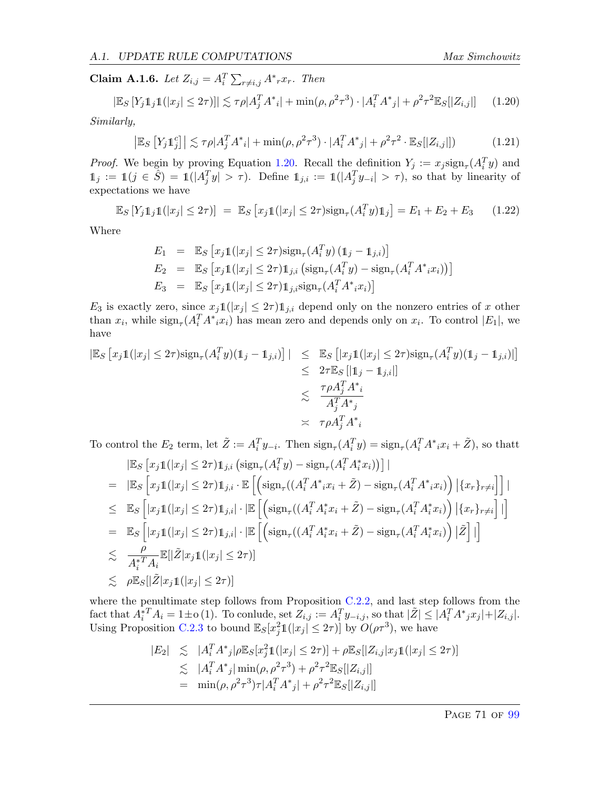<span id="page-71-0"></span>**Claim A.1.6.** Let  $Z_{i,j} = A_i^T \sum_{r \neq i,j} A^* {r} x_r$ . Then

<span id="page-71-1"></span>
$$
|\mathbb{E}_S[Y_j 1\!\!1_j 1(|x_j| \le 2\tau)]| \lesssim \tau \rho |A_j^T A^* i| + \min(\rho, \rho^2 \tau^3) \cdot |A_i^T A^* j| + \rho^2 \tau^2 \mathbb{E}_S[|Z_{i,j}|] \tag{1.20}
$$

Similarly,

$$
\left| \mathbb{E}_S \left[ Y_j \mathbb{1}_j^c \right] \right| \lesssim \tau \rho |A_j^T A^*_{i}| + \min(\rho, \rho^2 \tau^3) \cdot |A_i^T A^*_{j}| + \rho^2 \tau^2 \cdot \mathbb{E}_S[|Z_{i,j}|]) \tag{1.21}
$$

*Proof.* We begin by proving Equation [1.20.](#page-71-1) Recall the definition  $Y_j := x_j \text{sign}_{\tau}(A_i^T y)$  and  $\mathbb{1}_j := \mathbb{1}(j \in \hat{S}) = \mathbb{1}(|A_j^T y| > \tau)$ . Define  $\mathbb{1}_{j,i} := \mathbb{1}(|A_j^T y_{-i}| > \tau)$ , so that by linearity of expectations we have

$$
\mathbb{E}_S [Y_j 1_j 1(|x_j| \le 2\tau)] = \mathbb{E}_S [x_j 1(|x_j| \le 2\tau) \text{sign}_\tau (A_i^T y) 1_j] = E_1 + E_2 + E_3 \quad (1.22)
$$

Where

$$
E_1 = \mathbb{E}_S \left[ x_j \mathbb{1}(|x_j| \le 2\tau) \text{sign}_{\tau}(A_i^T y) \left( \mathbb{1}_j - \mathbb{1}_{j,i} \right) \right]
$$
  
\n
$$
E_2 = \mathbb{E}_S \left[ x_j \mathbb{1}(|x_j| \le 2\tau) \mathbb{1}_{j,i} \left( \text{sign}_{\tau}(A_i^T y) - \text{sign}_{\tau}(A_i^T A^* i x_i) \right) \right]
$$
  
\n
$$
E_3 = \mathbb{E}_S \left[ x_j \mathbb{1}(|x_j| \le 2\tau) \mathbb{1}_{j,i} \text{sign}_{\tau}(A_i^T A^* i x_i) \right]
$$

 $E_3$  is exactly zero, since  $x_j \mathbb{1}(|x_j| \leq 2\tau) \mathbb{1}_{j,i}$  depend only on the nonzero entries of x other than  $x_i$ , while  $\text{sign}_{\tau}(A_i^T A^* i x_i)$  has mean zero and depends only on  $x_i$ . To control  $|E_1|$ , we have

$$
|\mathbb{E}_{S} [x_j \mathbb{1}(|x_j| \le 2\tau) \text{sign}_{\tau}(A_i^T y)(\mathbb{1}_j - \mathbb{1}_{j,i})] | \le \mathbb{E}_{S} [|x_j \mathbb{1}(|x_j| \le 2\tau) \text{sign}_{\tau}(A_i^T y)(\mathbb{1}_j - \mathbb{1}_{j,i})|]
$$
  
\n
$$
\le 2\tau \mathbb{E}_{S} [|\mathbb{1}_j - \mathbb{1}_{j,i}|]
$$
  
\n
$$
\le \frac{\tau \rho A_j^T A^*_{i}}{A_j^T A^*_{j}}
$$
  
\n
$$
\asymp \tau \rho A_j^T A^*_{i}
$$

To control the  $E_2$  term, let  $\tilde{Z} := A_i^T y_{-i}$ . Then  $\text{sign}_{\tau}(A_i^T y) = \text{sign}_{\tau}(A_i^T A^* i x_i + \tilde{Z}),$  so thatt

$$
\begin{aligned}\n& \left| \mathbb{E}_{S} \left[ x_{j} \mathbb{1}(|x_{j}| \leq 2\tau) \mathbb{1}_{j,i} \left( \operatorname{sign}_{\tau}(A_{i}^{T} y) - \operatorname{sign}_{\tau}(A_{i}^{T} A_{i}^{*} x_{i}) \right) \right] \right| \\
&= \left| \mathbb{E}_{S} \left[ x_{j} \mathbb{1}(|x_{j}| \leq 2\tau) \mathbb{1}_{j,i} \cdot \mathbb{E} \left[ \left( \operatorname{sign}_{\tau}((A_{i}^{T} A^{*} x_{i} + \tilde{Z}) - \operatorname{sign}_{\tau}(A_{i}^{T} A^{*} x_{i}) \right) \left| \{x_{r}\}_{r \neq i} \right] \right] \right| \\
& \leq \mathbb{E}_{S} \left[ |x_{j} \mathbb{1}(|x_{j}| \leq 2\tau) \mathbb{1}_{j,i} | \cdot | \mathbb{E} \left[ \left( \operatorname{sign}_{\tau}((A_{i}^{T} A_{i}^{*} x_{i} + \tilde{Z}) - \operatorname{sign}_{\tau}(A_{i}^{T} A_{i}^{*} x_{i}) \right) \left| \{x_{r}\}_{r \neq i} \right] \right| \right] \\
&= \mathbb{E}_{S} \left[ |x_{j} \mathbb{1}(|x_{j}| \leq 2\tau) \mathbb{1}_{j,i} | \cdot | \mathbb{E} \left[ \left( \operatorname{sign}_{\tau}((A_{i}^{T} A_{i}^{*} x_{i} + \tilde{Z}) - \operatorname{sign}_{\tau}(A_{i}^{T} A_{i}^{*} x_{i}) \right) | \tilde{Z} \right] | \right] \\
& \leq \frac{\rho}{A_{i}^{*T} A_{i}} \mathbb{E} [|\tilde{Z}|x_{j} \mathbb{1}(|x_{j}| \leq 2\tau)] \\
& \leq \rho \mathbb{E}_{S} [|\tilde{Z}|x_{j} \mathbb{1}(|x_{j}| \leq 2\tau)]\n\end{aligned}
$$

where the penultimate step follows from Proposition [C.2.2,](#page-94-0) and last step follows from the  $\text{fact that } A_i^*{}^T A_i = 1 \pm o(1).$  To conlude, set  $Z_{i,j} := A_i^T y_{-i,j}$ , so that  $|\tilde{Z}| \leq |A_i^T A^* j x_j| + |Z_{i,j}|.$ Using Proposition [C.2.3](#page-95-0) to bound  $\mathbb{E}_{S}[x_j^21(|x_j| \leq 2\tau)]$  by  $O(\rho\tau^3)$ , we have

$$
|E_2| \leq |A_i^T A^*_{j}| \rho \mathbb{E}_S[x_j^2 \mathbb{1}(|x_j| \leq 2\tau)] + \rho \mathbb{E}_S[|Z_{i,j}|x_j \mathbb{1}(|x_j| \leq 2\tau)]
$$
  
\n
$$
\lesssim |A_i^T A^*_{j}| \min(\rho, \rho^2 \tau^3) + \rho^2 \tau^2 \mathbb{E}_S[|Z_{i,j}|]
$$
  
\n
$$
= \min(\rho, \rho^2 \tau^3) \tau |A_i^T A^*_{j}| + \rho^2 \tau^2 \mathbb{E}_S[|Z_{i,j}|]
$$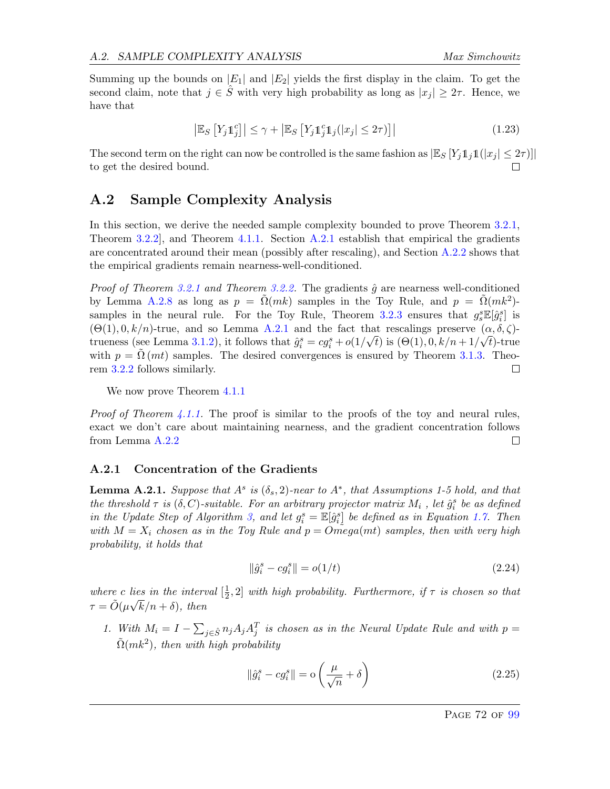Summing up the bounds on  $|E_1|$  and  $|E_2|$  yields the first display in the claim. To get the second claim, note that  $j \in \hat{S}$  with very high probability as long as  $|x_j| \geq 2\tau$ . Hence, we have that

$$
\left| \mathbb{E}_{S} \left[ Y_{j} \mathbb{1}_{j}^{c} \right] \right| \leq \gamma + \left| \mathbb{E}_{S} \left[ Y_{j} \mathbb{1}_{j}^{c} \mathbb{1}_{j}(|x_{j}| \leq 2\tau) \right] \right| \tag{1.23}
$$

The second term on the right can now be controlled is the same fashion as  $\mathbb{E}_S [Y_i 1_i 1(|x_i| \leq 2\tau)]$ to get the desired bound. П

#### A.2 Sample Complexity Analysis

In this section, we derive the needed sample complexity bounded to prove Theorem [3.2.1,](#page-26-0) Theorem [3.2.2\]](#page-26-1), and Theorem [4.1.1.](#page-36-0) Section [A.2.1](#page-72-0) establish that empirical the gradients are concentrated around their mean (possibly after rescaling), and Section [A.2.2](#page-78-0) shows that the empirical gradients remain nearness-well-conditioned.

*Proof of Theorem [3.2.1](#page-26-0) and Theorem [3.2.2.](#page-26-1)* The gradients  $\hat{g}$  are nearness well-conditioned by Lemma [A.2.8](#page-78-1) as long as  $p = \tilde{\Omega}(mk)$  samples in the Toy Rule, and  $p = \tilde{\Omega}(mk^2)$ -samples in the neural rule. For the Toy Rule, Theorem [3.2.3](#page-27-0) ensures that  $g_s^s \mathbb{E}[\hat{g}_i^s]$  is  $(\Theta(1), 0, k/n)$ -true, and so Lemma [A.2.1](#page-72-1) and the fact that rescalings preserve  $(\alpha, \delta, \zeta)$ -trueness (see Lemma [3.1.2\)](#page-24-0), it follows that  $\hat{g}_i^s = cg_i^s + o(1/\sqrt{t})$  is  $(\Theta(1), 0, k/n + 1/\sqrt{t})$ -true with  $p = \Omega (mt)$  samples. The desired convergences is ensured by Theorem [3.1.3.](#page-24-1) Theorem [3.2.2](#page-26-1) follows similarly. П

We now prove Theorem  $4.1.1$ 

*Proof of Theorem [4.1.1.](#page-36-0)* The proof is similar to the proofs of the toy and neural rules, exact we don't care about maintaining nearness, and the gradient concentration follows from Lemma [A.2.2](#page-74-0)  $\Box$ 

#### <span id="page-72-0"></span>A.2.1 Concentration of the Gradients

<span id="page-72-1"></span>**Lemma A.2.1.** Suppose that  $A^s$  is  $(\delta_s, 2)$ -near to  $A^*$ , that Assumptions 1-5 hold, and that the threshold  $\tau$  is  $(\delta, C)$ -suitable. For an arbitrary projector matrix  $M_i$ , let  $\hat{g}_i^s$  be as defined in the Update Step of Algorithm [3,](#page-19-0) and let  $g_i^s = \mathbb{E}[\hat{g}_i^s]$  be defined as in Equation [1.7.](#page-22-0) Then with  $M = X_i$  chosen as in the Toy Rule and  $p = Omega(mt)$  samples, then with very high probability, it holds that

$$
\|\hat{g}_i^s - cg_i^s\| = o(1/t) \tag{2.24}
$$

where c lies in the interval  $\left[\frac{1}{2}\right]$ lies in the interval  $[\frac{1}{2}, 2]$  with high probability. Furthermore, if  $\tau$  is chosen so that  $\tau = \tilde{O}(\mu\sqrt{k}/n + \delta)$ , then

1. With  $M_i = I - \sum_{j \in \hat{S}} n_j A_j A_j^T$  is chosen as in the Neural Update Rule and with  $p =$  $\tilde{\Omega}(mk^2)$ , then with high probability

$$
\|\hat{g}_i^s - cg_i^s\| = o\left(\frac{\mu}{\sqrt{n}} + \delta\right)
$$
\n(2.25)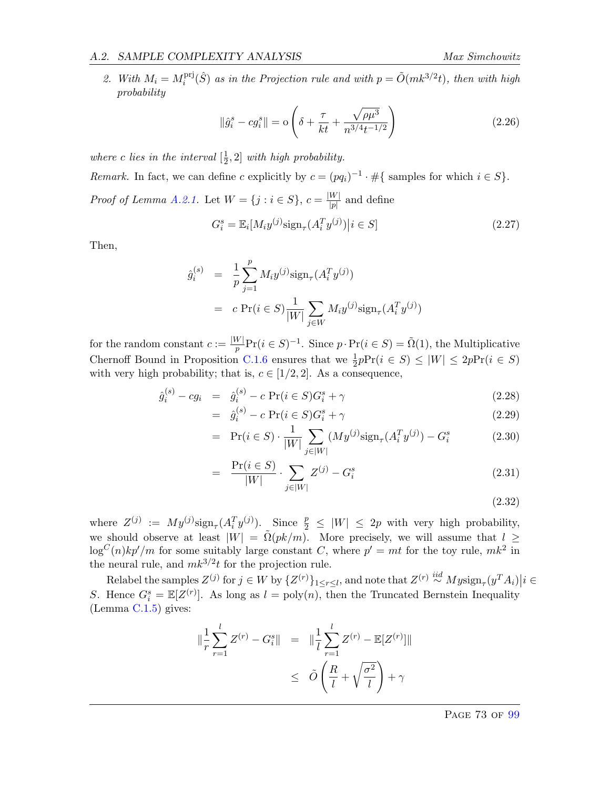#### A.2. SAMPLE COMPLEXITY ANALYSIS Max Simchowitz

2. With  $M_i = M_i^{\text{prj}}$  $i<sup>pri</sup>(\hat{S})$  as in the Projection rule and with  $p = \tilde{O}(mk^{3/2}t)$ , then with high probability

$$
\|\hat{g}_i^s - cg_i^s\| = o\left(\delta + \frac{\tau}{kt} + \frac{\sqrt{\rho\mu^3}}{n^{3/4}t^{-1/2}}\right)
$$
\n(2.26)

where c lies in the interval  $\left[\frac{1}{2}\right]$  $\frac{1}{2}$ , 2 with high probability.

Remark. In fact, we can define c explicitly by  $c = (pq_i)^{-1} \cdot \#\{\text{ samples for which } i \in S\}.$ Proof of Lemma [A.2.1.](#page-72-1) Let  $W = \{j : i \in S\}, c = \frac{|W|}{|S|}$  $\frac{W}{|p|}$  and define

$$
G_i^s = \mathbb{E}_i[M_i y^{(j)} \text{sign}_{\tau}(A_i^T y^{(j)}) | i \in S]
$$
\n(2.27)

Then,

$$
\hat{g}_i^{(s)} = \frac{1}{p} \sum_{j=1}^p M_i y^{(j)} \text{sign}_{\tau}(A_i^T y^{(j)})
$$

$$
= c \Pr(i \in S) \frac{1}{|W|} \sum_{j \in W} M_i y^{(j)} \text{sign}_{\tau}(A_i^T y^{(j)})
$$

for the random constant  $c := \frac{|W|}{n}$  $\frac{N}{p}$ Pr( $i \in S$ )<sup>-1</sup>. Since  $p \cdot Pr(i \in S) = \tilde{\Omega}(1)$ , the Multiplicative Chernoff Bound in Proposition [C.1.6](#page-91-0) ensures that we  $\frac{1}{2}pPr(i \in S) \le |W| \le 2pPr(i \in S)$ with very high probability; that is,  $c \in [1/2, 2]$ . As a consequence,

$$
\hat{g}_i^{(s)} - cg_i = \hat{g}_i^{(s)} - c \Pr(i \in S)G_i^s + \gamma
$$
\n(2.28)

$$
= \hat{g}_i^{(s)} - c \Pr(i \in S) G_i^s + \gamma \tag{2.29}
$$

$$
= \Pr(i \in S) \cdot \frac{1}{|W|} \sum_{j \in |W|} (My^{(j)} \text{sign}_{\tau}(A_i^T y^{(j)}) - G_i^s \tag{2.30}
$$

$$
= \frac{\Pr(i \in S)}{|W|} \cdot \sum_{j \in |W|} Z^{(j)} - G_i^s \tag{2.31}
$$

(2.32)

where  $Z^{(j)} := My^{(j)} sign_{\tau}(A_i^T y^{(j)})$ . Since  $\frac{p}{2} \leq |W| \leq 2p$  with very high probability, we should observe at least  $|W| = \tilde{\Omega}(pk/m)$ . More precisely, we will assume that  $l \geq$  $\log^C(n)kp'/m$  for some suitably large constant C, where  $p' = mt$  for the toy rule,  $mk^2$  in the neural rule, and  $mk^{3/2}t$  for the projection rule.

Relabel the samples  $Z^{(j)}$  for  $j \in W$  by  $\{Z^{(r)}\}_{1 \leq r \leq l}$ , and note that  $Z^{(r)} \stackrel{iid}{\sim} M y \text{sign}_{\tau}(y^T A_i) | i \in$ S. Hence  $G_i^s = \mathbb{E}[Z^{(r)}]$ . As long as  $l = \text{poly}(n)$ , then the Truncated Bernstein Inequality (Lemma [C.1.5\)](#page-91-1) gives:

$$
\|\frac{1}{r}\sum_{r=1}^{l} Z^{(r)} - G_i^s \| = \|\frac{1}{l}\sum_{r=1}^{l} Z^{(r)} - \mathbb{E}[Z^{(r)}] \| \n\le \tilde{O}\left(\frac{R}{l} + \sqrt{\frac{\sigma^2}{l}}\right) + \gamma
$$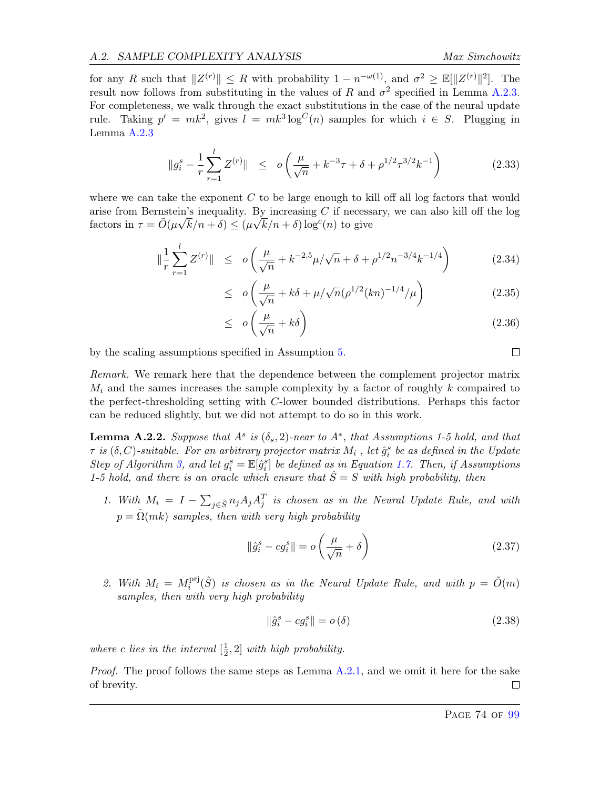for any R such that  $||Z^{(r)}|| \leq R$  with probability  $1 - n^{-\omega(1)}$ , and  $\sigma^2 \geq \mathbb{E}[||Z^{(r)}||^2]$ . The result now follows from substituting in the values of R and  $\sigma^2$  specified in Lemma [A.2.3.](#page-75-0) For completeness, we walk through the exact substitutions in the case of the neural update rule. Taking  $p' = mk^2$ , gives  $l = mk^3 \log^C(n)$  samples for which  $i \in S$ . Plugging in Lemma [A.2.3](#page-75-0)

$$
\|g_i^s - \frac{1}{r} \sum_{r=1}^l Z^{(r)} \| \le o\left(\frac{\mu}{\sqrt{n}} + k^{-3}\tau + \delta + \rho^{1/2}\tau^{3/2}k^{-1}\right) \tag{2.33}
$$

where we can take the exponent  $C$  to be large enough to kill off all log factors that would arise from Bernstein's inequality. By increasing C if necessary, we can also kill off the log factors in  $\tau = \tilde{O}(\mu\sqrt{k}/n + \delta) \leq (\mu\sqrt{k}/n + \delta) \log^c(n)$  to give

$$
\|\frac{1}{r}\sum_{r=1}^{l} Z^{(r)}\| \le o\left(\frac{\mu}{\sqrt{n}} + k^{-2.5}\mu/\sqrt{n} + \delta + \rho^{1/2}n^{-3/4}k^{-1/4}\right) \tag{2.34}
$$

$$
\leq \quad o\left(\frac{\mu}{\sqrt{n}} + k\delta + \mu/\sqrt{n}(\rho^{1/2}(kn)^{-1/4}/\mu)\right) \tag{2.35}
$$

$$
\leq \quad o\left(\frac{\mu}{\sqrt{n}} + k\delta\right) \tag{2.36}
$$

by the scaling assumptions specified in Assumption [5.](#page-21-0)

Remark. We remark here that the dependence between the complement projector matrix  $M_i$  and the sames increases the sample complexity by a factor of roughly k compaired to the perfect-thresholding setting with C-lower bounded distributions. Perhaps this factor can be reduced slightly, but we did not attempt to do so in this work.

<span id="page-74-0"></span>**Lemma A.2.2.** Suppose that  $A^s$  is  $(\delta_s, 2)$ -near to  $A^*$ , that Assumptions 1-5 hold, and that  $\tau$  is  $(\delta, C)$ -suitable. For an arbitrary projector matrix  $M_i$  , let  $\hat{g}_i^s$  be as defined in the Update Step of Algorithm [3,](#page-19-0) and let  $g_i^s = \mathbb{E}[\hat{g}_i^s]$  be defined as in Equation [1.7.](#page-22-0) Then, if Assumptions 1-5 hold, and there is an oracle which ensure that  $\hat{S} = S$  with high probability, then

1. With  $M_i = I - \sum_{j \in \hat{S}} n_j A_j A_j^T$  is chosen as in the Neural Update Rule, and with  $p = \Omega(mk)$  samples, then with very high probability

$$
\|\hat{g}_i^s - cg_i^s\| = o\left(\frac{\mu}{\sqrt{n}} + \delta\right)
$$
\n(2.37)

2. With  $M_i = M_i^{\text{prj}}$  $i<sup>pri</sup>(\hat{S})$  is chosen as in the Neural Update Rule, and with  $p = \tilde{O}(m)$ samples, then with very high probability

$$
\|\hat{g}_i^s - cg_i^s\| = o(\delta) \tag{2.38}
$$

where c lies in the interval  $\left[\frac{1}{2}\right]$  $\frac{1}{2}$ , 2] with high probability.

*Proof.* The proof follows the same steps as Lemma  $A.2.1$ , and we omit it here for the sake of brevity.  $\Box$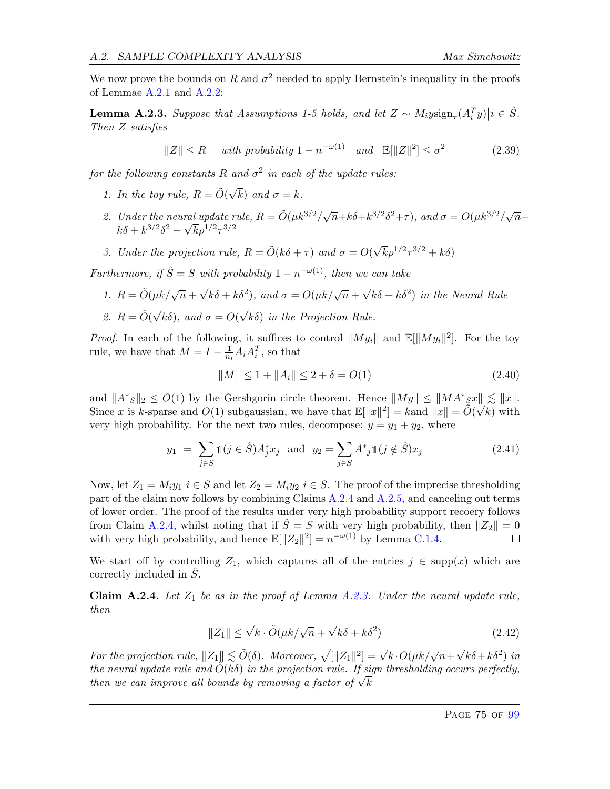We now prove the bounds on R and  $\sigma^2$  needed to apply Bernstein's inequality in the proofs of Lemmae [A.2.1](#page-72-1) and [A.2.2:](#page-74-0)

<span id="page-75-0"></span>**Lemma A.2.3.** Suppose that Assumptions 1-5 holds, and let  $Z \sim M_i$ ysign<sub> $\tau$ </sub> $(A_i^T y)|i \in \hat{S}$ . Then Z satisfies

$$
||Z|| \le R \quad \text{with probability } 1 - n^{-\omega(1)} \quad \text{and} \quad \mathbb{E}[||Z||^2] \le \sigma^2 \tag{2.39}
$$

for the following constants R and  $\sigma^2$  in each of the update rules:

- 1. In the toy rule,  $R = \tilde{O}(\sqrt{\frac{m}{\epsilon}})$ k) and  $\sigma = k$ .
- 2. Under the neural update rule,  $R = \tilde{O}(\mu k^{3/2}/\sqrt{n} + k\delta + k^{3/2}\delta^2 + \tau)$ , and  $\sigma = O(\mu k^{3/2}/\sqrt{n} + k\delta + k^{3/2}\delta^2 + \tau)$  $k\delta + k^{3/2} \delta^2 + \sqrt{k} \rho^{1/2} \tau^{3/2}$
- 3. Under the projection rule,  $R = \tilde{O}(k\delta + \tau)$  and  $\sigma = O(\sqrt{k}\rho^{1/2}\tau^{3/2} + k\delta)$

Furthermore, if  $\hat{S} = S$  with probability  $1 - n^{-\omega(1)}$ , then we can take

- 1.  $R = \tilde{O}(\mu k / \sqrt{n} +$  $\sqrt{k}\delta + k\delta^2$ , and  $\sigma = O(\mu k/\sqrt{n} +$  $\sqrt{k}\delta + k\delta^2$  in the Neural Rule
- 2.  $R = \tilde{O}(\sqrt{\frac{2}{\pi}})$  $k\delta$ ), and  $\sigma = O($ √ kδ) in the Projection Rule.

*Proof.* In each of the following, it suffices to control  $||My_i||$  and  $\mathbb{E}[||My_i||^2]$ . For the toy rule, we have that  $M = I - \frac{1}{n}$  $\frac{1}{n_i}A_iA_i^T$ , so that

$$
||M|| \le 1 + ||A_i|| \le 2 + \delta = O(1)
$$
\n(2.40)

and  $||A^*g||_2 \leq O(1)$  by the Gershgorin circle theorem. Hence  $||My|| \leq ||MA^*g|| \leq ||x||$ . Since x is k-sparse and  $O(1)$  subgaussian, we have that  $\mathbb{E}[\|x\|^2] = k$  and  $\|x\| = \tilde{O}(\sqrt{k})$  with very high probability. For the next two rules, decompose:  $y = y_1 + y_2$ , where

$$
y_1 = \sum_{j \in S} 1(j \in \hat{S}) A_j^* x_j \text{ and } y_2 = \sum_{j \in S} A^* j 1(j \notin \hat{S}) x_j \tag{2.41}
$$

Now, let  $Z_1 = M_i y_1 | i \in S$  and let  $Z_2 = M_i y_2 | i \in S$ . The proof of the imprecise thresholding part of the claim now follows by combining Claims [A.2.4](#page-75-1) and [A.2.5,](#page-76-0) and canceling out terms of lower order. The proof of the results under very high probability support recoery follows from Claim [A.2.4,](#page-75-1) whilst noting that if  $\hat{S} = S$  with very high probability, then  $||Z_2|| = 0$ with very high probability, and hence  $\mathbb{E}[\Vert Z_2 \Vert^2] = n^{-\omega(1)}$  by Lemma [C.1.4.](#page-90-0)  $\Box$ 

We start off by controlling  $Z_1$ , which captures all of the entries  $j \in \text{supp}(x)$  which are correctly included in  $\hat{S}$ .

<span id="page-75-1"></span>**Claim A.2.4.** Let  $Z_1$  be as in the proof of Lemma [A.2.3.](#page-75-0) Under the neural update rule, then

$$
||Z_1|| \le \sqrt{k} \cdot \tilde{O}(\mu k / \sqrt{n} + \sqrt{k}\delta + k\delta^2)
$$
 (2.42)

For the projection rule,  $||Z_1|| \lesssim \tilde{O}(\delta)$ . Moreover,  $\sqrt{||Z_1||^2} = \sqrt{k} \cdot O(\mu k / \sqrt{n} +$  $\sqrt{k}\delta + k\delta^2$ ) in the neural update rule and  $\tilde{O}(k\delta)$  in the projection rule. If sign thresholding occurs perfectly, the neural upaate rule and  $O(\kappa o)$  in the projection rule. If si<br>then we can improve all bounds by removing a factor of  $\sqrt{k}$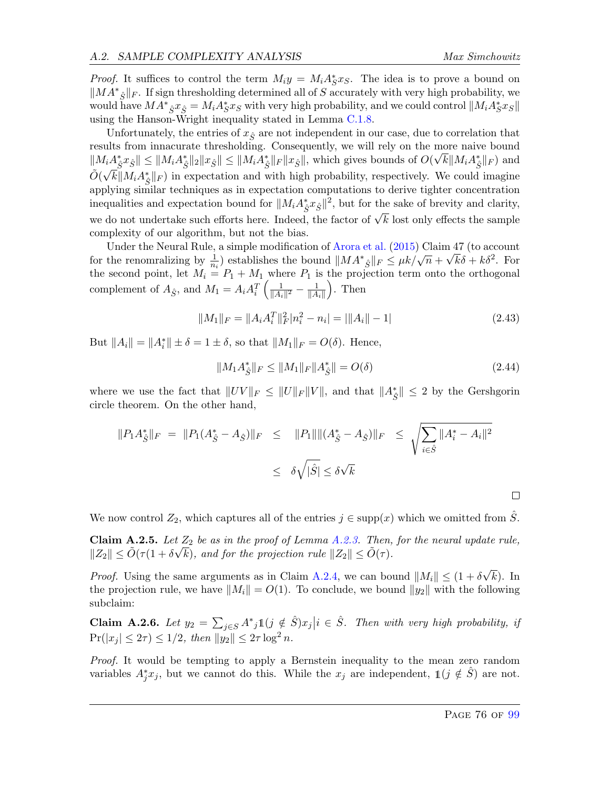*Proof.* It suffices to control the term  $M_i y = M_i A_S^* x_S$ . The idea is to prove a bound on  $||MA*_{\hat{S}}||_F$ . If sign thresholding determined all of S accurately with very high probability, we would have  $MA^*_{\hat{S}}x_{\hat{S}} = M_iA^*_{S}x_{S}$  with very high probability, and we could control  $\|M_iA^*_{S}x_{S}\|$ using the Hanson-Wright inequality stated in Lemma [C.1.8.](#page-92-0)

Unfortunately, the entries of  $x_{\hat{S}}$  are not independent in our case, due to correlation that results from innacurate thresholding. Consequently, we will rely on the more naive bound  $||M_iA_{\hat{S}}^*x_{\hat{S}}|| \le ||M_iA_{\hat{S}}^*||_2||x_{\hat{S}}|| \le ||M_iA_{\hat{S}}^*||_F||x_{\hat{S}}||$ , which gives bounds of  $O(\sqrt{k}||M_iA_{\hat{S}}^*||_F)$  and  $\tilde{O}(\sqrt{k}||M_iA_{\hat{S}}^*||_F)$  in expectation and with high probability, respectively. We could imagine applying similar techniques as in expectation computations to derive tighter concentration inequalities and expectation bound for  $||M_i A_{\hat{S}}^* x_{\hat{S}}||^2$ , but for the sake of brevity and clarity, we do not undertake such efforts here. Indeed, the factor of  $\sqrt{k}$  lost only effects the sample complexity of our algorithm, but not the bias.

Under the Neural Rule, a simple modification of [Arora et al.](#page-63-0)  $(2015)$  Claim 47 (to account onder the renomination of Alora et al. (2015) Claim 47 (to account<br>for the renominalizing by  $\frac{1}{n_i}$ ) establishes the bound  $||M A^*_{\hat{S}}||_F \le \mu k / \sqrt{n} + \sqrt{k} \delta + k \delta^2$ . For the second point, let  $M_i = P_1 + M_1$  where  $P_1$  is the projection term onto the orthogonal complement of  $A_{\hat{S}}$ , and  $M_1 = A_i A_i^T \left( \frac{1}{\|A_i\|} \right)$  $\frac{1}{\|A_i\|^2} - \frac{1}{\|A}$  $||A_i||$  $\big)$ . Then

$$
||M_1||_F = ||A_i A_i^T||_F^2 |n_i^2 - n_i| = ||A_i|| - 1|
$$
\n(2.43)

But  $||A_i|| = ||A_i^*|| \pm \delta = 1 \pm \delta$ , so that  $||M_1||_F = O(\delta)$ . Hence,

$$
||M_1 A_{\hat{S}}^*||_F \le ||M_1||_F ||A_{\hat{S}}^*|| = O(\delta)
$$
\n(2.44)

where we use the fact that  $||UV||_F \le ||U||_F ||V||$ , and that  $||A^*_{\hat{S}}|| \le 2$  by the Gershgorin circle theorem. On the other hand,

$$
||P_1 A_{\hat{S}}^*||_F = ||P_1(A_{\hat{S}}^* - A_{\hat{S}})||_F \le ||P_1|| ||(A_{\hat{S}}^* - A_{\hat{S}})||_F \le \sqrt{\sum_{i \in \hat{S}} ||A_i^* - A_i||^2}
$$
  

$$
\le \delta \sqrt{|\hat{S}|} \le \delta \sqrt{k}
$$

We now control  $Z_2$ , which captures all of the entries  $j \in \text{supp}(x)$  which we omitted from S.

<span id="page-76-0"></span>**Claim A.2.5.** Let  $Z_2$  be as in the proof of Lemma [A.2.3.](#page-75-0) Then, for the neural update rule,  $||Z_2|| \le \tilde{O}(\tau(1 + \delta\sqrt{k}), \text{ and for the projection rule } ||Z_2|| \le \tilde{O}(\tau).$ 

*Proof.* Using the same arguments as in Claim [A.2.4,](#page-75-1) we can bound  $||M_i|| \leq (1 + \delta)$ √  $(k)$ . In the projection rule, we have  $||M_i|| = O(1)$ . To conclude, we bound  $||y_2||$  with the following subclaim:

Claim A.2.6. Let  $y_2 = \sum_{j \in S} A^* j \mathbb{1}(j \notin \hat{S}) x_j | i \in \hat{S}$ . Then with very high probability, if  $Pr(|x_j| \leq 2\tau) \leq 1/2$ , then  $||y_2|| \leq 2\tau \log^2 n$ .

Proof. It would be tempting to apply a Bernstein inequality to the mean zero random variables  $A_j^* x_j$ , but we cannot do this. While the  $x_j$  are independent,  $\mathbb{1}(j \notin \hat{S})$  are not.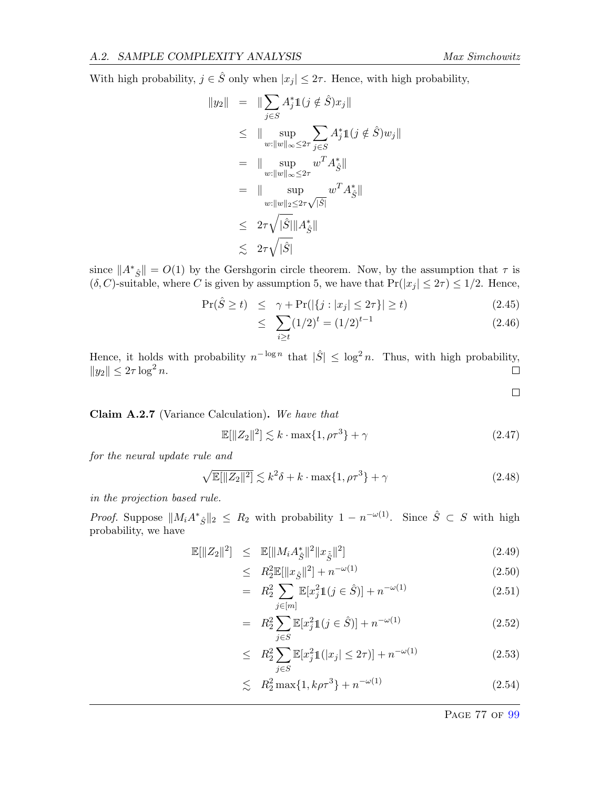With high probability,  $j \in \hat{S}$  only when  $|x_j| \leq 2\tau$ . Hence, with high probability,

$$
\|y_2\| = \|\sum_{j\in S} A_j^* 1(j \notin \hat{S})x_j\|
$$
  
\n
$$
\leq \|\sup_{w:\|w\|_{\infty}\leq 2\tau} \sum_{j\in S} A_j^* 1(j \notin \hat{S})w_j\|
$$
  
\n
$$
= \|\sup_{w:\|w\|_{\infty}\leq 2\tau} w^T A_{\hat{S}}^*\|
$$
  
\n
$$
= \|\sup_{w:\|w\|_2\leq 2\tau\sqrt{|\hat{S}|}} w^T A_{\hat{S}}^*\|
$$
  
\n
$$
\leq 2\tau\sqrt{|\hat{S}|} \|A_{\hat{S}}^*\|
$$
  
\n
$$
\leq 2\tau\sqrt{|\hat{S}|}
$$

since  $||A^*_{\hat{S}}|| = O(1)$  by the Gershgorin circle theorem. Now, by the assumption that  $\tau$  is  $(\delta, C)$ -suitable, where C is given by assumption 5, we have that  $Pr(|x_j| \leq 2\tau) \leq 1/2$ . Hence,

$$
\Pr(\hat{S} \ge t) \le \gamma + \Pr(|\{j : |x_j| \le 2\tau\}| \ge t)
$$
\n(2.45)

$$
\leq \sum_{i \geq t} (1/2)^t = (1/2)^{t-1} \tag{2.46}
$$

Hence, it holds with probability  $n^{-\log n}$  that  $|\hat{S}| \leq \log^2 n$ . Thus, with high probability,  $||y_2|| \leq 2\tau \log^2 n$ .  $\Box$ 

Claim A.2.7 (Variance Calculation). We have that

$$
\mathbb{E}[\|Z_2\|^2] \lesssim k \cdot \max\{1, \rho \tau^3\} + \gamma \tag{2.47}
$$

for the neural update rule and

$$
\sqrt{\mathbb{E}[\|Z_2\|^2]} \lesssim k^2 \delta + k \cdot \max\{1, \rho \tau^3\} + \gamma \tag{2.48}
$$

in the projection based rule.

*Proof.* Suppose  $||M_iA^*_{\hat{S}}||_2 \leq R_2$  with probability  $1 - n^{-\omega(1)}$ . Since  $\hat{S} \subset S$  with high probability, we have

$$
\mathbb{E}[\|Z_2\|^2] \leq \mathbb{E}[\|M_i A_{\hat{S}}^*\|^2 \|x_{\tilde{S}}\|^2]
$$
\n(2.49)

$$
\leq R_2^2 \mathbb{E}[\|x_{\hat{S}}\|^2] + n^{-\omega(1)} \tag{2.50}
$$

$$
= R_2^2 \sum_{j \in [m]} \mathbb{E}[x_j^2 \mathbb{1}(j \in \hat{S})] + n^{-\omega(1)} \tag{2.51}
$$

$$
= R_2^2 \sum_{j \in S} \mathbb{E}[x_j^2 \mathbb{1}(j \in \hat{S})] + n^{-\omega(1)} \tag{2.52}
$$

$$
\leq R_2^2 \sum_{j \in S} \mathbb{E}[x_j^2 \mathbb{1}(|x_j| \leq 2\tau)] + n^{-\omega(1)} \tag{2.53}
$$

$$
\lesssim R_2^2 \max\{1, k\rho \tau^3\} + n^{-\omega(1)} \tag{2.54}
$$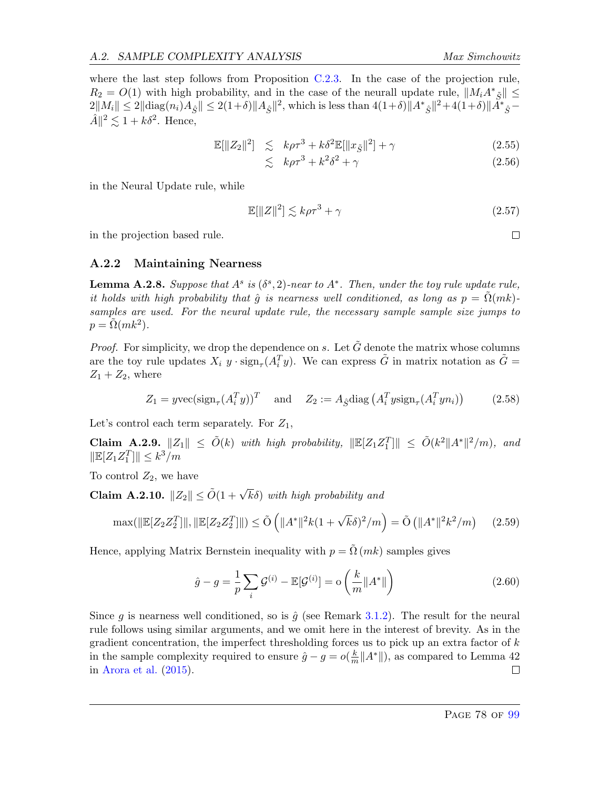where the last step follows from Proposition [C.2.3.](#page-95-0) In the case of the projection rule,  $R_2 = O(1)$  with high probability, and in the case of the neurall update rule,  $||M_i A^*_{\tilde{S}}|| \le$  $2||M_i|| \leq 2||\text{diag}(n_i)A_{\hat{S}}|| \leq 2(1+\delta)||A_{\hat{S}}||^2$ , which is less than  $4(1+\delta)||A^*_{\hat{S}}||^2 + 4(1+\delta)||\tilde{A}^*_{\hat{S}} \hat{A} \|^2 \lesssim 1 + k \delta^2$ . Hence,

$$
\mathbb{E}[\|Z_2\|^2] \le k\rho \tau^3 + k\delta^2 \mathbb{E}[\|x_{\tilde{S}}\|^2] + \gamma \tag{2.55}
$$

$$
\lesssim k\rho\tau^3 + k^2\delta^2 + \gamma \tag{2.56}
$$

in the Neural Update rule, while

$$
\mathbb{E}[\|Z\|^2] \lesssim k\rho \tau^3 + \gamma \tag{2.57}
$$

in the projection based rule.

#### <span id="page-78-0"></span>A.2.2 Maintaining Nearness

<span id="page-78-1"></span>**Lemma A.2.8.** Suppose that  $A^s$  is  $(\delta^s, 2)$ -near to  $A^*$ . Then, under the toy rule update rule, it holds with high probability that  $\hat{g}$  is nearness well conditioned, as long as  $p = \Omega(mk)$ samples are used. For the neural update rule, the necessary sample sample size jumps to  $p = \tilde{\Omega}(mk^2)$ .

*Proof.* For simplicity, we drop the dependence on s. Let  $\tilde{G}$  denote the matrix whose columns are the toy rule updates  $X_i$  y ·  $\text{sign}_{\tau}(A_i^T y)$ . We can express  $\tilde{G}$  in matrix notation as  $\tilde{G}$  =  $Z_1 + Z_2$ , where

$$
Z_1 = y \text{vec}(\text{sign}_{\tau}(A_i^T y))^T \quad \text{and} \quad Z_2 := A_{\hat{S}} \text{diag}\left(A_i^T y \text{sign}_{\tau}(A_i^T y n_i)\right) \tag{2.58}
$$

Let's control each term separately. For  $Z_1$ ,

<span id="page-78-2"></span>**Claim A.2.9.**  $||Z_1|| \le \tilde{O}(k)$  with high probability,  $||\mathbb{E}[Z_1 Z_1^T]|| \le \tilde{O}(k^2 ||A^*||^2/m)$ , and  $\|\mathbb{E}[Z_1 Z_1^T]\| \leq k^3/m$ 

To control  $Z_2$ , we have

<span id="page-78-3"></span>**Claim A.2.10.**  $||Z_2|| \le \tilde{O}(1 + \sqrt{k}\delta)$  with high probability and

$$
\max(\|\mathbb{E}[Z_2 Z_2^T]\|, \|\mathbb{E}[Z_2 Z_2^T]\|) \le \tilde{O}\left(\|A^*\|^2 k (1 + \sqrt{k}\delta)^2 / m\right) = \tilde{O}\left(\|A^*\|^2 k^2 / m\right) \tag{2.59}
$$

Hence, applying Matrix Bernstein inequality with  $p = \tilde{\Omega}(mk)$  samples gives

$$
\hat{g} - g = \frac{1}{p} \sum_{i} \mathcal{G}^{(i)} - \mathbb{E}[\mathcal{G}^{(i)}] = o\left(\frac{k}{m} ||A^*||\right)
$$
\n(2.60)

Since g is nearness well conditioned, so is  $\hat{g}$  (see Remark [3.1.2\)](#page-24-0). The result for the neural rule follows using similar arguments, and we omit here in the interest of brevity. As in the gradient concentration, the imperfect thresholding forces us to pick up an extra factor of  $k$ in the sample complexity required to ensure  $\hat{g} - g = o(\frac{k}{n})$  $\frac{k}{m}||A^*||$ ), as compared to Lemma 42 in [Arora et al.](#page-63-0) [\(2015\)](#page-63-0).  $\Box$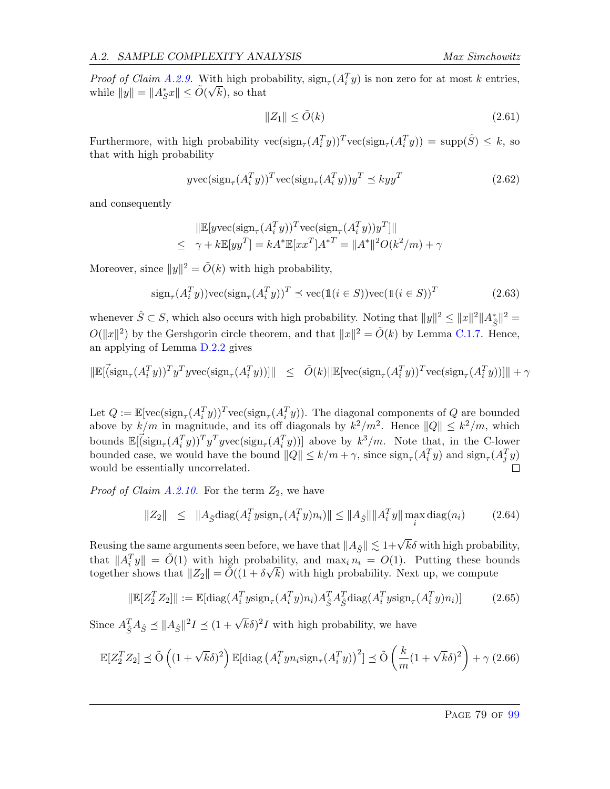*Proof of Claim [A.2.9.](#page-78-2)* With high probability,  $\text{sign}_{\tau}(A_i^T y)$  is non zero for at most k entries, while  $||y|| = ||A^*_S x|| \le \tilde{O}(\sqrt{k})$ , so that

$$
||Z_1|| \le \tilde{O}(k) \tag{2.61}
$$

Furthermore, with high probability  $\text{vec}(\text{sign}_{\tau}(A_i^T y))^T \text{vec}(\text{sign}_{\tau}(A_i^T y)) = \text{supp}(\hat{S}) \leq k$ , so that with high probability

$$
y\text{vec}(\text{sign}_{\tau}(A_i^T y))^T \text{vec}(\text{sign}_{\tau}(A_i^T y)) y^T \preceq k y y^T \tag{2.62}
$$

and consequently

$$
\|\mathbb{E}[y\text{vec}(\text{sign}_{\tau}(A_i^T y))^T \text{vec}(\text{sign}_{\tau}(A_i^T y))y^T]\|
$$
  

$$
\leq \gamma + k \mathbb{E}[y y^T] = k A^* \mathbb{E}[x x^T] A^{*T} = \|A^*\|^2 O(k^2/m) + \gamma
$$

Moreover, since  $||y||^2 = \tilde{O}(k)$  with high probability,

$$
\text{sign}_{\tau}(A_i^T y)) \text{vec}(\text{sign}_{\tau}(A_i^T y))^T \preceq \text{vec}(\mathbb{1}(i \in S)) \text{vec}(\mathbb{1}(i \in S))^T
$$
(2.63)

whenever  $\hat{S} \subset S$ , which also occurs with high probability. Noting that  $||y||^2 \leq ||x||^2 ||A^*_{\hat{S}}||^2 =$  $O(||x||^2)$  by the Gershgorin circle theorem, and that  $||x||^2 = \tilde{O}(k)$  by Lemma [C.1.7.](#page-91-2) Hence, an applying of Lemma [D.2.2](#page-98-0) gives

$$
\|\mathbb{E}[\vec(\text{sign}_{\tau}(A_i^T y))^T y^T y \text{vec}(\text{sign}_{\tau}(A_i^T y))]\| \leq \tilde{O}(k) \|\mathbb{E}[\text{vec}(\text{sign}_{\tau}(A_i^T y))^T \text{vec}(\text{sign}_{\tau}(A_i^T y))]\| + \gamma
$$

Let  $Q := \mathbb{E}[\text{vec}(\text{sign}_{\tau}(A_i^T y))^T \text{vec}(\text{sign}_{\tau}(A_i^T y))$ . The diagonal components of  $Q$  are bounded above by  $k/m$  in magnitude, and its off diagonals by  $k^2/m^2$ . Hence  $||Q|| \leq k^2/m$ , which bounds  $\mathbb{E}[\vec{G}(\sin_{\tau}(A_i^T y))^T y^T y \text{vec}(\text{sign}_{\tau}(A_i^T y))]$  above by  $k^3/m$ . Note that, in the C-lower bounded case, we would have the bound  $||Q|| \le k/m + \gamma$ , since  $\text{sign}_{\tau}(A_i^T y)$  and  $\text{sign}_{\tau}(A_j^T y)$  $\Box$ would be essentially uncorrelated.

*Proof of Claim [A.2.10.](#page-78-3)* For the term  $Z_2$ , we have

$$
||Z_2|| \leq ||A_{\hat{S}} \text{diag}(A_i^T y \text{sign}_{\tau}(A_i^T y) n_i)|| \leq ||A_{\hat{S}}|| ||A_i^T y|| \max_i \text{diag}(n_i)
$$
 (2.64)

Reusing the same arguments seen before, we have that  $||A_{\hat{S}}|| \lesssim 1+\sqrt{k}\delta$  with high probability, that  $||A_i^T y|| = \tilde{O}(1)$  with high probability, and  $\max_i n_i = O(1)$ . Putting these bounds together shows that  $||Z_2|| = \tilde{O}((1 + \delta\sqrt{k})$  with high probability. Next up, we compute

$$
\|\mathbb{E}[Z_2^T Z_2]\| := \mathbb{E}[\text{diag}(A_i^T y \text{sign}_{\tau}(A_i^T y) n_i) A_{\hat{S}}^T A_{\hat{S}}^T \text{diag}(A_i^T y \text{sign}_{\tau}(A_i^T y) n_i)] \tag{2.65}
$$

Since  $A_{\hat{S}}^T A_{\hat{S}} \preceq ||A_{\hat{S}}||^2 I \preceq (1 + \sqrt{k}\delta)^2 I$  with high probability, we have

$$
\mathbb{E}[Z_2^T Z_2] \preceq \tilde{\mathcal{O}}\left((1+\sqrt{k}\delta)^2\right) \mathbb{E}[\text{diag}\left(A_i^T y n_i \text{sign}_\tau(A_i^T y)\right)^2] \preceq \tilde{\mathcal{O}}\left(\frac{k}{m}(1+\sqrt{k}\delta)^2\right) + \gamma (2.66)
$$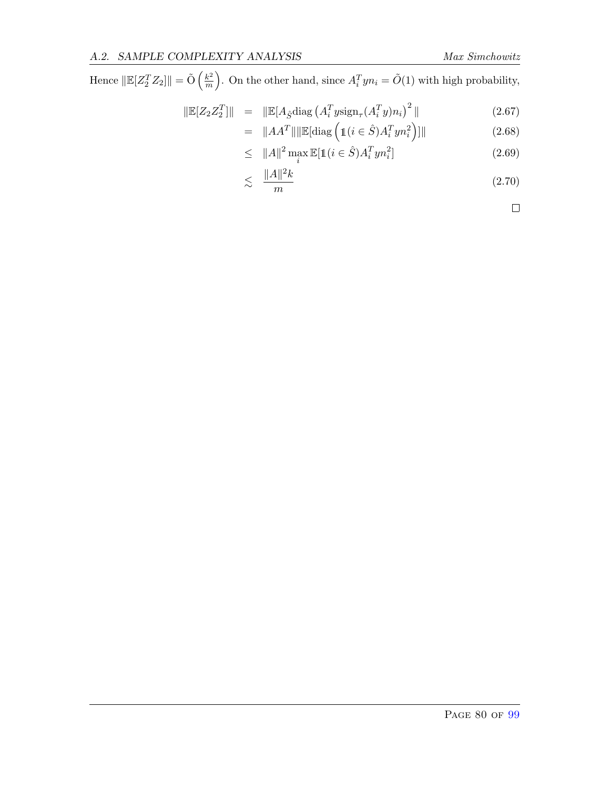Hence  $\|\mathbb{E}[Z_2^TZ_2]\| = \tilde{\mathrm{O}}\left(\frac{k^2}{m}\right)$  $\left(\frac{k^2}{m}\right)$ . On the other hand, since  $A_i^T y n_i = \tilde{O}(1)$  with high probability,

$$
\|\mathbb{E}[Z_2 Z_2^T]\| = \|\mathbb{E}[A_{\hat{S}} \text{diag}\left(A_i^T y \text{sign}_{\tau}(A_i^T y) n_i\right)^2\|
$$
\n(2.67)

$$
= \|AA^T\| \|\mathbb{E}[\text{diag}\left(\mathbb{1}(i \in \hat{S})A_i^T y n_i^2\right)]\|
$$
\n(2.68)

$$
\leq \quad \|A\|^2 \max_i \mathbb{E}[\mathbb{1}(i \in \hat{S})A_i^T y n_i^2] \tag{2.69}
$$

$$
\lesssim \frac{\|A\|^2 k}{m} \tag{2.70}
$$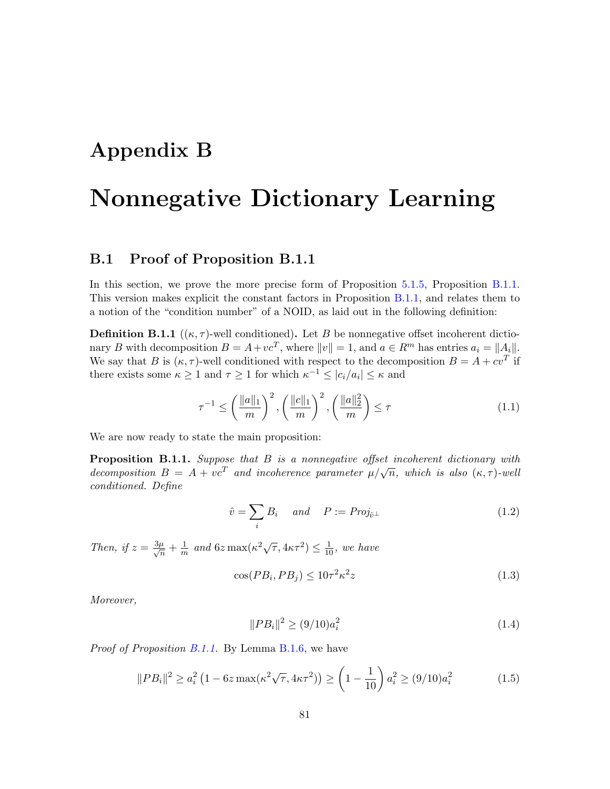## Appendix B

# Nonnegative Dictionary Learning

#### B.1 Proof of Proposition B.1.1

In this section, we prove the more precise form of Proposition [5.1.5,](#page-49-0) Proposition [B.1.1.](#page-81-0) This version makes explicit the constant factors in Proposition [B.1.1,](#page-81-0) and relates them to a notion of the "condition number" of a NOID, as laid out in the following definition:

**Definition B.1.1** ( $(\kappa, \tau)$ -well conditioned). Let B be nonnegative offset incoherent dictionary B with decomposition  $B = A + vc^T$ , where  $||v|| = 1$ , and  $a \in R^m$  has entries  $a_i = ||A_i||$ . We say that B is  $(\kappa, \tau)$ -well conditioned with respect to the decomposition  $B = A + cv^T$  if there exists some  $\kappa \ge 1$  and  $\tau \ge 1$  for which  $\kappa^{-1} \le |c_i/a_i| \le \kappa$  and

$$
\tau^{-1} \le \left(\frac{\|a\|_1}{m}\right)^2, \left(\frac{\|c\|_1}{m}\right)^2, \left(\frac{\|a\|_2^2}{m}\right) \le \tau
$$
\n(1.1)

We are now ready to state the main proposition:

<span id="page-81-0"></span>**Proposition B.1.1.** Suppose that  $B$  is a nonnegative offset incoherent dictionary with **Proposition B.1.1.** Suppose that B is a nonnegative offset incoherent attitionary with<br>decomposition  $B = A + vc^T$  and incoherence parameter  $\mu/\sqrt{n}$ , which is also  $(\kappa, \tau)$ -well conditioned. Define

$$
\hat{v} = \sum_{i} B_i \quad \text{and} \quad P := Proj_{\hat{v}^\perp} \tag{1.2}
$$

Then, if  $z = \frac{3\mu}{\sqrt{n}} + \frac{1}{m}$  $\frac{1}{m}$  and  $6z \max(\kappa^2 \sqrt{\tau}, 4\kappa \tau^2) \leq \frac{1}{10}$ , we have

$$
\cos(PB_i, PB_j) \le 10\tau^2 \kappa^2 z \tag{1.3}
$$

Moreover,

$$
||PB_i||^2 \ge (9/10)a_i^2 \tag{1.4}
$$

Proof of Proposition [B.1.1.](#page-81-0) By Lemma [B.1.6,](#page-85-0) we have

$$
||PB_i||^2 \ge a_i^2 \left(1 - 6z \max(\kappa^2 \sqrt{\tau}, 4\kappa \tau^2)\right) \ge \left(1 - \frac{1}{10}\right) a_i^2 \ge (9/10) a_i^2 \tag{1.5}
$$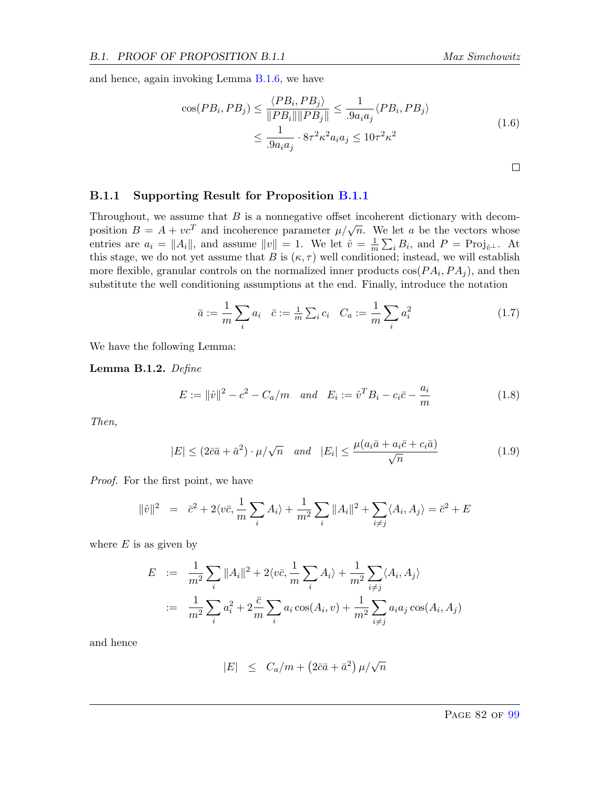and hence, again invoking Lemma [B.1.6,](#page-85-0) we have

$$
\cos(PB_i, PB_j) \le \frac{\langle PB_i, PB_j \rangle}{\|PB_i\| \|PB_j\|} \le \frac{1}{.9a_i a_j} \langle PB_i, PB_j \rangle
$$
  

$$
\le \frac{1}{.9a_i a_j} \cdot 8\tau^2 \kappa^2 a_i a_j \le 10\tau^2 \kappa^2
$$
 (1.6)

#### B.1.1 Supporting Result for Proposition [B.1.1](#page-81-0)

Throughout, we assume that  $B$  is a nonnegative offset incoherent dictionary with decomposition  $B = A + vc^T$  and incoherence parameter  $\mu/\sqrt{n}$ . We let a be the vectors whose entries are  $a_i = ||A_i||$ , and assume  $||v|| = 1$ . We let  $\hat{v} = \frac{1}{m}$  $\frac{1}{m} \sum_i B_i$ , and  $P = \text{Proj}_{\hat{v}}$ . At this stage, we do not yet assume that B is  $(\kappa, \tau)$  well conditioned; instead, we will establish more flexible, granular controls on the normalized inner products  $cos(PA_i, PA_j)$ , and then substitute the well conditioning assumptions at the end. Finally, introduce the notation

$$
\bar{a} := \frac{1}{m} \sum_{i} a_i \quad \bar{c} := \frac{1}{m} \sum_{i} c_i \quad C_a := \frac{1}{m} \sum_{i} a_i^2 \tag{1.7}
$$

We have the following Lemma:

<span id="page-82-0"></span>Lemma B.1.2. Define

$$
E := ||\hat{v}||^2 - c^2 - C_a/m \quad and \quad E_i := \hat{v}^T B_i - c_i \bar{c} - \frac{a_i}{m}
$$
 (1.8)

Then,

$$
|E| \le (2\bar{c}\bar{a} + \bar{a}^2) \cdot \mu/\sqrt{n} \quad and \quad |E_i| \le \frac{\mu(a_i\bar{a} + a_i\bar{c} + c_i\bar{a})}{\sqrt{n}} \tag{1.9}
$$

Proof. For the first point, we have

$$
\|\hat{v}\|^2 = \bar{c}^2 + 2\langle v\bar{c}, \frac{1}{m} \sum_i A_i \rangle + \frac{1}{m^2} \sum_i \|A_i\|^2 + \sum_{i \neq j} \langle A_i, A_j \rangle = \bar{c}^2 + E
$$

where  $E$  is as given by

$$
E := \frac{1}{m^2} \sum_{i} ||A_i||^2 + 2\langle v\bar{c}, \frac{1}{m} \sum_{i} A_i \rangle + \frac{1}{m^2} \sum_{i \neq j} \langle A_i, A_j \rangle
$$
  
 := 
$$
\frac{1}{m^2} \sum_{i} a_i^2 + 2\frac{\bar{c}}{m} \sum_{i} a_i \cos(A_i, v) + \frac{1}{m^2} \sum_{i \neq j} a_i a_j \cos(A_i, A_j)
$$

and hence

$$
|E| \leq C_a/m + (2\bar{c}\bar{a} + \bar{a}^2)\,\mu/\sqrt{n}
$$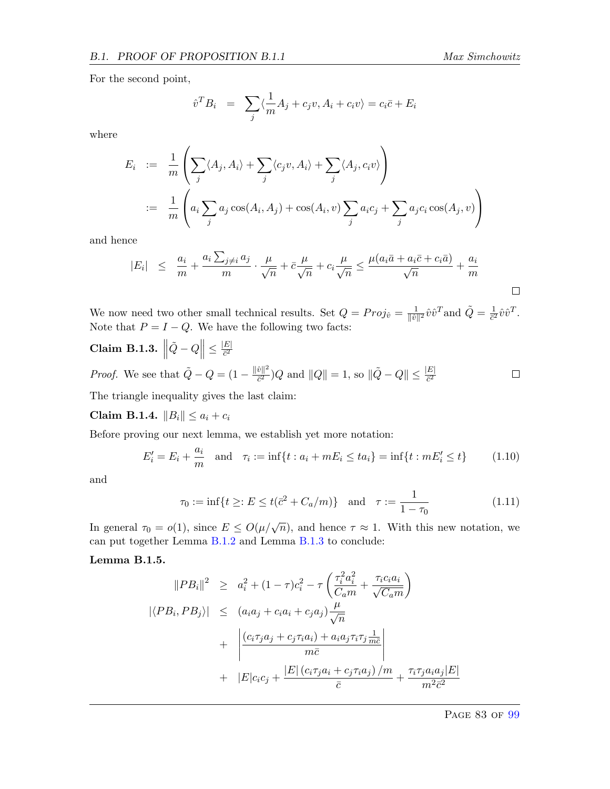For the second point,

$$
\hat{v}^T B_i = \sum_j \langle \frac{1}{m} A_j + c_j v, A_i + c_i v \rangle = c_i \bar{c} + E_i
$$

where

$$
E_i := \frac{1}{m} \left( \sum_j \langle A_j, A_i \rangle + \sum_j \langle c_j v, A_i \rangle + \sum_j \langle A_j, c_i v \rangle \right)
$$
  
 := 
$$
\frac{1}{m} \left( a_i \sum_j a_j \cos(A_i, A_j) + \cos(A_i, v) \sum_j a_i c_j + \sum_j a_j c_i \cos(A_j, v) \right)
$$

and hence

$$
|E_i| \leq \frac{a_i}{m} + \frac{a_i \sum_{j \neq i} a_j}{m} \cdot \frac{\mu}{\sqrt{n}} + \bar{c} \frac{\mu}{\sqrt{n}} + c_i \frac{\mu}{\sqrt{n}} \leq \frac{\mu(a_i \bar{a} + a_i \bar{c} + c_i \bar{a})}{\sqrt{n}} + \frac{a_i}{m}
$$

We now need two other small technical results. Set  $Q = Proj_{\hat{v}} = \frac{1}{\|\hat{v}\|}$  $\frac{1}{\|\hat{v}\|^2} \hat{v} \hat{v}^T$  and  $\tilde{Q} = \frac{1}{\tilde{c}^2}$  $\frac{1}{\bar{c}^2}\hat{v}\hat{v}^T$ . Note that  $P = I - Q$ . We have the following two facts:

<span id="page-83-0"></span>
$$
\textbf{Claim B.1.3.} \left\|\tilde{Q} - Q\right\| \le \frac{|E|}{\bar{c}^2}
$$

*Proof.* We see that  $\tilde{Q} - Q = \left(1 - \frac{\|\hat{v}\|^2}{\tilde{c}^2}\right)$  $\frac{\hat{v} \|^2}{\tilde{c}^2}$ ) Q and  $||Q|| = 1$ , so  $\|\tilde{Q} - Q\| \le \frac{|E|}{\tilde{c}^2}$  $\Box$ 

The triangle inequality gives the last claim:

Claim B.1.4.  $||B_i|| \le a_i + c_i$ 

Before proving our next lemma, we establish yet more notation:

$$
E'_{i} = E_{i} + \frac{a_{i}}{m} \quad \text{and} \quad \tau_{i} := \inf\{t : a_{i} + mE_{i} \le ta_{i}\} = \inf\{t : mE'_{i} \le t\}
$$
(1.10)

and

$$
\tau_0 := \inf\{t \ge : E \le t(\bar{c}^2 + C_a/m)\} \quad \text{and} \quad \tau := \frac{1}{1 - \tau_0} \tag{1.11}
$$

In general  $\tau_0 = o(1)$ , since  $E \leq O(\mu/\sqrt{n})$ , and hence  $\tau \approx 1$ . With this new notation, we can put together Lemma [B.1.2](#page-82-0) and Lemma [B.1.3](#page-83-0) to conclude:

<span id="page-83-1"></span>Lemma B.1.5.

$$
||PB_i||^2 \geq a_i^2 + (1 - \tau)c_i^2 - \tau \left(\frac{\tau_i^2 a_i^2}{C_a m} + \frac{\tau_i c_i a_i}{\sqrt{C_a m}}\right)
$$
  

$$
|\langle PB_i, PB_j \rangle| \leq (a_i a_j + c_i a_i + c_j a_j) \frac{\mu}{\sqrt{n}}
$$
  

$$
+ \left|\frac{(c_i \tau_j a_j + c_j \tau_i a_i) + a_i a_j \tau_i \tau_j \frac{1}{m\bar{c}}}{m\bar{c}}\right|
$$
  

$$
+ |E|c_i c_j + \frac{|E| (c_i \tau_j a_i + c_j \tau_i a_j)/m}{\bar{c}} + \frac{\tau_i \tau_j a_i a_j |E|}{m^2 \bar{c}^2}
$$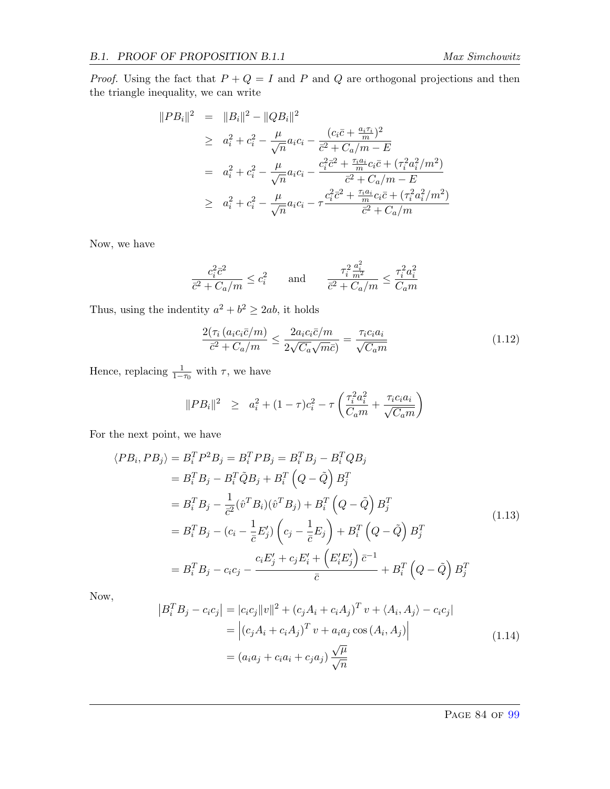*Proof.* Using the fact that  $P + Q = I$  and P and Q are orthogonal projections and then the triangle inequality, we can write

$$
||PB_i||^2 = ||B_i||^2 - ||QB_i||^2
$$
  
\n
$$
\geq a_i^2 + c_i^2 - \frac{\mu}{\sqrt{n}} a_i c_i - \frac{(c_i \bar{c} + \frac{a_i \tau_i}{m})^2}{\bar{c}^2 + C_a/m - E}
$$
  
\n
$$
= a_i^2 + c_i^2 - \frac{\mu}{\sqrt{n}} a_i c_i - \frac{c_i^2 \bar{c}^2 + \frac{\tau_i a_i}{m} c_i \bar{c} + (\tau_i^2 a_i^2/m^2)}{\bar{c}^2 + C_a/m - E}
$$
  
\n
$$
\geq a_i^2 + c_i^2 - \frac{\mu}{\sqrt{n}} a_i c_i - \tau \frac{c_i^2 \bar{c}^2 + \frac{\tau_i a_i}{m} c_i \bar{c} + (\tau_i^2 a_i^2/m^2)}{\bar{c}^2 + C_a/m}
$$

Now, we have

$$
\frac{c_i^2\bar{c}^2}{\bar{c}^2+C_a/m}\leq c_i^2\qquad\text{and}\qquad \frac{\tau_i^2\frac{a_i^2}{m^2}}{\bar{c}^2+C_a/m}\leq \frac{\tau_i^2a_i^2}{C_a m}
$$

Thus, using the indentity  $a^2 + b^2 \ge 2ab$ , it holds

$$
\frac{2(\tau_i (a_i c_i \bar{c}/m))}{\bar{c}^2 + C_a/m} \le \frac{2a_i c_i \bar{c}/m}{2\sqrt{C_a}\sqrt{m}\bar{c}} = \frac{\tau_i c_i a_i}{\sqrt{C_a m}}\tag{1.12}
$$

Hence, replacing  $\frac{1}{1-\tau_0}$  with  $\tau$ , we have

$$
||PB_i||^2 \geq a_i^2 + (1 - \tau)c_i^2 - \tau \left(\frac{\tau_i^2 a_i^2}{C_a m} + \frac{\tau_i c_i a_i}{\sqrt{C_a m}}\right)
$$

For the next point, we have

<span id="page-84-0"></span>
$$
\langle PB_i, PB_j \rangle = B_i^T P^2 B_j = B_i^T P B_j = B_i^T B_j - B_i^T Q B_j
$$
  
\n
$$
= B_i^T B_j - B_i^T \tilde{Q} B_j + B_i^T \left(Q - \tilde{Q}\right) B_j^T
$$
  
\n
$$
= B_i^T B_j - \frac{1}{\bar{c}^2} (\hat{v}^T B_i)(\hat{v}^T B_j) + B_i^T \left(Q - \tilde{Q}\right) B_j^T
$$
  
\n
$$
= B_i^T B_j - (c_i - \frac{1}{\bar{c}} E_j') \left(c_j - \frac{1}{\bar{c}} E_j\right) + B_i^T \left(Q - \tilde{Q}\right) B_j^T
$$
  
\n
$$
= B_i^T B_j - c_i c_j - \frac{c_i E_j' + c_j E_i' + \left(E_i' E_j'\right) \bar{c}^{-1}}{\bar{c}} + B_i^T \left(Q - \tilde{Q}\right) B_j^T
$$
  
\n(1.13)

Now,

$$
\begin{aligned} \left| B_i^T B_j - c_i c_j \right| &= \left| c_i c_j \right| \left| v \right| \right|^2 + \left( c_j A_i + c_i A_j \right)^T v + \left\langle A_i, A_j \right\rangle - c_i c_j \\ &= \left| \left( c_j A_i + c_i A_j \right)^T v + a_i a_j \cos \left( A_i, A_j \right) \right| \\ &= \left( a_i a_j + c_i a_i + c_j a_j \right) \frac{\sqrt{\mu}}{\sqrt{n}} \end{aligned} \tag{1.14}
$$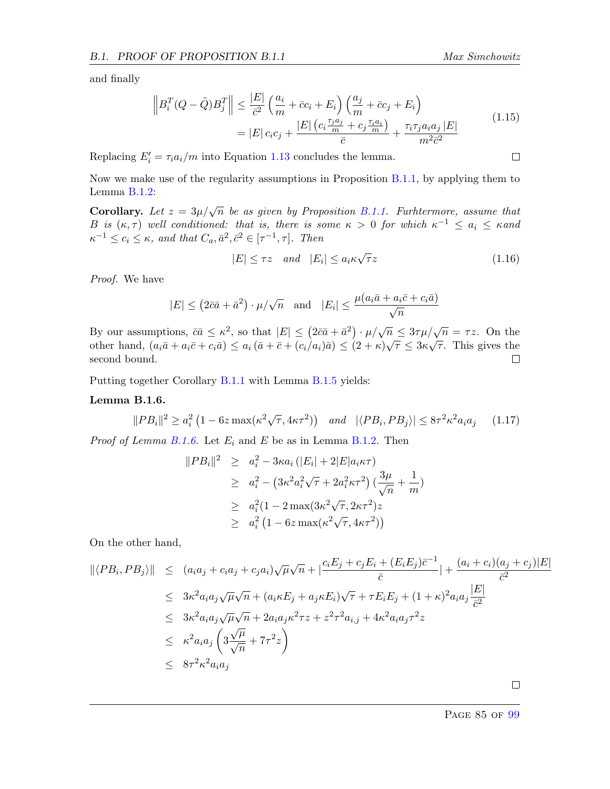<span id="page-85-1"></span>
$$
\left\|B_i^T(Q-\tilde{Q})B_j^T\right\| \le \frac{|E|}{\bar{c}^2} \left(\frac{a_i}{m} + \bar{c}c_i + E_i\right) \left(\frac{a_j}{m} + \bar{c}c_j + E_i\right)
$$

$$
= |E| c_i c_j + \frac{|E| \left(c_i \frac{\tau_j a_j}{m} + c_j \frac{\tau_i a_i}{m}\right)}{\bar{c}} + \frac{\tau_i \tau_j a_i a_j |E|}{m^2 \bar{c}^2}
$$
(1.15)

Replacing  $E_i' = \tau_i a_i/m$  into Equation [1.13](#page-84-0) concludes the lemma.

Now we make use of the regularity assumptions in Proposition [B.1.1,](#page-81-0) by applying them to Lemma [B.1.2:](#page-82-0)

**Corollary.** Let  $z = 3\mu/\sqrt{n}$  be as given by Proposition [B.1.1.](#page-81-0) Furhtermore, assume that B is  $(\kappa, \tau)$  well conditioned: that is, there is some  $\kappa > 0$  for which  $\kappa^{-1} \leq a_i \leq \kappa$  and  $\kappa^{-1} \leq c_i \leq \kappa$ , and that  $C_a, \bar{a}^2, \bar{c}^2 \in [\tau^{-1}, \tau]$ . Then

$$
|E| \le \tau z \quad and \quad |E_i| \le a_i \kappa \sqrt{\tau} z \tag{1.16}
$$

Proof. We have

$$
|E| \le (2\bar{c}\bar{a} + \bar{a}^2) \cdot \mu/\sqrt{n} \quad \text{and} \quad |E_i| \le \frac{\mu(a_i\bar{a} + a_i\bar{c} + c_i\bar{a})}{\sqrt{n}}
$$

By our assumptions,  $\bar{c}\bar{a} \leq \kappa^2$ , so that  $|E| \leq (2\bar{c}\bar{a} + \bar{a}^2) \cdot \mu/\sqrt{n} \leq 3\tau \mu/\sqrt{n} = \tau z$ . On the by our assumptions,  $ca \le \kappa$ , so that  $|E| \le (2ca + a') \cdot \mu/\sqrt{n} \le 3r\mu/\sqrt{n} = 72$ . On the other hand,  $(a_i\bar{a} + a_i\bar{c} + c_i\bar{a}) \le a_i(\bar{a} + \bar{c} + (c_i/a_i)\bar{a}) \le (2 + \kappa)\sqrt{\tau} \le 3\kappa\sqrt{\tau}$ . This gives the second bound.  $\Box$ 

Putting together Corollary [B.1.1](#page-85-1) with Lemma [B.1.5](#page-83-1) yields:

#### <span id="page-85-0"></span>Lemma B.1.6.

$$
||PB_i||^2 \ge a_i^2 \left(1 - 6z \max(\kappa^2 \sqrt{\tau}, 4\kappa \tau^2)\right) \quad \text{and} \quad |\langle PB_i, PB_j \rangle| \le 8\tau^2 \kappa^2 a_i a_j \tag{1.17}
$$

*Proof of Lemma [B.1.6.](#page-85-0)* Let  $E_i$  and  $E$  be as in Lemma [B.1.2.](#page-82-0) Then

$$
||PB_i||^2 \geq a_i^2 - 3\kappa a_i (|E_i| + 2|E|a_i\kappa\tau)
$$
  
\n
$$
\geq a_i^2 - (3\kappa^2 a_i^2 \sqrt{\tau} + 2a_i^2 \kappa\tau^2) (\frac{3\mu}{\sqrt{n}} + \frac{1}{m})
$$
  
\n
$$
\geq a_i^2 (1 - 2 \max(3\kappa^2 \sqrt{\tau}, 2\kappa\tau^2) z
$$
  
\n
$$
\geq a_i^2 (1 - 6z \max(\kappa^2 \sqrt{\tau}, 4\kappa\tau^2))
$$

On the other hand,

$$
\begin{aligned}\n\|\langle PB_i, PB_j \rangle\| &\leq (a_i a_j + c_i a_j + c_j a_i) \sqrt{\mu} \sqrt{n} + \left| \frac{c_i E_j + c_j E_i + (E_i E_j) \bar{c}^{-1}}{\bar{c}} \right| + \frac{(a_i + c_i)(a_j + c_j)|E|}{\bar{c}^2} \\
&\leq 3\kappa^2 a_i a_j \sqrt{\mu} \sqrt{n} + (a_i \kappa E_j + a_j \kappa E_i) \sqrt{\tau} + \tau E_i E_j + (1 + \kappa)^2 a_i a_j \frac{|E|}{\bar{c}^2} \\
&\leq 3\kappa^2 a_i a_j \sqrt{\mu} \sqrt{n} + 2a_i a_j \kappa^2 \tau z + z^2 \tau^2 a_{i,j} + 4\kappa^2 a_i a_j \tau^2 z \\
&\leq \kappa^2 a_i a_j \left(3\frac{\sqrt{\mu}}{\sqrt{n}} + 7\tau^2 z\right) \\
&\leq 8\tau^2 \kappa^2 a_i a_j\n\end{aligned}
$$

 $\Box$ 

PAGE 85 OF [99](#page-99-0)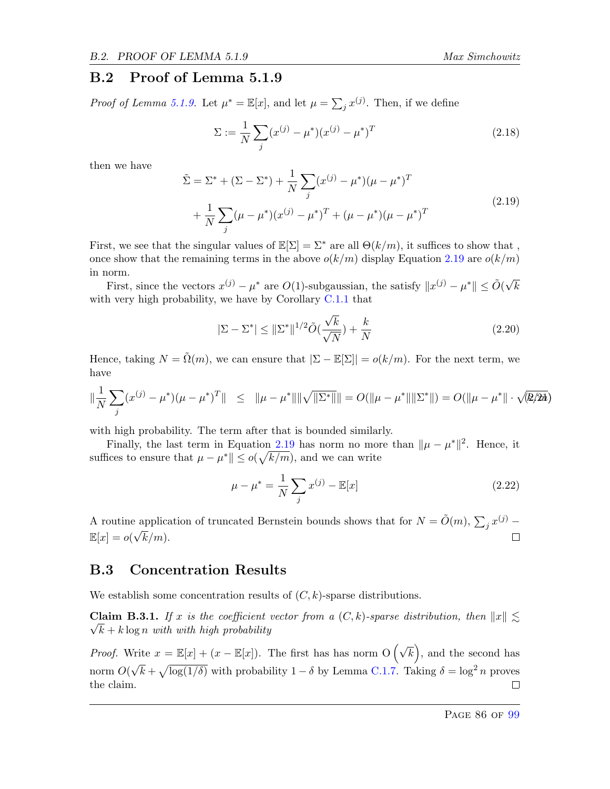#### B.2 Proof of Lemma 5.1.9

*Proof of Lemma [5.1.9.](#page-52-0)* Let  $\mu^* = \mathbb{E}[x]$ , and let  $\mu = \sum_j x^{(j)}$ . Then, if we define

$$
\Sigma := \frac{1}{N} \sum_{j} (x^{(j)} - \mu^*)(x^{(j)} - \mu^*)^T
$$
\n(2.18)

then we have

<span id="page-86-0"></span>
$$
\tilde{\Sigma} = \Sigma^* + (\Sigma - \Sigma^*) + \frac{1}{N} \sum_j (x^{(j)} - \mu^*) (\mu - \mu^*)^T \n+ \frac{1}{N} \sum_j (\mu - \mu^*) (x^{(j)} - \mu^*)^T + (\mu - \mu^*) (\mu - \mu^*)^T
$$
\n(2.19)

First, we see that the singular values of  $\mathbb{E}[\Sigma] = \Sigma^*$  are all  $\Theta(k/m)$ , it suffices to show that, once show that the remaining terms in the above  $o(k/m)$  display Equation [2.19](#page-86-0) are  $o(k/m)$ in norm.

First, since the vectors  $x^{(j)} - \mu^*$  are  $O(1)$ -subgaussian, the satisfy  $||x^{(j)} - \mu^*|| \le \tilde{O}(\sqrt{2})$ k with very high probability, we have by Corollary [C.1.1](#page-92-1) that

$$
|\Sigma - \Sigma^*| \le ||\Sigma^*||^{1/2} \tilde{O}(\frac{\sqrt{k}}{\sqrt{N}}) + \frac{k}{N}
$$
\n(2.20)

Hence, taking  $N = \tilde{\Omega}(m)$ , we can ensure that  $|\Sigma - \mathbb{E}[\Sigma]| = o(k/m)$ . For the next term, we have

$$
\|\frac{1}{N}\sum_{j}(x^{(j)} - \mu^*)(\mu - \mu^*)^T\| \leq \|\mu - \mu^*\|\|\sqrt{\|\Sigma^*\|}\| = O(\|\mu - \mu^*\|\|\Sigma^*\|) = O(\|\mu - \mu^*\| \cdot \sqrt{\mathcal{R}/2\hbar})
$$

with high probability. The term after that is bounded similarly.

Finally, the last term in Equation [2.19](#page-86-0) has norm no more than  $\|\mu - \mu^*\|^2$ . Hence, it suffices to ensure that  $\mu - \mu^* \| \le o(\sqrt{k/m})$ , and we can write

$$
\mu - \mu^* = \frac{1}{N} \sum_{j} x^{(j)} - \mathbb{E}[x]
$$
\n(2.22)

A routine application of truncated Bernstein bounds shows that for  $N = \tilde{O}(m)$ ,  $\sum_j x^{(j)}$  –  $\mathbb{E}[x] = o(\sqrt{\}$  $k/m$ ). П

#### B.3 Concentration Results

We establish some concentration results of  $(C, k)$ -sparse distributions.

<span id="page-86-1"></span>**Claim B.3.1.** If x is the coefficient vector from a  $(C, k)$ -sparse distribution, then  $||x|| \lesssim$  $\sqrt{k} + k \log n$  with with high probability

*Proof.* Write  $x = \mathbb{E}[x] + (x - \mathbb{E}[x])$ . The first has has norm  $O(\sqrt{k})$ , and the second has √  $\bar{k} + \sqrt{\log(1/\delta)}$  with probability 1 –  $\delta$  by Lemma [C.1.7.](#page-91-2) Taking  $\delta = \log^2 n$  proves norm  $O($ the claim.  $\Box$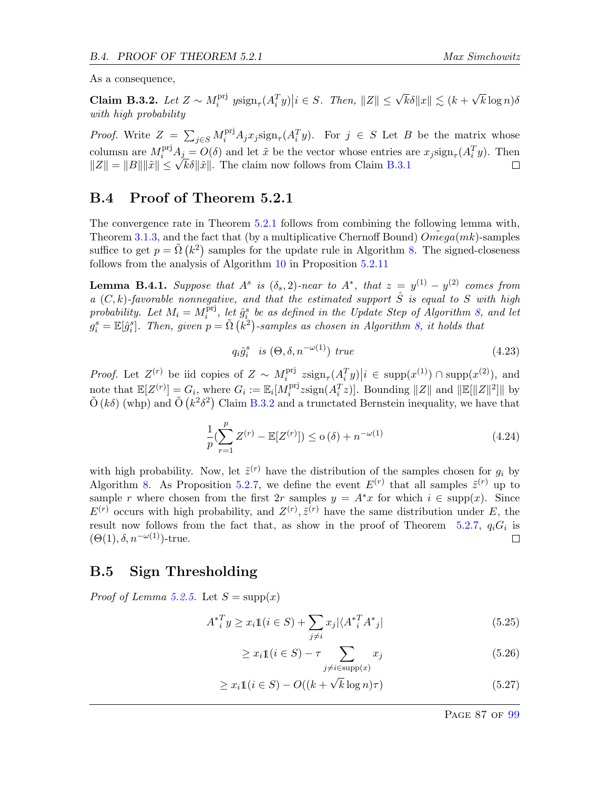As a consequence,

<span id="page-87-0"></span>Claim B.3.2. Let  $Z \sim M_i^{\text{pri}}$ <sup>pri</sup>  $y \text{sign}_{\tau}(A_i^T y) | i \in S$ . Then,  $||Z|| \leq \sqrt{k} \delta ||x|| \lesssim (k + \sqrt{k})$  $k \log n$ )δ with high probability

*Proof.* Write  $Z = \sum_{j \in S} M_i^{\text{pri}} A_j x_j \text{sign}_{\tau}(A_i^T y)$ . For  $j \in S$  Let B be the matrix whose columsn are  $M_i^{\text{pri}}A_j = O(\delta)$  and let  $\tilde{x}$  be the vector whose entries are  $x_j \text{sign}_{\tau}(A_i^T y)$ . Then columsh are  $M_i^* A_j = O(\theta)$  and let x be the vector whose entries a<br> $||Z|| = ||B|| ||\tilde{x}|| \le \sqrt{k\delta} ||\tilde{x}||$ . The claim now follows from Claim [B.3.1](#page-86-1)  $\Box$ 

#### B.4 Proof of Theorem 5.2.1

The convergence rate in Theorem [5.2.1](#page-53-0) follows from combining the following lemma with, Theorem [3.1.3,](#page-24-1) and the fact that (by a multiplicative Chernoff Bound)  $Omega(mk)$ -samples suffice to get  $p = \tilde{\Omega}(k^2)$  samples for the update rule in Algorithm [8.](#page-54-0) The signed-closeness follows from the analysis of Algorithm [10](#page-60-0) in Proposition [5.2.11](#page-59-0)

**Lemma B.4.1.** Suppose that  $A^s$  is  $(\delta_s, 2)$ -near to  $A^*$ , that  $z = y^{(1)} - y^{(2)}$  comes from a  $(C, k)$ -favorable nonnegative, and that the estimated support  $\hat{S}$  is equal to S with high probability. Let  $M_i = M_i^{\text{pri}}$  $\hat{g}_i^{\text{pri}}$ , let  $\hat{g}_i^s$  be as defined in the Update Step of Algorithm [8,](#page-54-0) and let  $g_i^s = \mathbb{E}[\hat{g}_i^s]$ . Then, given  $p = \tilde{\Omega}(k^2)$ -samples as chosen in Algorithm [8,](#page-54-0) it holds that

$$
q_i \hat{g}_i^s \quad is \; (\Theta, \delta, n^{-\omega(1)}) \; true \tag{4.23}
$$

*Proof.* Let  $Z^{(r)}$  be iid copies of  $Z \sim M_i^{\text{pri}}$  $\sum_{i=1}^{\text{pri}} z \text{sign}_{\tau}(A_i^T y) | i \in \text{supp}(x^{(1)}) \cap \text{supp}(x^{(2)})$ , and note that  $\mathbb{E}[Z^{(r)}] = G_i$ , where  $G_i := \mathbb{E}_i[M_i^{\text{pri}}]$  $\int_i^{\text{pri}} z \text{sign}(A_i^T z)$ . Bounding  $||Z||$  and  $||\mathbb{E}[||Z||^2]||$  by  $\tilde{O}(k\delta)$  (whp) and  $\tilde{O}(k^2\delta^2)$  Claim [B.3.2](#page-87-0) and a trunctated Bernstein inequality, we have that

$$
\frac{1}{p} \left( \sum_{r=1}^{p} Z^{(r)} - \mathbb{E}[Z^{(r)}] \right) \le o\left(\delta\right) + n^{-\omega(1)}\tag{4.24}
$$

with high probability. Now, let  $\tilde{z}^{(r)}$  have the distribution of the samples chosen for  $g_i$  by Algorithm [8.](#page-54-0) As Proposition [5.2.7,](#page-56-0) we define the event  $E^{(r)}$  that all samples  $\tilde{z}^{(r)}$  up to sample r where chosen from the first  $2r$  samples  $y = A^*x$  for which  $i \in \text{supp}(x)$ . Since  $E^{(r)}$  occurs with high probability, and  $Z^{(r)}$ ,  $\tilde{z}^{(r)}$  have the same distribution under E, the result now follows from the fact that, as show in the proof of Theorem [5.2.7,](#page-56-0)  $q_iG_i$  is  $(\Theta(1), \delta, n^{-\omega(1)})$ -true.  $\Box$ 

#### B.5 Sign Thresholding

*Proof of Lemma [5.2.5.](#page-56-1)* Let  $S = \text{supp}(x)$ 

$$
A_{i}^{*T} y \ge x_{i} 1(i \in S) + \sum_{j \ne i} x_{j} |\langle A_{i}^{*T} A_{j}^{*} |
$$
\n(5.25)

$$
\geq x_i \mathbb{1}(i \in S) - \tau \sum_{j \neq i \in \text{supp}(x)} x_j \tag{5.26}
$$

$$
\geq x_i 1\!\!1 (i \in S) - O((k + \sqrt{k} \log n)\tau) \tag{5.27}
$$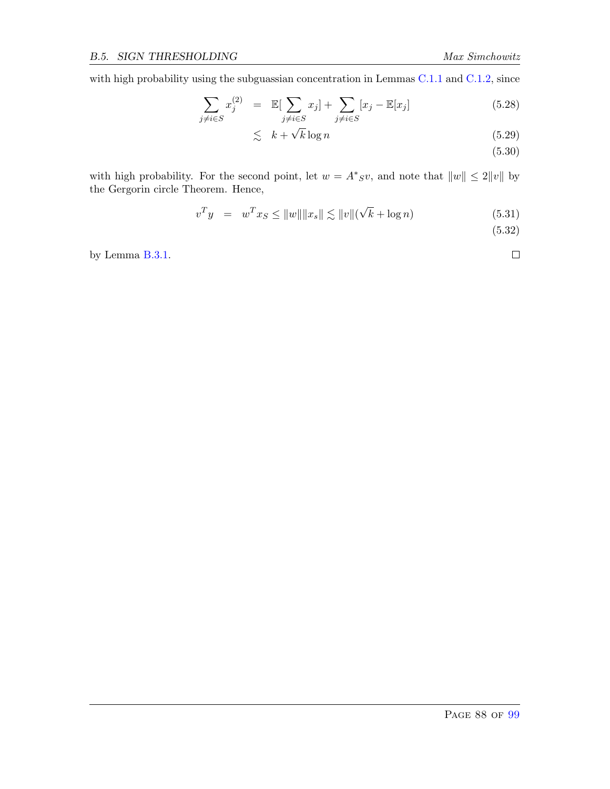with high probability using the subguassian concentration in Lemmas [C.1.1](#page-89-0) and [C.1.2,](#page-90-1) since

$$
\sum_{j \neq i \in S} x_j^{(2)} = \mathbb{E}[\sum_{j \neq i \in S} x_j] + \sum_{j \neq i \in S} [x_j - \mathbb{E}[x_j] \tag{5.28}
$$

$$
\lesssim k + \sqrt{k} \log n \tag{5.29}
$$

(5.30)

with high probability. For the second point, let  $w = A^*S v$ , and note that  $||w|| \leq 2||v||$  by the Gergorin circle Theorem. Hence,

$$
v^T y = w^T x_S \le ||w|| ||x_s|| \lesssim ||v|| (\sqrt{k} + \log n)
$$
 (5.31)

(5.32)

 $\Box$ 

by Lemma [B.3.1.](#page-86-1)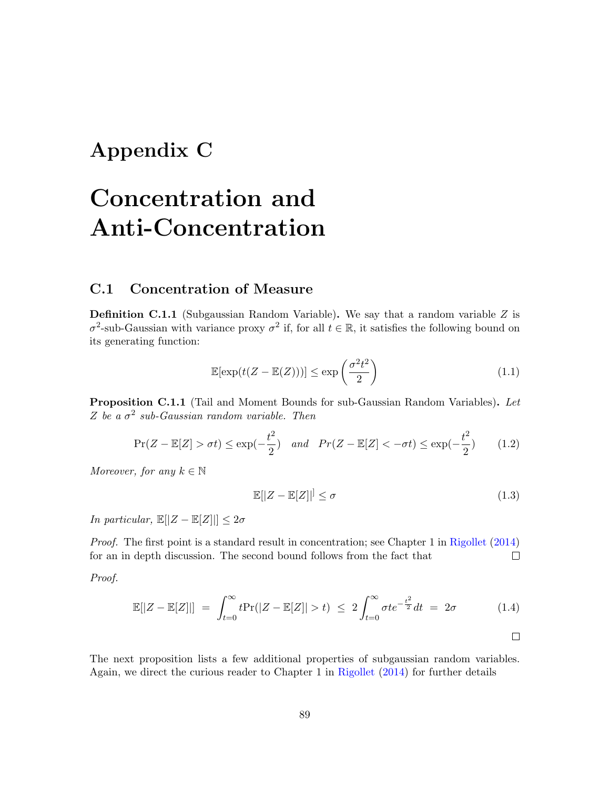## Appendix C

# Concentration and Anti-Concentration

#### C.1 Concentration of Measure

**Definition C.1.1** (Subgaussian Random Variable). We say that a random variable  $Z$  is  $\sigma^2$ -sub-Gaussian with variance proxy  $\sigma^2$  if, for all  $t \in \mathbb{R}$ , it satisfies the following bound on its generating function:

$$
\mathbb{E}[\exp(t(Z - \mathbb{E}(Z)))] \le \exp\left(\frac{\sigma^2 t^2}{2}\right) \tag{1.1}
$$

<span id="page-89-0"></span>Proposition C.1.1 (Tail and Moment Bounds for sub-Gaussian Random Variables). Let Z be a  $\sigma^2$  sub-Gaussian random variable. Then

$$
\Pr(Z - \mathbb{E}[Z] > \sigma t) \le \exp(-\frac{t^2}{2}) \quad \text{and} \quad \Pr(Z - \mathbb{E}[Z] < -\sigma t) \le \exp(-\frac{t^2}{2}) \tag{1.2}
$$

Moreover, for any  $k \in \mathbb{N}$ 

$$
\mathbb{E}[|Z - \mathbb{E}[Z]|] \le \sigma \tag{1.3}
$$

In particular,  $\mathbb{E}[|Z - \mathbb{E}[Z]|] \leq 2\sigma$ 

Proof. The first point is a standard result in concentration; see Chapter 1 in [Rigollet](#page-65-0) [\(2014\)](#page-65-0) for an in depth discussion. The second bound follows from the fact that  $\Box$ 

Proof.

$$
\mathbb{E}[|Z - \mathbb{E}[Z]|] = \int_{t=0}^{\infty} t \Pr(|Z - \mathbb{E}[Z]| > t) \le 2 \int_{t=0}^{\infty} \sigma t e^{-\frac{t^2}{2}} dt = 2\sigma \tag{1.4}
$$

The next proposition lists a few additional properties of subgaussian random variables. Again, we direct the curious reader to Chapter 1 in [Rigollet](#page-65-0) [\(2014\)](#page-65-0) for further details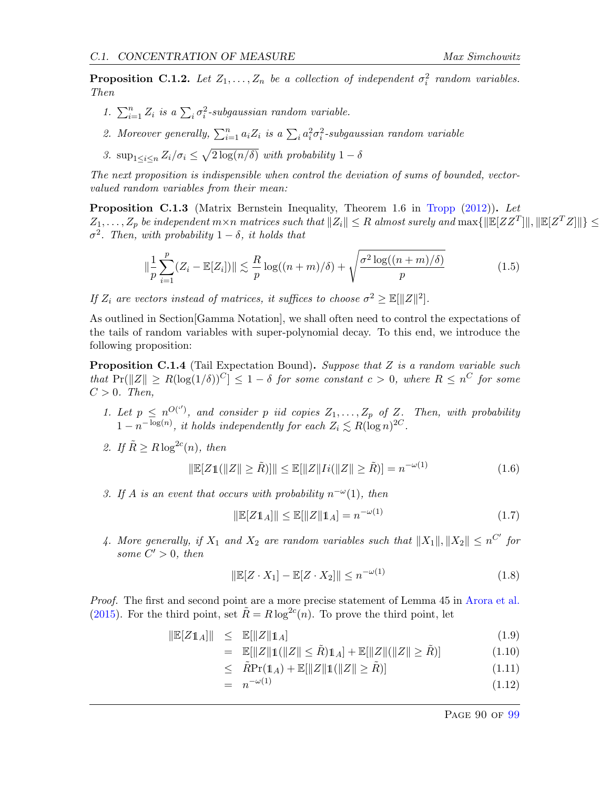<span id="page-90-1"></span>**Proposition C.1.2.** Let  $Z_1, \ldots, Z_n$  be a collection of independent  $\sigma_i^2$  random variables. Then

- 1.  $\sum_{i=1}^{n} Z_i$  is a  $\sum_i \sigma_i^2$ -subgaussian random variable.
- 2. Moreover generally,  $\sum_{i=1}^{n} a_i Z_i$  is a  $\sum_i a_i^2 \sigma_i^2$ -subgaussian random variable
- 3.  $\sup_{1 \leq i \leq n} Z_i / \sigma_i \leq \sqrt{2 \log(n/\delta)}$  with probability  $1 \delta$

The next proposition is indispensible when control the deviation of sums of bounded, vectorvalued random variables from their mean:

Proposition C.1.3 (Matrix Bernstein Inequality, Theorem 1.6 in [Tropp](#page-65-1) [\(2012\)](#page-65-1)). Let  $Z_1,\ldots,Z_p$  be independent  $m\times n$  matrices such that  $\|Z_i\|\leq R$  almost surely and  $\max\{\|\mathbb{E}[ZZ^T]\|,\|\mathbb{E}[Z^TZ]\|\}\leq R$  $\sigma^2$ . Then, with probability  $1-\delta$ , it holds that

$$
\|\frac{1}{p}\sum_{i=1}^{p}(Z_i - \mathbb{E}[Z_i])\| \lesssim \frac{R}{p}\log((n+m)/\delta) + \sqrt{\frac{\sigma^2\log((n+m)/\delta)}{p}}
$$
(1.5)

If  $Z_i$  are vectors instead of matrices, it suffices to choose  $\sigma^2 \geq \mathbb{E}[\|Z\|^2].$ 

As outlined in Section[Gamma Notation], we shall often need to control the expectations of the tails of random variables with super-polynomial decay. To this end, we introduce the following proposition:

<span id="page-90-0"></span>**Proposition C.1.4** (Tail Expectation Bound). Suppose that Z is a random variable such that  $Pr(||Z|| \ge R(\log(1/\delta))^C] \le 1-\delta$  for some constant  $c > 0$ , where  $R \le n^C$  for some  $C > 0$ . Then,

- 1. Let  $p \leq n^{O(\tau)}$ , and consider p iid copies  $Z_1, \ldots, Z_p$  of Z. Then, with probability  $1 - n^{-\log(n)}$ , it holds independently for each  $Z_i \lesssim R(\log n)^{2C}$ .
- 2. If  $\tilde{R} \ge R \log^{2c}(n)$ , then

$$
\|\mathbb{E}[Z\mathbb{1}(\|Z\| \ge \tilde{R})]\| \le \mathbb{E}[\|Z\|Ii(\|Z\| \ge \tilde{R})] = n^{-\omega(1)}\tag{1.6}
$$

3. If A is an event that occurs with probability  $n^{-\omega}(1)$ , then

$$
\|\mathbb{E}[Z\mathbb{1}_A]\| \le \mathbb{E}[\|Z\|\mathbb{1}_A] = n^{-\omega(1)}\tag{1.7}
$$

4. More generally, if  $X_1$  and  $X_2$  are random variables such that  $||X_1||, ||X_2|| \leq n^{C'}$  for some  $C' > 0$ , then

$$
\|\mathbb{E}[Z \cdot X_1] - \mathbb{E}[Z \cdot X_2]\| \le n^{-\omega(1)}\tag{1.8}
$$

Proof. The first and second point are a more precise statement of Lemma 45 in [Arora et al.](#page-63-0) [\(2015\)](#page-63-0). For the third point, set  $\tilde{R} = R \log^{2c}(n)$ . To prove the third point, let

$$
\|\mathbb{E}[Z\mathbb{1}_A]\| \le \mathbb{E}[\|Z\|\mathbb{1}_A] \tag{1.9}
$$

$$
= \mathbb{E}[\|Z\|1(\|Z\| \le \tilde{R})1_A] + \mathbb{E}[\|Z\|(\|Z\| \ge \tilde{R})] \tag{1.10}
$$

- $\leq \tilde{R} \Pr(\mathbb{1}_A) + \mathbb{E}[\|Z\| \mathbb{1}(\|Z\| \geq \tilde{R})]$  (1.11)
- $= n^{-\omega(1)}$  $-\omega(1)$  (1.12)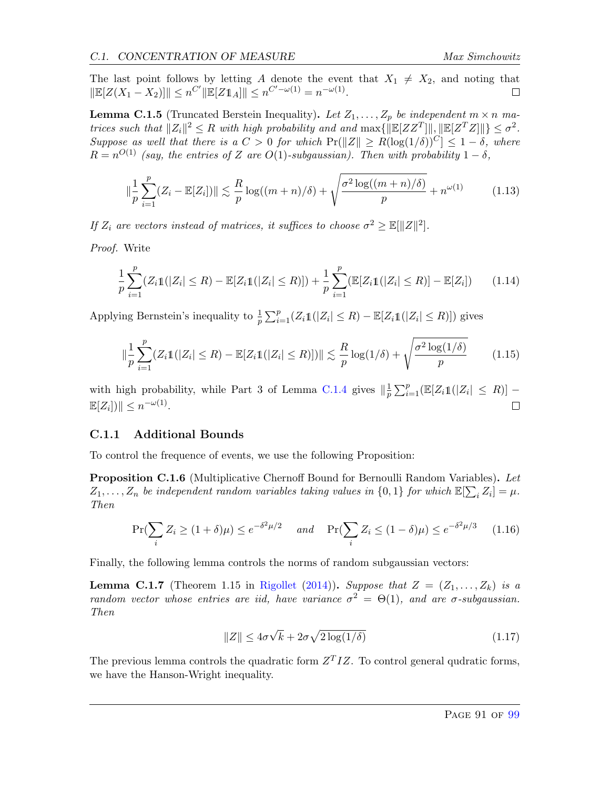The last point follows by letting A denote the event that  $X_1 \neq X_2$ , and noting that  $\|\mathbb{E}[Z(X_1 - X_2)]\| \leq n^{C'} \|\mathbb{E}[Z\mathbb{1}_A]\| \leq n^{C' - \omega(1)} = n^{-\omega(1)}.$  $\Box$ 

<span id="page-91-1"></span>**Lemma C.1.5** (Truncated Berstein Inequality). Let  $Z_1, \ldots, Z_p$  be independent  $m \times n$  matrices such that  $||Z_i||^2 \leq R$  with high probability and and  $\max\{||\mathbb{E}[ZZ^T]||, ||\mathbb{E}[Z^TZ]||\} \leq \sigma^2$ . Suppose as well that there is a  $C > 0$  for which  $Pr(||Z|| \ge R(\log(1/\delta))^{C}] \le 1 - \delta$ , where  $R = n^{O(1)}$  (say, the entries of Z are O(1)-subgaussian). Then with probability  $1 - \delta$ ,

$$
\|\frac{1}{p}\sum_{i=1}^{p}(Z_i - \mathbb{E}[Z_i])\| \lesssim \frac{R}{p}\log((m+n)/\delta) + \sqrt{\frac{\sigma^2\log((m+n)/\delta)}{p}} + n^{\omega(1)} \tag{1.13}
$$

If  $Z_i$  are vectors instead of matrices, it suffices to choose  $\sigma^2 \geq \mathbb{E}[\|Z\|^2].$ 

Proof. Write

$$
\frac{1}{p}\sum_{i=1}^{p}(Z_i1(|Z_i| \leq R) - \mathbb{E}[Z_i1(|Z_i| \leq R)]) + \frac{1}{p}\sum_{i=1}^{p}(\mathbb{E}[Z_i1(|Z_i| \leq R)] - \mathbb{E}[Z_i]) \tag{1.14}
$$

Applying Bernstein's inequality to  $\frac{1}{p} \sum_{i=1}^p (Z_i 1\mathbb{I}(|Z_i| \leq R) - \mathbb{E}[Z_i 1\mathbb{I}(|Z_i| \leq R)])$  gives

$$
\|\frac{1}{p}\sum_{i=1}^{p}(Z_i 1\mathbb{1}(|Z_i| \leq R) - \mathbb{E}[Z_i 1(|Z_i| \leq R)])\| \lesssim \frac{R}{p}\log(1/\delta) + \sqrt{\frac{\sigma^2 \log(1/\delta)}{p}} \tag{1.15}
$$

with high probability, while Part 3 of Lemma [C.1.4](#page-90-0) gives  $\|\frac{1}{n}\|$  $\frac{1}{p} \sum_{i=1}^{p} (\mathbb{E}[Z_i \mathbb{1}(|Z_i| \leq R)] \mathbb{E}[Z_i]) \leq n^{-\omega(1)}.$  $\Box$ 

#### C.1.1 Additional Bounds

To control the frequence of events, we use the following Proposition:

<span id="page-91-0"></span>**Proposition C.1.6** (Multiplicative Chernoff Bound for Bernoulli Random Variables). Let  $Z_1, \ldots, Z_n$  be independent random variables taking values in  $\{0,1\}$  for which  $\mathbb{E}[\sum_i Z_i] = \mu$ . Then

$$
\Pr(\sum_{i} Z_i \ge (1+\delta)\mu) \le e^{-\delta^2 \mu/2} \quad \text{and} \quad \Pr(\sum_{i} Z_i \le (1-\delta)\mu) \le e^{-\delta^2 \mu/3} \tag{1.16}
$$

Finally, the following lemma controls the norms of random subgaussian vectors:

<span id="page-91-2"></span>**Lemma C.1.7** (Theorem 1.15 in [Rigollet](#page-65-0) [\(2014\)](#page-65-0)). Suppose that  $Z = (Z_1, \ldots, Z_k)$  is a random vector whose entries are iid, have variance  $\sigma^2 = \Theta(1)$ , and are  $\sigma$ -subgaussian. Then

$$
||Z|| \le 4\sigma\sqrt{k} + 2\sigma\sqrt{2\log(1/\delta)}
$$
\n(1.17)

The previous lemma controls the quadratic form  $Z^{T}IZ$ . To control general qudratic forms, we have the Hanson-Wright inequality.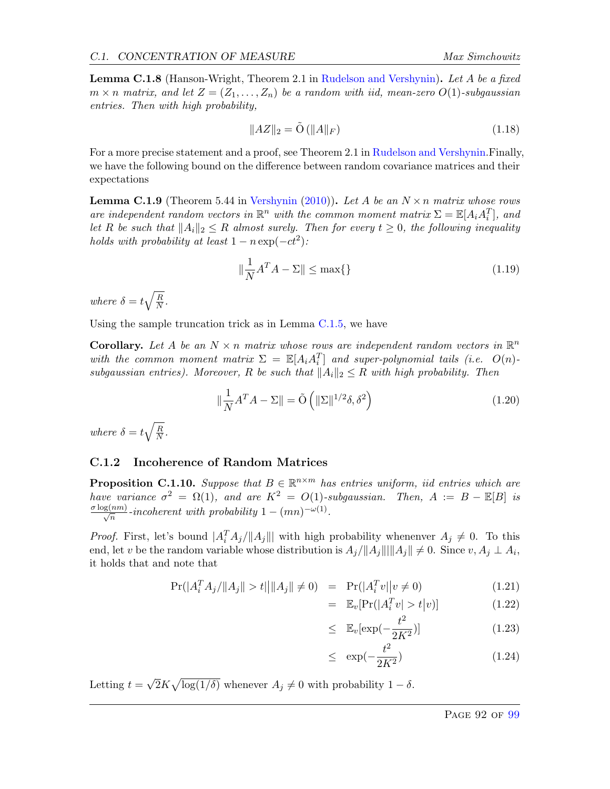<span id="page-92-0"></span>**Lemma C.1.8** (Hanson-Wright, Theorem 2.1 in [Rudelson and Vershynin\)](#page-65-2). Let A be a fixed  $m \times n$  matrix, and let  $Z = (Z_1, \ldots, Z_n)$  be a random with iid, mean-zero  $O(1)$ -subgaussian entries. Then with high probability,

$$
||AZ||_2 = \tilde{O}(||A||_F)
$$
\n(1.18)

For a more precise statement and a proof, see Theorem 2.1 in [Rudelson and Vershynin.](#page-65-2) Finally, we have the following bound on the difference between random covariance matrices and their expectations

**Lemma C.1.9** (Theorem 5.44 in [Vershynin](#page-65-3) [\(2010\)](#page-65-3)). Let A be an  $N \times n$  matrix whose rows are independent random vectors in  $\mathbb{R}^n$  with the common moment matrix  $\Sigma = \mathbb{E}[A_i A_i^T]$ , and let R be such that  $||A_i||_2 \leq R$  almost surely. Then for every  $t \geq 0$ , the following inequality holds with probability at least  $1 - n \exp(-ct^2)$ :

<span id="page-92-1"></span>
$$
\|\frac{1}{N}A^T A - \Sigma\| \le \max\{\}\tag{1.19}
$$

where  $\delta = t \sqrt{\frac{R}{N}}$  $\frac{R}{N}$  .

Using the sample truncation trick as in Lemma [C.1.5,](#page-91-1) we have

**Corollary.** Let A be an  $N \times n$  matrix whose rows are independent random vectors in  $\mathbb{R}^n$ with the common moment matrix  $\Sigma = \mathbb{E}[A_i A_i^T]$  and super-polynomial tails (i.e.  $O(n)$ subgaussian entries). Moreover, R be such that  $||A_i||_2 \leq R$  with high probability. Then

$$
\|\frac{1}{N}A^T A - \Sigma\| = \tilde{O}\left(\|\Sigma\|^{1/2} \delta, \delta^2\right) \tag{1.20}
$$

where  $\delta = t \sqrt{\frac{R}{N}}$  $\frac{R}{N}$  .

#### C.1.2 Incoherence of Random Matrices

**Proposition C.1.10.** Suppose that  $B \in \mathbb{R}^{n \times m}$  has entries uniform, iid entries which are have variance  $\sigma^2 = \Omega(1)$ , and are  $K^2 = O(1)$ -subgaussian. Then,  $A := B - \mathbb{E}[B]$  is  $\frac{\sigma \log(nm)}{\sqrt{n}}$ -incoherent with probability  $1 - (mn)^{-\omega(1)}$ .

*Proof.* First, let's bound  $|A_i^T A_j/||A_j||$  with high probability whenenver  $A_j \neq 0$ . To this end, let v be the random variable whose distribution is  $A_j/||A_j|| ||A_j|| \neq 0$ . Since  $v, A_j \perp A_i$ , it holds that and note that

$$
Pr(|A_i^T A_j/\|A_j\| > t\|\|A_j\| \neq 0) = Pr(|A_i^T v||v \neq 0)
$$
\n(1.21)

$$
= \mathbb{E}_v[\Pr(|A_i^T v| > t|v)] \tag{1.22}
$$

$$
\leq \mathbb{E}_v[\exp(-\frac{t^2}{2K^2})] \tag{1.23}
$$

$$
\leq \exp(-\frac{t^2}{2K^2}) \tag{1.24}
$$

Letting  $t =$ √  $\overline{2}K\sqrt{\log(1/\delta)}$  whenever  $A_j \neq 0$  with probability  $1-\delta$ .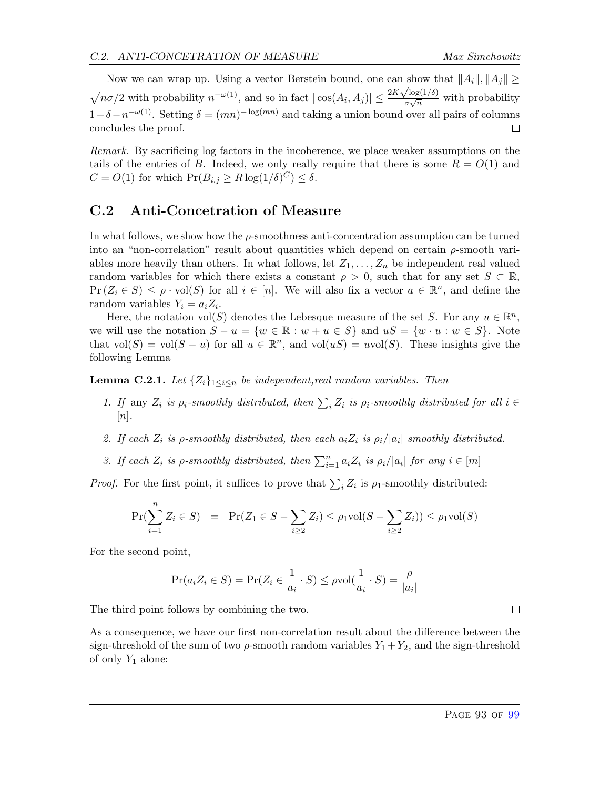Now we can wrap up. Using a vector Berstein bound, one can show that  $||A_i||, ||A_j|| \ge$  $\sqrt{n\sigma/2}$  with probability  $n^{-\omega(1)}$ , and so in fact  $|\cos(A_i, A_j)| \leq \frac{2K\sqrt{\log(1/\delta)}}{\sigma\sqrt{n}}$  $\frac{\sqrt{\log(1/\theta)}}{\sigma\sqrt{n}}$  with probability  $1-\delta-n^{-\omega(1)}$ . Setting  $\delta=(mn)^{-\log(mn)}$  and taking a union bound over all pairs of columns concludes the proof.  $\Box$ 

Remark. By sacrificing log factors in the incoherence, we place weaker assumptions on the tails of the entries of B. Indeed, we only really require that there is some  $R = O(1)$  and  $C = O(1)$  for which  $Pr(B_{i,j} \ge R \log(1/\delta)^C) \le \delta$ .

#### C.2 Anti-Concetration of Measure

In what follows, we show how the  $\rho$ -smoothness anti-concentration assumption can be turned into an "non-correlation" result about quantities which depend on certain  $\rho$ -smooth variables more heavily than others. In what follows, let  $Z_1, \ldots, Z_n$  be independent real valued random variables for which there exists a constant  $\rho > 0$ , such that for any set  $S \subset \mathbb{R}$ ,  $Pr(Z_i \in S) \le \rho \cdot vol(S)$  for all  $i \in [n]$ . We will also fix a vector  $a \in \mathbb{R}^n$ , and define the random variables  $Y_i = a_i Z_i$ .

Here, the notation vol(S) denotes the Lebesque measure of the set S. For any  $u \in \mathbb{R}^n$ , we will use the notation  $S - u = \{w \in \mathbb{R} : w + u \in S\}$  and  $uS = \{w \cdot u : w \in S\}$ . Note that  $vol(S) = vol(S - u)$  for all  $u \in \mathbb{R}^n$ , and  $vol(uS) = uvol(S)$ . These insights give the following Lemma

<span id="page-93-0"></span>**Lemma C.2.1.** Let  $\{Z_i\}_{1\leq i\leq n}$  be independent, real random variables. Then

- 1. If any  $Z_i$  is  $\rho_i$ -smoothly distributed, then  $\sum_i Z_i$  is  $\rho_i$ -smoothly distributed for all  $i \in$  $[n]$ .
- 2. If each  $Z_i$  is  $\rho$ -smoothly distributed, then each  $a_i Z_i$  is  $\rho_i/|a_i|$  smoothly distributed.
- 3. If each  $Z_i$  is  $\rho$ -smoothly distributed, then  $\sum_{i=1}^n a_i Z_i$  is  $\rho_i/|a_i|$  for any  $i \in [m]$

*Proof.* For the first point, it suffices to prove that  $\sum_i Z_i$  is  $\rho_1$ -smoothly distributed:

$$
\Pr(\sum_{i=1}^{n} Z_i \in S) = \Pr(Z_1 \in S - \sum_{i \ge 2} Z_i) \le \rho_1 \text{vol}(S - \sum_{i \ge 2} Z_i)) \le \rho_1 \text{vol}(S)
$$

For the second point,

$$
Pr(a_i Z_i \in S) = Pr(Z_i \in \frac{1}{a_i} \cdot S) \le \rho vol(\frac{1}{a_i} \cdot S) = \frac{\rho}{|a_i|}
$$

The third point follows by combining the two.

As a consequence, we have our first non-correlation result about the difference between the sign-threshold of the sum of two  $\rho$ -smooth random variables  $Y_1 + Y_2$ , and the sign-threshold of only  $Y_1$  alone: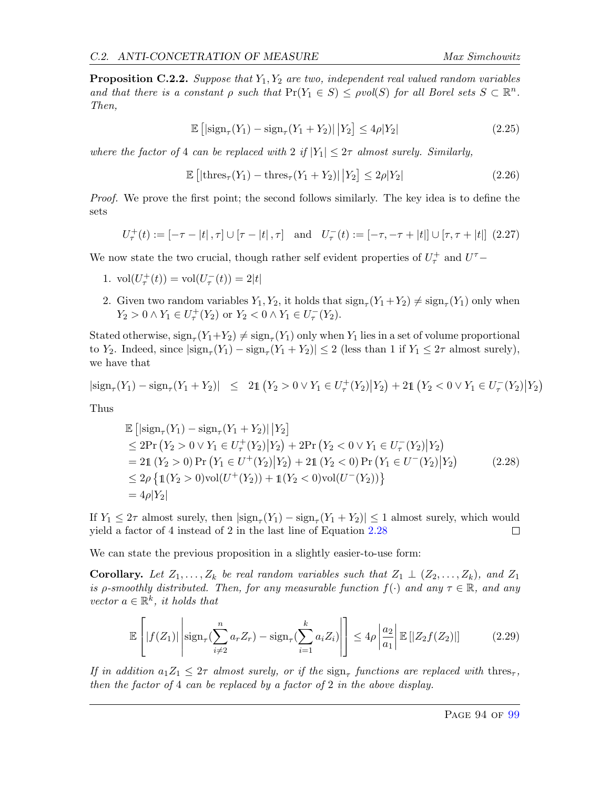**Proposition C.2.2.** Suppose that  $Y_1, Y_2$  are two, independent real valued random variables and that there is a constant  $\rho$  such that  $Pr(Y_1 \in S) \le \rho vol(S)$  for all Borel sets  $S \subset \mathbb{R}^n$ . Then,

$$
\mathbb{E}\left[|\text{sign}_{\tau}(Y_1) - \text{sign}_{\tau}(Y_1 + Y_2)|\,|Y_2\right] \le 4\rho|Y_2|\tag{2.25}
$$

where the factor of 4 can be replaced with  $2 \text{ if } |Y_1| \leq 2\tau \text{ almost surely. Similarly,}$ 

$$
\mathbb{E}\left[\left|\text{thres}_{\tau}(Y_1) - \text{thres}_{\tau}(Y_1 + Y_2)\right|\big|Y_2\right] \le 2\rho|Y_2|\tag{2.26}
$$

Proof. We prove the first point; the second follows similarly. The key idea is to define the sets

$$
U_{\tau}^{+}(t) := [-\tau - |t|, \tau] \cup [\tau - |t|, \tau] \text{ and } U_{\tau}^{-}(t) := [-\tau, -\tau + |t|] \cup [\tau, \tau + |t|] \tag{2.27}
$$

We now state the two crucial, though rather self evident properties of  $U^{\pm}_{\tau}$  and  $U^{\tau}-$ 

- 1.  $vol(U_{\tau}^{+}(t)) = vol(U_{\tau}^{-}(t)) = 2|t|$
- 2. Given two random variables  $Y_1, Y_2$ , it holds that  $\text{sign}_{\tau}(Y_1 + Y_2) \neq \text{sign}_{\tau}(Y_1)$  only when  $Y_2 > 0 \wedge Y_1 \in U^+_\tau(Y_2)$  or  $Y_2 < 0 \wedge Y_1 \in U^-_\tau(Y_2)$ .

Stated otherwise,  $\text{sign}_{\tau}(Y_1+Y_2) \neq \text{sign}_{\tau}(Y_1)$  only when  $Y_1$  lies in a set of volume proportional to Y<sub>2</sub>. Indeed, since  $|\text{sign}_{\tau}(Y_1) - \text{sign}_{\tau}(Y_1 + Y_2)| \leq 2$  (less than 1 if  $Y_1 \leq 2\tau$  almost surely), we have that

$$
|\text{sign}_{\tau}(Y_1) - \text{sign}_{\tau}(Y_1 + Y_2)| \leq 2\mathbb{1} (Y_2 > 0 \vee Y_1 \in U_{\tau}^+(Y_2) | Y_2) + 2\mathbb{1} (Y_2 < 0 \vee Y_1 \in U_{\tau}^-(Y_2) | Y_2)
$$

Thus

<span id="page-94-0"></span>
$$
\mathbb{E} \left[ |\text{sign}_{\tau}(Y_1) - \text{sign}_{\tau}(Y_1 + Y_2)| |Y_2| \right] \n\leq 2 \Pr(Y_2 > 0 \vee Y_1 \in U_{\tau}^+(Y_2) | Y_2) + 2 \Pr(Y_2 < 0 \vee Y_1 \in U_{\tau}^-(Y_2) | Y_2) \n= 21 (Y_2 > 0) \Pr(Y_1 \in U^+(Y_2) | Y_2) + 21 (Y_2 < 0) \Pr(Y_1 \in U^-(Y_2) | Y_2) \n\leq 2\rho \left\{ 1(Y_2 > 0) \text{vol}(U^+(Y_2)) + 1(Y_2 < 0) \text{vol}(U^-(Y_2)) \right\} \n= 4\rho |Y_2|
$$
\n(2.28)

If  $Y_1 \leq 2\tau$  almost surely, then  $|\text{sign}_{\tau}(Y_1) - \text{sign}_{\tau}(Y_1 + Y_2)| \leq 1$  almost surely, which would yield a factor of 4 instead of 2 in the last line of Equation [2.28](#page-94-0)  $\Box$ 

We can state the previous proposition in a slightly easier-to-use form:

**Corollary.** Let  $Z_1, \ldots, Z_k$  be real random variables such that  $Z_1 \perp (Z_2, \ldots, Z_k)$ , and  $Z_1$ is  $\rho$ -smoothly distributed. Then, for any measurable function  $f(\cdot)$  and any  $\tau \in \mathbb{R}$ , and any vector  $a \in \mathbb{R}^k$ , it holds that

$$
\mathbb{E}\left[|f(Z_1)|\left|\operatorname{sign}_{\tau}(\sum_{i\neq 2}^n a_r Z_r) - \operatorname{sign}_{\tau}(\sum_{i=1}^k a_i Z_i)\right|\right] \leq 4\rho \left|\frac{a_2}{a_1}\right| \mathbb{E}\left[|Z_2 f(Z_2)|\right] \tag{2.29}
$$

If in addition  $a_1 Z_1 \leq 2\tau$  almost surely, or if the  $\text{sign}_{\tau}$  functions are replaced with thres<sub> $\tau$ </sub>, then the factor of 4 can be replaced by a factor of 2 in the above display.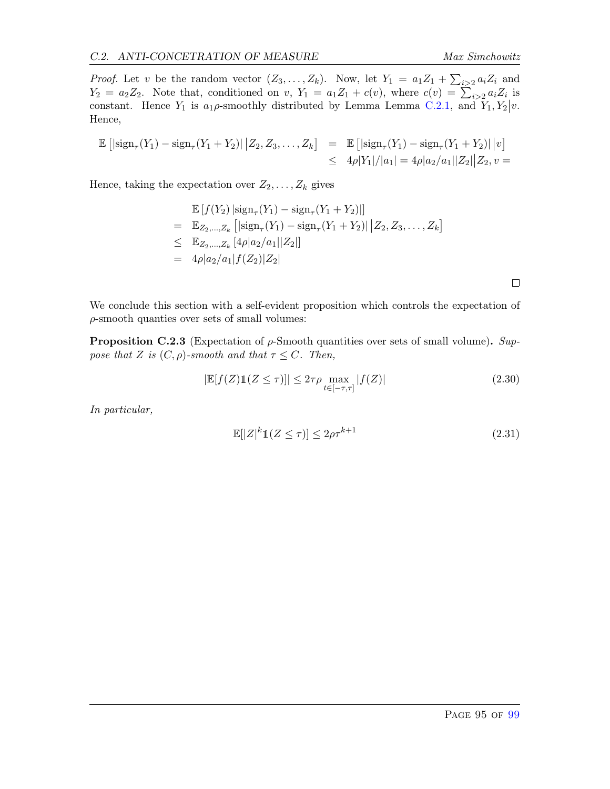*Proof.* Let v be the random vector  $(Z_3, ..., Z_k)$ . Now, let  $Y_1 = a_1 Z_1 + \sum_{i>2} a_i Z_i$  and  $Y_2 = a_2 Z_2$ . Note that, conditioned on v,  $Y_1 = a_1 Z_1 + c(v)$ , where  $c(v) = \sum_{i>2} a_i Z_i$  is constant. Hence  $Y_1$  is  $a_1\rho$ -smoothly distributed by Lemma Lemma [C.2.1,](#page-93-0) and  $Y_1, Y_2|v$ . Hence,

$$
\mathbb{E} [|\text{sign}_{\tau}(Y_1) - \text{sign}_{\tau}(Y_1 + Y_2)| | Z_2, Z_3, \dots, Z_k] = \mathbb{E} [|\text{sign}_{\tau}(Y_1) - \text{sign}_{\tau}(Y_1 + Y_2)| | v] \n\leq 4\rho |Y_1|/|a_1| = 4\rho |a_2/a_1||Z_2||Z_2, v =
$$

Hence, taking the expectation over  $Z_2, \ldots, Z_k$  gives

$$
\mathbb{E}\left[f(Y_2) \left| \operatorname{sign}_{\tau}(Y_1) - \operatorname{sign}_{\tau}(Y_1 + Y_2) \right|\right]
$$
\n
$$
= \mathbb{E}_{Z_2, \dots, Z_k} \left[ \left| \operatorname{sign}_{\tau}(Y_1) - \operatorname{sign}_{\tau}(Y_1 + Y_2) \right| \middle| Z_2, Z_3, \dots, Z_k \right]
$$
\n
$$
\leq \mathbb{E}_{Z_2, \dots, Z_k} \left[ 4\rho |a_2/a_1| |Z_2| \right]
$$
\n
$$
= 4\rho |a_2/a_1| f(Z_2) |Z_2|
$$

We conclude this section with a self-evident proposition which controls the expectation of  $\rho$ -smooth quanties over sets of small volumes:

<span id="page-95-0"></span>**Proposition C.2.3** (Expectation of  $\rho$ -Smooth quantities over sets of small volume). Suppose that Z is  $(C, \rho)$ -smooth and that  $\tau \leq C$ . Then,

$$
\left|\mathbb{E}[f(Z)\mathbb{1}(Z \le \tau)]\right| \le 2\tau\rho \max_{t \in [-\tau,\tau]} |f(Z)| \tag{2.30}
$$

In particular,

$$
\mathbb{E}[|Z|^k \mathbb{1}(Z \le \tau)] \le 2\rho \tau^{k+1} \tag{2.31}
$$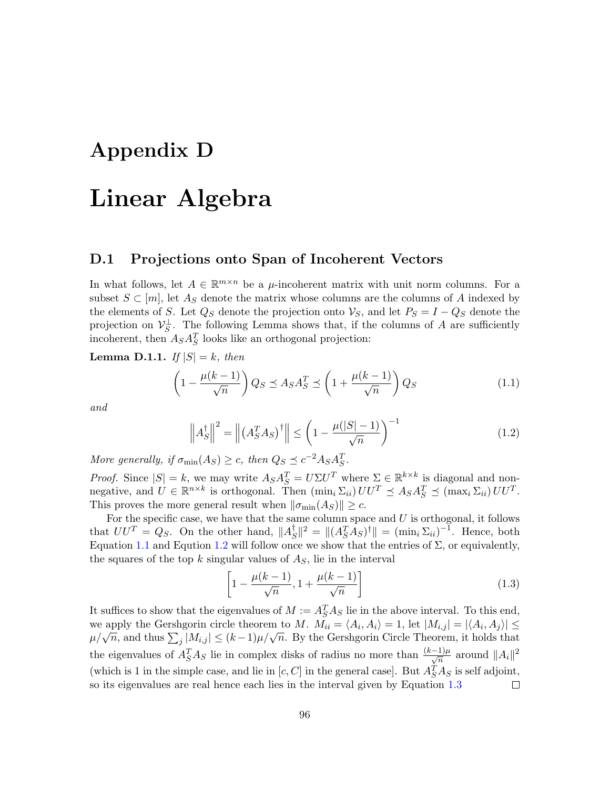## Appendix D

## Linear Algebra

#### D.1 Projections onto Span of Incoherent Vectors

In what follows, let  $A \in \mathbb{R}^{m \times n}$  be a  $\mu$ -incoherent matrix with unit norm columns. For a subset  $S \subset [m]$ , let  $A_S$  denote the matrix whose columns are the columns of A indexed by the elements of S. Let  $Q_S$  denote the projection onto  $\mathcal{V}_S$ , and let  $P_S = I - Q_S$  denote the projection on  $\mathcal{V}_S^{\perp}$ . The following Lemma shows that, if the columns of A are sufficiently incoherent, then  $A_S A_S^T$  looks like an orthogonal projection:

<span id="page-96-3"></span>**Lemma D.1.1.** If  $|S| = k$ , then

<span id="page-96-0"></span>
$$
\left(1 - \frac{\mu(k-1)}{\sqrt{n}}\right) Q_S \preceq A_S A_S^T \preceq \left(1 + \frac{\mu(k-1)}{\sqrt{n}}\right) Q_S \tag{1.1}
$$

and

<span id="page-96-1"></span>
$$
\left\| A_S^{\dagger} \right\|^2 = \left\| \left( A_S^T A_S \right)^{\dagger} \right\| \le \left( 1 - \frac{\mu(|S| - 1)}{\sqrt{n}} \right)^{-1} \tag{1.2}
$$

More generally, if  $\sigma_{\min}(A_S) \geq c$ , then  $Q_S \preceq c^{-2} A_S A_S^T$ .

*Proof.* Since  $|S| = k$ , we may write  $A_S A_S^T = U \Sigma U^T$  where  $\Sigma \in \mathbb{R}^{k \times k}$  is diagonal and nonnegative, and  $U \in \mathbb{R}^{n \times k}$  is orthogonal. Then  $(\min_i \Sigma_{ii}) U U^T \preceq A_S A_S^T \preceq (\max_i \Sigma_{ii}) U U^T$ . This proves the more general result when  $\|\sigma_{\min}(A_S)\| \geq c$ .

For the specific case, we have that the same column space and  $U$  is orthogonal, it follows that  $UU^T = Q_S$ . On the other hand,  $||A_S^{\dagger}$  $\mathcal{L}_S^{\dagger}$ ||<sup>2</sup> = || $(A_S^T \overline{A}_S)^{\dagger}$ || =  $(\min_i \Sigma_{ii})^{-1}$ . Hence, both Equation [1.1](#page-96-0) and Eqution [1.2](#page-96-1) will follow once we show that the entries of  $\Sigma$ , or equivalently, the squares of the top  $k$  singular values of  $A<sub>S</sub>$ , lie in the interval

<span id="page-96-2"></span>
$$
\left[1 - \frac{\mu(k-1)}{\sqrt{n}}, 1 + \frac{\mu(k-1)}{\sqrt{n}}\right]
$$
\n(1.3)

It suffices to show that the eigenvalues of  $M := A_S^T A_S$  lie in the above interval. To this end, we apply the Gershgorin circle theorem to M.  $M_{ii} = \langle A_i, A_i \rangle = 1$ , let  $|M_{i,j}| = |\langle A_i, A_j \rangle| \le$ we apply the Gershgorm three theorem to  $M$ .  $M_{ii} = \langle A_i, A_i \rangle = 1$ , let  $|M_{i,j}| = |\langle A_i, A_j \rangle| \ge$ <br> $\mu/\sqrt{n}$ , and thus  $\sum_j |M_{i,j}| \le (k-1)\mu/\sqrt{n}$ . By the Gershgorin Circle Theorem, it holds that the eigenvalues of  $A_S^T A_S$  lie in complex disks of radius no more than  $\frac{(k-1)\mu}{\sqrt{n}}$  around  $||A_i||^2$ (which is 1 in the simple case, and lie in  $[c, C]$  in the general case]. But  $A_S^T A_S$  is self adjoint, so its eigenvalues are real hence each lies in the interval given by Equation  $1.3$  $\Box$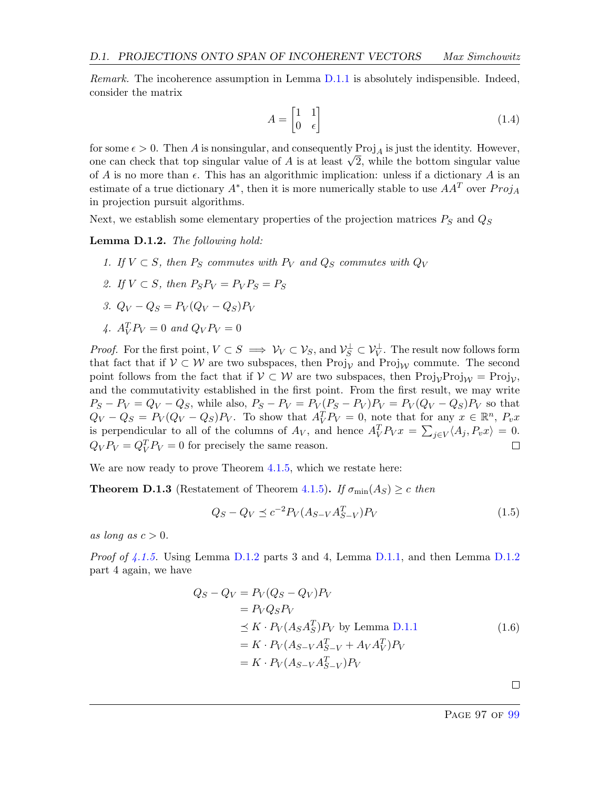*Remark.* The incoherence assumption in Lemma  $D.1.1$  is absolutely indispensible. Indeed, consider the matrix

$$
A = \begin{bmatrix} 1 & 1 \\ 0 & \epsilon \end{bmatrix} \tag{1.4}
$$

for some  $\epsilon > 0$ . Then A is nonsingular, and consequently Proj<sub>A</sub> is just the identity. However, for some  $\epsilon > 0$ . Then A is nonsingular, and consequently  $\text{Proj}_A$  is just the identity. However, one can check that top singular value of A is at least  $\sqrt{2}$ , while the bottom singular value of A is no more than  $\epsilon$ . This has an algorithmic implication: unless if a dictionary A is an estimate of a true dictionary  $A^*$ , then it is more numerically stable to use  $AA^T$  over  $Proj_A$ in projection pursuit algorithms.

Next, we establish some elementary properties of the projection matrices  $P_S$  and  $Q_S$ 

<span id="page-97-0"></span>Lemma D.1.2. The following hold:

- 1. If  $V \subset S$ , then  $P_S$  commutes with  $P_V$  and  $Q_S$  commutes with  $Q_V$
- 2. If  $V \subset S$ , then  $P_S P_V = P_V P_S = P_S$
- 3.  $Q_V Q_S = P_V (Q_V Q_S) P_V$
- 4.  $A_V^T P_V = 0$  and  $Q_V P_V = 0$

*Proof.* For the first point,  $V \subset S \implies V_V \subset V_S$ , and  $V_S^{\perp} \subset V_V^{\perp}$ . The result now follows form that fact that if  $V \subset W$  are two subspaces, then Proj<sub>V</sub> and Proj<sub>W</sub> commute. The second point follows from the fact that if  $\mathcal{V} \subset \mathcal{W}$  are two subspaces, then  $\text{Proj}_{\mathcal{V}}\text{Proj}_{\mathcal{W}} = \text{Proj}_{\mathcal{V}}$ , and the commutativity established in the first point. From the first result, we may write  $P_S - P_V = Q_V - Q_S$ , while also,  $P_S - P_V = P_V (P_S - P_V) P_V = P_V (Q_V - Q_S) P_V$  so that  $Q_V - Q_S = P_V(Q_V - Q_S)P_V$ . To show that  $A_V^T P_V = 0$ , note that for any  $x \in \mathbb{R}^n$ ,  $P_v x$ is perpendicular to all of the columns of  $A_V$ , and hence  $A_V^T P_V x = \sum_{j \in V} \langle A_j, P_v x \rangle = 0$ .  $Q_V P_V = Q_V^T P_V = 0$  for precisely the same reason.  $\Box$ 

We are now ready to prove Theorem [4.1.5,](#page-39-0) which we restate here:

**Theorem D.1.3** (Restatement of Theorem [4.1.5\)](#page-39-0). If  $\sigma_{\min}(A_S) \geq c$  then

$$
Q_S - Q_V \le c^{-2} P_V (A_{S-V} A_{S-V}^T) P_V
$$
\n(1.5)

as long as  $c > 0$ .

Proof of [4.1.5.](#page-39-0) Using Lemma [D.1.2](#page-97-0) parts 3 and 4, Lemma [D.1.1,](#page-96-3) and then Lemma D.1.2 part 4 again, we have

$$
Q_S - Q_V = P_V(Q_S - Q_V)P_V
$$
  
\n
$$
= P_V Q_S P_V
$$
  
\n
$$
\leq K \cdot P_V(A_S A_S^T) P_V
$$
 by Lemma D.1.1  
\n
$$
= K \cdot P_V(A_{S-V} A_{S-V}^T + A_V A_V^T) P_V
$$
  
\n
$$
= K \cdot P_V(A_{S-V} A_{S-V}^T) P_V
$$
  
\n(1.6)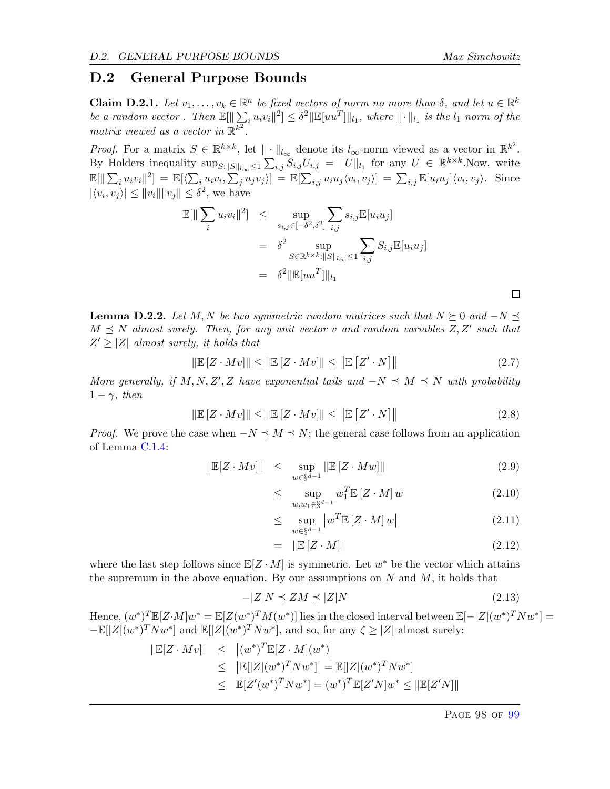#### D.2 General Purpose Bounds

**Claim D.2.1.** Let  $v_1, \ldots, v_k \in \mathbb{R}^n$  be fixed vectors of norm no more than  $\delta$ , and let  $u \in \mathbb{R}^k$ be a random vector. Then  $\mathbb{E}[\|\sum_i u_i v_i\|^2] \leq \delta^2 \|\mathbb{E}[uu^T]\|_{l_1}$ , where  $\|\cdot\|_{l_1}$  is the  $l_1$  norm of the matrix viewed as a vector in  $\mathbb{R}^{k^2}$ .

*Proof.* For a matrix  $S \in \mathbb{R}^{k \times k}$ , let  $\|\cdot\|_{l_{\infty}}$  denote its  $l_{\infty}$ -norm viewed as a vector in  $\mathbb{R}^{k^2}$ . By Holders inequality  $\sup_{S:||S||_{l_{\infty}} \leq 1} \sum_{i,j} S_{i,j} U_{i,j} = ||U||_{l_1}$  for any  $U \in \mathbb{R}^{k \times k}$ . Now, write  $\mathbb{E}[\|\sum_i u_i v_i\|^2] = \mathbb{E}[\langle \sum_i u_i v_i, \sum_j u_j v_j \rangle] = \mathbb{E}[\sum_{i,j} u_i u_j \langle v_i, v_j \rangle] = \sum_{i,j} \mathbb{E}[u_i u_j] \langle v_i, v_j \rangle$ . Since  $|\langle v_i, v_j \rangle| \leq ||v_i|| ||v_j|| \leq \delta^2$ , we have

$$
\mathbb{E}[\|\sum_{i} u_i v_i\|^2] \leq \sup_{s_{i,j} \in [-\delta^2, \delta^2]} \sum_{i,j} s_{i,j} \mathbb{E}[u_i u_j]
$$
  
=  $\delta^2 \sup_{S \in \mathbb{R}^{k \times k}: ||S||_{l_\infty} \leq 1} \sum_{i,j} S_{i,j} \mathbb{E}[u_i u_j]$   
=  $\delta^2 \|\mathbb{E}[uu^T]\|_{l_1}$ 

<span id="page-98-0"></span>**Lemma D.2.2.** Let M, N be two symmetric random matrices such that  $N \succeq 0$  and  $-N \preceq$  $M \preceq N$  almost surely. Then, for any unit vector v and random variables  $Z, Z'$  such that  $Z' \geq |Z|$  almost surely, it holds that

$$
\|\mathbb{E}\left[Z \cdot Mv\right]\| \le \|\mathbb{E}\left[Z \cdot Mv\right]\| \le \|\mathbb{E}\left[Z' \cdot N\right]\| \tag{2.7}
$$

More generally, if M, N, Z', Z have exponential tails and  $-N \preceq M \preceq N$  with probability  $1 - \gamma$ , then

$$
\|\mathbb{E}\left[Z \cdot Mv\right]\| \le \|\mathbb{E}\left[Z \cdot Mv\right]\| \le \|\mathbb{E}\left[Z' \cdot N\right]\| \tag{2.8}
$$

*Proof.* We prove the case when  $-N \leq M \leq N$ ; the general case follows from an application of Lemma [C.1.4:](#page-90-0)

$$
\|\mathbb{E}[Z \cdot Mv] \| \le \sup_{w \in \S^{d-1}} \|\mathbb{E}[Z \cdot Mw] \| \tag{2.9}
$$

$$
\leq \quad \sup_{w,w_1 \in \S^{d-1}} w_1^T \mathbb{E}\left[Z \cdot M\right] w \tag{2.10}
$$

$$
\leq \sup_{w \in \S^{d-1}} \left| w^T \mathbb{E} \left[ Z \cdot M \right] w \right| \tag{2.11}
$$

$$
= \|\mathbb{E}\left[Z \cdot M\right]\| \tag{2.12}
$$

where the last step follows since  $\mathbb{E}[Z \cdot M]$  is symmetric. Let  $w^*$  be the vector which attains the supremum in the above equation. By our assumptions on  $N$  and  $M$ , it holds that

$$
-|Z|N \preceq ZM \preceq |Z|N \tag{2.13}
$$

Hence,  $(w^*)^T \mathbb{E}[Z \cdot M] w^* = \mathbb{E}[Z(w^*)^T M(w^*)]$  lies in the closed interval between  $\mathbb{E}[-|Z|(w^*)^T N w^*] =$  $-\mathbb{E}[|Z|(w^*)^T N w^*]$  and  $\mathbb{E}[|Z|(w^*)^T N w^*]$ , and so, for any  $\zeta \geq |Z|$  almost surely:

$$
\begin{aligned} \|\mathbb{E}[Z \cdot Mv]\| &\leq |(w^*)^T \mathbb{E}[Z \cdot M](w^*)| \\ &\leq |\mathbb{E}[|Z|(w^*)^T N w^*]| = \mathbb{E}[|Z|(w^*)^T N w^*] \\ &\leq \mathbb{E}[Z'(w^*)^T N w^*] = (w^*)^T \mathbb{E}[Z' N] w^* \leq \|\mathbb{E}[Z' N]\| \end{aligned}
$$